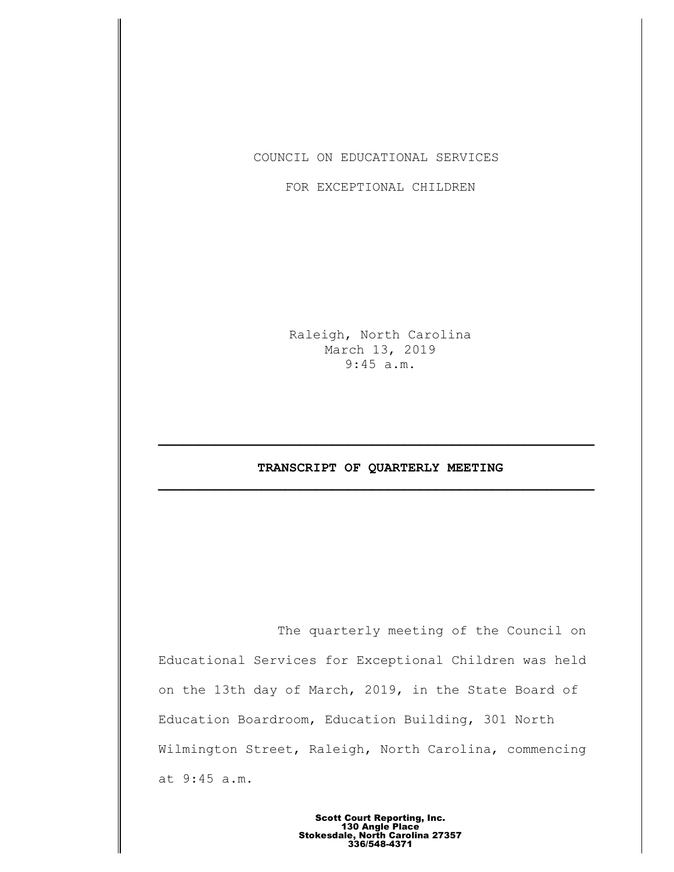COUNCIL ON EDUCATIONAL SERVICES

FOR EXCEPTIONAL CHILDREN

Raleigh, North Carolina March 13, 2019 9:45 a.m.

# **TRANSCRIPT OF QUARTERLY MEETING \_\_\_\_\_\_\_\_\_\_\_\_\_\_\_\_\_\_\_\_\_\_\_\_\_\_\_\_\_\_\_\_\_\_\_\_\_\_\_\_\_\_\_\_\_\_\_\_\_\_\_\_\_\_\_**

**\_\_\_\_\_\_\_\_\_\_\_\_\_\_\_\_\_\_\_\_\_\_\_\_\_\_\_\_\_\_\_\_\_\_\_\_\_\_\_\_\_\_\_\_\_\_\_\_\_\_\_\_\_\_\_**

The quarterly meeting of the Council on Educational Services for Exceptional Children was held on the 13th day of March, 2019, in the State Board of Education Boardroom, Education Building, 301 North Wilmington Street, Raleigh, North Carolina, commencing at 9:45 a.m.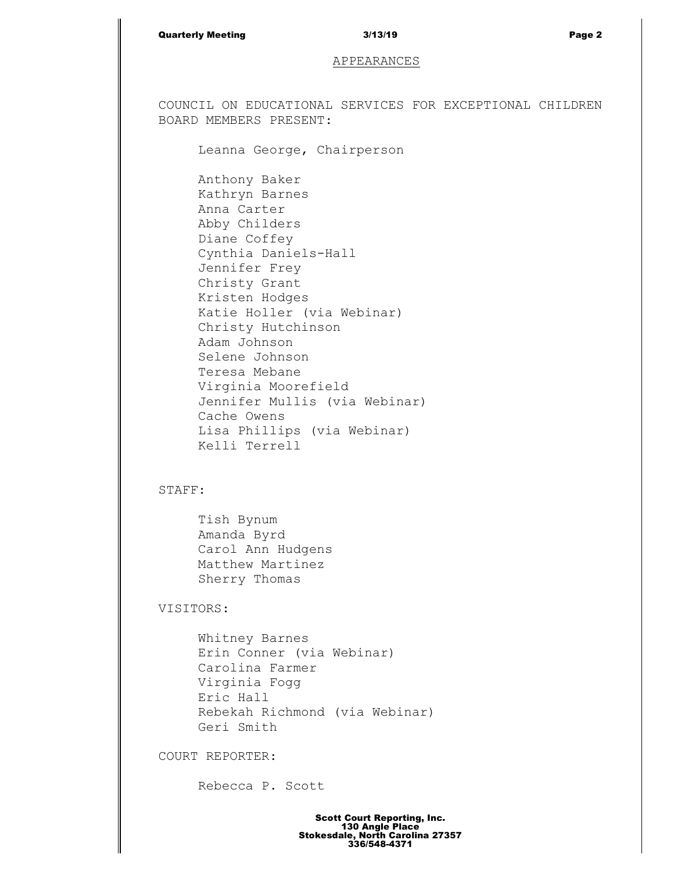### Quarterly Meeting 3/13/19 Page 2

### APPEARANCES

COUNCIL ON EDUCATIONAL SERVICES FOR EXCEPTIONAL CHILDREN BOARD MEMBERS PRESENT:

Leanna George, Chairperson

Anthony Baker Kathryn Barnes Anna Carter Abby Childers Diane Coffey Cynthia Daniels-Hall Jennifer Frey Christy Grant Kristen Hodges Katie Holler (via Webinar) Christy Hutchinson Adam Johnson Selene Johnson Teresa Mebane Virginia Moorefield Jennifer Mullis (via Webinar) Cache Owens Lisa Phillips (via Webinar) Kelli Terrell

## STAFF:

Tish Bynum Amanda Byrd Carol Ann Hudgens Matthew Martinez Sherry Thomas

VISITORS:

Whitney Barnes Erin Conner (via Webinar) Carolina Farmer Virginia Fogg Eric Hall Rebekah Richmond (via Webinar) Geri Smith

COURT REPORTER:

Rebecca P. Scott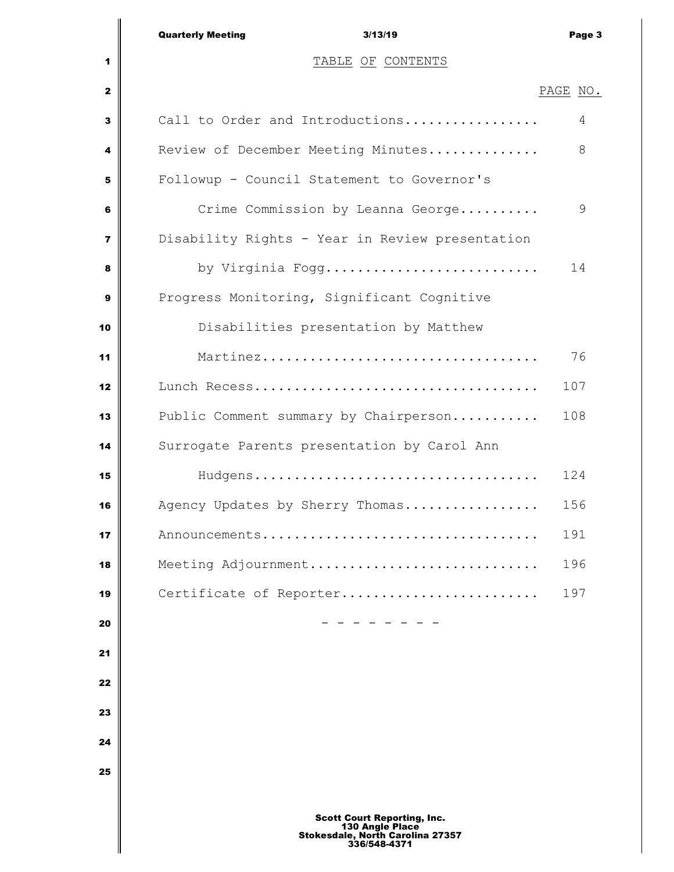|                | <b>Quarterly Meeting</b><br>3/13/19                                                                       | Page 3   |
|----------------|-----------------------------------------------------------------------------------------------------------|----------|
| 1              | TABLE OF CONTENTS                                                                                         |          |
| $\mathbf{2}$   |                                                                                                           | PAGE NO. |
| 3              | Call to Order and Introductions                                                                           | 4        |
| 4              | Review of December Meeting Minutes                                                                        | 8        |
| 5              | Followup - Council Statement to Governor's                                                                |          |
| 6              | Crime Commission by Leanna George                                                                         | 9        |
| $\overline{7}$ | Disability Rights - Year in Review presentation                                                           |          |
| 8              | by Virginia Fogg                                                                                          | 14       |
| 9              | Progress Monitoring, Significant Cognitive                                                                |          |
| 10             | Disabilities presentation by Matthew                                                                      |          |
| 11             |                                                                                                           | 76       |
| 12             |                                                                                                           | 107      |
| 13             | Public Comment summary by Chairperson                                                                     | 108      |
| 14             | Surrogate Parents presentation by Carol Ann                                                               |          |
| 15             |                                                                                                           | 124      |
| 16             | Agency Updates by Sherry Thomas                                                                           | 156      |
| 17             | Announcements                                                                                             | 191      |
| 18             | Meeting Adjournment                                                                                       | 196      |
| 19             | Certificate of Reporter                                                                                   | 197      |
| 20             |                                                                                                           |          |
| 21             |                                                                                                           |          |
| 22             |                                                                                                           |          |
| 23             |                                                                                                           |          |
| 24             |                                                                                                           |          |
| 25             |                                                                                                           |          |
|                | <b>Scott Court Reporting, Inc.</b><br>130 Angle Place<br>Stokesdale, North Carolina 27357<br>336/548-4371 |          |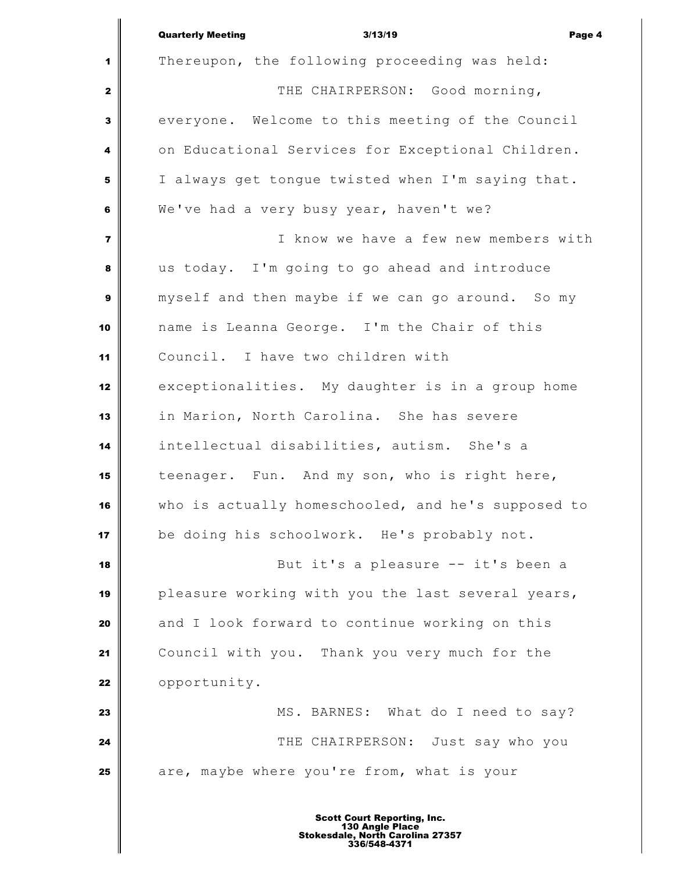|                         | <b>Quarterly Meeting</b><br>3/13/19<br>Page 4      |
|-------------------------|----------------------------------------------------|
| 1                       | Thereupon, the following proceeding was held:      |
| $\mathbf{2}$            | THE CHAIRPERSON: Good morning,                     |
| 3                       | everyone. Welcome to this meeting of the Council   |
| 4                       | on Educational Services for Exceptional Children.  |
| 5                       | I always get tongue twisted when I'm saying that.  |
| 6                       | We've had a very busy year, haven't we?            |
| $\overline{\mathbf{z}}$ | I know we have a few new members with              |
| 8                       | us today. I'm going to go ahead and introduce      |
| 9                       | myself and then maybe if we can go around. So my   |
| 10                      | name is Leanna George. I'm the Chair of this       |
| 11                      | Council. I have two children with                  |
| 12                      | exceptionalities. My daughter is in a group home   |
| 13                      | in Marion, North Carolina. She has severe          |
| 14                      | intellectual disabilities, autism. She's a         |
| 15                      | teenager. Fun. And my son, who is right here,      |
| 16                      | who is actually homeschooled, and he's supposed to |
| 17                      | be doing his schoolwork. He's probably not.        |
| 18                      | But it's a pleasure -- it's been a                 |
| 19                      | pleasure working with you the last several years,  |
| 20                      | and I look forward to continue working on this     |
| 21                      | Council with you. Thank you very much for the      |
| 22                      | opportunity.                                       |
| 23                      | MS. BARNES: What do I need to say?                 |
| 24                      | THE CHAIRPERSON: Just say who you                  |
| 25                      | are, maybe where you're from, what is your         |
|                         | <b>Scott Court Reporting, Inc.</b>                 |

Ш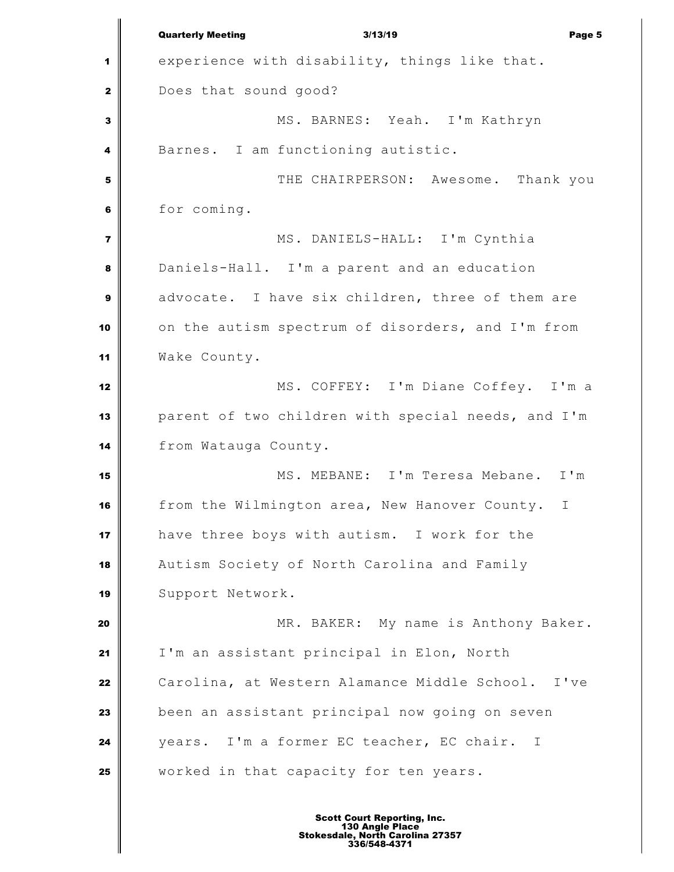Quarterly Meeting 3/13/19 Page 5 experience with disability, things like that. Does that sound good? MS. BARNES: Yeah. I'm Kathryn Barnes. I am functioning autistic. THE CHAIRPERSON: Awesome. Thank you for coming. MS. DANIELS-HALL: I'm Cynthia Daniels-Hall. I'm a parent and an education advocate. I have six children, three of them are on the autism spectrum of disorders, and I'm from Wake County. MS. COFFEY: I'm Diane Coffey. I'm a parent of two children with special needs, and I'm from Watauga County. MS. MEBANE: I'm Teresa Mebane. I'm from the Wilmington area, New Hanover County. I have three boys with autism. I work for the Autism Society of North Carolina and Family 19 Support Network. MR. BAKER: My name is Anthony Baker. I'm an assistant principal in Elon, North Carolina, at Western Alamance Middle School. I've been an assistant principal now going on seven years. I'm a former EC teacher, EC chair. I worked in that capacity for ten years.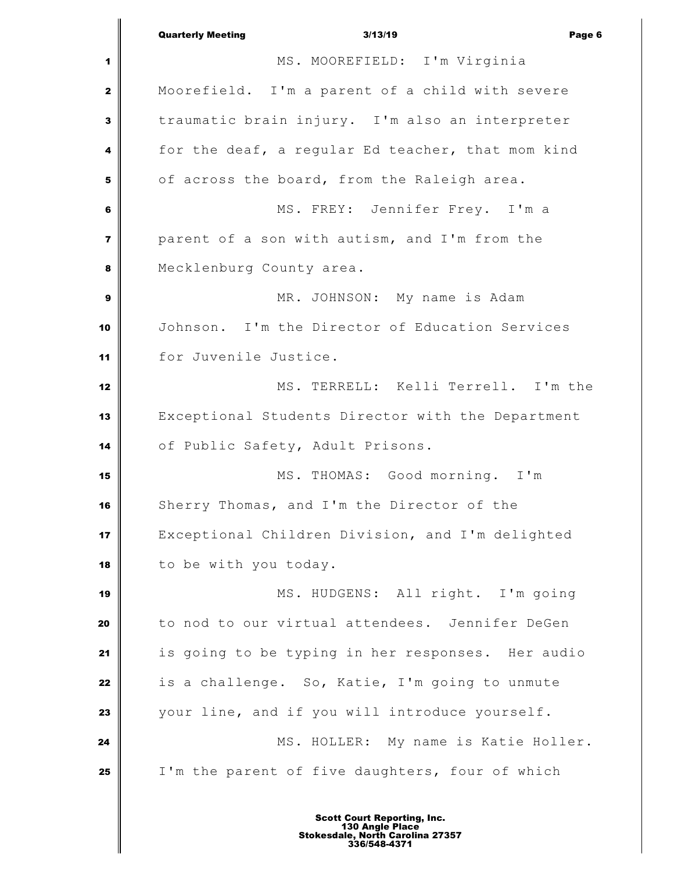Quarterly Meeting 3/13/19 Page 6 MS. MOOREFIELD: I'm Virginia Moorefield. I'm a parent of a child with severe traumatic brain injury. I'm also an interpreter for the deaf, a regular Ed teacher, that mom kind of across the board, from the Raleigh area. MS. FREY: Jennifer Frey. I'm a parent of a son with autism, and I'm from the Mecklenburg County area. MR. JOHNSON: My name is Adam Johnson. I'm the Director of Education Services for Juvenile Justice. MS. TERRELL: Kelli Terrell. I'm the Exceptional Students Director with the Department 14 | of Public Safety, Adult Prisons. MS. THOMAS: Good morning. I'm Sherry Thomas, and I'm the Director of the Exceptional Children Division, and I'm delighted to be with you today. 19 || MS. HUDGENS: All right. I'm going to nod to our virtual attendees. Jennifer DeGen is going to be typing in her responses. Her audio is a challenge. So, Katie, I'm going to unmute your line, and if you will introduce yourself. MS. HOLLER: My name is Katie Holler. I'm the parent of five daughters, four of which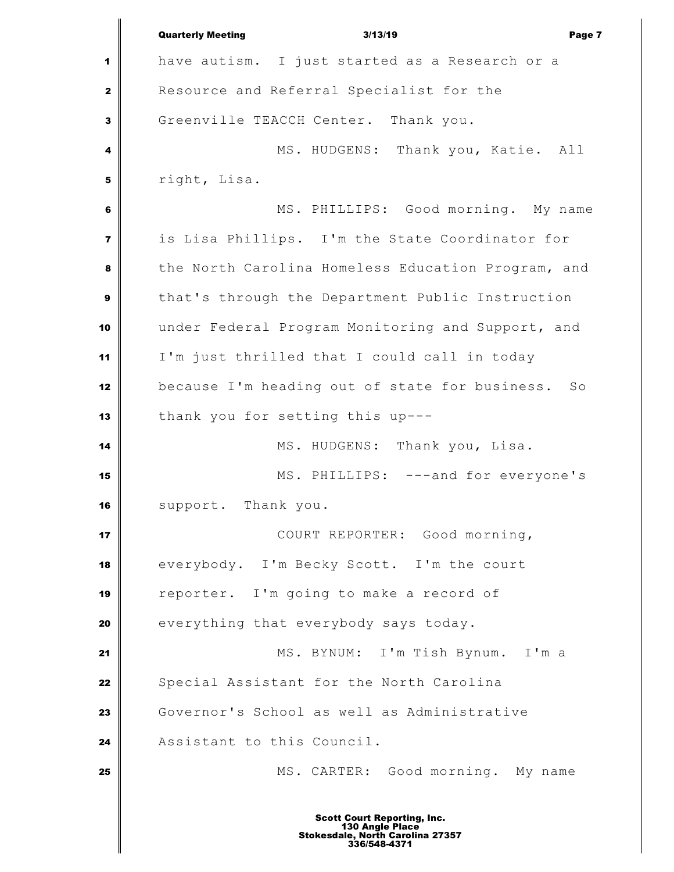Quarterly Meeting 3/13/19 Page 7 have autism. I just started as a Research or a Resource and Referral Specialist for the Greenville TEACCH Center. Thank you. MS. HUDGENS: Thank you, Katie. All right, Lisa. MS. PHILLIPS: Good morning. My name is Lisa Phillips. I'm the State Coordinator for the North Carolina Homeless Education Program, and that's through the Department Public Instruction under Federal Program Monitoring and Support, and I'm just thrilled that I could call in today because I'm heading out of state for business. So thank you for setting this up--- MS. HUDGENS: Thank you, Lisa. 15 || MS. PHILLIPS: ---and for everyone's support. Thank you. COURT REPORTER: Good morning, everybody. I'm Becky Scott. I'm the court reporter. I'm going to make a record of everything that everybody says today. MS. BYNUM: I'm Tish Bynum. I'm a Special Assistant for the North Carolina Governor's School as well as Administrative 24 | Assistant to this Council. MS. CARTER: Good morning. My name Scott Court Reporting, Inc. 130 Angle Place Stokesdale, North Carolina 27357 336/548-4371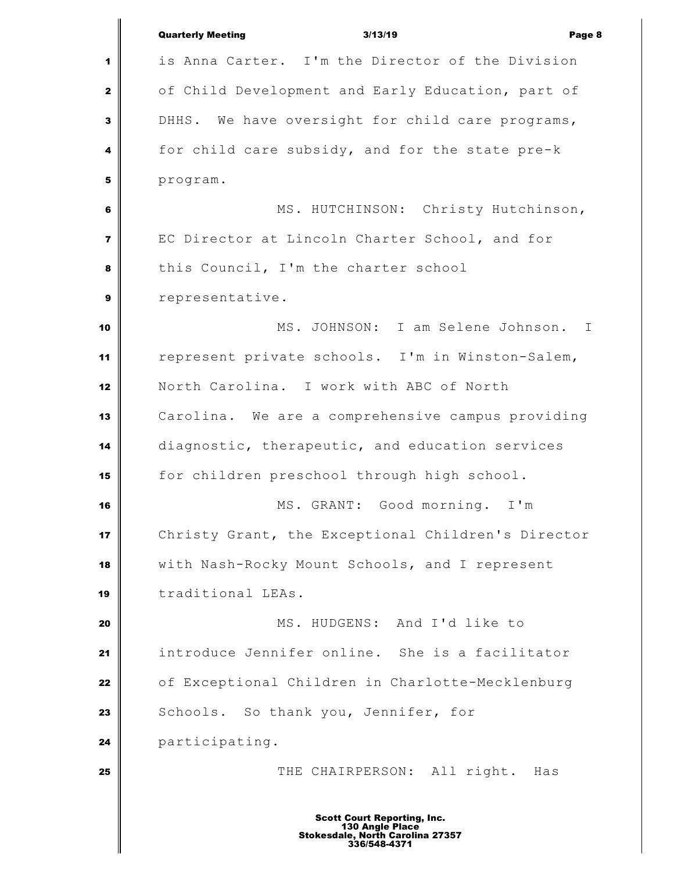|                         | <b>Quarterly Meeting</b><br>3/13/19<br>Page 8                                                             |
|-------------------------|-----------------------------------------------------------------------------------------------------------|
| 1                       | is Anna Carter. I'm the Director of the Division                                                          |
| $\mathbf{2}$            | of Child Development and Early Education, part of                                                         |
| $\mathbf{3}$            | DHHS. We have oversight for child care programs,                                                          |
| 4                       | for child care subsidy, and for the state pre-k                                                           |
| 5                       | program.                                                                                                  |
| 6                       | MS. HUTCHINSON: Christy Hutchinson,                                                                       |
| $\overline{\mathbf{z}}$ | EC Director at Lincoln Charter School, and for                                                            |
| 8                       | this Council, I'm the charter school                                                                      |
| $\boldsymbol{9}$        | representative.                                                                                           |
| 10                      | MS. JOHNSON: I am Selene Johnson.<br>$\mathbf I$                                                          |
| 11                      | represent private schools. I'm in Winston-Salem,                                                          |
| 12                      | North Carolina. I work with ABC of North                                                                  |
| 13                      | Carolina. We are a comprehensive campus providing                                                         |
| 14                      | diagnostic, therapeutic, and education services                                                           |
| 15                      | for children preschool through high school.                                                               |
| 16                      | MS. GRANT: Good morning. I'm                                                                              |
| 17                      | Christy Grant, the Exceptional Children's Director                                                        |
| 18                      | with Nash-Rocky Mount Schools, and I represent                                                            |
| 19                      | traditional LEAs.                                                                                         |
| 20                      | MS. HUDGENS: And I'd like to                                                                              |
| 21                      | introduce Jennifer online. She is a facilitator                                                           |
| 22                      | of Exceptional Children in Charlotte-Mecklenburg                                                          |
| 23                      | Schools. So thank you, Jennifer, for                                                                      |
| 24                      | participating.                                                                                            |
| 25                      | THE CHAIRPERSON: All right.<br>Has                                                                        |
|                         |                                                                                                           |
|                         | <b>Scott Court Reporting, Inc.</b><br>130 Angle Place<br>Stokesdale, North Carolina 27357<br>336/548-4371 |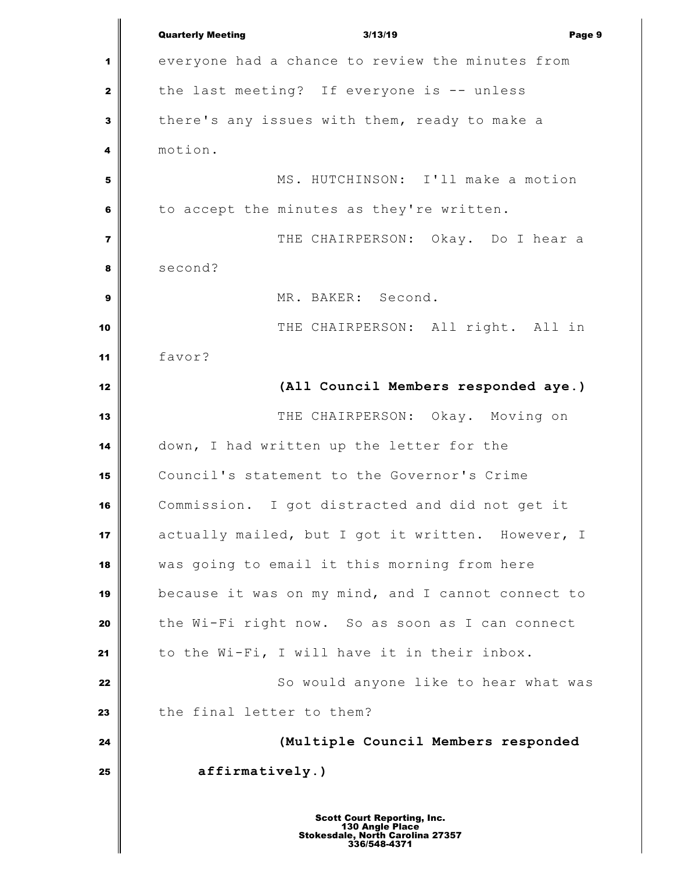Quarterly Meeting 3/13/19 Page 9 everyone had a chance to review the minutes from the last meeting? If everyone is -- unless there's any issues with them, ready to make a motion. MS. HUTCHINSON: I'll make a motion to accept the minutes as they're written. THE CHAIRPERSON: Okay. Do I hear a second? MR. BAKER: Second. THE CHAIRPERSON: All right. All in favor? **(All Council Members responded aye.)** THE CHAIRPERSON: Okay. Moving on down, I had written up the letter for the Council's statement to the Governor's Crime Commission. I got distracted and did not get it actually mailed, but I got it written. However, I was going to email it this morning from here because it was on my mind, and I cannot connect to the Wi-Fi right now. So as soon as I can connect 21 to the Wi-Fi, I will have it in their inbox. So would anyone like to hear what was **the final letter to them? (Multiple Council Members responded affirmatively.)** Scott Court Reporting, Inc. 130 Angle Place Stokesdale, North Carolina 27357 336/548-4371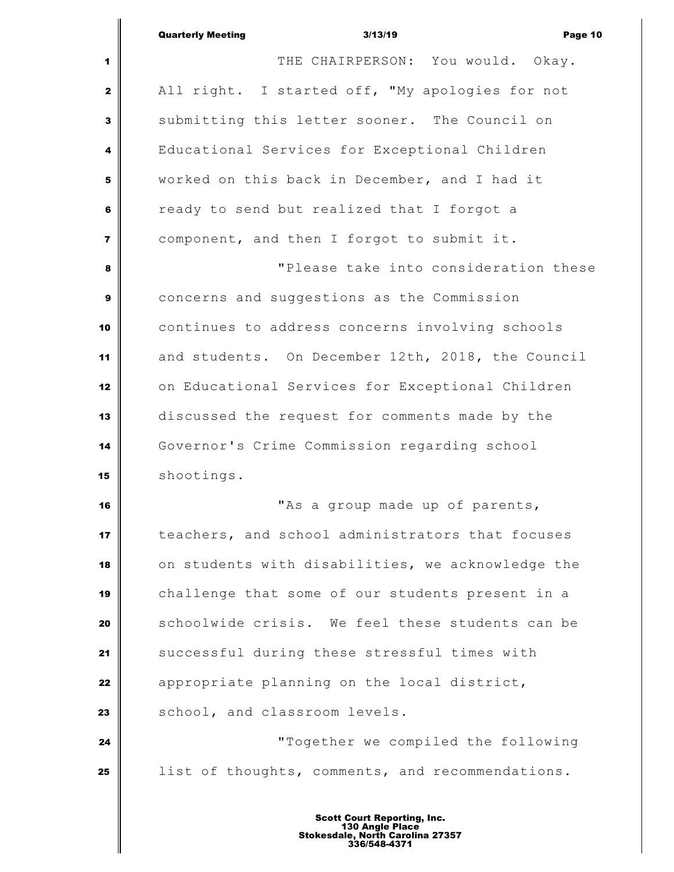|                         | <b>Quarterly Meeting</b><br>3/13/19<br>Page 10    |
|-------------------------|---------------------------------------------------|
| 1                       | THE CHAIRPERSON: You would. Okay.                 |
| $\mathbf{2}$            | All right. I started off, "My apologies for not   |
| 3                       | submitting this letter sooner. The Council on     |
| 4                       | Educational Services for Exceptional Children     |
| 5                       | worked on this back in December, and I had it     |
| 6                       | ready to send but realized that I forgot a        |
| $\overline{\mathbf{z}}$ | component, and then I forgot to submit it.        |
| 8                       | "Please take into consideration these             |
| 9                       | concerns and suggestions as the Commission        |
| 10                      | continues to address concerns involving schools   |
| 11                      | and students. On December 12th, 2018, the Council |
| 12                      | on Educational Services for Exceptional Children  |
| 13                      | discussed the request for comments made by the    |
| 14                      | Governor's Crime Commission regarding school      |
| 15                      | shootings.                                        |
| 16                      | "As a group made up of parents,                   |
| 17                      | teachers, and school administrators that focuses  |
| 18                      | on students with disabilities, we acknowledge the |
| 19                      | challenge that some of our students present in a  |
| 20                      | schoolwide crisis. We feel these students can be  |
| 21                      | successful during these stressful times with      |
| 22                      | appropriate planning on the local district,       |
| 23                      | school, and classroom levels.                     |
| 24                      | "Together we compiled the following               |
| 25                      | list of thoughts, comments, and recommendations.  |
|                         |                                                   |

Ш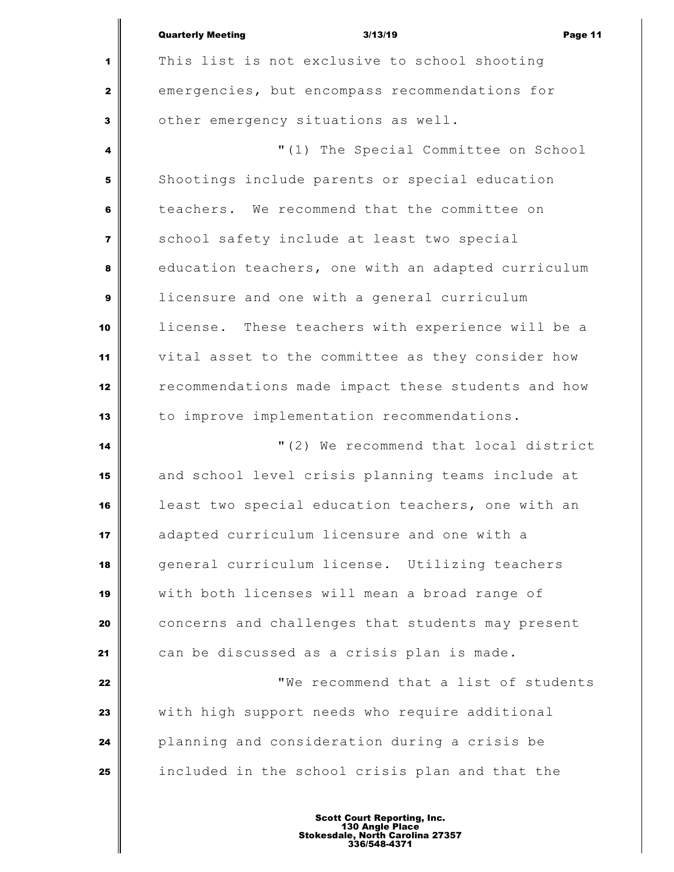|                         | <b>Quarterly Meeting</b><br>3/13/19<br>Page 11     |
|-------------------------|----------------------------------------------------|
| 1                       | This list is not exclusive to school shooting      |
| $\mathbf{2}$            | emergencies, but encompass recommendations for     |
| 3                       | other emergency situations as well.                |
| 4                       | "(1) The Special Committee on School               |
| 5                       | Shootings include parents or special education     |
| 6                       | teachers. We recommend that the committee on       |
| $\overline{\mathbf{z}}$ | school safety include at least two special         |
| 8                       | education teachers, one with an adapted curriculum |
| 9                       | licensure and one with a general curriculum        |
| 10                      | license. These teachers with experience will be a  |
| 11                      | vital asset to the committee as they consider how  |
| 12                      | recommendations made impact these students and how |
| 13                      | to improve implementation recommendations.         |
| 14                      | "(2) We recommend that local district              |
| 15                      | and school level crisis planning teams include at  |
| 16                      | least two special education teachers, one with an  |
| 17                      | adapted curriculum licensure and one with a        |
| 18                      | general curriculum license. Utilizing teachers     |
| 19                      | with both licenses will mean a broad range of      |
| 20                      | concerns and challenges that students may present  |
| 21                      | can be discussed as a crisis plan is made.         |
| 22                      | "We recommend that a list of students              |
| 23                      | with high support needs who require additional     |
| 24                      | planning and consideration during a crisis be      |
| 25                      | included in the school crisis plan and that the    |
|                         |                                                    |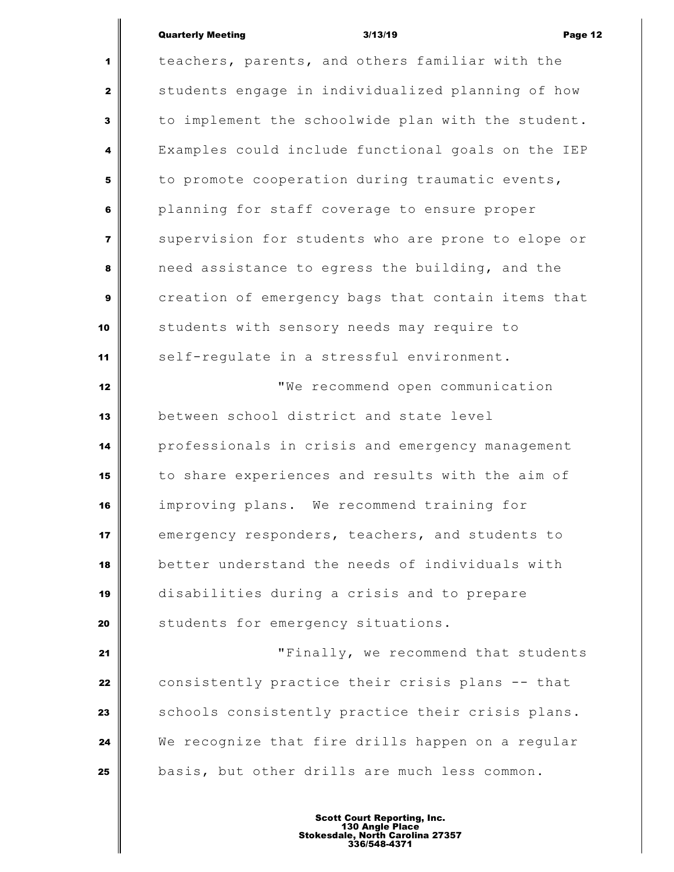## Quarterly Meeting and the Suite of the Suite 3/13/19 and the Suite of the Page 12

 $\overline{\mathbb{I}}$ 

| $\mathbf{1}$            | teachers, parents, and others familiar with the    |
|-------------------------|----------------------------------------------------|
| $\mathbf{z}$            | students engage in individualized planning of how  |
| 3                       | to implement the schoolwide plan with the student. |
| $\overline{\mathbf{4}}$ | Examples could include functional goals on the IEP |
| 5                       | to promote cooperation during traumatic events,    |
| 6                       | planning for staff coverage to ensure proper       |
| $\overline{7}$          | supervision for students who are prone to elope or |
| 8                       | need assistance to egress the building, and the    |
| $\boldsymbol{9}$        | creation of emergency bags that contain items that |
| 10                      | students with sensory needs may require to         |
| 11                      | self-regulate in a stressful environment.          |
| 12                      | "We recommend open communication                   |
| 13                      | between school district and state level            |
| 14                      | professionals in crisis and emergency management   |
| 15                      | to share experiences and results with the aim of   |
| 16                      | improving plans. We recommend training for         |
| 17                      | emergency responders, teachers, and students to    |
| 18                      | better understand the needs of individuals with    |
| 19                      | disabilities during a crisis and to prepare        |
| 20                      | students for emergency situations.                 |
| 21                      | "Finally, we recommend that students               |
| 22                      | consistently practice their crisis plans -- that   |
| 23                      | schools consistently practice their crisis plans.  |
| 24                      | We recognize that fire drills happen on a regular  |
| 25                      | basis, but other drills are much less common.      |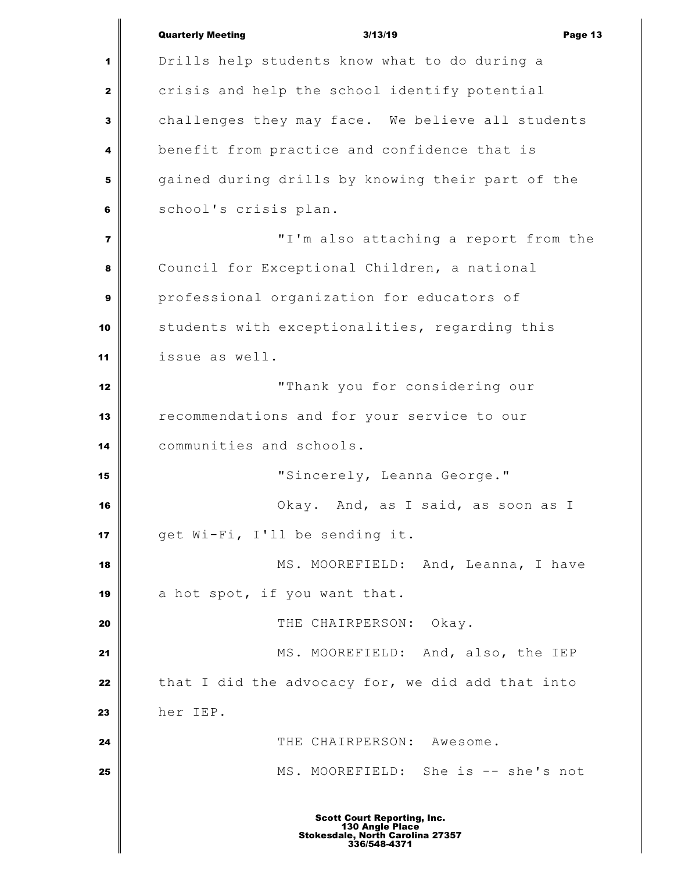|                | <b>Quarterly Meeting</b><br>3/13/19<br>Page 13                                                            |
|----------------|-----------------------------------------------------------------------------------------------------------|
| 1              | Drills help students know what to do during a                                                             |
| $\mathbf{2}$   | crisis and help the school identify potential                                                             |
| $\mathbf{3}$   | challenges they may face. We believe all students                                                         |
| 4              | benefit from practice and confidence that is                                                              |
| 5              | gained during drills by knowing their part of the                                                         |
| 6              | school's crisis plan.                                                                                     |
| $\overline{7}$ | "I'm also attaching a report from the                                                                     |
| 8              | Council for Exceptional Children, a national                                                              |
| $\mathbf{9}$   | professional organization for educators of                                                                |
| 10             | students with exceptionalities, regarding this                                                            |
| 11             | issue as well.                                                                                            |
| 12             | "Thank you for considering our                                                                            |
| 13             | recommendations and for your service to our                                                               |
| 14             | communities and schools.                                                                                  |
| 15             | "Sincerely, Leanna George."                                                                               |
| 16             | Okay. And, as I said, as soon as I                                                                        |
| 17             | get Wi-Fi, I'll be sending it.                                                                            |
| 18             | MS. MOOREFIELD: And, Leanna, I have                                                                       |
| 19             | a hot spot, if you want that.                                                                             |
| 20             | THE CHAIRPERSON:<br>Okay.                                                                                 |
| 21             | MS. MOOREFIELD: And, also, the IEP                                                                        |
| 22             | that I did the advocacy for, we did add that into                                                         |
| 23             | her IEP.                                                                                                  |
| 24             | THE CHAIRPERSON: Awesome.                                                                                 |
| 25             | MS. MOOREFIELD: She is -- she's not                                                                       |
|                | <b>Scott Court Reporting, Inc.</b><br>130 Angle Place<br>Stokesdale, North Carolina 27357<br>336/548-4371 |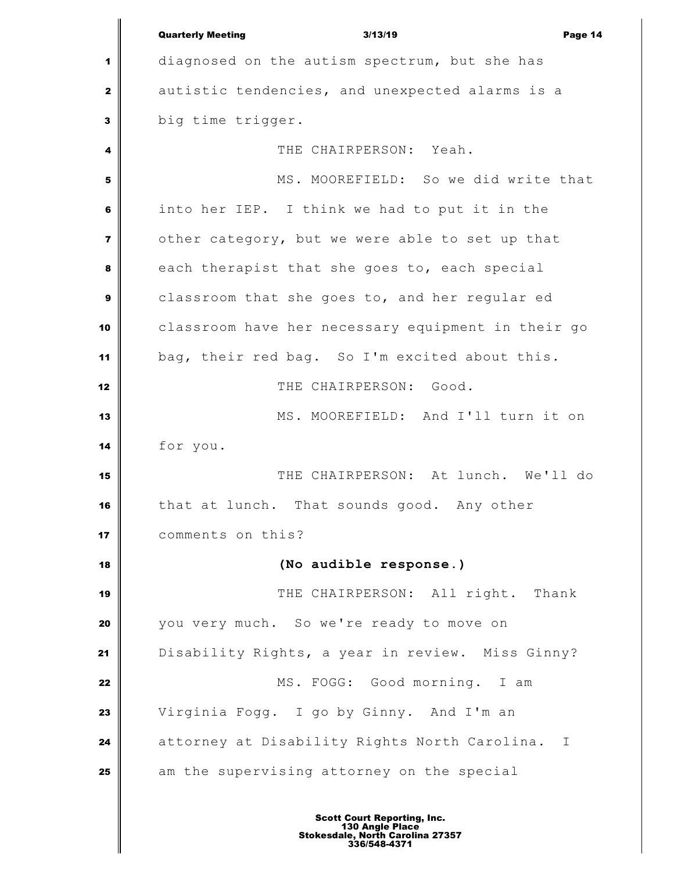Quarterly Meeting 3/13/19 Page 14 diagnosed on the autism spectrum, but she has autistic tendencies, and unexpected alarms is a big time trigger. THE CHAIRPERSON: Yeah. MS. MOOREFIELD: So we did write that into her IEP. I think we had to put it in the other category, but we were able to set up that each therapist that she goes to, each special classroom that she goes to, and her regular ed classroom have her necessary equipment in their go bag, their red bag. So I'm excited about this. THE CHAIRPERSON: Good. || MS. MOOREFIELD: And I'll turn it on for you. THE CHAIRPERSON: At lunch. We'll do that at lunch. That sounds good. Any other comments on this? **(No audible response.)** THE CHAIRPERSON: All right. Thank you very much. So we're ready to move on Disability Rights, a year in review. Miss Ginny? MS. FOGG: Good morning. I am Virginia Fogg. I go by Ginny. And I'm an attorney at Disability Rights North Carolina. I am the supervising attorney on the special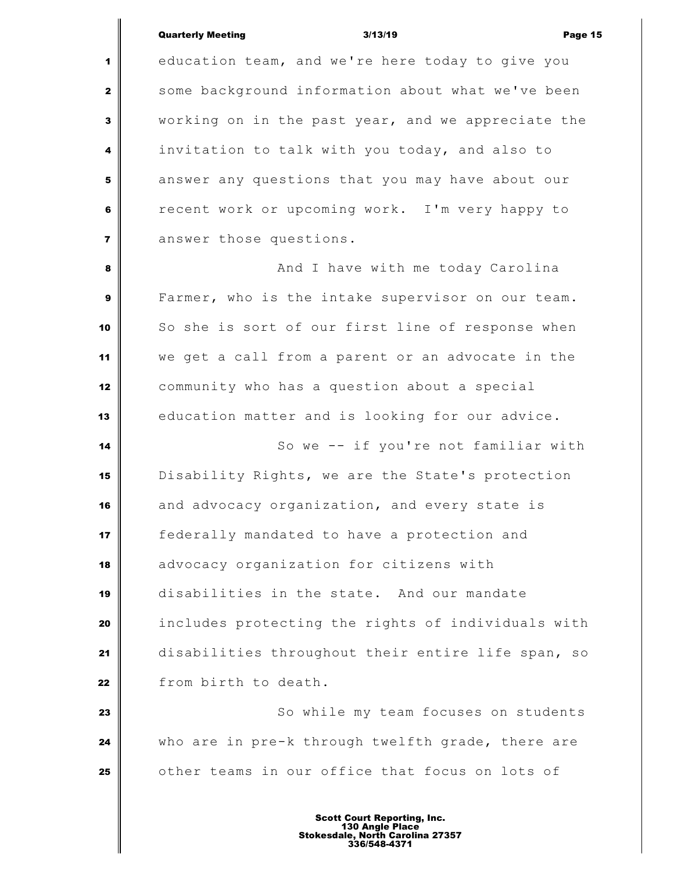#### Quarterly Meeting 3/13/19 Page 15

 education team, and we're here today to give you some background information about what we've been working on in the past year, and we appreciate the invitation to talk with you today, and also to answer any questions that you may have about our recent work or upcoming work. I'm very happy to answer those questions. And I have with me today Carolina Farmer, who is the intake supervisor on our team. So she is sort of our first line of response when we get a call from a parent or an advocate in the community who has a question about a special education matter and is looking for our advice. So we -- if you're not familiar with Disability Rights, we are the State's protection and advocacy organization, and every state is **i** federally mandated to have a protection and advocacy organization for citizens with disabilities in the state. And our mandate includes protecting the rights of individuals with disabilities throughout their entire life span, so from birth to death.  $\parallel$  So while my team focuses on students who are in pre-k through twelfth grade, there are other teams in our office that focus on lots of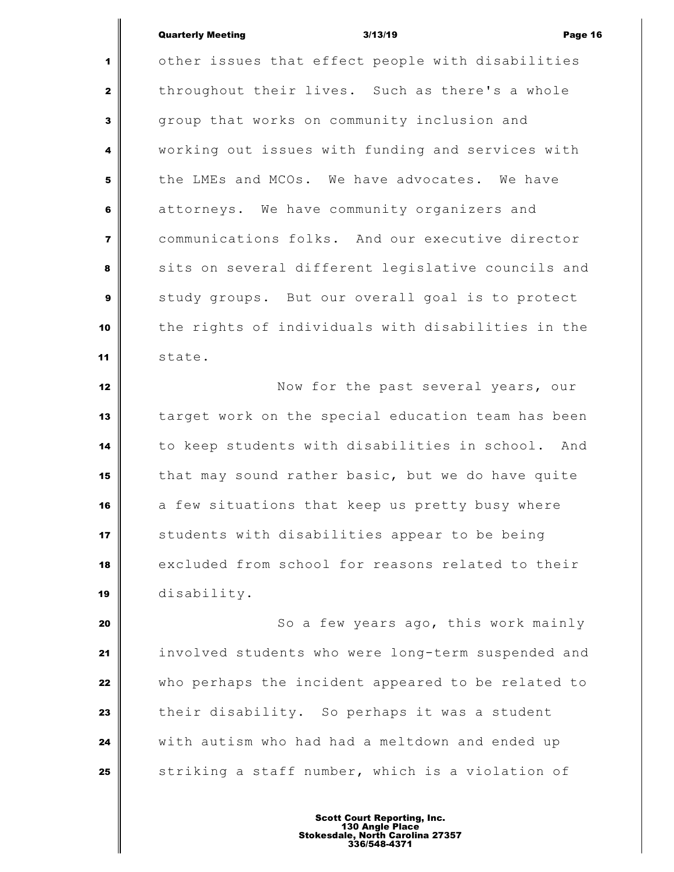### Quarterly Meeting 3/13/19 Page 16

 other issues that effect people with disabilities throughout their lives. Such as there's a whole group that works on community inclusion and working out issues with funding and services with the LMEs and MCOs. We have advocates. We have attorneys. We have community organizers and communications folks. And our executive director sits on several different legislative councils and study groups. But our overall goal is to protect the rights of individuals with disabilities in the state.

 Now for the past several years, our target work on the special education team has been to keep students with disabilities in school. And that may sound rather basic, but we do have quite a few situations that keep us pretty busy where Students with disabilities appear to be being excluded from school for reasons related to their disability.

 So a few years ago, this work mainly involved students who were long-term suspended and who perhaps the incident appeared to be related to their disability. So perhaps it was a student with autism who had had a meltdown and ended up Striking a staff number, which is a violation of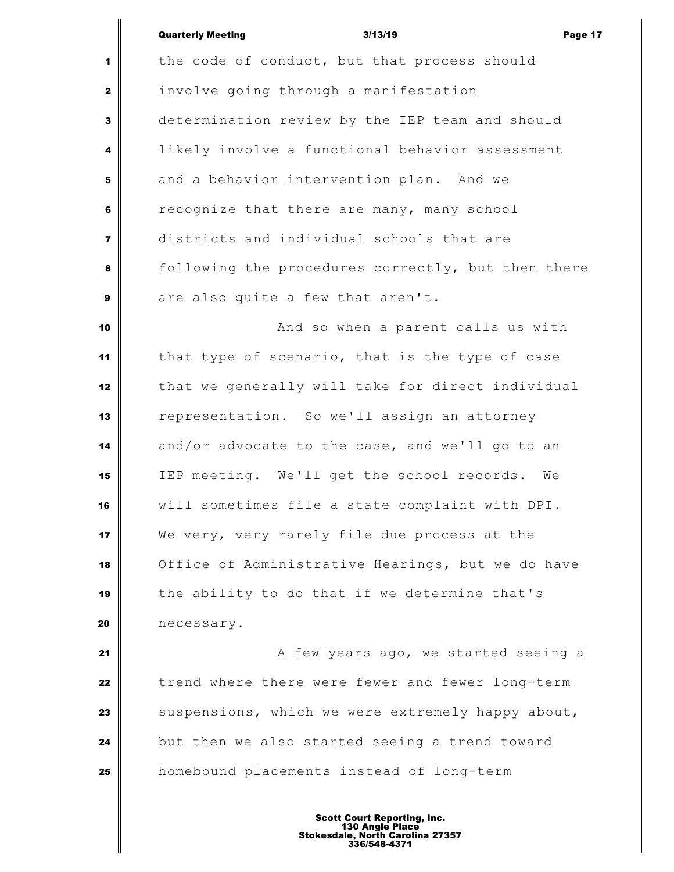|                         | <b>Quarterly Meeting</b><br>3/13/19<br>Page 17     |
|-------------------------|----------------------------------------------------|
| $\mathbf 1$             | the code of conduct, but that process should       |
| $\mathbf{2}$            | involve going through a manifestation              |
| $\overline{\mathbf{3}}$ | determination review by the IEP team and should    |
| $\overline{\mathbf{4}}$ | likely involve a functional behavior assessment    |
| 5                       | and a behavior intervention plan. And we           |
| 6                       | recognize that there are many, many school         |
| $\overline{\mathbf{r}}$ | districts and individual schools that are          |
| 8                       | following the procedures correctly, but then there |
| 9                       | are also quite a few that aren't.                  |

 **And so when a parent calls us with**  that type of scenario, that is the type of case that we generally will take for direct individual representation. So we'll assign an attorney and/or advocate to the case, and we'll go to an IEP meeting. We'll get the school records. We will sometimes file a state complaint with DPI. We very, very rarely file due process at the Office of Administrative Hearings, but we do have the ability to do that if we determine that's necessary.

 **A** few years ago, we started seeing a trend where there were fewer and fewer long-term suspensions, which we were extremely happy about, but then we also started seeing a trend toward homebound placements instead of long-term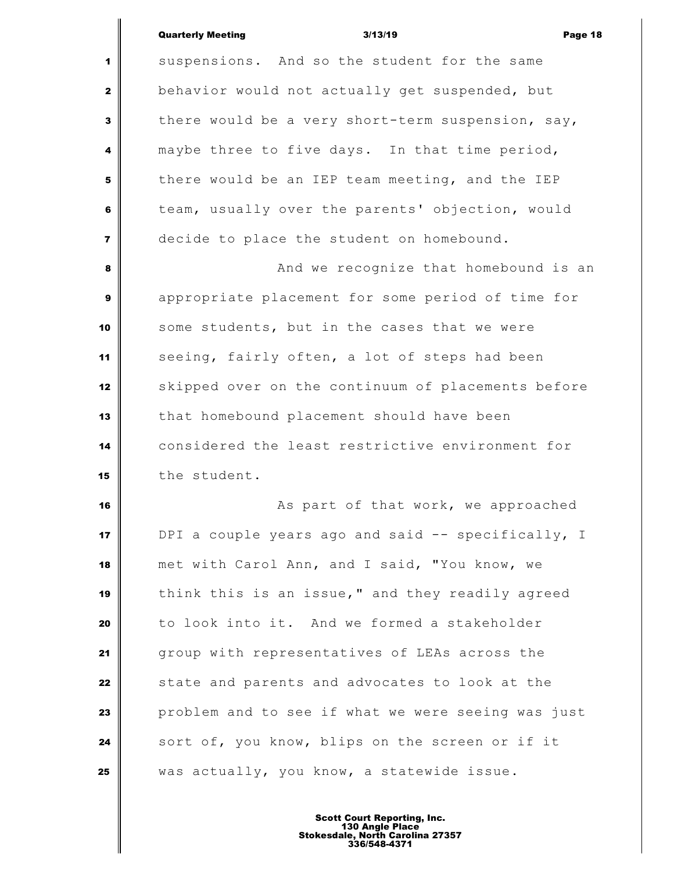Quarterly Meeting 3/13/19 Page 18 1 suspensions. And so the student for the same behavior would not actually get suspended, but there would be a very short-term suspension, say, maybe three to five days. In that time period, there would be an IEP team meeting, and the IEP team, usually over the parents' objection, would decide to place the student on homebound. **And we recognize that homebound is an**  appropriate placement for some period of time for some students, but in the cases that we were seeing, fairly often, a lot of steps had been 12 Skipped over on the continuum of placements before that homebound placement should have been considered the least restrictive environment for 15 the student. **As part of that work, we approached**  DPI a couple years ago and said -- specifically, I met with Carol Ann, and I said, "You know, we think this is an issue," and they readily agreed to look into it. And we formed a stakeholder group with representatives of LEAs across the

Scott Court Reporting, Inc. 130 Angle Place Stokesdale, North Carolina 27357 336/548-4371

State and parents and advocates to look at the

sort of, you know, blips on the screen or if it

was actually, you know, a statewide issue.

problem and to see if what we were seeing was just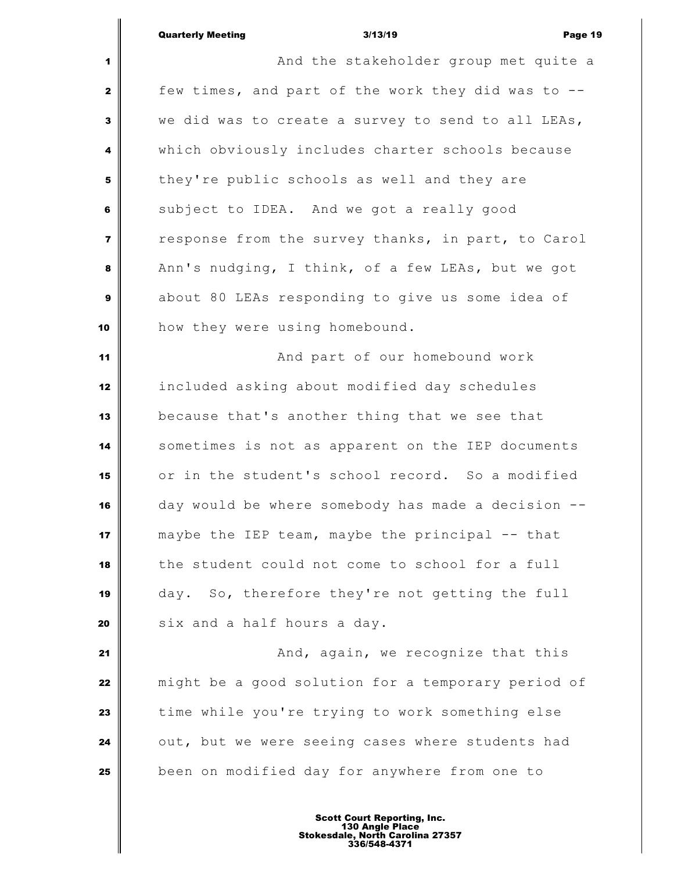**And the stakeholder group met quite a**  few times, and part of the work they did was to -- we did was to create a survey to send to all LEAs, which obviously includes charter schools because they're public schools as well and they are subject to IDEA. And we got a really good response from the survey thanks, in part, to Carol Ann's nudging, I think, of a few LEAs, but we got about 80 LEAs responding to give us some idea of how they were using homebound. **And part of our homebound work**  included asking about modified day schedules because that's another thing that we see that sometimes is not as apparent on the IEP documents or in the student's school record. So a modified day would be where somebody has made a decision -- maybe the IEP team, maybe the principal -- that the student could not come to school for a full day. So, therefore they're not getting the full **s** ix and a half hours a day. **And, again, we recognize that this**  might be a good solution for a temporary period of time while you're trying to work something else out, but we were seeing cases where students had been on modified day for anywhere from one to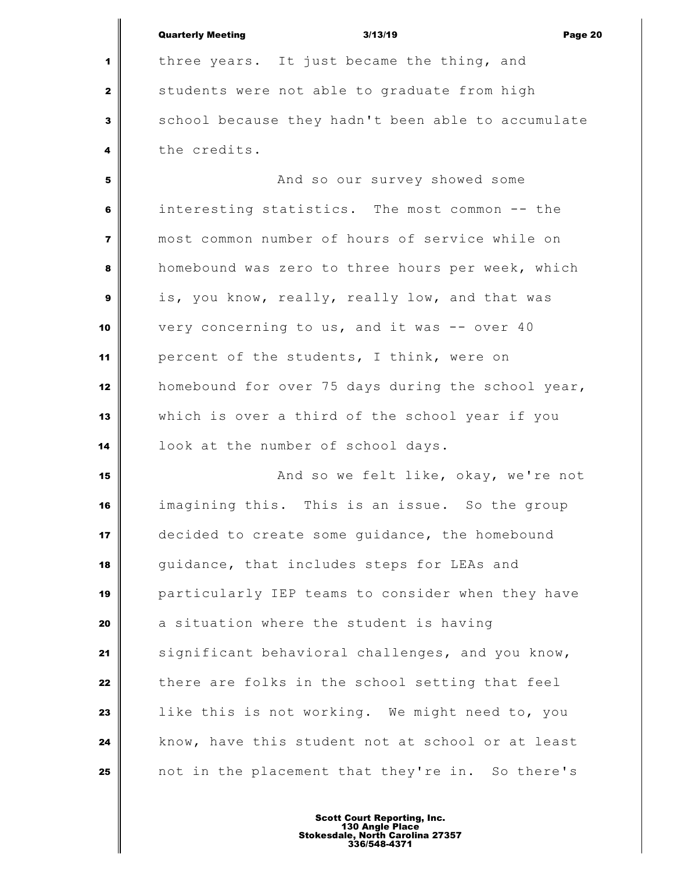|                         | <b>Quarterly Meeting</b><br>3/13/19<br>Page 20     |
|-------------------------|----------------------------------------------------|
| 1                       | three years. It just became the thing, and         |
| $\mathbf{2}$            | students were not able to graduate from high       |
| 3                       | school because they hadn't been able to accumulate |
| 4                       | the credits.                                       |
| 5                       | And so our survey showed some                      |
| 6                       | interesting statistics. The most common -- the     |
| $\overline{\mathbf{z}}$ | most common number of hours of service while on    |
| 8                       | homebound was zero to three hours per week, which  |
| 9                       | is, you know, really, really low, and that was     |
| 10                      | very concerning to us, and it was -- over 40       |
| 11                      | percent of the students, I think, were on          |
| 12                      | homebound for over 75 days during the school year, |
| 13                      | which is over a third of the school year if you    |
| 14                      | look at the number of school days.                 |
| 15                      | And so we felt like, okay, we're not               |
| 16                      | imagining this. This is an issue. So the group     |
| 17                      | decided to create some guidance, the homebound     |
| 18                      | guidance, that includes steps for LEAs and         |
| 19                      | particularly IEP teams to consider when they have  |
| 20                      | a situation where the student is having            |
| 21                      | significant behavioral challenges, and you know,   |
| 22                      | there are folks in the school setting that feel    |
| 23                      | like this is not working. We might need to, you    |
| 24                      | know, have this student not at school or at least  |
| 25                      | not in the placement that they're in. So there's   |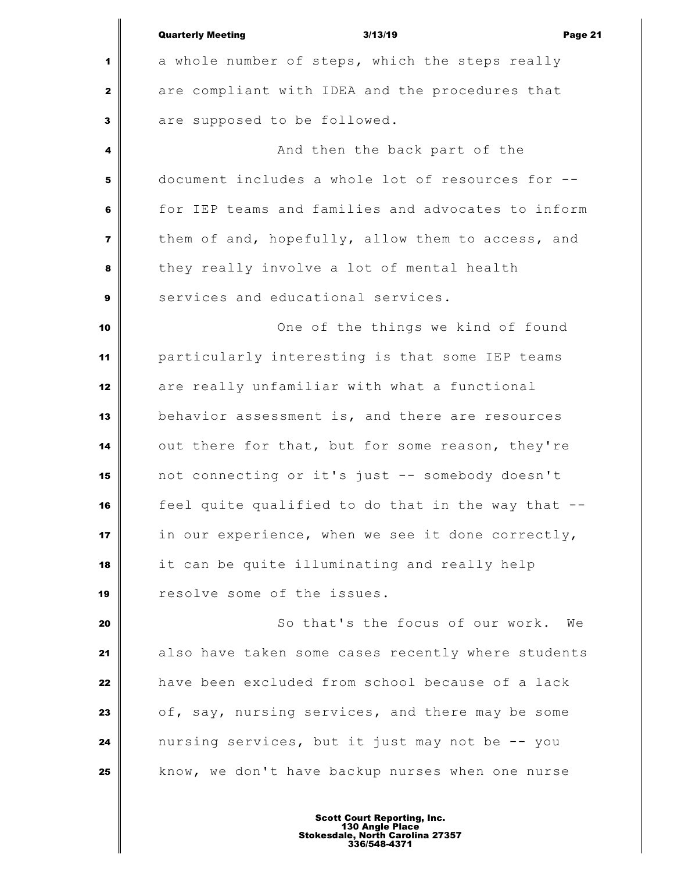|                | <b>Quarterly Meeting</b><br>3/13/19<br>Page 21     |
|----------------|----------------------------------------------------|
| 1              | a whole number of steps, which the steps really    |
| $\mathbf{2}$   | are compliant with IDEA and the procedures that    |
| 3              | are supposed to be followed.                       |
| 4              | And then the back part of the                      |
| 5              | document includes a whole lot of resources for --  |
| 6              | for IEP teams and families and advocates to inform |
| $\overline{7}$ | them of and, hopefully, allow them to access, and  |
| 8              | they really involve a lot of mental health         |
| $\mathbf{9}$   | services and educational services.                 |
| 10             | One of the things we kind of found                 |
| 11             | particularly interesting is that some IEP teams    |
| 12             | are really unfamiliar with what a functional       |
| 13             | behavior assessment is, and there are resources    |
| 14             | out there for that, but for some reason, they're   |
| 15             | not connecting or it's just -- somebody doesn't    |
| 16             | feel quite qualified to do that in the way that    |
| 17             | in our experience, when we see it done correctly,  |
| 18             | it can be quite illuminating and really help       |
| 19             | resolve some of the issues.                        |
| 20             | So that's the focus of our work.<br>We             |
| 21             | also have taken some cases recently where students |
| 22             | have been excluded from school because of a lack   |
| 23             | of, say, nursing services, and there may be some   |
| 24             | nursing services, but it just may not be -- you    |
| 25             | know, we don't have backup nurses when one nurse   |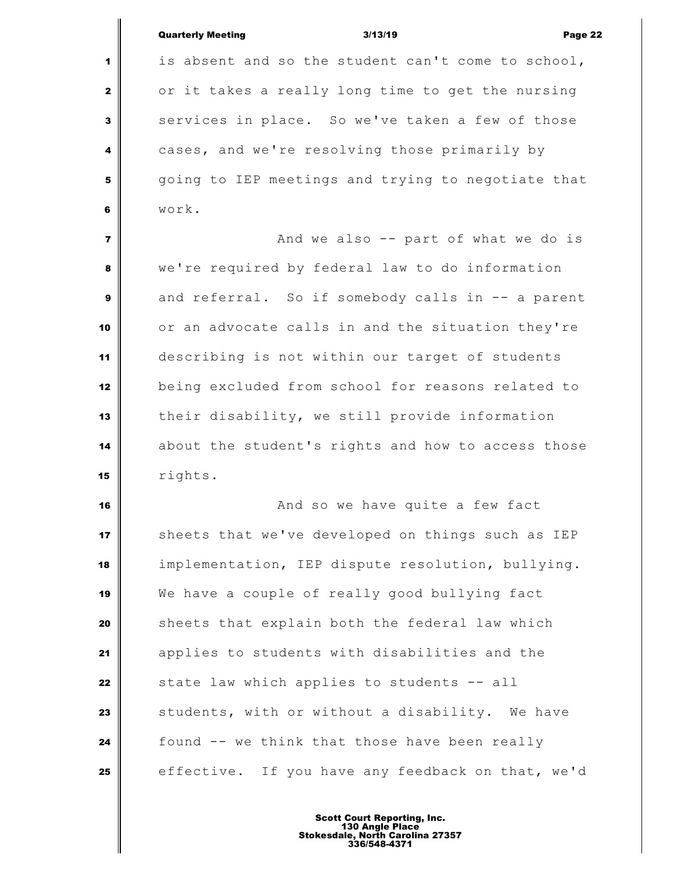|                | <b>Quarterly Meeting</b><br>3/13/19<br>Page 22     |
|----------------|----------------------------------------------------|
| 1              | is absent and so the student can't come to school, |
| $\mathbf{2}$   | or it takes a really long time to get the nursing  |
| 3              | services in place. So we've taken a few of those   |
| 4              | cases, and we're resolving those primarily by      |
| 5              | going to IEP meetings and trying to negotiate that |
| 6              | work.                                              |
| $\overline{7}$ | And we also -- part of what we do is               |
| 8              | we're required by federal law to do information    |
| 9              | and referral. So if somebody calls in -- a parent  |
| 10             | or an advocate calls in and the situation they're  |
| 11             | describing is not within our target of students    |
| 12             | being excluded from school for reasons related to  |
| 13             | their disability, we still provide information     |
| 14             | about the student's rights and how to access those |
| 15             | rights.                                            |
| 16             | And so we have quite a few fact                    |
| 17             | sheets that we've developed on things such as IEP  |
| 18             | implementation, IEP dispute resolution, bullying.  |
| 19             | We have a couple of really good bullying fact      |
| 20             | sheets that explain both the federal law which     |
| 21             | applies to students with disabilities and the      |
| 22             | state law which applies to students -- all         |
| 23             | students, with or without a disability. We have    |
| 24             | found -- we think that those have been really      |
| 25             | effective. If you have any feedback on that, we'd  |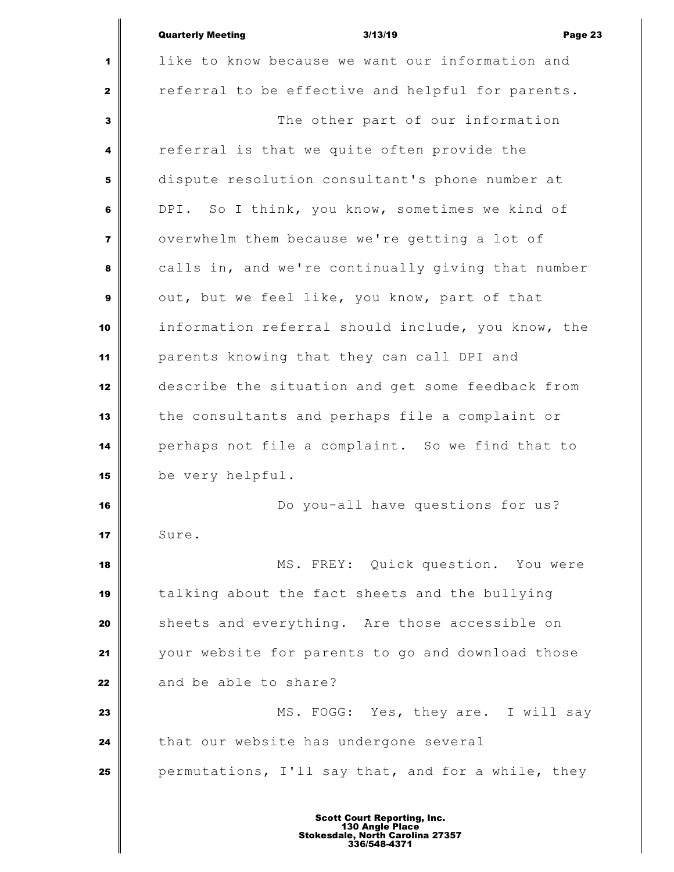|                         | <b>Quarterly Meeting</b><br>3/13/19<br>Page 23     |
|-------------------------|----------------------------------------------------|
| 1                       | like to know because we want our information and   |
| $\mathbf{2}$            | referral to be effective and helpful for parents.  |
| 3                       | The other part of our information                  |
| 4                       | referral is that we quite often provide the        |
| 5                       | dispute resolution consultant's phone number at    |
| 6                       | DPI. So I think, you know, sometimes we kind of    |
| $\overline{\mathbf{z}}$ | overwhelm them because we're getting a lot of      |
| 8                       | calls in, and we're continually giving that number |
| $\mathbf{9}$            | out, but we feel like, you know, part of that      |
| 10                      | information referral should include, you know, the |
| 11                      | parents knowing that they can call DPI and         |
| 12                      | describe the situation and get some feedback from  |
| 13                      | the consultants and perhaps file a complaint or    |
| 14                      | perhaps not file a complaint. So we find that to   |
| 15                      | be very helpful.                                   |
| 16                      | Do you-all have questions for us?                  |
| 17                      | Sure.                                              |
| 18                      | MS. FREY: Quick question. You were                 |
| 19                      | talking about the fact sheets and the bullying     |
| 20                      | sheets and everything. Are those accessible on     |
| 21                      | your website for parents to go and download those  |
| 22                      | and be able to share?                              |
| 23                      | MS. FOGG: Yes, they are. I will say                |
| 24                      | that our website has undergone several             |
| 25                      | permutations, I'll say that, and for a while, they |
|                         |                                                    |

 $\mathbf I$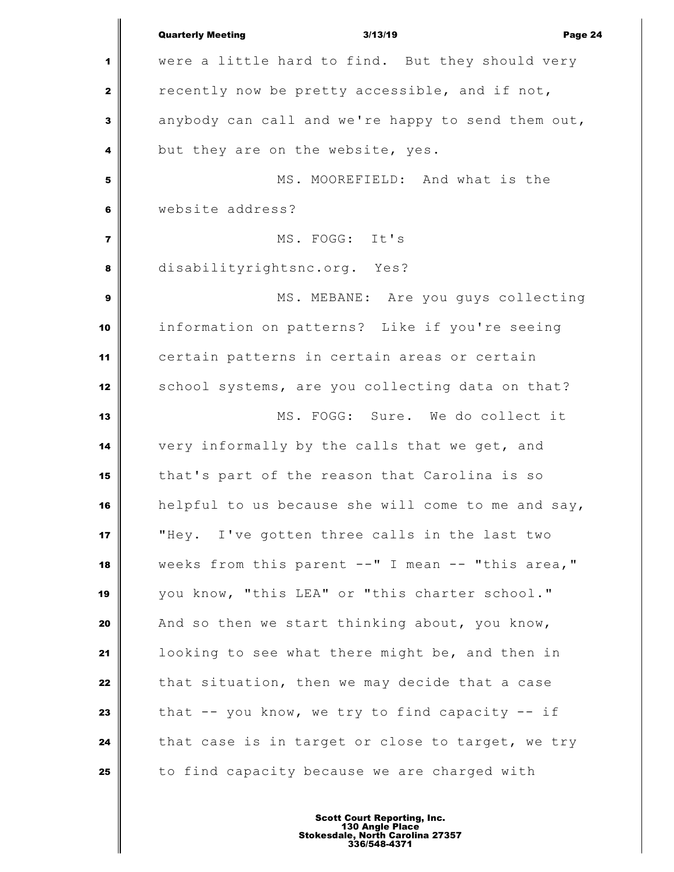|                         | <b>Quarterly Meeting</b><br>3/13/19                 | Page 24                             |
|-------------------------|-----------------------------------------------------|-------------------------------------|
| 1                       | were a little hard to find. But they should very    |                                     |
| $\mathbf{2}$            | recently now be pretty accessible, and if not,      |                                     |
| 3                       | anybody can call and we're happy to send them out,  |                                     |
| 4                       | but they are on the website, yes.                   |                                     |
| 5                       |                                                     | MS. MOOREFIELD: And what is the     |
| 6                       | website address?                                    |                                     |
| $\overline{\mathbf{z}}$ | MS. FOGG: It's                                      |                                     |
| 8                       | disabilityrightsnc.org. Yes?                        |                                     |
| 9                       |                                                     | MS. MEBANE: Are you guys collecting |
| 10                      | information on patterns? Like if you're seeing      |                                     |
| 11                      | certain patterns in certain areas or certain        |                                     |
| 12                      | school systems, are you collecting data on that?    |                                     |
| 13                      |                                                     | MS. FOGG: Sure. We do collect it    |
| 14                      | very informally by the calls that we get, and       |                                     |
| 15                      | that's part of the reason that Carolina is so       |                                     |
| 16                      | helpful to us because she will come to me and say,  |                                     |
| 17                      | "Hey. I've gotten three calls in the last two       |                                     |
| 18                      | weeks from this parent --" I mean -- "this area,"   |                                     |
| 19                      | you know, "this LEA" or "this charter school."      |                                     |
| 20                      | And so then we start thinking about, you know,      |                                     |
| 21                      | looking to see what there might be, and then in     |                                     |
| 22                      | that situation, then we may decide that a case      |                                     |
| 23                      | that $--$ you know, we try to find capacity $--$ if |                                     |
| 24                      | that case is in target or close to target, we try   |                                     |
| 25                      | to find capacity because we are charged with        |                                     |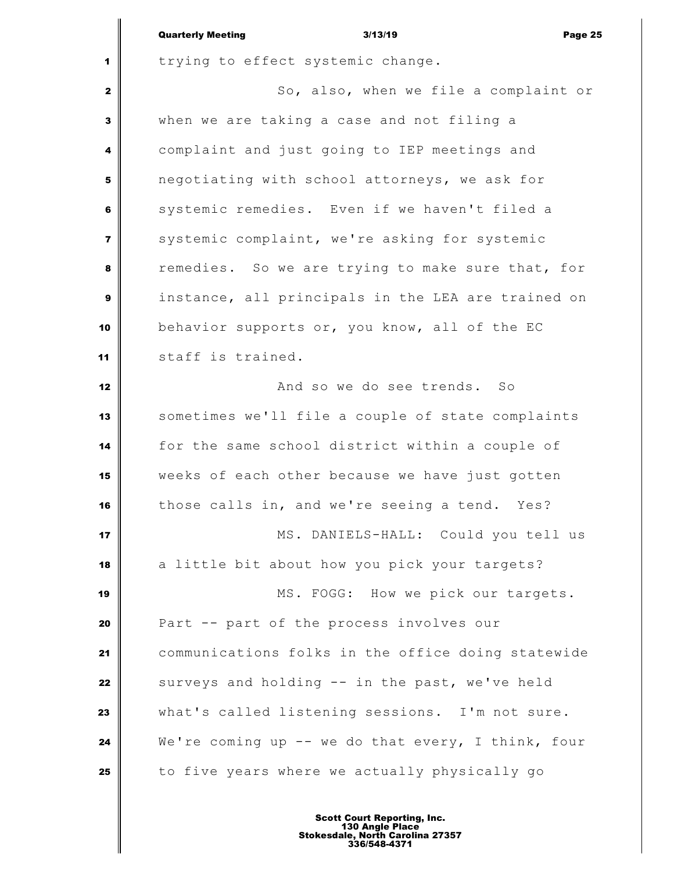|                         | <b>Quarterly Meeting</b><br>3/13/19<br>Page 25     |
|-------------------------|----------------------------------------------------|
| 1                       | trying to effect systemic change.                  |
| $\mathbf{2}$            | So, also, when we file a complaint or              |
| 3                       | when we are taking a case and not filing a         |
| 4                       | complaint and just going to IEP meetings and       |
| 5                       | negotiating with school attorneys, we ask for      |
| 6                       | systemic remedies. Even if we haven't filed a      |
| $\overline{\mathbf{z}}$ | systemic complaint, we're asking for systemic      |
| 8                       | remedies. So we are trying to make sure that, for  |
| 9                       | instance, all principals in the LEA are trained on |
| 10                      | behavior supports or, you know, all of the EC      |
| 11                      | staff is trained.                                  |
| 12                      | And so we do see trends. So                        |
| 13                      | sometimes we'll file a couple of state complaints  |
| 14                      | for the same school district within a couple of    |
| 15                      | weeks of each other because we have just gotten    |
| 16                      | those calls in, and we're seeing a tend. Yes?      |
| 17                      | MS. DANIELS-HALL: Could you tell us                |
| 18                      | a little bit about how you pick your targets?      |
| 19                      | MS. FOGG: How we pick our targets.                 |
| 20                      | Part -- part of the process involves our           |
| 21                      | communications folks in the office doing statewide |
| 22                      | surveys and holding -- in the past, we've held     |
| 23                      | what's called listening sessions. I'm not sure.    |
| 24                      | We're coming up -- we do that every, I think, four |
| 25                      | to five years where we actually physically go      |
|                         |                                                    |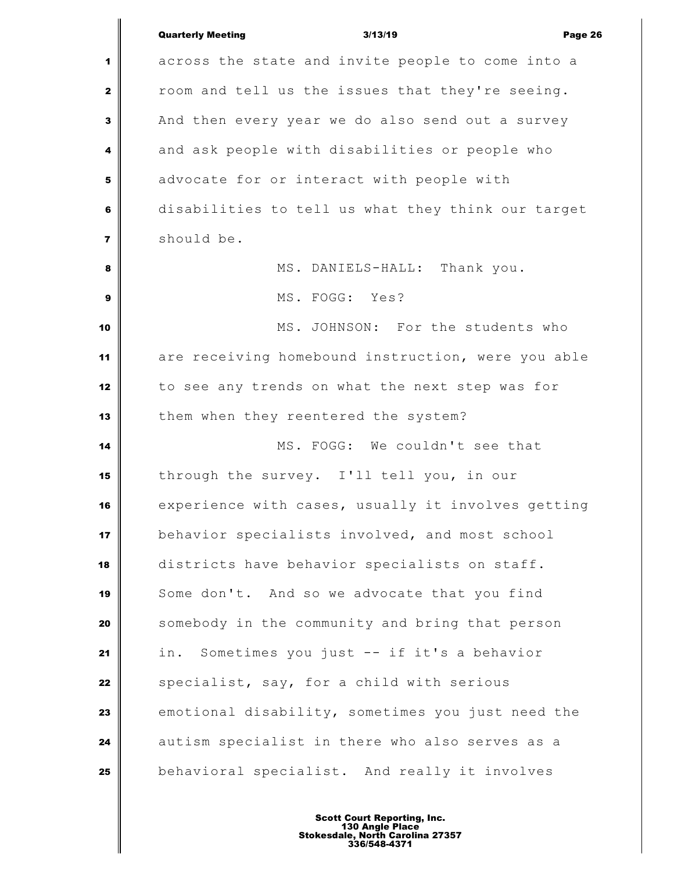|                         | <b>Quarterly Meeting</b><br>3/13/19<br>Page 26     |
|-------------------------|----------------------------------------------------|
| 1                       | across the state and invite people to come into a  |
| 2                       | room and tell us the issues that they're seeing.   |
| 3                       | And then every year we do also send out a survey   |
| 4                       | and ask people with disabilities or people who     |
| 5                       | advocate for or interact with people with          |
| 6                       | disabilities to tell us what they think our target |
| $\overline{\mathbf{z}}$ | should be.                                         |
| 8                       | MS. DANIELS-HALL: Thank you.                       |
| 9                       | MS. FOGG: Yes?                                     |
| 10                      | MS. JOHNSON: For the students who                  |
| 11                      | are receiving homebound instruction, were you able |
| 12                      | to see any trends on what the next step was for    |
| 13                      | them when they reentered the system?               |
| 14                      | MS. FOGG: We couldn't see that                     |
| 15                      | through the survey. I'll tell you, in our          |
| 16                      | experience with cases, usually it involves getting |
| 17                      | behavior specialists involved, and most school     |
| 18                      | districts have behavior specialists on staff.      |
| 19                      | Some don't. And so we advocate that you find       |
| 20                      | somebody in the community and bring that person    |
| 21                      | Sometimes you just -- if it's a behavior<br>in.    |
| 22                      | specialist, say, for a child with serious          |
| 23                      | emotional disability, sometimes you just need the  |
| 24                      | autism specialist in there who also serves as a    |
| 25                      | behavioral specialist. And really it involves      |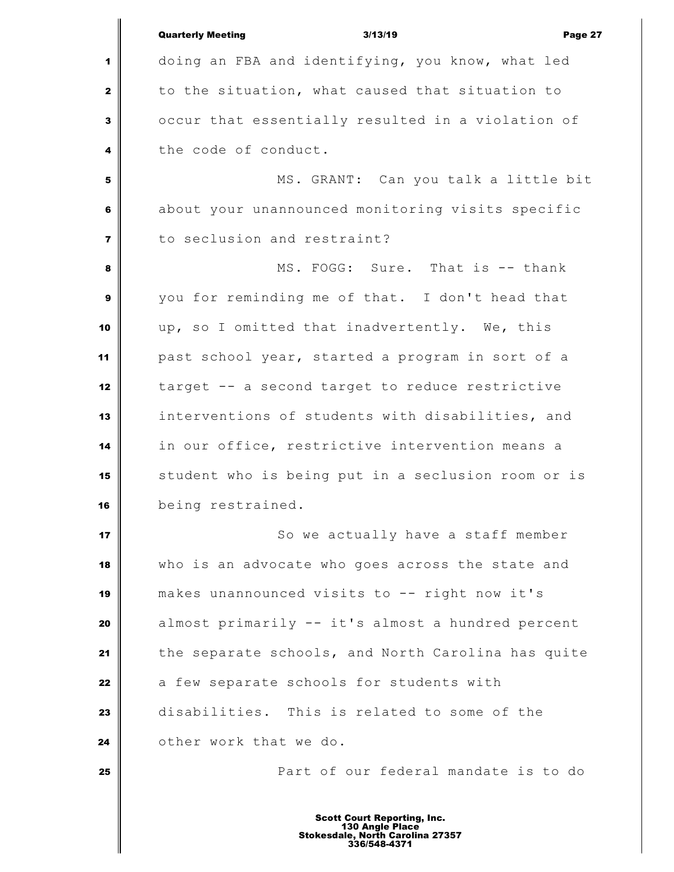|                | <b>Quarterly Meeting</b><br>3/13/19<br>Page 27     |
|----------------|----------------------------------------------------|
| 1              | doing an FBA and identifying, you know, what led   |
| $\mathbf{2}$   | to the situation, what caused that situation to    |
| 3              | occur that essentially resulted in a violation of  |
| 4              | the code of conduct.                               |
| ${\bf 5}$      | MS. GRANT: Can you talk a little bit               |
| 6              | about your unannounced monitoring visits specific  |
| $\overline{7}$ | to seclusion and restraint?                        |
| 8              | MS. FOGG: Sure. That is -- thank                   |
| 9              | you for reminding me of that. I don't head that    |
| 10             | up, so I omitted that inadvertently. We, this      |
| 11             | past school year, started a program in sort of a   |
| 12             | target -- a second target to reduce restrictive    |
| 13             | interventions of students with disabilities, and   |
| 14             | in our office, restrictive intervention means a    |
| 15             | student who is being put in a seclusion room or is |
| 16             | being restrained.                                  |
| 17             | So we actually have a staff member                 |
| 18             | who is an advocate who goes across the state and   |
| 19             | makes unannounced visits to -- right now it's      |
| 20             | almost primarily -- it's almost a hundred percent  |
| 21             | the separate schools, and North Carolina has quite |
| 22             | a few separate schools for students with           |
| 23             | disabilities. This is related to some of the       |
| 24             | other work that we do.                             |
| 25             | Part of our federal mandate is to do               |
|                |                                                    |

Ш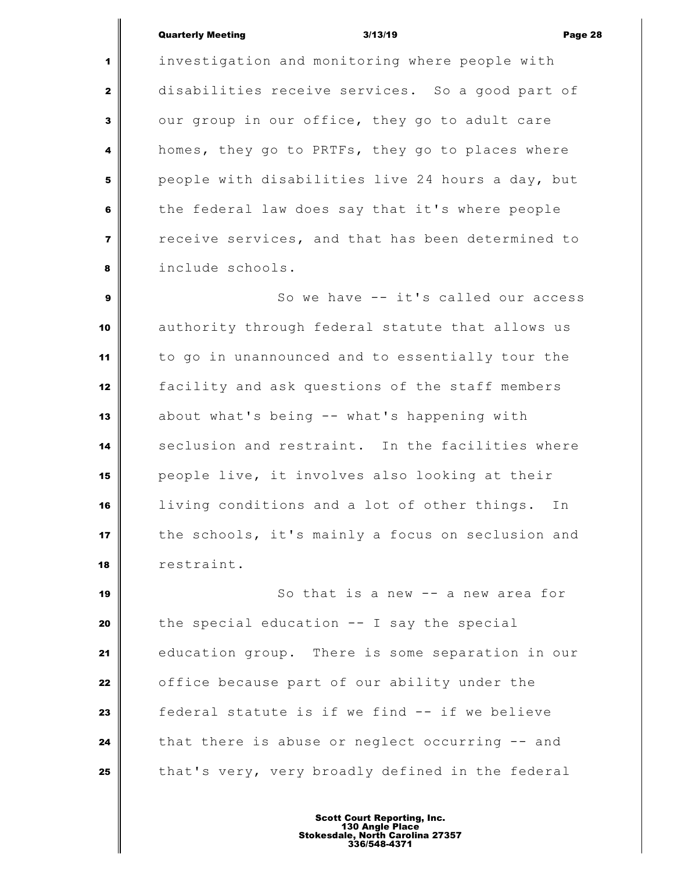#### Quarterly Meeting 3/13/19 Page 28

 investigation and monitoring where people with disabilities receive services. So a good part of our group in our office, they go to adult care homes, they go to PRTFs, they go to places where people with disabilities live 24 hours a day, but the federal law does say that it's where people receive services, and that has been determined to include schools.

 So we have -- it's called our access authority through federal statute that allows us to go in unannounced and to essentially tour the facility and ask questions of the staff members about what's being -- what's happening with 14 seclusion and restraint. In the facilities where people live, it involves also looking at their living conditions and a lot of other things. In the schools, it's mainly a focus on seclusion and restraint.

 **So that is a new -- a new area for**  the special education -- I say the special education group. There is some separation in our **o** office because part of our ability under the **f**ederal statute is if we find -- if we believe that there is abuse or neglect occurring -- and that's very, very broadly defined in the federal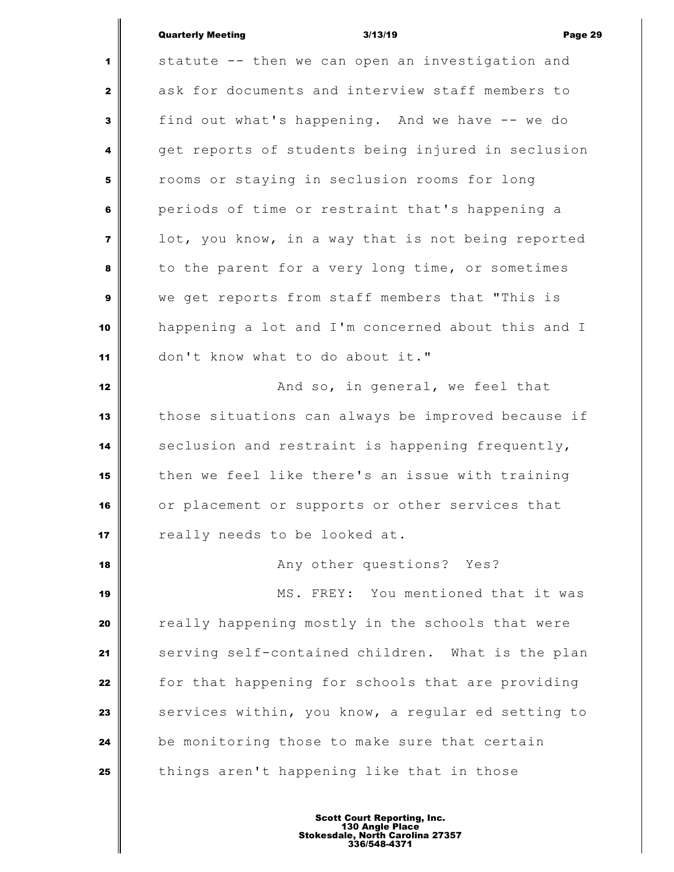#### Quarterly Meeting 3/13/19 Page 29

 statute -- then we can open an investigation and ask for documents and interview staff members to find out what's happening. And we have -- we do get reports of students being injured in seclusion rooms or staying in seclusion rooms for long periods of time or restraint that's happening a lot, you know, in a way that is not being reported to the parent for a very long time, or sometimes we get reports from staff members that "This is happening a lot and I'm concerned about this and I don't know what to do about it." **And so, in general, we feel that**  those situations can always be improved because if seclusion and restraint is happening frequently, then we feel like there's an issue with training or placement or supports or other services that **i** really needs to be looked at. **Any other questions?** Yes? MS. FREY: You mentioned that it was really happening mostly in the schools that were serving self-contained children. What is the plan for that happening for schools that are providing Services within, you know, a regular ed setting to be monitoring those to make sure that certain things aren't happening like that in those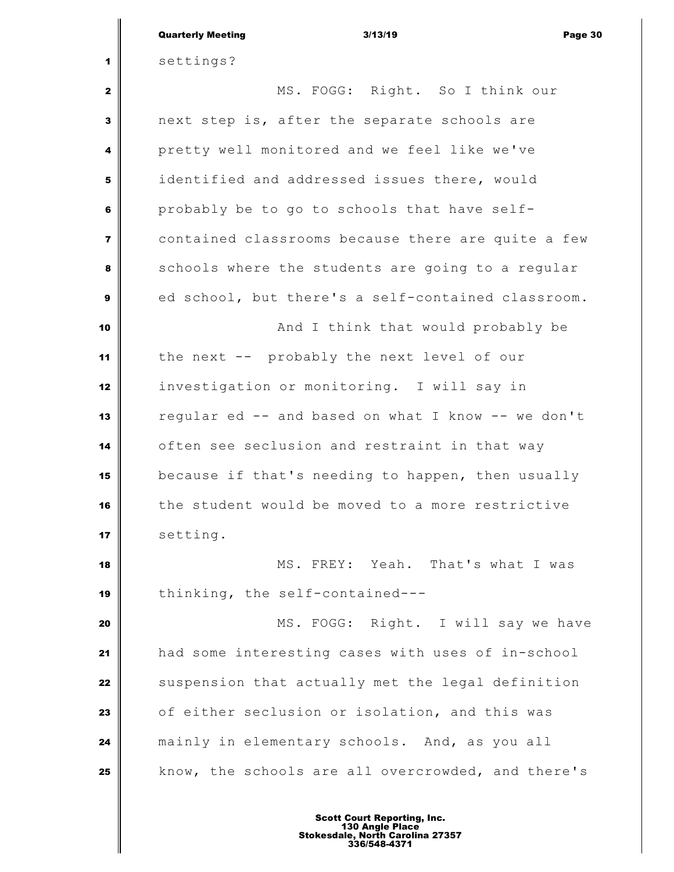|                | <b>Quarterly Meeting</b><br>3/13/19<br>Page 30     |
|----------------|----------------------------------------------------|
| 1              | settings?                                          |
| $\mathbf{2}$   | MS. FOGG: Right. So I think our                    |
| 3              | next step is, after the separate schools are       |
| 4              | pretty well monitored and we feel like we've       |
| 5              | identified and addressed issues there, would       |
| 6              | probably be to go to schools that have self-       |
| $\overline{7}$ | contained classrooms because there are quite a few |
| 8              | schools where the students are going to a regular  |
| 9              | ed school, but there's a self-contained classroom. |
| 10             | And I think that would probably be                 |
| 11             | the next -- probably the next level of our         |
| 12             | investigation or monitoring. I will say in         |
| 13             | regular ed -- and based on what I know -- we don't |
| 14             | often see seclusion and restraint in that way      |
| 15             | because if that's needing to happen, then usually  |
| 16             | the student would be moved to a more restrictive   |
| 17             | setting.                                           |
| 18             | MS. FREY: Yeah. That's what I was                  |
| 19             | thinking, the self-contained---                    |
| 20             | MS. FOGG: Right. I will say we have                |
| 21             | had some interesting cases with uses of in-school  |
| 22             | suspension that actually met the legal definition  |
| 23             | of either seclusion or isolation, and this was     |
| 24             | mainly in elementary schools. And, as you all      |
| 25             | know, the schools are all overcrowded, and there's |
|                | <b>Scott Court Reporting, Inc.</b>                 |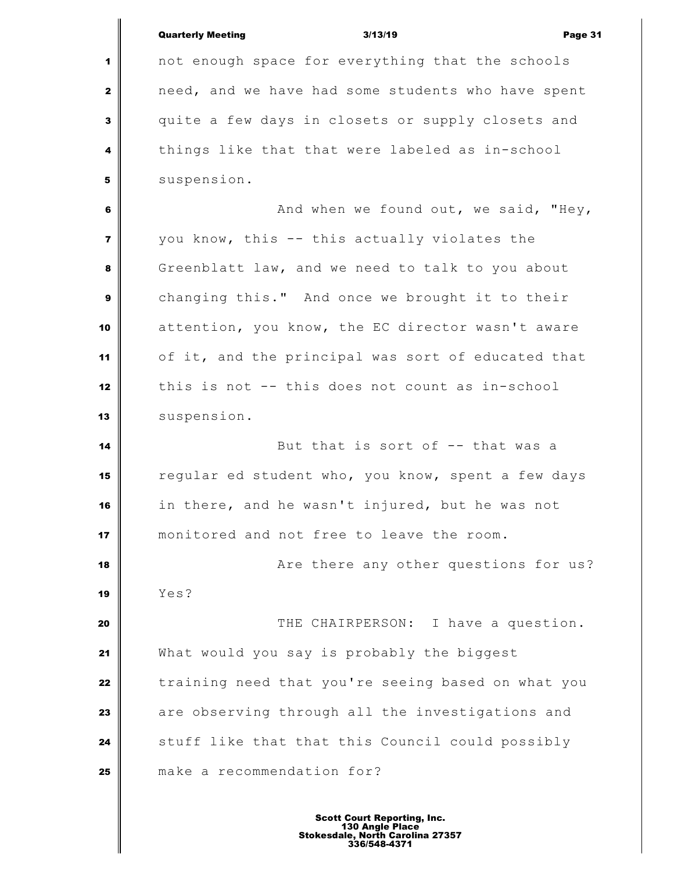|                         | <b>Quarterly Meeting</b><br>3/13/19<br>Page 31     |
|-------------------------|----------------------------------------------------|
| 1                       | not enough space for everything that the schools   |
| $\mathbf{2}$            | need, and we have had some students who have spent |
| 3                       | quite a few days in closets or supply closets and  |
| 4                       | things like that that were labeled as in-school    |
| 5                       | suspension.                                        |
| 6                       | And when we found out, we said, "Hey,              |
| $\overline{\mathbf{z}}$ | you know, this -- this actually violates the       |
| 8                       | Greenblatt law, and we need to talk to you about   |
| $\boldsymbol{9}$        | changing this." And once we brought it to their    |
| 10                      | attention, you know, the EC director wasn't aware  |
| 11                      | of it, and the principal was sort of educated that |
| 12                      | this is not -- this does not count as in-school    |
| 13                      | suspension.                                        |
| 14                      | But that is sort of -- that was a                  |
| 15                      | regular ed student who, you know, spent a few days |
| 16                      | in there, and he wasn't injured, but he was not    |
| 17                      | monitored and not free to leave the room.          |
| 18                      | Are there any other questions for us?              |
| 19                      | Yes?                                               |
| 20                      | THE CHAIRPERSON: I have a question.                |
| 21                      | What would you say is probably the biggest         |
| 22                      | training need that you're seeing based on what you |
| 23                      | are observing through all the investigations and   |
| 24                      | stuff like that that this Council could possibly   |
| 25                      | make a recommendation for?                         |
|                         |                                                    |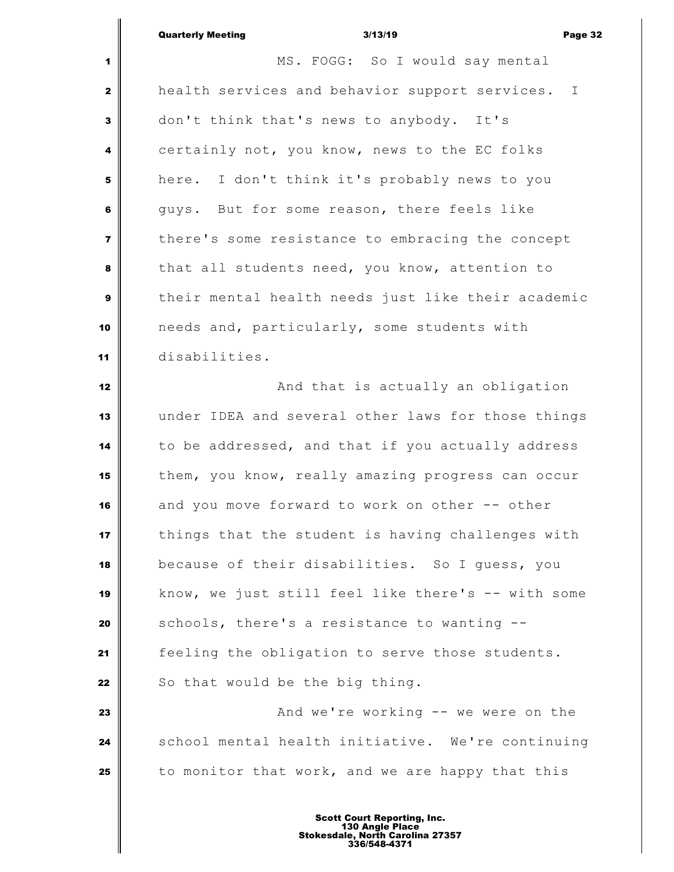|                         | <b>Quarterly Meeting</b><br>3/13/19<br>Page 32     |
|-------------------------|----------------------------------------------------|
| 1                       | MS. FOGG: So I would say mental                    |
| $\mathbf{2}$            | health services and behavior support services. I   |
| $\overline{\mathbf{3}}$ | don't think that's news to anybody. It's           |
| 4                       | certainly not, you know, news to the EC folks      |
| 5                       | here. I don't think it's probably news to you      |
| 6                       | guys. But for some reason, there feels like        |
| $\overline{\mathbf{z}}$ | there's some resistance to embracing the concept   |
| 8                       | that all students need, you know, attention to     |
| $\boldsymbol{9}$        | their mental health needs just like their academic |
| 10                      | needs and, particularly, some students with        |
| 11                      | disabilities.                                      |
| 12                      | And that is actually an obligation                 |
| 13                      | under IDEA and several other laws for those things |
| 14                      | to be addressed, and that if you actually address  |
| 15                      | them, you know, really amazing progress can occur  |
| 16                      | and you move forward to work on other -- other     |
| 17                      | things that the student is having challenges with  |
| 18                      | because of their disabilities. So I guess, you     |
| 19                      | know, we just still feel like there's -- with some |
| 20                      | schools, there's a resistance to wanting --        |
| 21                      | feeling the obligation to serve those students.    |
| 22                      | So that would be the big thing.                    |
| 23                      | And we're working -- we were on the                |
| 24                      | school mental health initiative. We're continuing  |
| 25                      | to monitor that work, and we are happy that this   |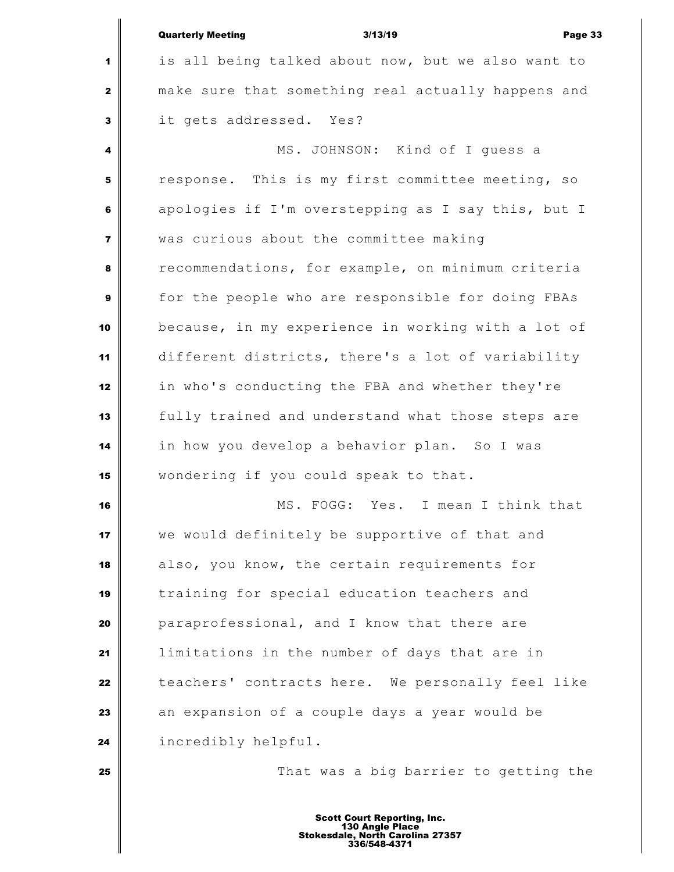|                | <b>Quarterly Meeting</b><br>3/13/19<br>Page 33     |
|----------------|----------------------------------------------------|
| 1              | is all being talked about now, but we also want to |
| $\mathbf{2}$   | make sure that something real actually happens and |
| 3              | it gets addressed. Yes?                            |
| 4              | MS. JOHNSON: Kind of I quess a                     |
| 5              | response. This is my first committee meeting, so   |
| 6              | apologies if I'm overstepping as I say this, but I |
| $\overline{7}$ | was curious about the committee making             |
| 8              | recommendations, for example, on minimum criteria  |
| 9              | for the people who are responsible for doing FBAs  |
| 10             | because, in my experience in working with a lot of |
| 11             | different districts, there's a lot of variability  |
| 12             | in who's conducting the FBA and whether they're    |
| 13             | fully trained and understand what those steps are  |
| 14             | in how you develop a behavior plan. So I was       |
| 15             | wondering if you could speak to that.              |
| 16             | MS. FOGG: Yes. I mean I think that                 |
| 17             | we would definitely be supportive of that and      |
| 18             | also, you know, the certain requirements for       |
| 19             | training for special education teachers and        |
| 20             | paraprofessional, and I know that there are        |
| 21             | limitations in the number of days that are in      |
| 22             | teachers' contracts here. We personally feel like  |
| 23             | an expansion of a couple days a year would be      |
| 24             | incredibly helpful.                                |
| 25             | That was a big barrier to getting the              |
|                |                                                    |

║

Ш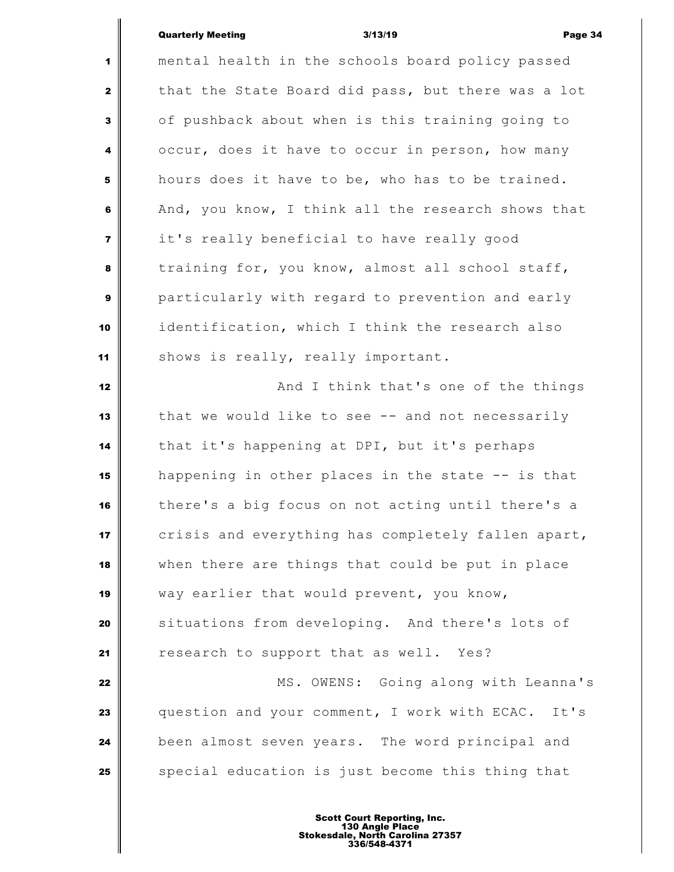## Quarterly Meeting and the Suite of the 3/13/19 and the Suite of Page 34

 $\parallel$ 

| 1                       | mental health in the schools board policy passed   |
|-------------------------|----------------------------------------------------|
| $\mathbf{2}$            | that the State Board did pass, but there was a lot |
| 3                       | of pushback about when is this training going to   |
| 4                       | occur, does it have to occur in person, how many   |
| 5                       | hours does it have to be, who has to be trained.   |
| 6                       | And, you know, I think all the research shows that |
| $\overline{\mathbf{z}}$ | it's really beneficial to have really good         |
| 8                       | training for, you know, almost all school staff,   |
| $\boldsymbol{9}$        | particularly with regard to prevention and early   |
| 10                      | identification, which I think the research also    |
| 11                      | shows is really, really important.                 |
| 12                      | And I think that's one of the things               |
| 13                      | that we would like to see -- and not necessarily   |
| 14                      | that it's happening at DPI, but it's perhaps       |
| 15                      | happening in other places in the state -- is that  |
| 16                      | there's a big focus on not acting until there's a  |
| 17                      | crisis and everything has completely fallen apart, |
| 18                      | when there are things that could be put in place   |
| 19                      | way earlier that would prevent, you know,          |
| 20                      | situations from developing. And there's lots of    |
| 21                      | research to support that as well. Yes?             |
| 22                      | MS. OWENS: Going along with Leanna's               |
| 23                      | question and your comment, I work with ECAC. It's  |
| 24                      | been almost seven years. The word principal and    |
| 25                      | special education is just become this thing that   |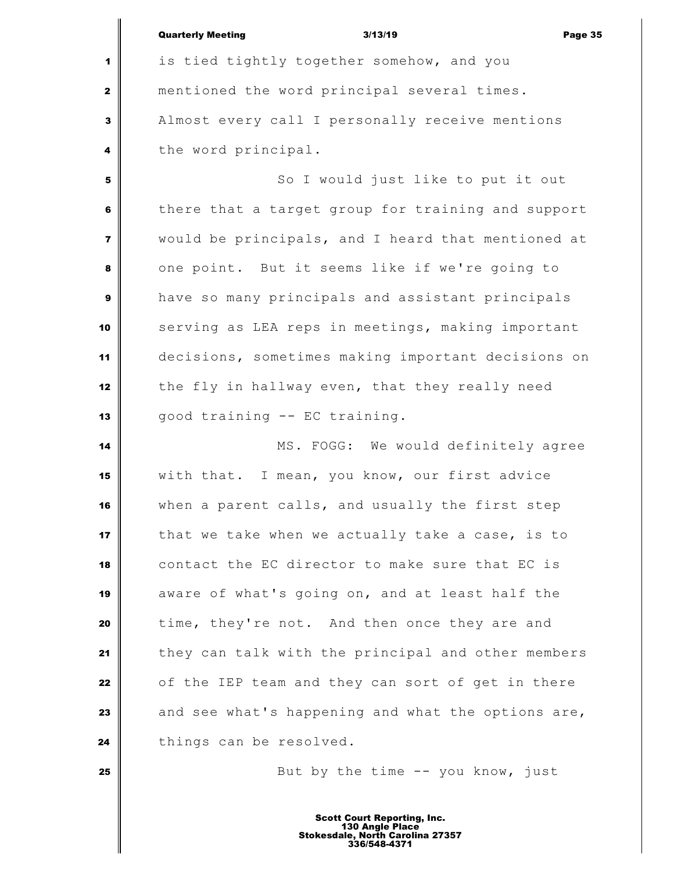|                | <b>Quarterly Meeting</b><br>3/13/19<br>Page 35     |
|----------------|----------------------------------------------------|
| 1              | is tied tightly together somehow, and you          |
| $\mathbf{2}$   | mentioned the word principal several times.        |
| $\mathbf{3}$   | Almost every call I personally receive mentions    |
| 4              | the word principal.                                |
| 5              | So I would just like to put it out                 |
| 6              | there that a target group for training and support |
| $\overline{7}$ | would be principals, and I heard that mentioned at |
| 8              | one point. But it seems like if we're going to     |
| 9              | have so many principals and assistant principals   |
| 10             | serving as LEA reps in meetings, making important  |
| 11             | decisions, sometimes making important decisions on |
| 12             | the fly in hallway even, that they really need     |
| 13             | good training -- EC training.                      |
| 14             | MS. FOGG: We would definitely agree                |
| 15             | with that. I mean, you know, our first advice      |
| 16             | when a parent calls, and usually the first step    |
| 17             | that we take when we actually take a case, is to   |
| 18             | contact the EC director to make sure that EC is    |
| 19             | aware of what's going on, and at least half the    |
| 20             | time, they're not. And then once they are and      |
| 21             | they can talk with the principal and other members |
| 22             | of the IEP team and they can sort of get in there  |
| 23             | and see what's happening and what the options are, |
| 24             | things can be resolved.                            |
| 25             | But by the time $--$ you know, just                |
|                |                                                    |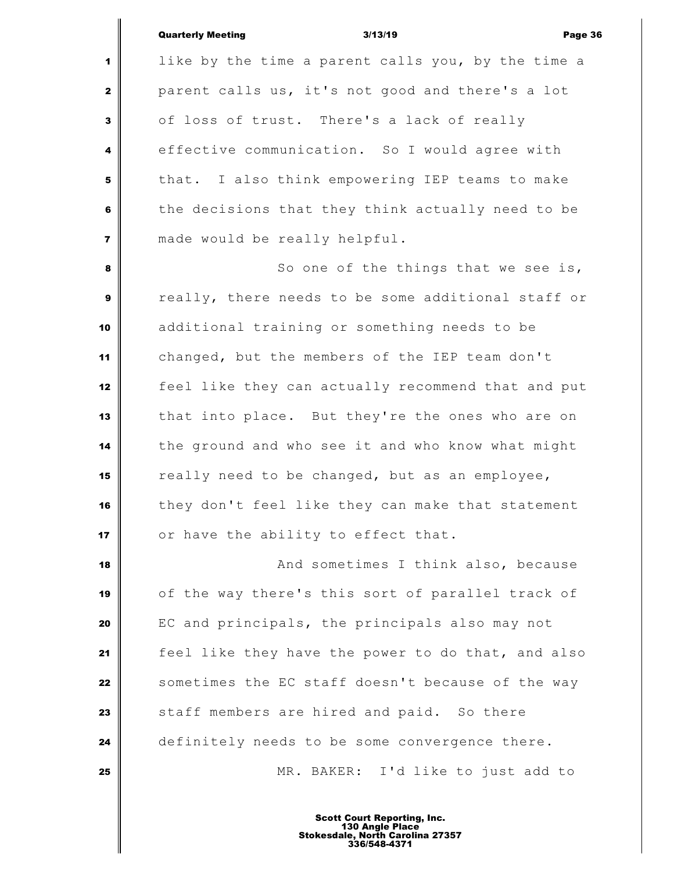#### Quarterly Meeting 3/13/19 Page 36

 like by the time a parent calls you, by the time a parent calls us, it's not good and there's a lot of loss of trust. There's a lack of really effective communication. So I would agree with that. I also think empowering IEP teams to make the decisions that they think actually need to be made would be really helpful.

 So one of the things that we see is, really, there needs to be some additional staff or additional training or something needs to be changed, but the members of the IEP team don't feel like they can actually recommend that and put that into place. But they're the ones who are on the ground and who see it and who know what might really need to be changed, but as an employee, they don't feel like they can make that statement or have the ability to effect that.

 **And sometimes I think also, because**  of the way there's this sort of parallel track of EC and principals, the principals also may not feel like they have the power to do that, and also Sometimes the EC staff doesn't because of the way staff members are hired and paid. So there definitely needs to be some convergence there. MR. BAKER: I'd like to just add to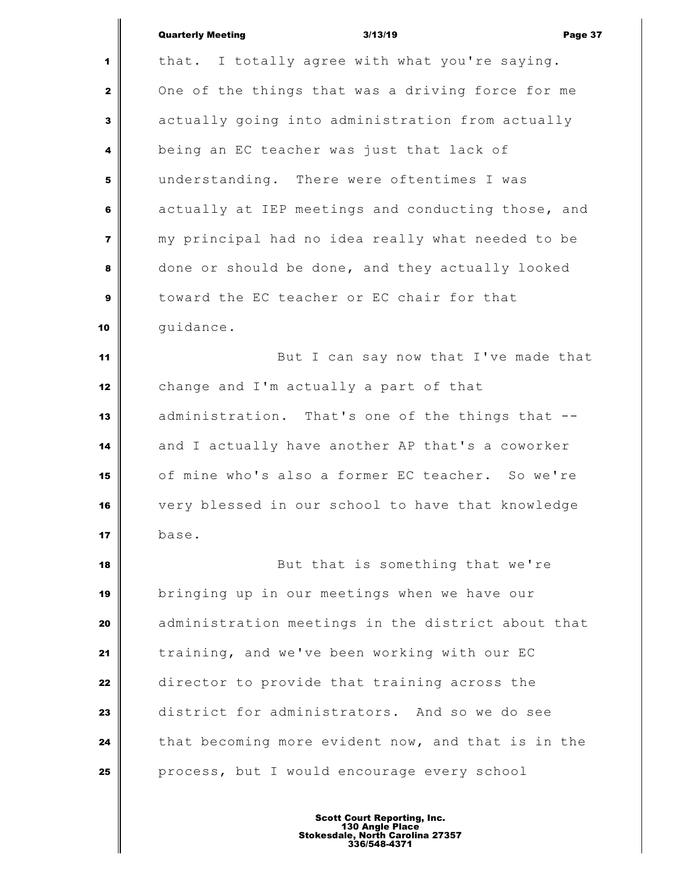| <b>Quarterly Meeting</b> |  |
|--------------------------|--|

Quarterly Meeting 3/13/19 Page 37 1 | that. I totally agree with what you're saying. One of the things that was a driving force for me actually going into administration from actually being an EC teacher was just that lack of understanding. There were oftentimes I was actually at IEP meetings and conducting those, and my principal had no idea really what needed to be done or should be done, and they actually looked toward the EC teacher or EC chair for that guidance. But I can say now that I've made that change and I'm actually a part of that administration. That's one of the things that -- and I actually have another AP that's a coworker of mine who's also a former EC teacher. So we're very blessed in our school to have that knowledge base. But that is something that we're bringing up in our meetings when we have our administration meetings in the district about that training, and we've been working with our EC director to provide that training across the district for administrators. And so we do see that becoming more evident now, and that is in the

Scott Court Reporting, Inc. 130 Angle Place Stokesdale, North Carolina 27357 336/548-4371

**process, but I** would encourage every school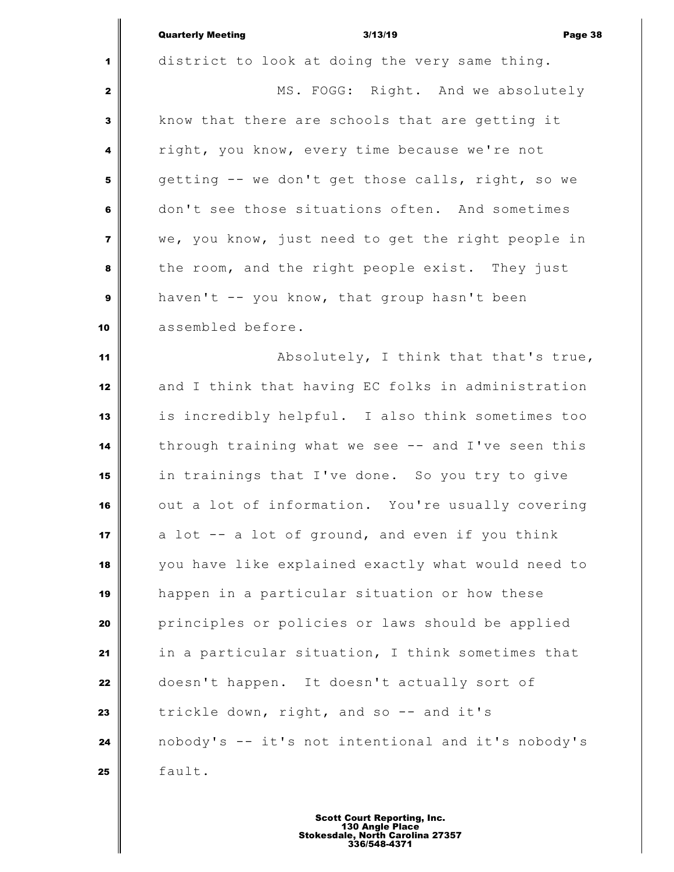|                  | <b>Quarterly Meeting</b><br>3/13/19<br>Page 38     |
|------------------|----------------------------------------------------|
| 1                | district to look at doing the very same thing.     |
| $\mathbf{2}$     | MS. FOGG: Right. And we absolutely                 |
| 3                | know that there are schools that are getting it    |
| 4                | right, you know, every time because we're not      |
| 5                | getting -- we don't get those calls, right, so we  |
| 6                | don't see those situations often. And sometimes    |
| $\overline{7}$   | we, you know, just need to get the right people in |
| 8                | the room, and the right people exist. They just    |
| $\boldsymbol{9}$ | haven't -- you know, that group hasn't been        |
| 10               | assembled before.                                  |
| 11               | Absolutely, I think that that's true,              |
| 12               | and I think that having EC folks in administration |
| 13               | is incredibly helpful. I also think sometimes too  |
| 14               | through training what we see -- and I've seen this |
| 15               | in trainings that I've done. So you try to give    |
| 16               | out a lot of information. You're usually covering  |
| 17               | a lot -- a lot of ground, and even if you think    |
| 18               | you have like explained exactly what would need to |
| 19               | happen in a particular situation or how these      |
| 20               | principles or policies or laws should be applied   |
| 21               | in a particular situation, I think sometimes that  |
| 22               | doesn't happen. It doesn't actually sort of        |
| 23               | trickle down, right, and so -- and it's            |
| 24               | nobody's -- it's not intentional and it's nobody's |
| 25               | fault.                                             |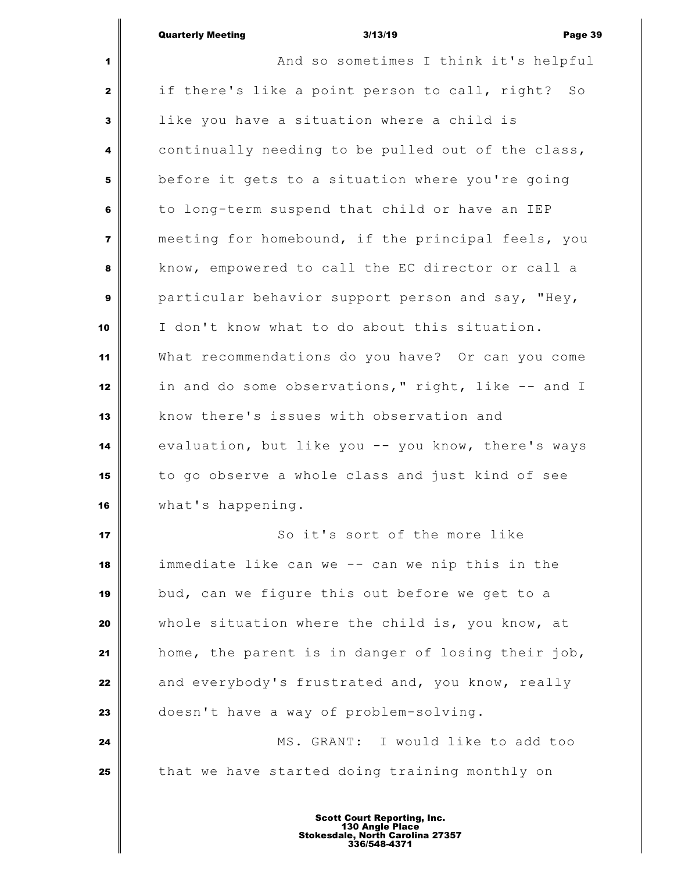|                         | <b>Quarterly Meeting</b><br>3/13/19<br>Page 39                   |
|-------------------------|------------------------------------------------------------------|
| 1                       | And so sometimes I think it's helpful                            |
| 2                       | if there's like a point person to call, right?<br>$S_{\bigcirc}$ |
| 3                       | like you have a situation where a child is                       |
| 4                       | continually needing to be pulled out of the class,               |
| 5                       | before it gets to a situation where you're going                 |
| 6                       | to long-term suspend that child or have an IEP                   |
| $\overline{\mathbf{z}}$ | meeting for homebound, if the principal feels, you               |
| 8                       | know, empowered to call the EC director or call a                |
| 9                       | particular behavior support person and say, "Hey,                |
| 10                      | I don't know what to do about this situation.                    |
| 11                      | What recommendations do you have? Or can you come                |
| 12                      | in and do some observations," right, like -- and I               |
| 13                      | know there's issues with observation and                         |
| 14                      | evaluation, but like you -- you know, there's ways               |
| 15                      | to go observe a whole class and just kind of see                 |
| 16                      | what's happening.                                                |
| 17                      | So it's sort of the more like                                    |
| 18                      | immediate like can we -- can we nip this in the                  |
| 19                      | bud, can we figure this out before we get to a                   |
| 20                      | whole situation where the child is, you know, at                 |
| 21                      | home, the parent is in danger of losing their job,               |
| 22                      | and everybody's frustrated and, you know, really                 |
| 23                      | doesn't have a way of problem-solving.                           |
| 24                      | MS. GRANT: I would like to add too                               |
| 25                      | that we have started doing training monthly on                   |
|                         |                                                                  |

Ш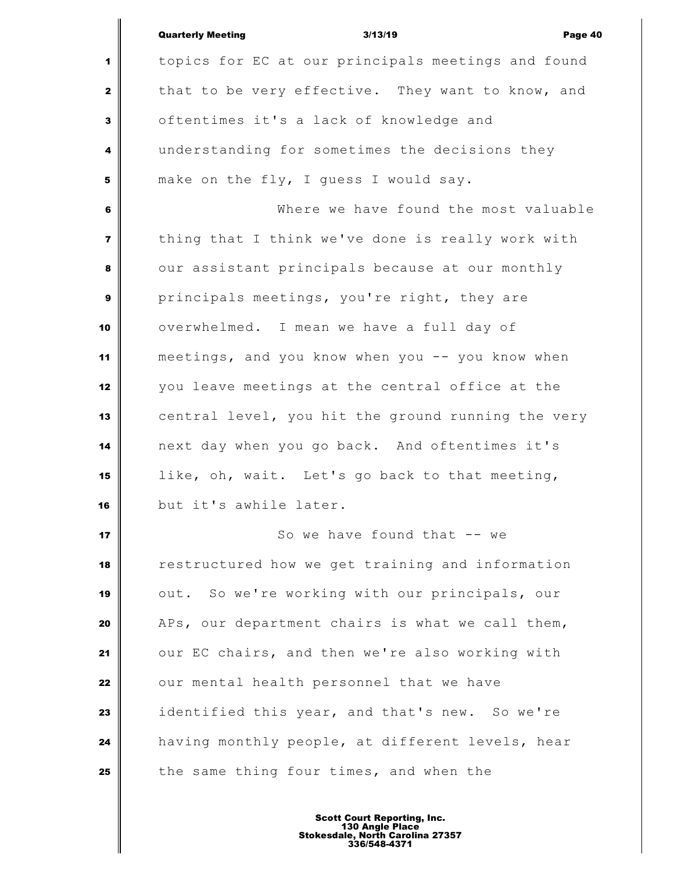|                         | <b>Quarterly Meeting</b><br>3/13/19<br>Page 40     |
|-------------------------|----------------------------------------------------|
| 1                       | topics for EC at our principals meetings and found |
| $\mathbf{2}$            | that to be very effective. They want to know, and  |
| $\mathbf{3}$            | oftentimes it's a lack of knowledge and            |
| 4                       | understanding for sometimes the decisions they     |
| 5                       | make on the fly, I guess I would say.              |
| 6                       | Where we have found the most valuable              |
| $\overline{\mathbf{z}}$ | thing that I think we've done is really work with  |
| 8                       | our assistant principals because at our monthly    |
| $\mathbf{9}$            | principals meetings, you're right, they are        |
| 10                      | overwhelmed. I mean we have a full day of          |
| 11                      | meetings, and you know when you -- you know when   |
| 12                      | you leave meetings at the central office at the    |
| 13                      | central level, you hit the ground running the very |
| 14                      | next day when you go back. And oftentimes it's     |
| 15                      | like, oh, wait. Let's go back to that meeting,     |
| 16                      | but it's awhile later.                             |
| 17                      | So we have found that -- we                        |
| 18                      | restructured how we get training and information   |
| 19                      | out. So we're working with our principals, our     |
| 20                      | APs, our department chairs is what we call them,   |
| 21                      | our EC chairs, and then we're also working with    |
| 22                      | our mental health personnel that we have           |
| 23                      | identified this year, and that's new. So we're     |
| 24                      | having monthly people, at different levels, hear   |
| 25                      | the same thing four times, and when the            |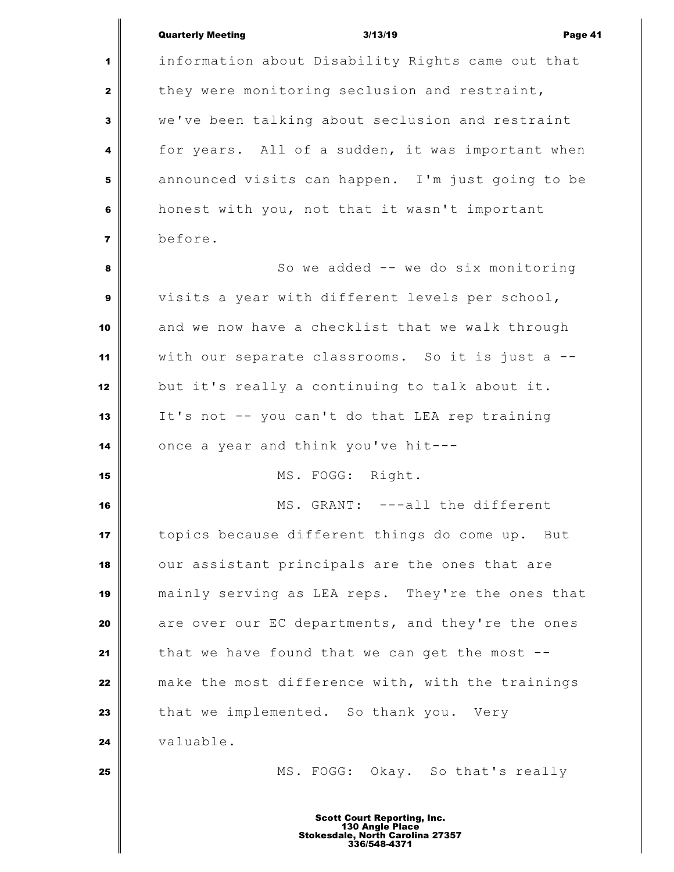## Quarterly Meeting 3/13/19 Page 41

 information about Disability Rights came out that they were monitoring seclusion and restraint, we've been talking about seclusion and restraint for years. All of a sudden, it was important when announced visits can happen. I'm just going to be honest with you, not that it wasn't important before. So we added -- we do six monitoring visits a year with different levels per school, and we now have a checklist that we walk through with our separate classrooms. So it is just a -- but it's really a continuing to talk about it. It's not -- you can't do that LEA rep training once a year and think you've hit--- MS. FOGG: Right. MS. GRANT: ---all the different topics because different things do come up. But our assistant principals are the ones that are mainly serving as LEA reps. They're the ones that are over our EC departments, and they're the ones that we have found that we can get the most -- make the most difference with, with the trainings that we implemented. So thank you. Very valuable. MS. FOGG: Okay. So that's really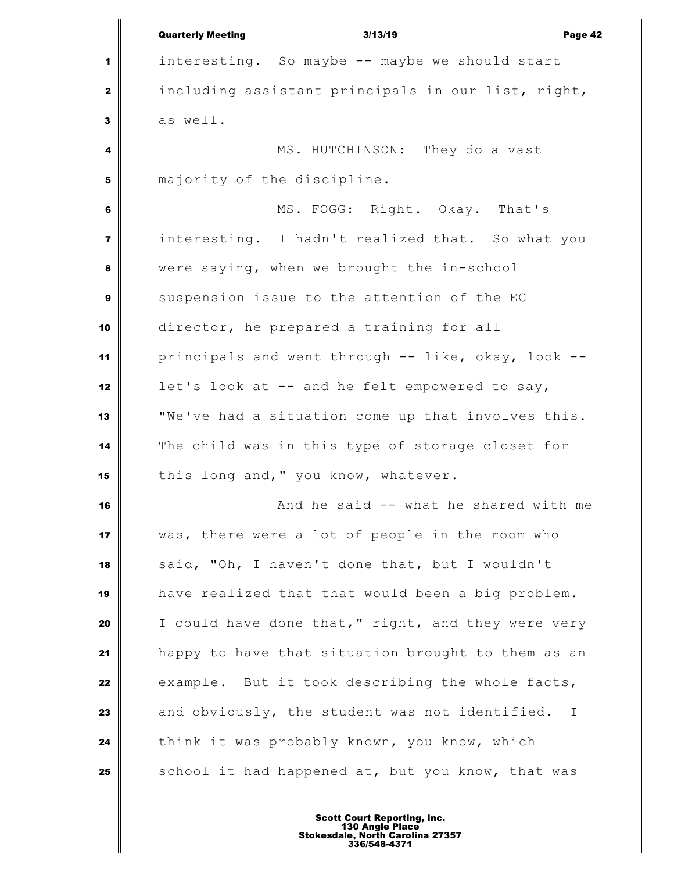Quarterly Meeting 3/13/19 Page 42 interesting. So maybe -- maybe we should start including assistant principals in our list, right, as well. MS. HUTCHINSON: They do a vast majority of the discipline. MS. FOGG: Right. Okay. That's interesting. I hadn't realized that. So what you were saying, when we brought the in-school suspension issue to the attention of the EC director, he prepared a training for all principals and went through -- like, okay, look -- let's look at -- and he felt empowered to say, "We've had a situation come up that involves this. The child was in this type of storage closet for 15 this long and," you know, whatever. **And he said -- what he shared with me**  was, there were a lot of people in the room who said, "Oh, I haven't done that, but I wouldn't have realized that that would been a big problem. I could have done that," right, and they were very happy to have that situation brought to them as an example. But it took describing the whole facts, and obviously, the student was not identified. I think it was probably known, you know, which School it had happened at, but you know, that was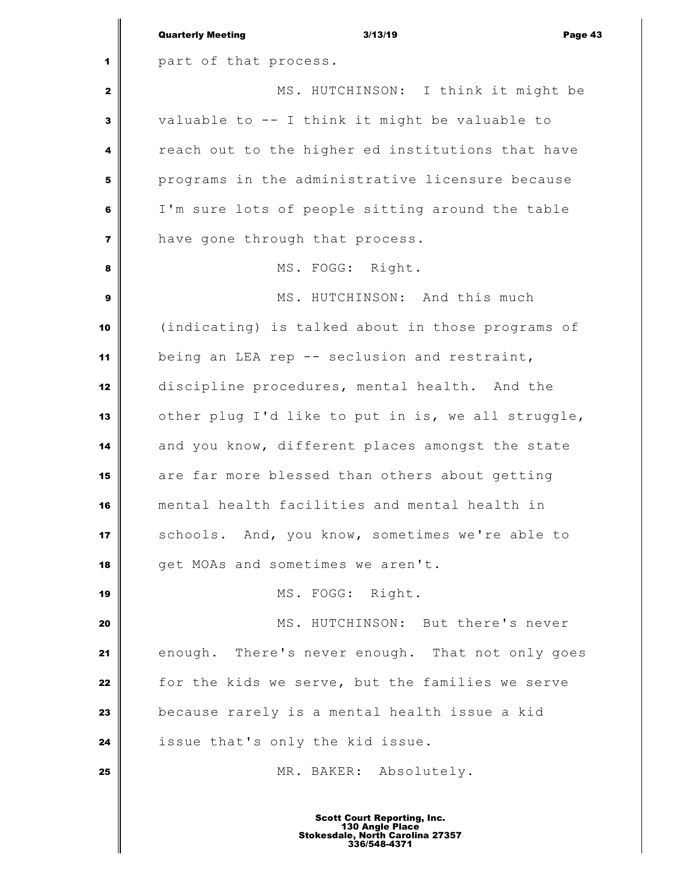|                | 3/13/19<br><b>Quarterly Meeting</b><br>Page 43                                                            |  |
|----------------|-----------------------------------------------------------------------------------------------------------|--|
| 1              | part of that process.                                                                                     |  |
| $\mathbf{z}$   | MS. HUTCHINSON: I think it might be                                                                       |  |
| 3              | valuable to -- I think it might be valuable to                                                            |  |
| 4              | reach out to the higher ed institutions that have                                                         |  |
| 5              | programs in the administrative licensure because                                                          |  |
| 6              | I'm sure lots of people sitting around the table                                                          |  |
| $\overline{7}$ | have gone through that process.                                                                           |  |
| 8              | MS. FOGG: Right.                                                                                          |  |
| 9              | MS. HUTCHINSON: And this much                                                                             |  |
| 10             | (indicating) is talked about in those programs of                                                         |  |
| 11             | being an LEA rep -- seclusion and restraint,                                                              |  |
| 12             | discipline procedures, mental health. And the                                                             |  |
| 13             | other plug I'd like to put in is, we all struggle,                                                        |  |
| 14             | and you know, different places amongst the state                                                          |  |
| 15             | are far more blessed than others about getting                                                            |  |
| 16             | mental health facilities and mental health in                                                             |  |
| 17             | schools. And, you know, sometimes we're able to                                                           |  |
| 18             | get MOAs and sometimes we aren't.                                                                         |  |
| 19             | MS. FOGG: Right.                                                                                          |  |
| 20             | MS. HUTCHINSON: But there's never                                                                         |  |
| 21             | enough. There's never enough. That not only goes                                                          |  |
| 22             | for the kids we serve, but the families we serve                                                          |  |
| 23             | because rarely is a mental health issue a kid                                                             |  |
| 24             | issue that's only the kid issue.                                                                          |  |
| 25             | MR. BAKER: Absolutely.                                                                                    |  |
|                | <b>Scott Court Reporting, Inc.</b><br>130 Angle Place<br>Stokesdale, North Carolina 27357<br>336/548-4371 |  |

 $\mathbf I$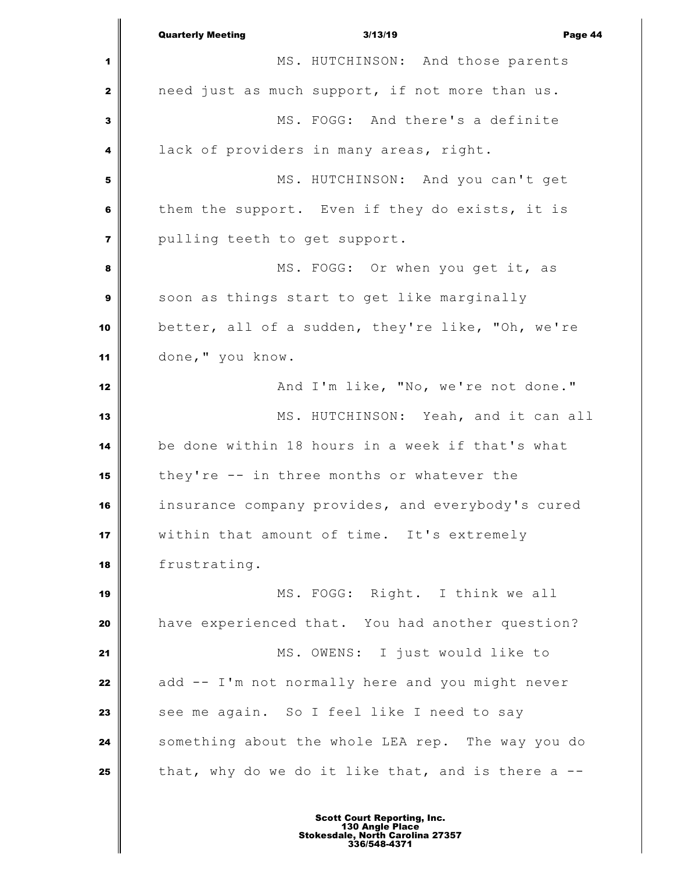Quarterly Meeting 3/13/19 Page 44 MS. HUTCHINSON: And those parents need just as much support, if not more than us. MS. FOGG: And there's a definite lack of providers in many areas, right. MS. HUTCHINSON: And you can't get them the support. Even if they do exists, it is pulling teeth to get support. **MS.** FOGG: Or when you get it, as soon as things start to get like marginally better, all of a sudden, they're like, "Oh, we're done," you know. And I'm like, "No, we're not done." MS. HUTCHINSON: Yeah, and it can all be done within 18 hours in a week if that's what they're -- in three months or whatever the insurance company provides, and everybody's cured within that amount of time. It's extremely frustrating. MS. FOGG: Right. I think we all have experienced that. You had another question? MS. OWENS: I just would like to add -- I'm not normally here and you might never See me again. So I feel like I need to say Something about the whole LEA rep. The way you do that, why do we do it like that, and is there a --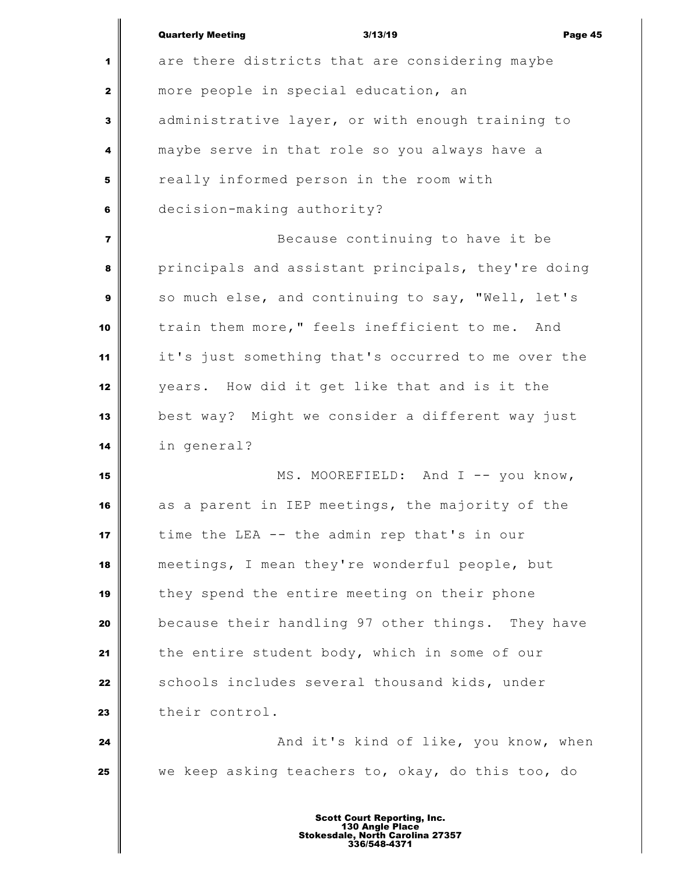|                | <b>Quarterly Meeting</b><br>3/13/19<br>Page 45     |
|----------------|----------------------------------------------------|
| 1              | are there districts that are considering maybe     |
| $\mathbf{2}$   | more people in special education, an               |
| $\mathbf{3}$   | administrative layer, or with enough training to   |
| 4              | maybe serve in that role so you always have a      |
| 5              | really informed person in the room with            |
| 6              | decision-making authority?                         |
| $\overline{7}$ | Because continuing to have it be                   |
| 8              | principals and assistant principals, they're doing |
| 9              | so much else, and continuing to say, "Well, let's  |
| 10             | train them more," feels inefficient to me. And     |
| 11             | it's just something that's occurred to me over the |
| 12             | years. How did it get like that and is it the      |
| 13             | best way? Might we consider a different way just   |
| 14             | in general?                                        |
| 15             | MS. MOOREFIELD: And I -- you know,                 |
| 16             | as a parent in IEP meetings, the majority of the   |
| 17             | time the LEA -- the admin rep that's in our        |
| 18             | meetings, I mean they're wonderful people, but     |
| 19             | they spend the entire meeting on their phone       |
| 20             | because their handling 97 other things. They have  |
| 21             | the entire student body, which in some of our      |
| 22             | schools includes several thousand kids, under      |
| 23             | their control.                                     |
| 24             | And it's kind of like, you know, when              |
| 25             | we keep asking teachers to, okay, do this too, do  |
|                | <b>Scott Court Reporting, Inc.</b>                 |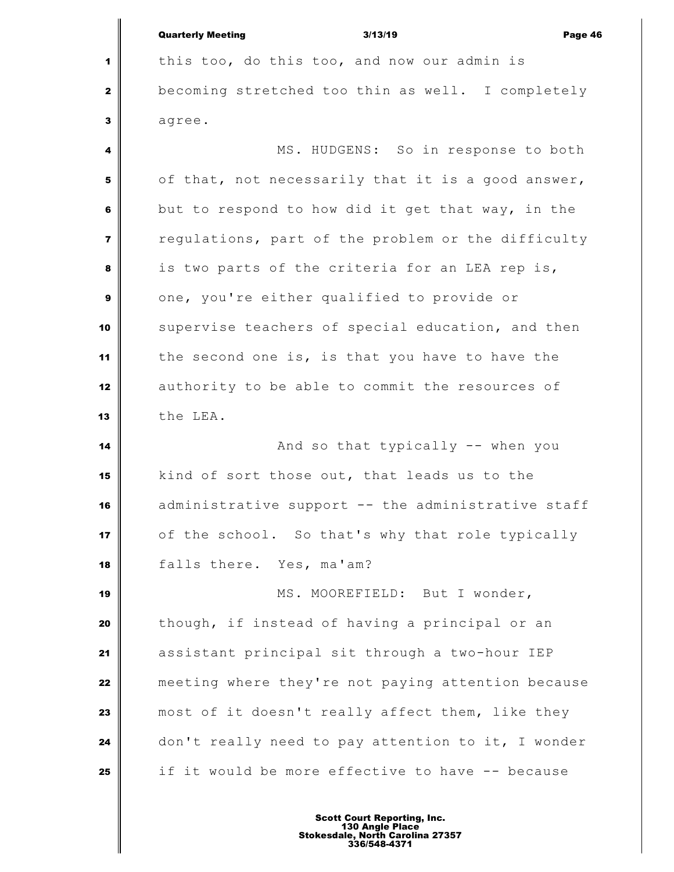| <b>Quarterly Meeting</b> | 3/13/19 | Page 46 |
|--------------------------|---------|---------|

 this too, do this too, and now our admin is becoming stretched too thin as well. I completely agree.

 MS. HUDGENS: So in response to both of that, not necessarily that it is a good answer, but to respond to how did it get that way, in the regulations, part of the problem or the difficulty is two parts of the criteria for an LEA rep is, one, you're either qualified to provide or supervise teachers of special education, and then the second one is, is that you have to have the authority to be able to commit the resources of the LEA.

 **And so that typically -- when you**  kind of sort those out, that leads us to the administrative support -- the administrative staff of the school. So that's why that role typically falls there. Yes, ma'am?

 MS. MOOREFIELD: But I wonder, though, if instead of having a principal or an assistant principal sit through a two-hour IEP meeting where they're not paying attention because most of it doesn't really affect them, like they don't really need to pay attention to it, I wonder if it would be more effective to have -- because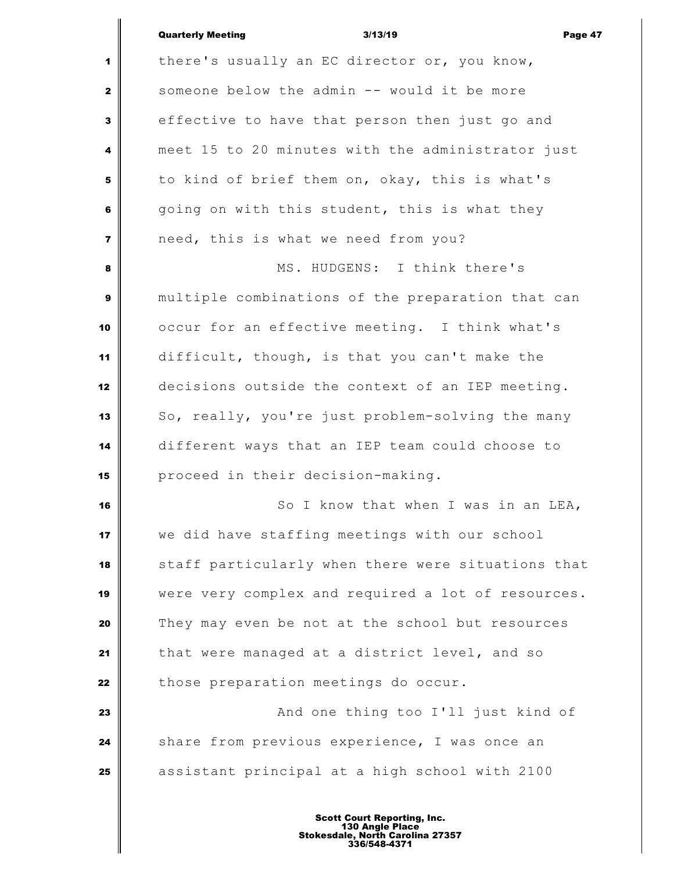## Quarterly Meeting 3/13/19 Page 47

 there's usually an EC director or, you know, someone below the admin -- would it be more effective to have that person then just go and meet 15 to 20 minutes with the administrator just to kind of brief them on, okay, this is what's going on with this student, this is what they need, this is what we need from you? MS. HUDGENS: I think there's multiple combinations of the preparation that can occur for an effective meeting. I think what's difficult, though, is that you can't make the decisions outside the context of an IEP meeting. So, really, you're just problem-solving the many different ways that an IEP team could choose to proceed in their decision-making. So I know that when I was in an LEA, we did have staffing meetings with our school staff particularly when there were situations that were very complex and required a lot of resources. They may even be not at the school but resources that were managed at a district level, and so those preparation meetings do occur. **And one thing too I'll just kind of**  Share from previous experience, I was once an assistant principal at a high school with 2100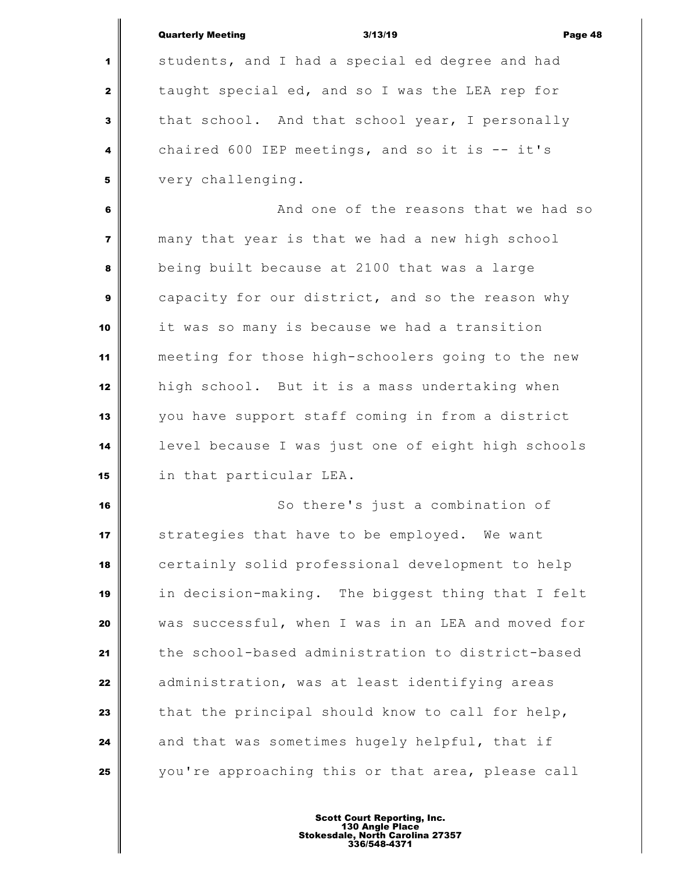|                         | <b>Quarterly Meeting</b><br>3/13/19<br>Page 48     |
|-------------------------|----------------------------------------------------|
| 1                       | students, and I had a special ed degree and had    |
| $\mathbf{2}$            | taught special ed, and so I was the LEA rep for    |
| 3                       | that school. And that school year, I personally    |
| 4                       | chaired 600 IEP meetings, and so it is -- it's     |
| 5                       | very challenging.                                  |
| 6                       | And one of the reasons that we had so              |
| $\overline{\mathbf{z}}$ | many that year is that we had a new high school    |
| 8                       | being built because at 2100 that was a large       |
| 9                       | capacity for our district, and so the reason why   |
| 10                      | it was so many is because we had a transition      |
| 11                      | meeting for those high-schoolers going to the new  |
| 12                      | high school. But it is a mass undertaking when     |
| 13                      | you have support staff coming in from a district   |
| 14                      | level because I was just one of eight high schools |
| 15                      | in that particular LEA.                            |
| 16                      | So there's just a combination of                   |
| 17                      | strategies that have to be employed. We want       |
| 18                      | certainly solid professional development to help   |
| 19                      | in decision-making. The biggest thing that I felt  |
| 20                      | was successful, when I was in an LEA and moved for |
| 21                      | the school-based administration to district-based  |
| 22                      | administration, was at least identifying areas     |
| 23                      | that the principal should know to call for help,   |
| 24                      | and that was sometimes hugely helpful, that if     |
| 25                      | you're approaching this or that area, please call  |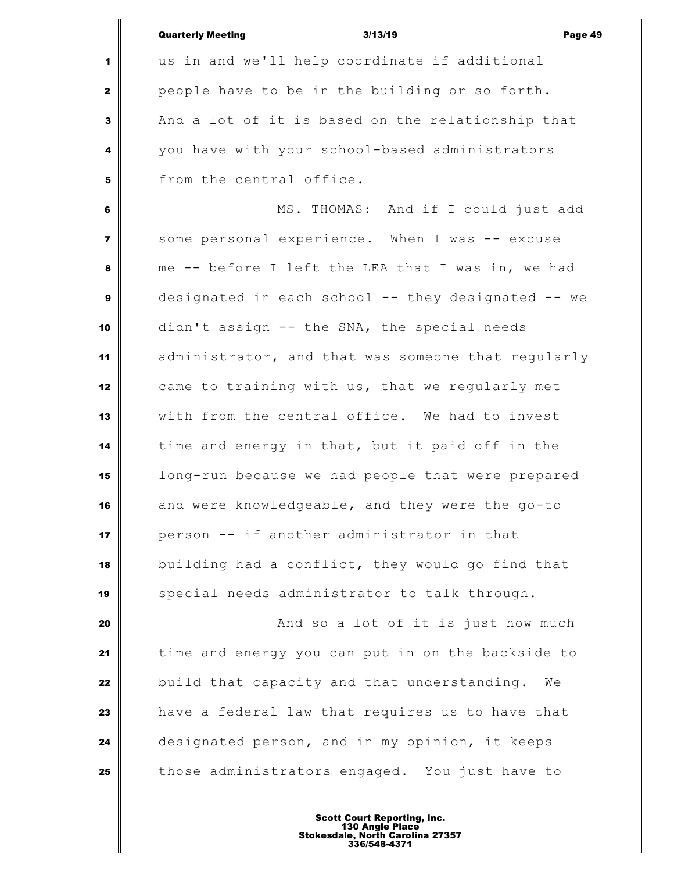|                         | <b>Quarterly Meeting</b><br>3/13/19<br>Page 49     |
|-------------------------|----------------------------------------------------|
| 1                       | us in and we'll help coordinate if additional      |
| $\mathbf{2}$            | people have to be in the building or so forth.     |
| $\mathbf{3}$            | And a lot of it is based on the relationship that  |
| 4                       | you have with your school-based administrators     |
| 5                       | from the central office.                           |
| 6                       | MS. THOMAS: And if I could just add                |
| $\overline{\mathbf{r}}$ | some personal experience. When I was -- excuse     |
| 8                       | me -- before I left the LEA that I was in, we had  |
| $\boldsymbol{9}$        | designated in each school -- they designated -- we |
| 10                      | didn't assign -- the SNA, the special needs        |
| 11                      | administrator, and that was someone that regularly |
| 12                      | came to training with us, that we regularly met    |
| 13                      | with from the central office. We had to invest     |
| 14                      | time and energy in that, but it paid off in the    |
| 15                      | long-run because we had people that were prepared  |
| 16                      | and were knowledgeable, and they were the go-to    |
| 17                      | person -- if another administrator in that         |
| 18                      | building had a conflict, they would go find that   |
| 19                      | special needs administrator to talk through.       |
| 20                      | And so a lot of it is just how much                |
| 21                      | time and energy you can put in on the backside to  |
| 22                      | build that capacity and that understanding.<br>We  |
| 23                      | have a federal law that requires us to have that   |
| 24                      | designated person, and in my opinion, it keeps     |
| 25                      | those administrators engaged. You just have to     |
|                         |                                                    |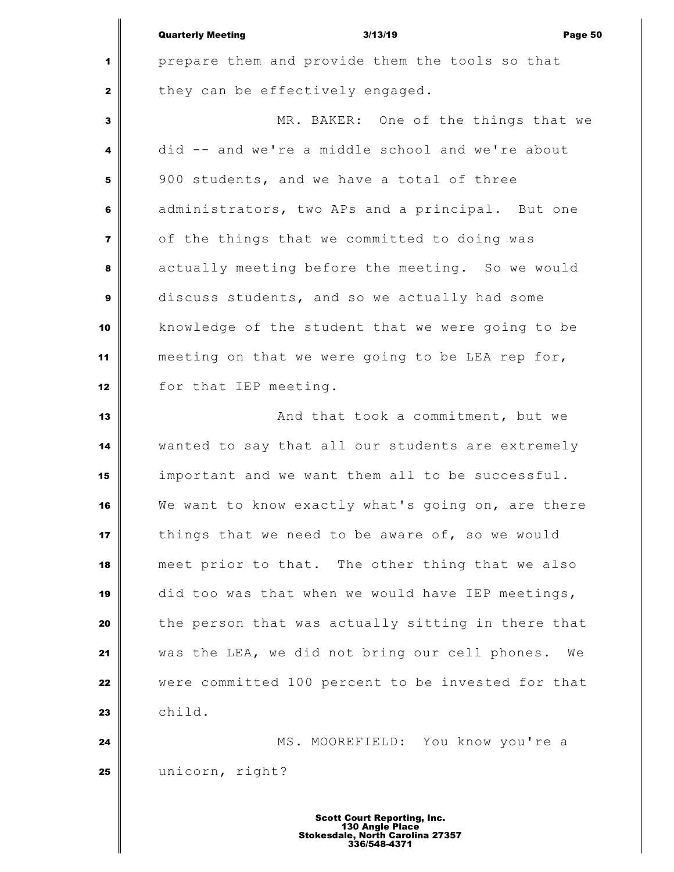|                  | <b>Quarterly Meeting</b><br>3/13/19<br>Page 50       |
|------------------|------------------------------------------------------|
| 1                | prepare them and provide them the tools so that      |
| $\mathbf{2}$     | they can be effectively engaged.                     |
| $\mathbf{3}$     | MR. BAKER: One of the things that we                 |
| 4                | did -- and we're a middle school and we're about     |
| 5                | 900 students, and we have a total of three           |
| 6                | administrators, two APs and a principal. But one     |
| $\overline{7}$   | of the things that we committed to doing was         |
| 8                | actually meeting before the meeting. So we would     |
| $\boldsymbol{9}$ | discuss students, and so we actually had some        |
| 10               | knowledge of the student that we were going to be    |
| 11               | meeting on that we were going to be LEA rep for,     |
| 12               | for that IEP meeting.                                |
| 13               | And that took a commitment, but we                   |
| 14               | wanted to say that all our students are extremely    |
| 15               | important and we want them all to be successful.     |
| 16               | We want to know exactly what's going on, are there   |
| 17               | things that we need to be aware of, so we would      |
| 18               | meet prior to that. The other thing that we also     |
| 19               | did too was that when we would have IEP meetings,    |
| 20               | the person that was actually sitting in there that   |
| 21               | was the LEA, we did not bring our cell phones.<br>We |
| 22               | were committed 100 percent to be invested for that   |
| 23               | child.                                               |
| 24               | MS. MOOREFIELD: You know you're a                    |
| 25               | unicorn, right?                                      |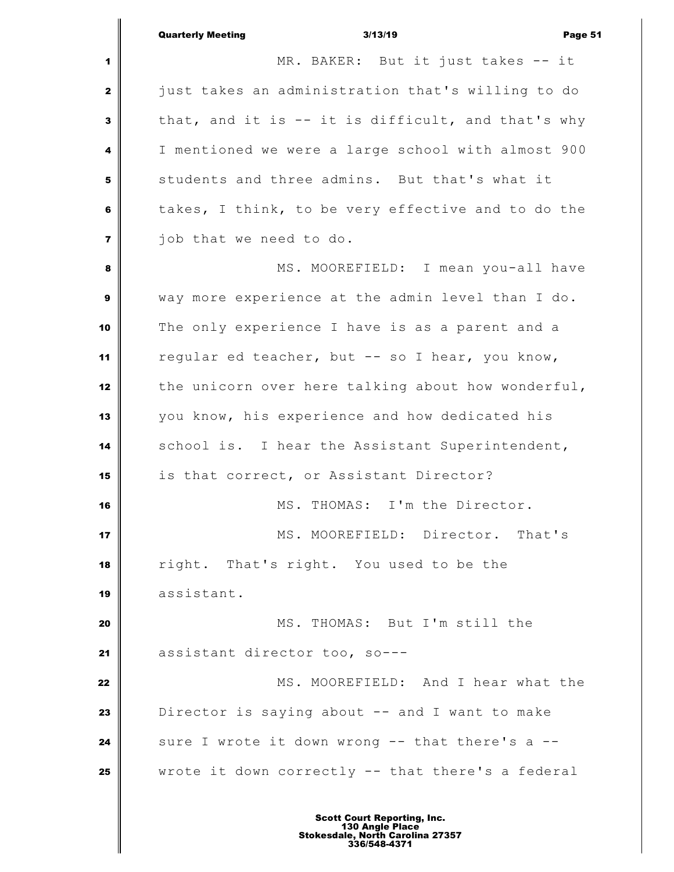Quarterly Meeting 3/13/19 Page 51 MR. BAKER: But it just takes -- it just takes an administration that's willing to do that, and it is -- it is difficult, and that's why I mentioned we were a large school with almost 900 students and three admins. But that's what it takes, I think, to be very effective and to do the job that we need to do. MS. MOOREFIELD: I mean you-all have way more experience at the admin level than I do. The only experience I have is as a parent and a regular ed teacher, but -- so I hear, you know, the unicorn over here talking about how wonderful, you know, his experience and how dedicated his school is. I hear the Assistant Superintendent, is that correct, or Assistant Director? MS. THOMAS: I'm the Director. MS. MOOREFIELD: Director. That's right. That's right. You used to be the assistant. **MS. THOMAS:** But I'm still the assistant director too, so--- MS. MOOREFIELD: And I hear what the Director is saying about -- and I want to make sure I wrote it down wrong -- that there's a --wrote it down correctly -- that there's a federal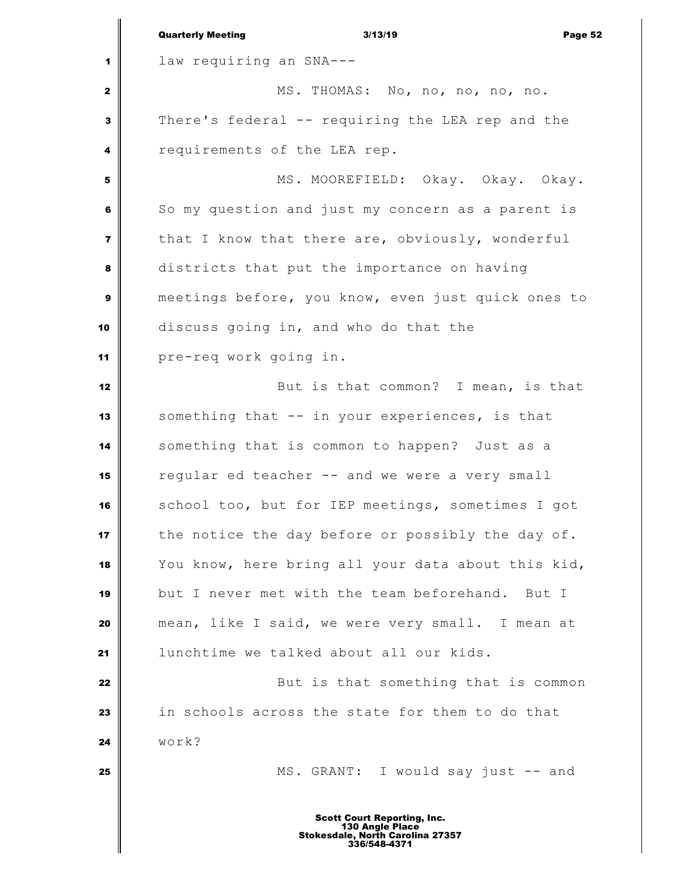|                         | <b>Quarterly Meeting</b><br>3/13/19<br>Page 52                                                            |
|-------------------------|-----------------------------------------------------------------------------------------------------------|
| 1                       | law requiring an SNA---                                                                                   |
| $\mathbf{z}$            | MS. THOMAS: No, no, no, no, no.                                                                           |
| 3                       | There's federal -- requiring the LEA rep and the                                                          |
| 4                       | requirements of the LEA rep.                                                                              |
| 5                       | MS. MOOREFIELD: Okay. Okay. Okay.                                                                         |
| 6                       | So my question and just my concern as a parent is                                                         |
| $\overline{\mathbf{z}}$ | that I know that there are, obviously, wonderful                                                          |
| 8                       | districts that put the importance on having                                                               |
| 9                       | meetings before, you know, even just quick ones to                                                        |
| 10                      | discuss going in, and who do that the                                                                     |
| 11                      | pre-req work going in.                                                                                    |
| 12                      | But is that common? I mean, is that                                                                       |
| 13                      | something that -- in your experiences, is that                                                            |
| 14                      | something that is common to happen? Just as a                                                             |
| 15                      | regular ed teacher -- and we were a very small                                                            |
| 16                      | school too, but for IEP meetings, sometimes I got                                                         |
| 17                      | the notice the day before or possibly the day of.                                                         |
| 18                      | You know, here bring all your data about this kid,                                                        |
| 19                      | but I never met with the team beforehand. But I                                                           |
| 20                      | mean, like I said, we were very small. I mean at                                                          |
| 21                      | lunchtime we talked about all our kids.                                                                   |
| 22                      | But is that something that is common                                                                      |
| 23                      | in schools across the state for them to do that                                                           |
| 24                      | work?                                                                                                     |
| 25                      | MS. GRANT: I would say just -- and                                                                        |
|                         | <b>Scott Court Reporting, Inc.</b><br>130 Angle Place<br>Stokesdale, North Carolina 27357<br>336/548-4371 |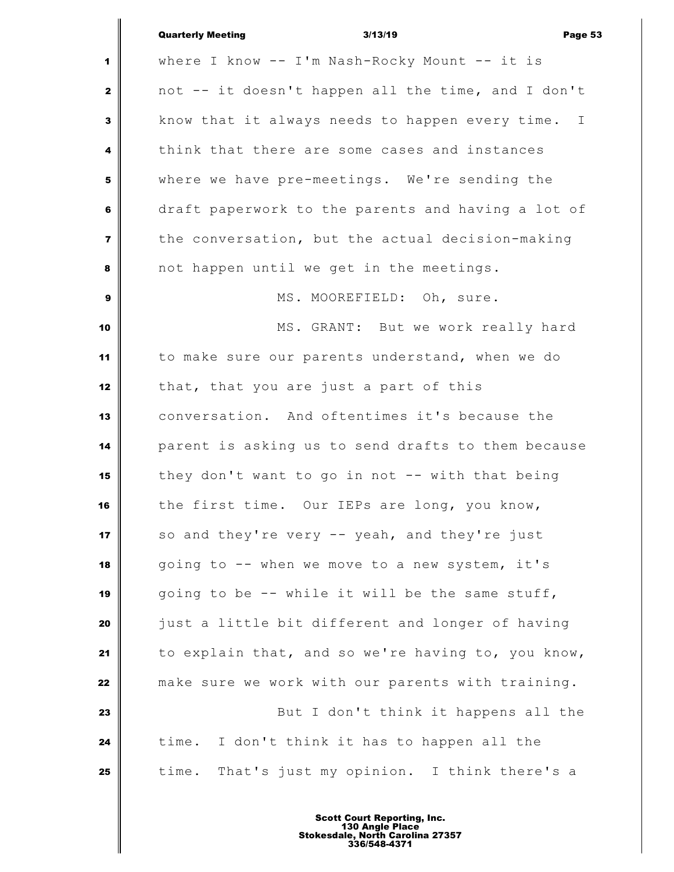|                | <b>Quarterly Meeting</b><br>3/13/19<br>Page 53     |
|----------------|----------------------------------------------------|
| 1              | where I know -- I'm Nash-Rocky Mount -- it is      |
| $\mathbf{2}$   | not -- it doesn't happen all the time, and I don't |
| 3              | know that it always needs to happen every time. I  |
| 4              | think that there are some cases and instances      |
| 5              | where we have pre-meetings. We're sending the      |
| 6              | draft paperwork to the parents and having a lot of |
| $\overline{7}$ | the conversation, but the actual decision-making   |
| 8              | not happen until we get in the meetings.           |
| 9              | MS. MOOREFIELD: Oh, sure.                          |
| 10             | MS. GRANT: But we work really hard                 |
| 11             | to make sure our parents understand, when we do    |
| 12             | that, that you are just a part of this             |
| 13             | conversation. And oftentimes it's because the      |
| 14             | parent is asking us to send drafts to them because |
| 15             | they don't want to go in not -- with that being    |
| 16             | the first time. Our IEPs are long, you know,       |
| 17             | so and they're very -- yeah, and they're just      |
| 18             | going to -- when we move to a new system, it's     |
| 19             | going to be -- while it will be the same stuff,    |
| 20             | just a little bit different and longer of having   |
| 21             | to explain that, and so we're having to, you know, |
| 22             | make sure we work with our parents with training.  |
| 23             | But I don't think it happens all the               |
| 24             | time. I don't think it has to happen all the       |
| 25             | That's just my opinion. I think there's a<br>time. |
|                |                                                    |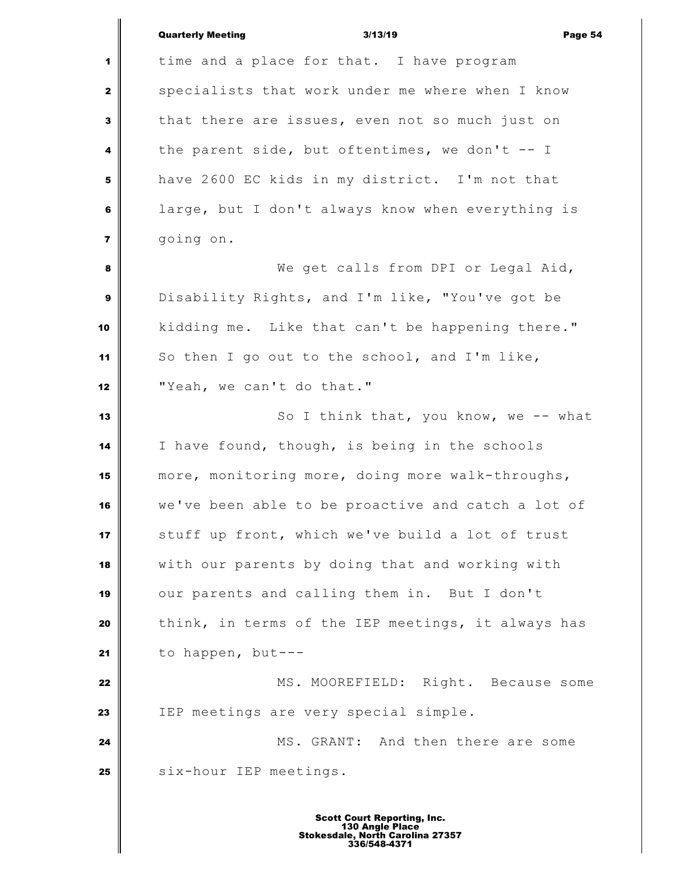|                         | <b>Quarterly Meeting</b><br>3/13/19<br>Page 54     |
|-------------------------|----------------------------------------------------|
| 1                       | time and a place for that. I have program          |
| $\mathbf{2}$            | specialists that work under me where when I know   |
| 3                       | that there are issues, even not so much just on    |
| 4                       | the parent side, but oftentimes, we don't $-$ I    |
| 5                       | have 2600 EC kids in my district. I'm not that     |
| 6                       | large, but I don't always know when everything is  |
| $\overline{\mathbf{z}}$ | going on.                                          |
| 8                       | We get calls from DPI or Legal Aid,                |
| $\boldsymbol{9}$        | Disability Rights, and I'm like, "You've got be    |
| 10                      | kidding me. Like that can't be happening there."   |
| 11                      | So then I go out to the school, and I'm like,      |
| 12                      | "Yeah, we can't do that."                          |
| 13                      | So I think that, you know, we -- what              |
| 14                      | I have found, though, is being in the schools      |
| 15                      | more, monitoring more, doing more walk-throughs,   |
| 16                      | we've been able to be proactive and catch a lot of |
| 17                      | stuff up front, which we've build a lot of trust   |
| 18                      | with our parents by doing that and working with    |
| 19                      | our parents and calling them in. But I don't       |
| 20                      | think, in terms of the IEP meetings, it always has |
| 21                      | to happen, but---                                  |
| 22                      | MS. MOOREFIELD: Right. Because some                |
| 23                      | IEP meetings are very special simple.              |
| 24                      | MS. GRANT: And then there are some                 |
| 25                      | six-hour IEP meetings.                             |
|                         | 4 Danavii                                          |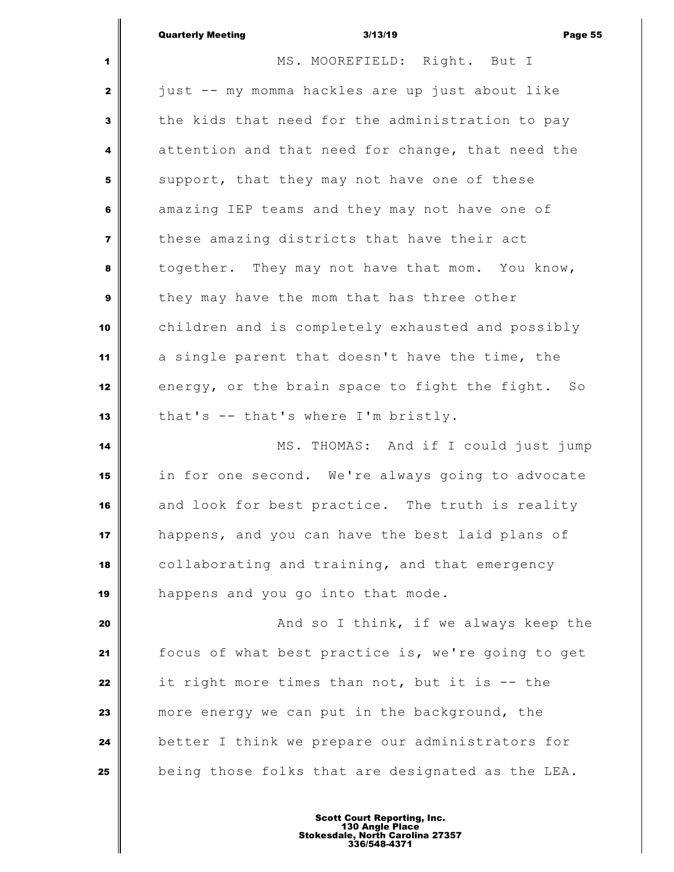|                         | <b>Quarterly Meeting</b><br>3/13/19<br>Page 55     |
|-------------------------|----------------------------------------------------|
| 1                       | MS. MOOREFIELD: Right. But I                       |
| 2                       | just -- my momma hackles are up just about like    |
| 3                       | the kids that need for the administration to pay   |
| 4                       | attention and that need for change, that need the  |
| 5                       | support, that they may not have one of these       |
| 6                       | amazing IEP teams and they may not have one of     |
| $\overline{\mathbf{z}}$ | these amazing districts that have their act        |
| 8                       | together. They may not have that mom. You know,    |
| 9                       | they may have the mom that has three other         |
| 10                      | children and is completely exhausted and possibly  |
| 11                      | a single parent that doesn't have the time, the    |
| 12                      | energy, or the brain space to fight the fight. So  |
| 13                      | that's -- that's where I'm bristly.                |
| 14                      | MS. THOMAS: And if I could just jump               |
| 15                      | in for one second. We're always going to advocate  |
| 16                      | and look for best practice. The truth is reality   |
| 17                      | happens, and you can have the best laid plans of   |
| 18                      | collaborating and training, and that emergency     |
| 19                      | happens and you go into that mode.                 |
| 20                      | And so I think, if we always keep the              |
| 21                      | focus of what best practice is, we're going to get |
| 22                      | it right more times than not, but it is -- the     |
| 23                      | more energy we can put in the background, the      |
| 24                      | better I think we prepare our administrators for   |
| 25                      | being those folks that are designated as the LEA.  |
|                         | 4 Danaviin                                         |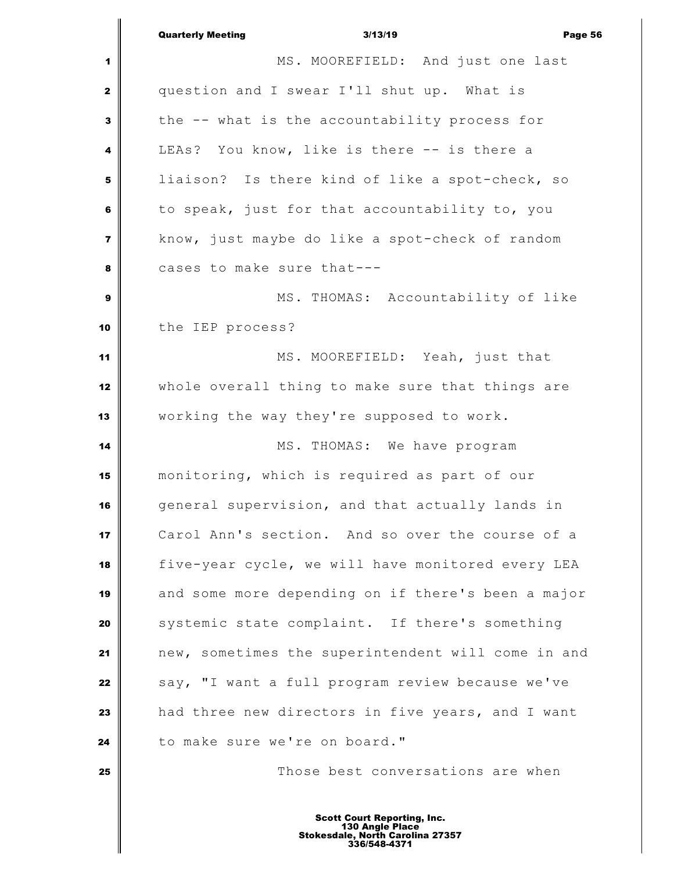|                         | <b>Quarterly Meeting</b><br>3/13/19<br>Page 56                                                            |
|-------------------------|-----------------------------------------------------------------------------------------------------------|
| 1                       | MS. MOOREFIELD: And just one last                                                                         |
| $\mathbf{2}$            | question and I swear I'll shut up. What is                                                                |
| 3                       | the -- what is the accountability process for                                                             |
| 4                       | LEAs? You know, like is there -- is there a                                                               |
| 5                       | liaison? Is there kind of like a spot-check, so                                                           |
| 6                       | to speak, just for that accountability to, you                                                            |
| $\overline{\mathbf{z}}$ | know, just maybe do like a spot-check of random                                                           |
| 8                       | cases to make sure that---                                                                                |
| 9                       | MS. THOMAS: Accountability of like                                                                        |
| 10                      | the IEP process?                                                                                          |
| 11                      | MS. MOOREFIELD: Yeah, just that                                                                           |
| 12                      | whole overall thing to make sure that things are                                                          |
| 13                      | working the way they're supposed to work.                                                                 |
| 14                      | MS. THOMAS: We have program                                                                               |
| 15                      | monitoring, which is required as part of our                                                              |
| 16                      | general supervision, and that actually lands in                                                           |
| 17                      | Carol Ann's section. And so over the course of a                                                          |
| 18                      | five-year cycle, we will have monitored every LEA                                                         |
| 19                      | and some more depending on if there's been a major                                                        |
| 20                      | systemic state complaint. If there's something                                                            |
| 21                      | new, sometimes the superintendent will come in and                                                        |
| 22                      | say, "I want a full program review because we've                                                          |
| 23                      | had three new directors in five years, and I want                                                         |
| 24                      | to make sure we're on board."                                                                             |
| 25                      | Those best conversations are when                                                                         |
|                         | <b>Scott Court Reporting, Inc.</b><br>130 Angle Place<br>Stokesdale, North Carolina 27357<br>336/548-4371 |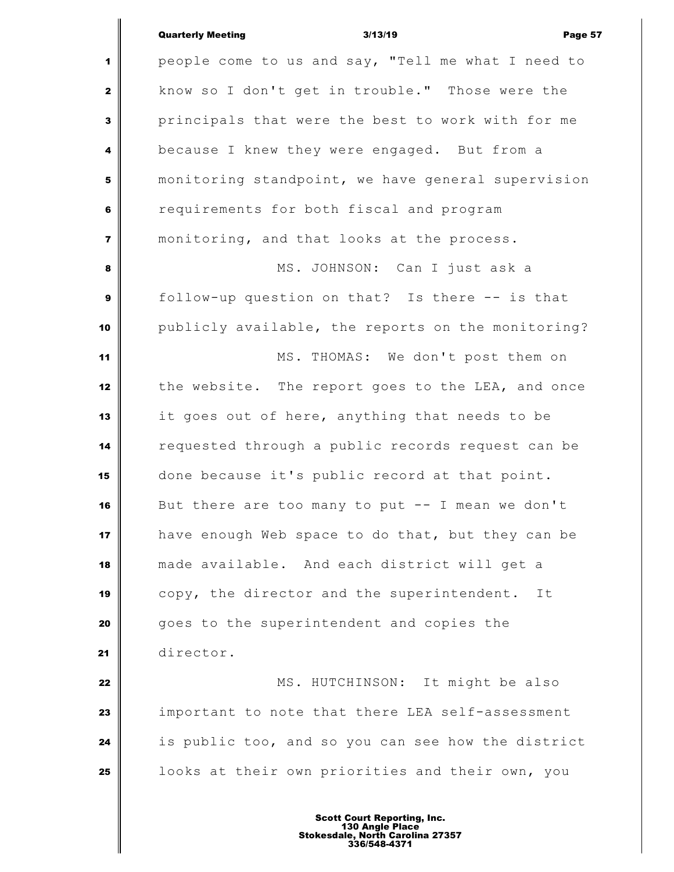## Quarterly Meeting 3/13/19 Page 57

 $\mathbb{I}$ 

| $\blacksquare$          | people come to us and say, "Tell me what I need to |
|-------------------------|----------------------------------------------------|
| $\mathbf{2}$            | know so I don't get in trouble." Those were the    |
| 3                       | principals that were the best to work with for me  |
| 4                       | because I knew they were engaged. But from a       |
| 5                       | monitoring standpoint, we have general supervision |
| 6                       | requirements for both fiscal and program           |
| $\overline{\mathbf{z}}$ | monitoring, and that looks at the process.         |
| 8                       | MS. JOHNSON: Can I just ask a                      |
| 9                       | follow-up question on that? Is there -- is that    |
| 10                      | publicly available, the reports on the monitoring? |
| 11                      | MS. THOMAS: We don't post them on                  |
| 12                      | the website. The report goes to the LEA, and once  |
| 13                      | it goes out of here, anything that needs to be     |
| 14                      | requested through a public records request can be  |
| 15                      | done because it's public record at that point.     |
| 16                      | But there are too many to put -- I mean we don't   |
| 17                      | have enough Web space to do that, but they can be  |
| 18                      | made available. And each district will get a       |
| 19                      | copy, the director and the superintendent.<br>It   |
| 20                      | goes to the superintendent and copies the          |
| 21                      | director.                                          |
| 22                      | MS. HUTCHINSON: It might be also                   |
| 23                      | important to note that there LEA self-assessment   |
| 24                      | is public too, and so you can see how the district |
| 25                      | looks at their own priorities and their own, you   |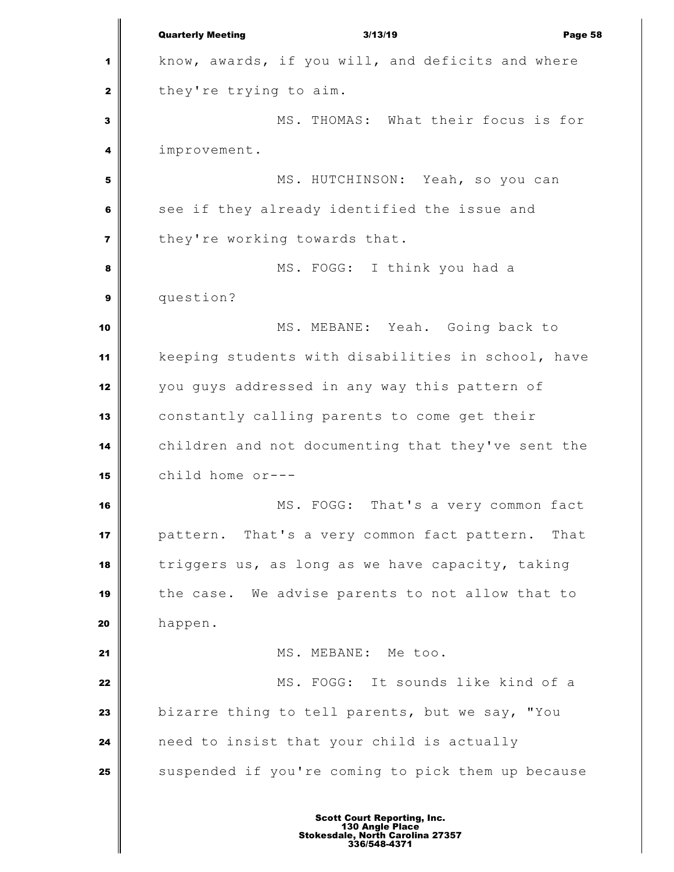Quarterly Meeting 3/13/19 Page 58 know, awards, if you will, and deficits and where they're trying to aim. MS. THOMAS: What their focus is for improvement. MS. HUTCHINSON: Yeah, so you can see if they already identified the issue and they're working towards that. **8** MS. FOGG: I think you had a question? MS. MEBANE: Yeah. Going back to keeping students with disabilities in school, have you guys addressed in any way this pattern of constantly calling parents to come get their children and not documenting that they've sent the child home or--- MS. FOGG: That's a very common fact pattern. That's a very common fact pattern. That triggers us, as long as we have capacity, taking the case. We advise parents to not allow that to happen. MS. MEBANE: Me too. MS. FOGG: It sounds like kind of a bizarre thing to tell parents, but we say, "You need to insist that your child is actually Suspended if you're coming to pick them up because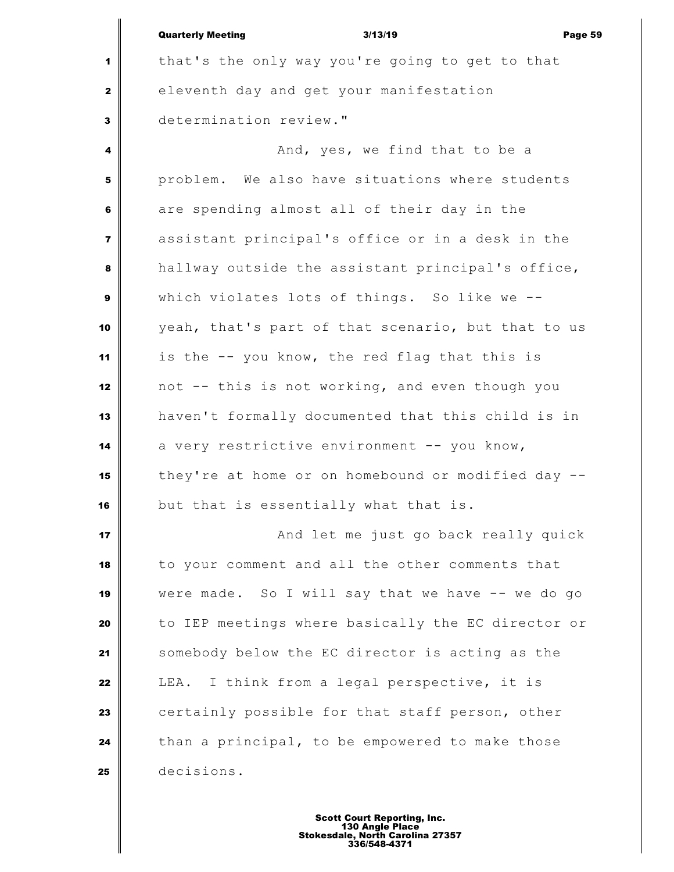|                | <b>Quarterly Meeting</b><br>3/13/19<br>Page 59     |
|----------------|----------------------------------------------------|
| 1              | that's the only way you're going to get to that    |
| $\mathbf{z}$   | eleventh day and get your manifestation            |
| 3              | determination review."                             |
| 4              | And, yes, we find that to be a                     |
| 5              | problem. We also have situations where students    |
| 6              | are spending almost all of their day in the        |
| $\overline{7}$ | assistant principal's office or in a desk in the   |
| 8              | hallway outside the assistant principal's office,  |
| 9              | which violates lots of things. So like we --       |
| 10             | yeah, that's part of that scenario, but that to us |
| 11             | is the -- you know, the red flag that this is      |
| 12             | not -- this is not working, and even though you    |
| 13             | haven't formally documented that this child is in  |
| 14             | a very restrictive environment -- you know,        |
| 15             | they're at home or on homebound or modified day -- |
| 16             | but that is essentially what that is.              |
| 17             | And let me just go back really quick               |
| 18             | to your comment and all the other comments that    |
| 19             | were made. So I will say that we have -- we do go  |
| 20             | to IEP meetings where basically the EC director or |
| 21             | somebody below the EC director is acting as the    |
| 22             | I think from a legal perspective, it is<br>LEA.    |
| 23             | certainly possible for that staff person, other    |
| 24             | than a principal, to be empowered to make those    |
| 25             | decisions.                                         |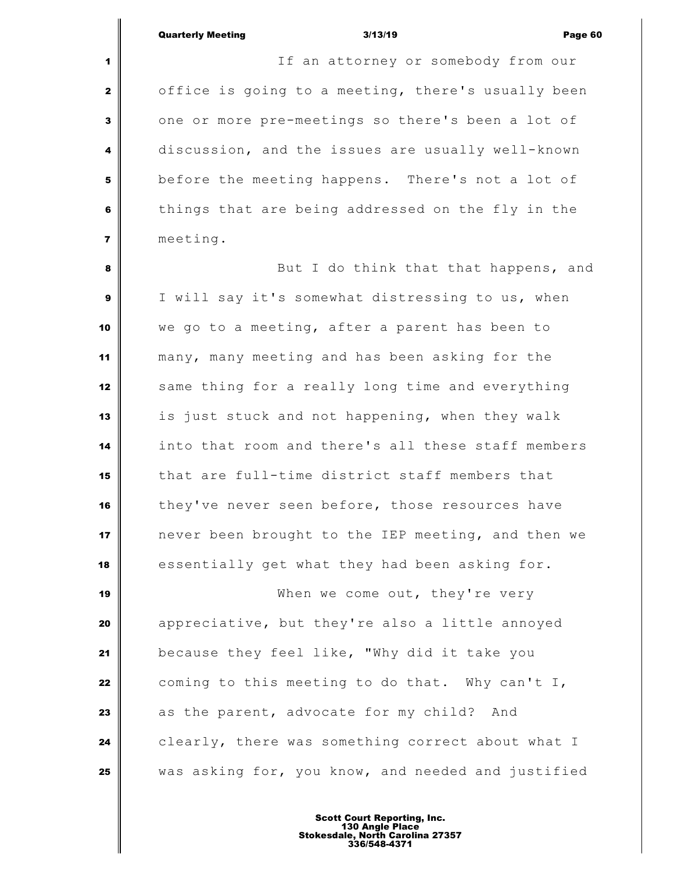$\parallel$ 

| $\mathbf{1}$   | If an attorney or somebody from our                |
|----------------|----------------------------------------------------|
| $\mathbf{2}$   | office is going to a meeting, there's usually been |
| $\mathbf{3}$   | one or more pre-meetings so there's been a lot of  |
| 4              | discussion, and the issues are usually well-known  |
| 5              | before the meeting happens. There's not a lot of   |
| 6              | things that are being addressed on the fly in the  |
| $\overline{7}$ | meeting.                                           |
| 8              | But I do think that that happens, and              |
| $\mathbf{9}$   | I will say it's somewhat distressing to us, when   |
| 10             | we go to a meeting, after a parent has been to     |
| 11             | many, many meeting and has been asking for the     |
| 12             | same thing for a really long time and everything   |
| 13             | is just stuck and not happening, when they walk    |
| 14             | into that room and there's all these staff members |
| 15             | that are full-time district staff members that     |
| 16             | they've never seen before, those resources have    |
| 17             | never been brought to the IEP meeting, and then we |
| 18             | essentially get what they had been asking for.     |
| 19             | When we come out, they're very                     |
| 20             | appreciative, but they're also a little annoyed    |
| 21             | because they feel like, "Why did it take you       |
| 22             | coming to this meeting to do that. Why can't I,    |
| 23             | as the parent, advocate for my child? And          |
| 24             | clearly, there was something correct about what I  |
| 25             | was asking for, you know, and needed and justified |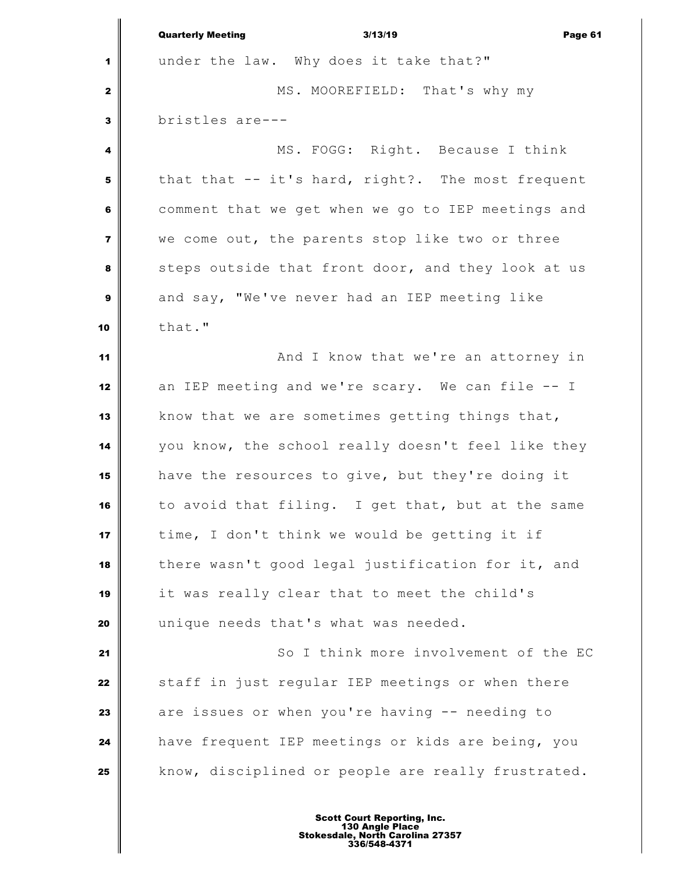|                         | <b>Quarterly Meeting</b><br>3/13/19<br>Page 61     |
|-------------------------|----------------------------------------------------|
| 1                       | under the law. Why does it take that?"             |
| $\mathbf{2}$            | MS. MOOREFIELD: That's why my                      |
| $\mathbf{3}$            | bristles are---                                    |
| 4                       | MS. FOGG: Right. Because I think                   |
| 5                       | that that -- it's hard, right?. The most frequent  |
| 6                       | comment that we get when we go to IEP meetings and |
| $\overline{\mathbf{z}}$ | we come out, the parents stop like two or three    |
| 8                       | steps outside that front door, and they look at us |
| $\boldsymbol{9}$        | and say, "We've never had an IEP meeting like      |
| 10                      | that."                                             |
| 11                      | And I know that we're an attorney in               |
| 12                      | an IEP meeting and we're scary. We can file -- I   |
| 13                      | know that we are sometimes getting things that,    |
| 14                      | you know, the school really doesn't feel like they |
| 15                      | have the resources to give, but they're doing it   |
| 16                      | to avoid that filing. I get that, but at the same  |
| 17                      | time, I don't think we would be getting it if      |
| 18                      | there wasn't good legal justification for it, and  |
| 19                      | it was really clear that to meet the child's       |
| 20                      | unique needs that's what was needed.               |
| 21                      | So I think more involvement of the EC              |
| 22                      | staff in just regular IEP meetings or when there   |
| 23                      | are issues or when you're having -- needing to     |
| 24                      | have frequent IEP meetings or kids are being, you  |
| 25                      | know, disciplined or people are really frustrated. |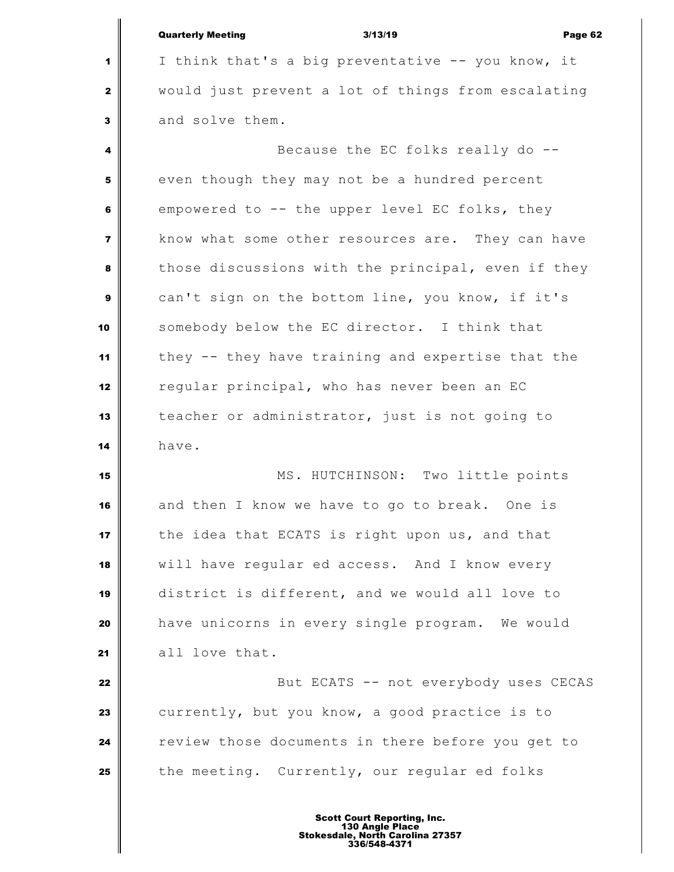| <b>Quarterly Meeting</b> | 3/13/19 | Page 62 |
|--------------------------|---------|---------|
|                          |         |         |

 I think that's a big preventative -- you know, it would just prevent a lot of things from escalating and solve them.

 Because the EC folks really do -- even though they may not be a hundred percent empowered to -- the upper level EC folks, they know what some other resources are. They can have those discussions with the principal, even if they can't sign on the bottom line, you know, if it's somebody below the EC director. I think that they -- they have training and expertise that the regular principal, who has never been an EC teacher or administrator, just is not going to have.

 MS. HUTCHINSON: Two little points and then I know we have to go to break. One is the idea that ECATS is right upon us, and that will have regular ed access. And I know every district is different, and we would all love to have unicorns in every single program. We would 21 all love that.

 But ECATS -- not everybody uses CECAS currently, but you know, a good practice is to review those documents in there before you get to the meeting. Currently, our regular ed folks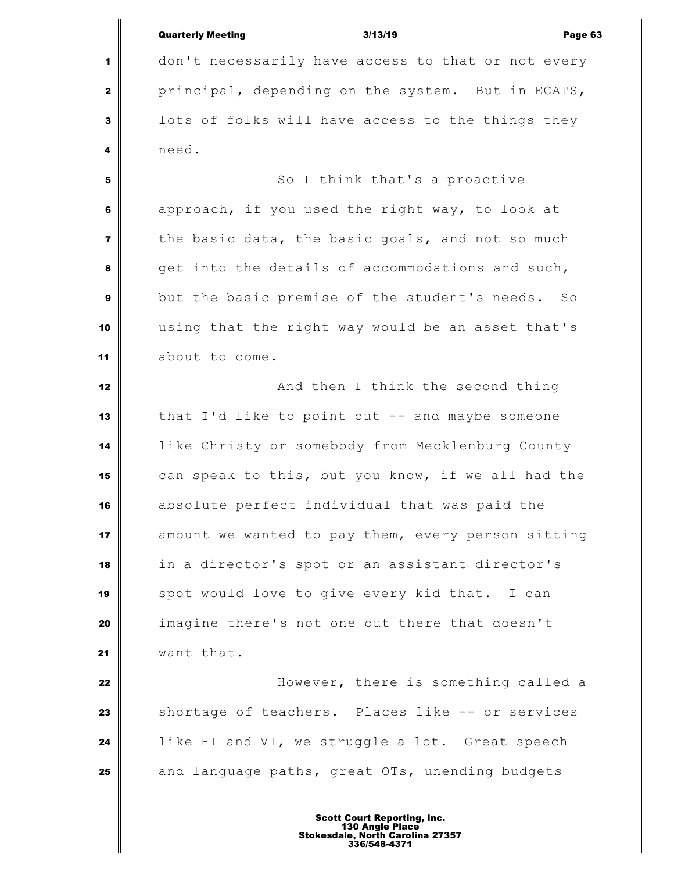Quarterly Meeting 3/13/19 Page 63 don't necessarily have access to that or not every principal, depending on the system. But in ECATS, lots of folks will have access to the things they need. So I think that's a proactive approach, if you used the right way, to look at the basic data, the basic goals, and not so much get into the details of accommodations and such, but the basic premise of the student's needs. So using that the right way would be an asset that's about to come. **And then I think the second thing**  that I'd like to point out -- and maybe someone like Christy or somebody from Mecklenburg County can speak to this, but you know, if we all had the absolute perfect individual that was paid the amount we wanted to pay them, every person sitting in a director's spot or an assistant director's 19 | spot would love to give every kid that. I can imagine there's not one out there that doesn't want that. | **19.19 IDENG** However, there is something called a Shortage of teachers. Places like -- or services like HI and VI, we struggle a lot. Great speech and language paths, great OTs, unending budgets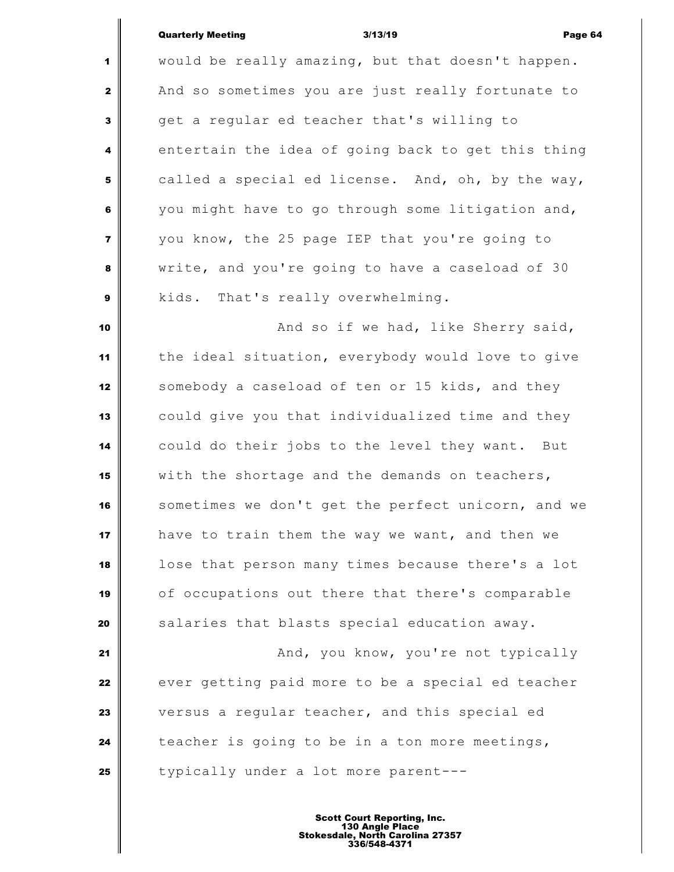## Quarterly Meeting 3/13/19 Page 64

 would be really amazing, but that doesn't happen. And so sometimes you are just really fortunate to get a regular ed teacher that's willing to entertain the idea of going back to get this thing called a special ed license. And, oh, by the way, you might have to go through some litigation and, you know, the 25 page IEP that you're going to write, and you're going to have a caseload of 30 kids. That's really overwhelming. **And so if we had, like Sherry said,** the **had**  the ideal situation, everybody would love to give somebody a caseload of ten or 15 kids, and they could give you that individualized time and they could do their jobs to the level they want. But with the shortage and the demands on teachers, sometimes we don't get the perfect unicorn, and we have to train them the way we want, and then we lose that person many times because there's a lot of occupations out there that there's comparable Salaries that blasts special education away. **And, you know, you're not typically**  ever getting paid more to be a special ed teacher versus a regular teacher, and this special ed teacher is going to be in a ton more meetings, typically under a lot more parent---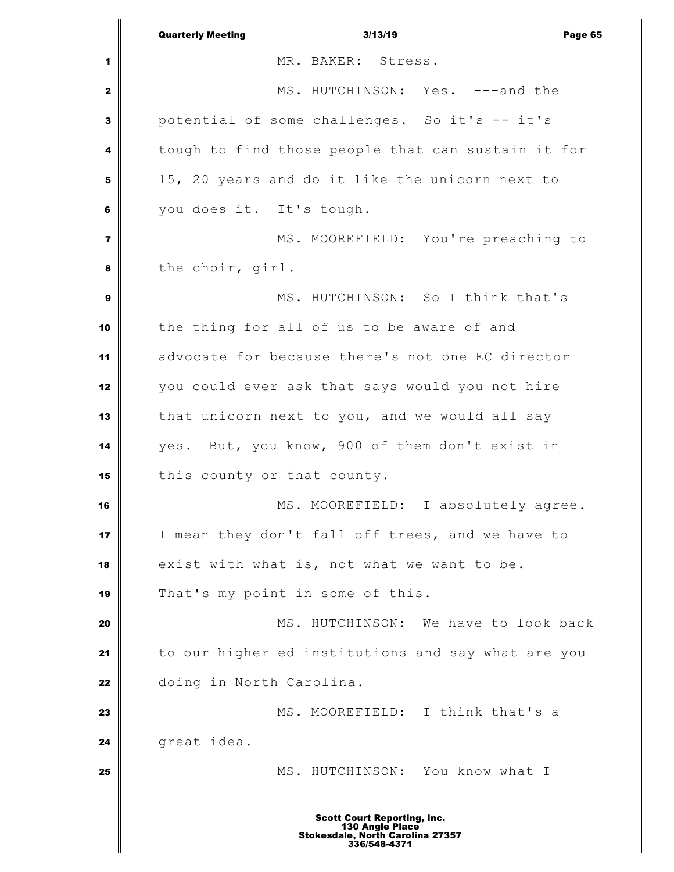|                         | <b>Quarterly Meeting</b><br>3/13/19<br>Page 65                                                                   |
|-------------------------|------------------------------------------------------------------------------------------------------------------|
| 1                       | MR. BAKER: Stress.                                                                                               |
| $\mathbf{2}$            | MS. HUTCHINSON: Yes. ---and the                                                                                  |
| 3                       | potential of some challenges. So it's -- it's                                                                    |
| 4                       | tough to find those people that can sustain it for                                                               |
| 5                       | 15, 20 years and do it like the unicorn next to                                                                  |
| 6                       | you does it. It's tough.                                                                                         |
| $\overline{\mathbf{z}}$ | MS. MOOREFIELD: You're preaching to                                                                              |
| 8                       | the choir, girl.                                                                                                 |
| 9                       | MS. HUTCHINSON: So I think that's                                                                                |
| 10                      | the thing for all of us to be aware of and                                                                       |
| 11                      | advocate for because there's not one EC director                                                                 |
| 12                      | you could ever ask that says would you not hire                                                                  |
| 13                      | that unicorn next to you, and we would all say                                                                   |
| 14                      | yes. But, you know, 900 of them don't exist in                                                                   |
| 15                      | this county or that county.                                                                                      |
| 16                      | MS. MOOREFIELD: I absolutely agree.                                                                              |
| 17                      | I mean they don't fall off trees, and we have to                                                                 |
| 18                      | exist with what is, not what we want to be.                                                                      |
| 19                      | That's my point in some of this.                                                                                 |
| 20                      | MS. HUTCHINSON: We have to look back                                                                             |
| 21                      | to our higher ed institutions and say what are you                                                               |
| 22                      | doing in North Carolina.                                                                                         |
| 23                      | MS. MOOREFIELD: I think that's a                                                                                 |
| 24                      | great idea.                                                                                                      |
| 25                      | MS. HUTCHINSON: You know what I                                                                                  |
|                         |                                                                                                                  |
|                         | <b>Scott Court Reporting, Inc.</b><br>130 Angle Place<br><b>Stokesdale, North Carolina 27357</b><br>336/548-4371 |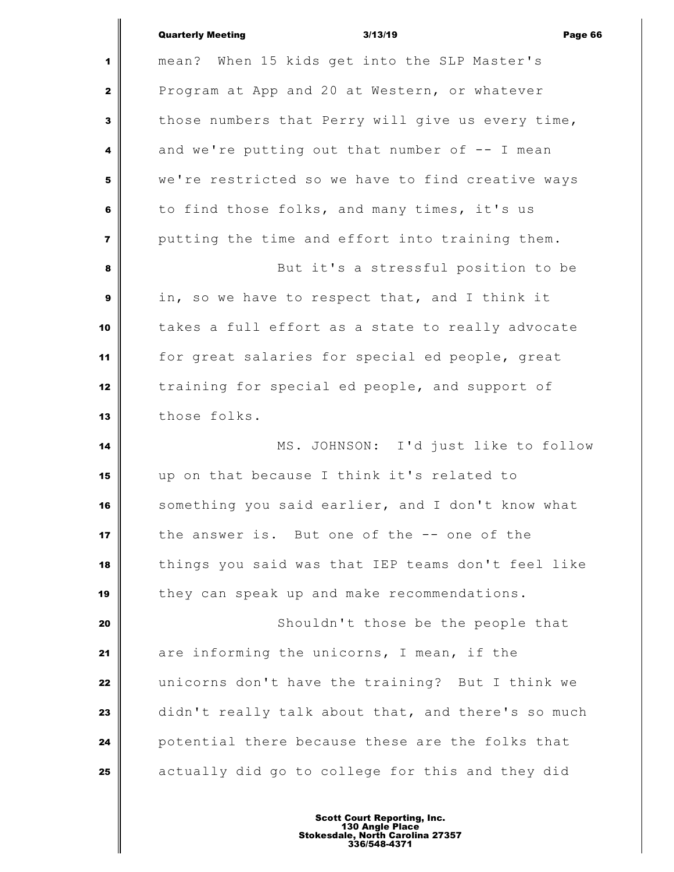|              | <b>Quarterly Meeting</b><br>3/13/19<br>Page 66     |
|--------------|----------------------------------------------------|
| 1            | mean? When 15 kids get into the SLP Master's       |
| $\mathbf{z}$ | Program at App and 20 at Western, or whatever      |
| 3            | those numbers that Perry will give us every time,  |
| 4            | and we're putting out that number of -- I mean     |
| 5            | we're restricted so we have to find creative ways  |
| 6            | to find those folks, and many times, it's us       |
| 7            | putting the time and effort into training them.    |
| 8            | But it's a stressful position to be                |
| 9            | in, so we have to respect that, and I think it     |
| 10           | takes a full effort as a state to really advocate  |
| 11           | for great salaries for special ed people, great    |
| 12           | training for special ed people, and support of     |
| 13           | those folks.                                       |
| 14           | MS. JOHNSON: I'd just like to follow               |
| 15           | up on that because I think it's related to         |
| 16           | something you said earlier, and I don't know what  |
| 17           | the answer is. But one of the -- one of the        |
| 18           | things you said was that IEP teams don't feel like |
| 19           | they can speak up and make recommendations.        |
| 20           | Shouldn't those be the people that                 |
| 21           | are informing the unicorns, I mean, if the         |
| 22           | unicorns don't have the training? But I think we   |
| 23           | didn't really talk about that, and there's so much |
| 24           | potential there because these are the folks that   |
| 25           | actually did go to college for this and they did   |
|              |                                                    |

Ш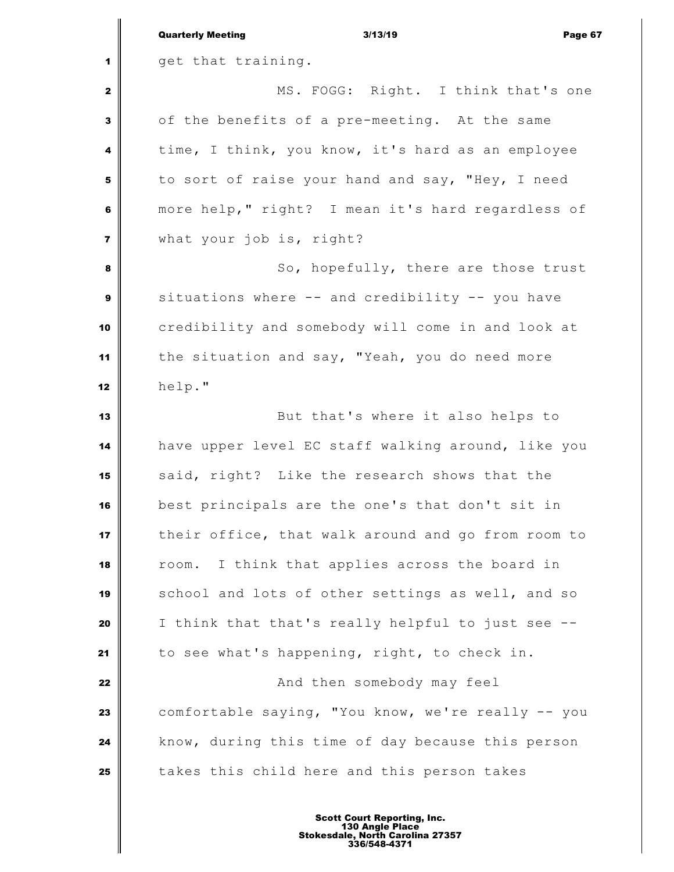|                         | <b>Quarterly Meeting</b><br>3/13/19<br>Page 67     |
|-------------------------|----------------------------------------------------|
| 1                       | get that training.                                 |
| $\mathbf{2}$            | MS. FOGG: Right. I think that's one                |
| 3                       | of the benefits of a pre-meeting. At the same      |
| 4                       | time, I think, you know, it's hard as an employee  |
| 5                       | to sort of raise your hand and say, "Hey, I need   |
| 6                       | more help," right? I mean it's hard regardless of  |
| $\overline{\mathbf{z}}$ | what your job is, right?                           |
| 8                       | So, hopefully, there are those trust               |
| 9                       | situations where -- and credibility -- you have    |
| 10                      | credibility and somebody will come in and look at  |
| 11                      | the situation and say, "Yeah, you do need more     |
| 12                      | help."                                             |
| 13                      | But that's where it also helps to                  |
| 14                      | have upper level EC staff walking around, like you |
| 15                      | said, right? Like the research shows that the      |
| 16                      | best principals are the one's that don't sit in    |
| 17                      | their office, that walk around and go from room to |
| 18                      | I think that applies across the board in<br>room.  |
| 19                      | school and lots of other settings as well, and so  |
| 20                      | I think that that's really helpful to just see --  |
| 21                      | to see what's happening, right, to check in.       |
| 22                      | And then somebody may feel                         |
| 23                      | comfortable saying, "You know, we're really -- you |
| 24                      | know, during this time of day because this person  |
| 25                      | takes this child here and this person takes        |
|                         |                                                    |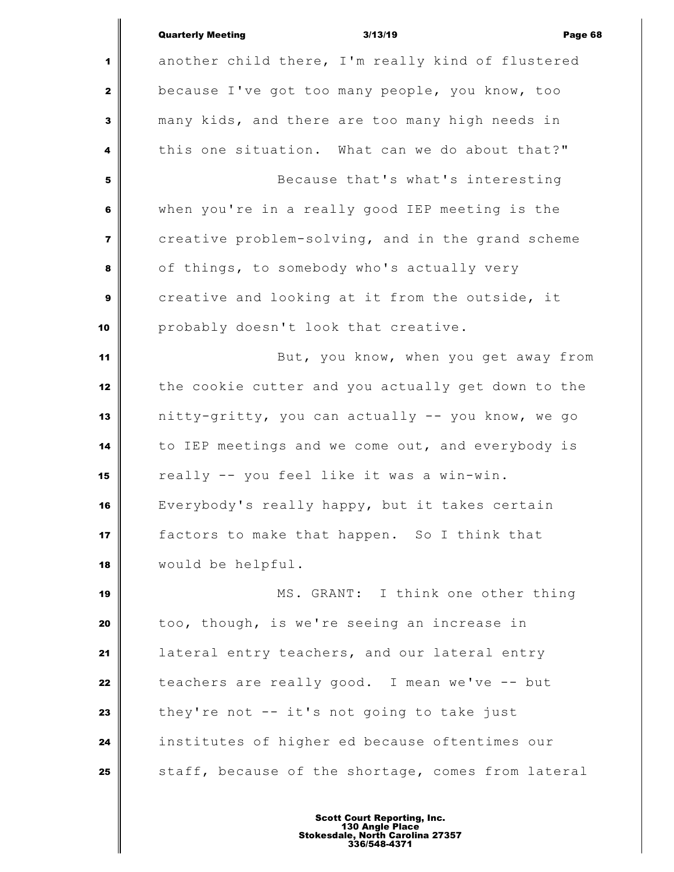|                         | <b>Quarterly Meeting</b><br>3/13/19<br>Page 68     |
|-------------------------|----------------------------------------------------|
| 1                       | another child there, I'm really kind of flustered  |
| $\mathbf{z}$            | because I've got too many people, you know, too    |
| 3                       | many kids, and there are too many high needs in    |
| 4                       | this one situation. What can we do about that?"    |
| 5                       | Because that's what's interesting                  |
| 6                       | when you're in a really good IEP meeting is the    |
| $\overline{\mathbf{z}}$ | creative problem-solving, and in the grand scheme  |
| 8                       | of things, to somebody who's actually very         |
| $\boldsymbol{9}$        | creative and looking at it from the outside, it    |
| 10                      | probably doesn't look that creative.               |
| 11                      | But, you know, when you get away from              |
| 12                      | the cookie cutter and you actually get down to the |
| 13                      | nitty-gritty, you can actually -- you know, we go  |
| 14                      | to IEP meetings and we come out, and everybody is  |
| 15                      | really -- you feel like it was a win-win.          |
| 16                      | Everybody's really happy, but it takes certain     |
| 17                      | factors to make that happen. So I think that       |
| 18                      | would be helpful.                                  |
| 19                      | MS. GRANT: I think one other thing                 |
| 20                      | too, though, is we're seeing an increase in        |
| 21                      | lateral entry teachers, and our lateral entry      |
| 22                      | teachers are really good. I mean we've -- but      |
| 23                      | they're not -- it's not going to take just         |
| 24                      | institutes of higher ed because oftentimes our     |
| 25                      | staff, because of the shortage, comes from lateral |
|                         |                                                    |

∥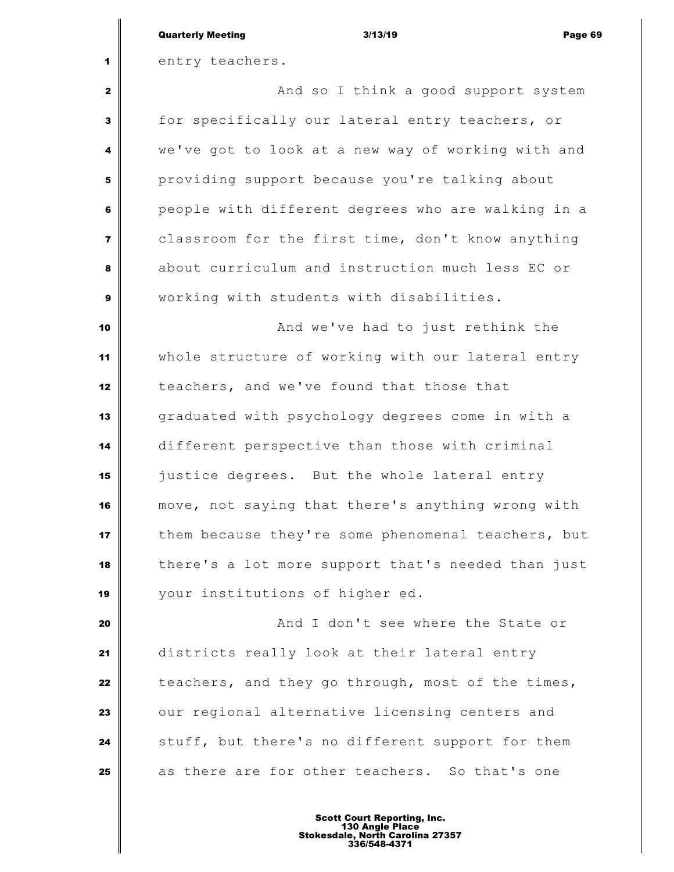| <b>Quarterly Meeting</b> | 3/13/19 | Page 69 |
|--------------------------|---------|---------|
|                          |         |         |

entry teachers.

 And so I think a good support system for specifically our lateral entry teachers, or we've got to look at a new way of working with and providing support because you're talking about people with different degrees who are walking in a classroom for the first time, don't know anything about curriculum and instruction much less EC or working with students with disabilities.

 **And we've had to just rethink the**  whole structure of working with our lateral entry teachers, and we've found that those that graduated with psychology degrees come in with a different perspective than those with criminal justice degrees. But the whole lateral entry move, not saying that there's anything wrong with them because they're some phenomenal teachers, but there's a lot more support that's needed than just your institutions of higher ed.

 **And I don't see where the State or**  districts really look at their lateral entry teachers, and they go through, most of the times, our regional alternative licensing centers and stuff, but there's no different support for them as there are for other teachers. So that's one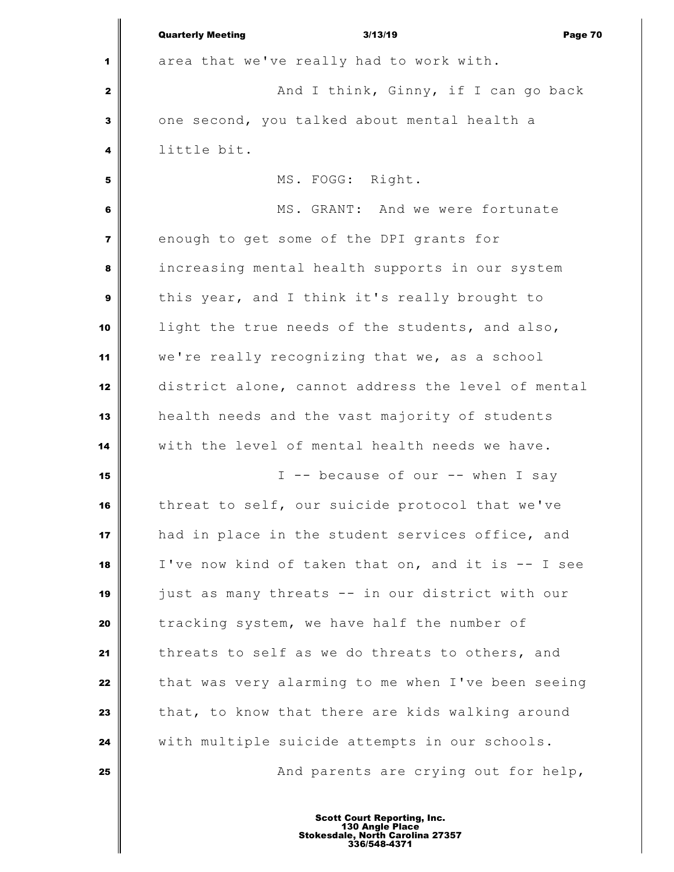|                         | <b>Quarterly Meeting</b><br>3/13/19<br>Page 70     |
|-------------------------|----------------------------------------------------|
| 1                       | area that we've really had to work with.           |
| $\mathbf{2}$            | And I think, Ginny, if I can go back               |
| $\mathbf{3}$            | one second, you talked about mental health a       |
| 4                       | little bit.                                        |
| 5                       | MS. FOGG: Right.                                   |
| 6                       | MS. GRANT: And we were fortunate                   |
| $\overline{\mathbf{z}}$ | enough to get some of the DPI grants for           |
| 8                       | increasing mental health supports in our system    |
| $\boldsymbol{9}$        | this year, and I think it's really brought to      |
| 10                      | light the true needs of the students, and also,    |
| 11                      | we're really recognizing that we, as a school      |
| 12                      | district alone, cannot address the level of mental |
| 13                      | health needs and the vast majority of students     |
| 14                      | with the level of mental health needs we have.     |
| 15                      | I -- because of our -- when I say                  |
| 16                      | threat to self, our suicide protocol that we've    |
| 17                      | had in place in the student services office, and   |
| 18                      | I've now kind of taken that on, and it is -- I see |
| 19                      | just as many threats -- in our district with our   |
| 20                      | tracking system, we have half the number of        |
| 21                      | threats to self as we do threats to others, and    |
| 22                      | that was very alarming to me when I've been seeing |
| 23                      | that, to know that there are kids walking around   |
| 24                      | with multiple suicide attempts in our schools.     |
| 25                      | And parents are crying out for help,               |
|                         |                                                    |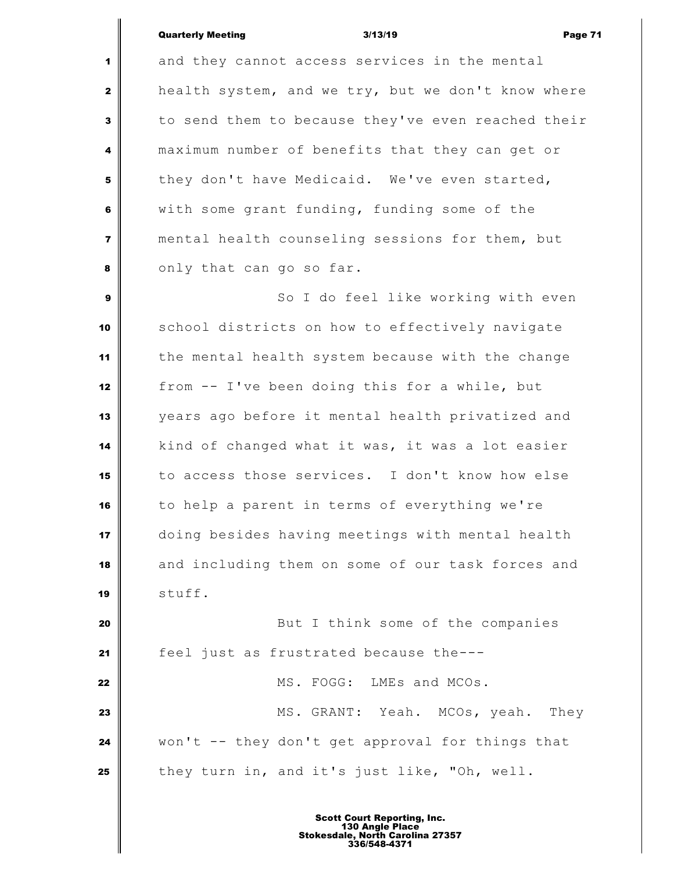Quarterly Meeting and the Suite of the Suite 3/13/19 and the Suite of the Page 71

 $\mathsf I$ 

| $\mathbf{1}$            | and they cannot access services in the mental      |
|-------------------------|----------------------------------------------------|
| $\mathbf{2}$            | health system, and we try, but we don't know where |
| $\mathbf{3}$            | to send them to because they've even reached their |
| 4                       | maximum number of benefits that they can get or    |
| 5                       | they don't have Medicaid. We've even started,      |
| $\bf 6$                 | with some grant funding, funding some of the       |
| $\overline{\mathbf{z}}$ | mental health counseling sessions for them, but    |
| 8                       | only that can go so far.                           |
| $\boldsymbol{9}$        | So I do feel like working with even                |
| 10                      | school districts on how to effectively navigate    |
| 11                      | the mental health system because with the change   |
| 12                      | from -- I've been doing this for a while, but      |
| 13                      | years ago before it mental health privatized and   |
| 14                      | kind of changed what it was, it was a lot easier   |
| 15                      | to access those services. I don't know how else    |
| 16                      | to help a parent in terms of everything we're      |
| 17                      | doing besides having meetings with mental health   |
| 18                      | and including them on some of our task forces and  |
| 19                      | stuff.                                             |
| 20                      | But I think some of the companies                  |
| 21                      | feel just as frustrated because the---             |
| 22                      | MS. FOGG: LMEs and MCOs.                           |
| 23                      | MS. GRANT: Yeah. MCOs, yeah. They                  |
| 24                      | won't -- they don't get approval for things that   |
| 25                      | they turn in, and it's just like, "Oh, well.       |
|                         |                                                    |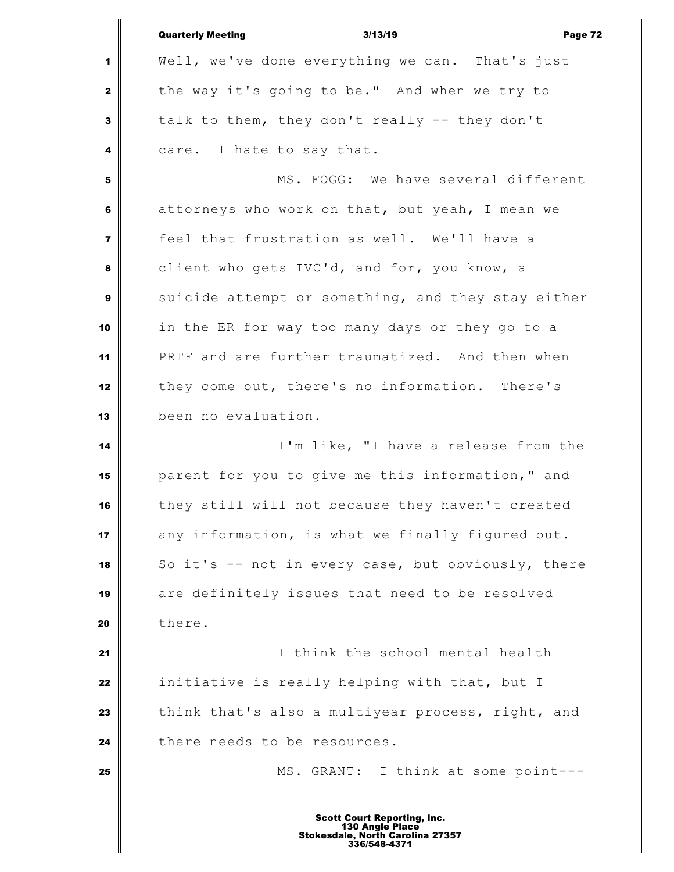|                         | <b>Quarterly Meeting</b><br>3/13/19<br>Page 72     |
|-------------------------|----------------------------------------------------|
| 1                       | Well, we've done everything we can. That's just    |
| $\mathbf{2}$            | the way it's going to be." And when we try to      |
| 3                       | talk to them, they don't really -- they don't      |
| 4                       | care. I hate to say that.                          |
| 5                       | MS. FOGG: We have several different                |
| 6                       | attorneys who work on that, but yeah, I mean we    |
| $\overline{\mathbf{z}}$ | feel that frustration as well. We'll have a        |
| 8                       | client who gets IVC'd, and for, you know, a        |
| 9                       | suicide attempt or something, and they stay either |
| 10                      | in the ER for way too many days or they go to a    |
| 11                      | PRTF and are further traumatized. And then when    |
| 12                      | they come out, there's no information. There's     |
| 13                      | been no evaluation.                                |
| 14                      | I'm like, "I have a release from the               |
| 15                      | parent for you to give me this information," and   |
| 16                      | they still will not because they haven't created   |
| 17                      | any information, is what we finally figured out.   |
| 18                      | So it's -- not in every case, but obviously, there |
| 19                      | are definitely issues that need to be resolved     |
| 20                      | there.                                             |
| 21                      | I think the school mental health                   |
| 22                      | initiative is really helping with that, but I      |
| 23                      | think that's also a multiyear process, right, and  |
| 24                      | there needs to be resources.                       |
| 25                      | MS. GRANT: I think at some point---                |
|                         |                                                    |

I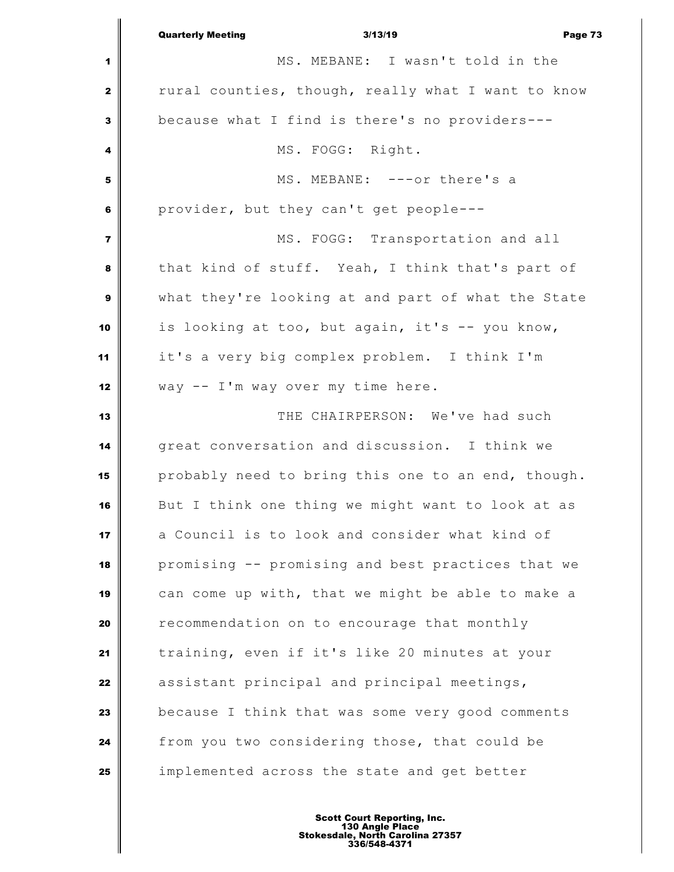|                         | 3/13/19<br><b>Quarterly Meeting</b>                | Page 73 |
|-------------------------|----------------------------------------------------|---------|
| 1                       | MS. MEBANE: I wasn't told in the                   |         |
| $\mathbf{2}$            | rural counties, though, really what I want to know |         |
| 3                       | because what I find is there's no providers---     |         |
| 4                       | MS. FOGG: Right.                                   |         |
| 5                       | MS. MEBANE: ---or there's a                        |         |
| 6                       | provider, but they can't get people---             |         |
| $\overline{\mathbf{z}}$ | MS. FOGG: Transportation and all                   |         |
| 8                       | that kind of stuff. Yeah, I think that's part of   |         |
| 9                       | what they're looking at and part of what the State |         |
| 10                      | is looking at too, but again, it's -- you know,    |         |
| 11                      | it's a very big complex problem. I think I'm       |         |
| 12                      | way -- I'm way over my time here.                  |         |
| 13                      | THE CHAIRPERSON: We've had such                    |         |
| 14                      | great conversation and discussion. I think we      |         |
| 15                      | probably need to bring this one to an end, though. |         |
| 16                      | But I think one thing we might want to look at as  |         |
| 17                      | a Council is to look and consider what kind of     |         |
| 18                      | promising -- promising and best practices that we  |         |
| 19                      | can come up with, that we might be able to make a  |         |
| 20                      | recommendation on to encourage that monthly        |         |
| 21                      | training, even if it's like 20 minutes at your     |         |
| 22                      | assistant principal and principal meetings,        |         |
| 23                      | because I think that was some very good comments   |         |
| 24                      | from you two considering those, that could be      |         |
| 25                      | implemented across the state and get better        |         |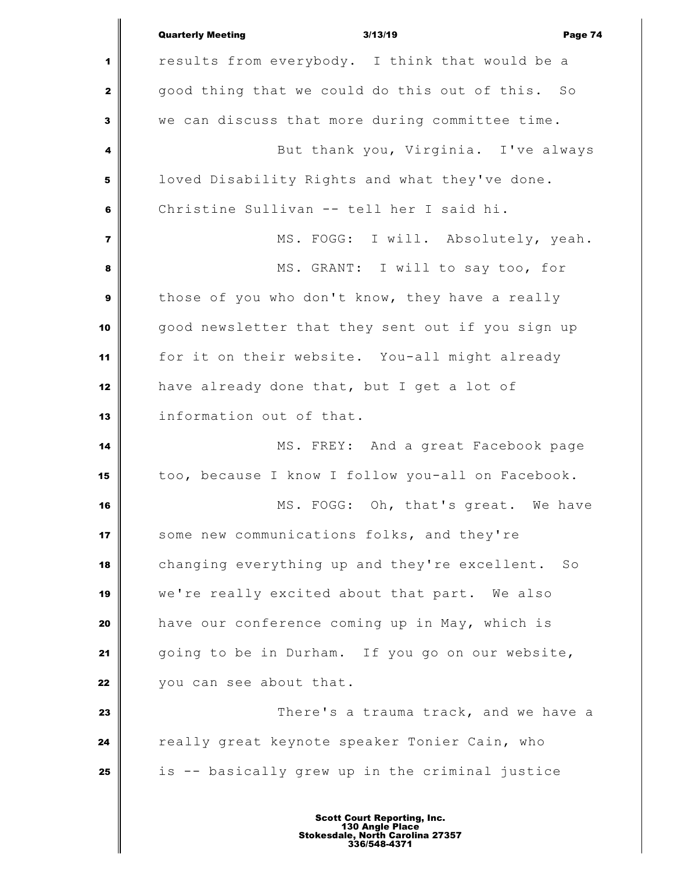|                  | <b>Quarterly Meeting</b><br>3/13/19<br>Page 74    |
|------------------|---------------------------------------------------|
| 1                | results from everybody. I think that would be a   |
| $\mathbf{2}$     | good thing that we could do this out of this. So  |
| $\mathbf{3}$     | we can discuss that more during committee time.   |
| 4                | But thank you, Virginia. I've always              |
| ${\bf 5}$        | loved Disability Rights and what they've done.    |
| 6                | Christine Sullivan -- tell her I said hi.         |
| $\overline{7}$   | MS. FOGG: I will. Absolutely, yeah.               |
| 8                | MS. GRANT: I will to say too, for                 |
| $\boldsymbol{9}$ | those of you who don't know, they have a really   |
| 10               | good newsletter that they sent out if you sign up |
| 11               | for it on their website. You-all might already    |
| 12               | have already done that, but I get a lot of        |
| 13               | information out of that.                          |
| 14               | MS. FREY: And a great Facebook page               |
| 15               | too, because I know I follow you-all on Facebook. |
| 16               | MS. FOGG: Oh, that's great. We have               |
| 17               | some new communications folks, and they're        |
| 18               | changing everything up and they're excellent. So  |
| 19               | we're really excited about that part. We also     |
| 20               | have our conference coming up in May, which is    |
| 21               | going to be in Durham. If you go on our website,  |
| 22               | you can see about that.                           |
| 23               | There's a trauma track, and we have a             |
| 24               | really great keynote speaker Tonier Cain, who     |
| 25               | is -- basically grew up in the criminal justice   |
|                  | <b>Scott Court Reporting, Inc.</b>                |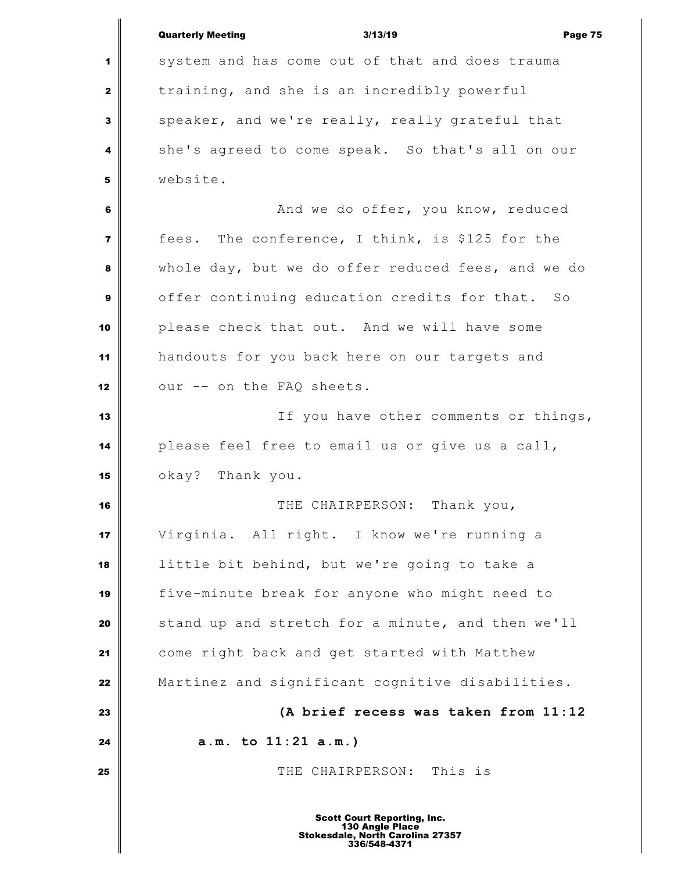|                         | <b>Quarterly Meeting</b><br>3/13/19<br>Page 75        |
|-------------------------|-------------------------------------------------------|
| 1                       | system and has come out of that and does trauma       |
| $\mathbf{2}$            | training, and she is an incredibly powerful           |
| $\mathbf{3}$            | speaker, and we're really, really grateful that       |
| 4                       | she's agreed to come speak. So that's all on our      |
| 5                       | website.                                              |
| 6                       | And we do offer, you know, reduced                    |
| $\overline{\mathbf{z}}$ | fees. The conference, I think, is \$125 for the       |
| 8                       | whole day, but we do offer reduced fees, and we do    |
| $\boldsymbol{9}$        | offer continuing education credits for that. So       |
| 10                      | please check that out. And we will have some          |
| 11                      | handouts for you back here on our targets and         |
| 12                      | our -- on the FAQ sheets.                             |
| 13                      | If you have other comments or things,                 |
| 14                      | please feel free to email us or give us a call,       |
| 15                      | okay? Thank you.                                      |
| 16                      | Thank you,<br>THE CHAIRPERSON:                        |
| 17                      | Virginia. All right. I know we're running a           |
| 18                      | little bit behind, but we're going to take a          |
| 19                      | five-minute break for anyone who might need to        |
| 20                      | stand up and stretch for a minute, and then we'll     |
| 21                      | come right back and get started with Matthew          |
| 22                      | Martinez and significant cognitive disabilities.      |
| 23                      | (A brief recess was taken from 11:12                  |
| 24                      | a.m. to 11:21 a.m.)                                   |
| 25                      | THE CHAIRPERSON: This is                              |
|                         |                                                       |
|                         | <b>Scott Court Reporting, Inc.</b><br>130 Angle Place |

I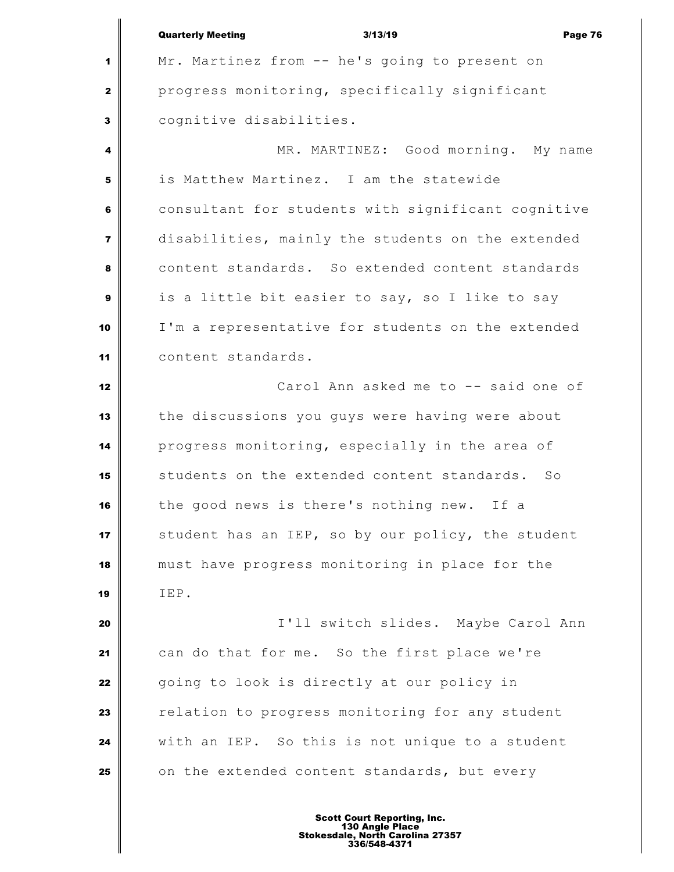|                | <b>Quarterly Meeting</b><br>3/13/19<br>Page 76     |
|----------------|----------------------------------------------------|
| 1              | Mr. Martinez from -- he's going to present on      |
| $\mathbf{2}$   | progress monitoring, specifically significant      |
| 3              | cognitive disabilities.                            |
| 4              | MR. MARTINEZ: Good morning. My name                |
| 5              | is Matthew Martinez. I am the statewide            |
| 6              | consultant for students with significant cognitive |
| $\overline{7}$ | disabilities, mainly the students on the extended  |
| 8              | content standards. So extended content standards   |
| 9              | is a little bit easier to say, so I like to say    |
| 10             | I'm a representative for students on the extended  |
| 11             | content standards.                                 |
| 12             | Carol Ann asked me to -- said one of               |
| 13             | the discussions you guys were having were about    |
| 14             | progress monitoring, especially in the area of     |
| 15             | students on the extended content standards. So     |
| 16             | the good news is there's nothing new. If a         |
| 17             | student has an IEP, so by our policy, the student  |
| 18             | must have progress monitoring in place for the     |
| 19             | IEP.                                               |
| 20             | I'll switch slides. Maybe Carol Ann                |
| 21             | can do that for me. So the first place we're       |
| 22             | going to look is directly at our policy in         |
| 23             | relation to progress monitoring for any student    |
| 24             | with an IEP. So this is not unique to a student    |
| 25             | on the extended content standards, but every       |
|                |                                                    |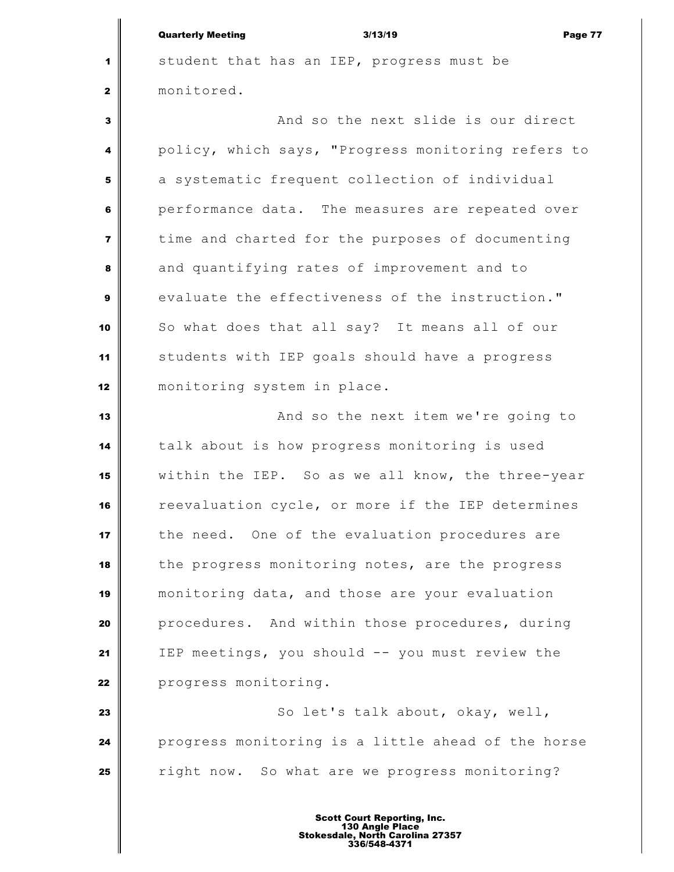student that has an IEP, progress must be monitored.

 And so the next slide is our direct policy, which says, "Progress monitoring refers to a systematic frequent collection of individual **performance data.** The measures are repeated over time and charted for the purposes of documenting and quantifying rates of improvement and to evaluate the effectiveness of the instruction." So what does that all say? It means all of our students with IEP goals should have a progress monitoring system in place.

 **And so the next item we're going to**  talk about is how progress monitoring is used within the IEP. So as we all know, the three-year reevaluation cycle, or more if the IEP determines the need. One of the evaluation procedures are the progress monitoring notes, are the progress monitoring data, and those are your evaluation procedures. And within those procedures, during IEP meetings, you should -- you must review the **progress monitoring.** 

 So let's talk about, okay, well, **progress monitoring is a little ahead of the horse** right now. So what are we progress monitoring?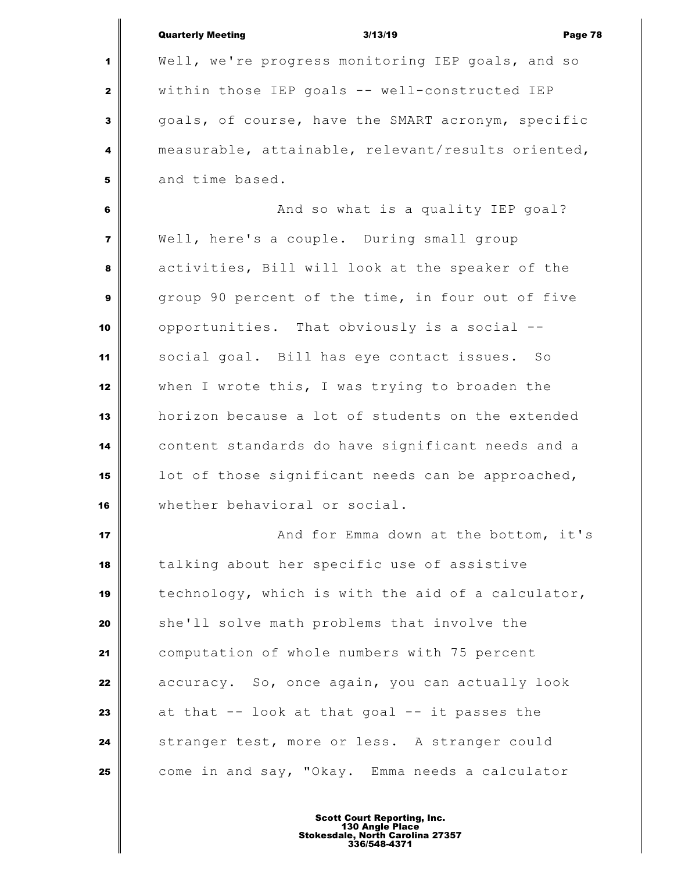|                | <b>Quarterly Meeting</b><br>3/13/19<br>Page 78     |
|----------------|----------------------------------------------------|
| 1              | Well, we're progress monitoring IEP goals, and so  |
| $\mathbf{2}$   | within those IEP goals -- well-constructed IEP     |
| 3              | goals, of course, have the SMART acronym, specific |
| 4              | measurable, attainable, relevant/results oriented, |
| 5              | and time based.                                    |
| 6              | And so what is a quality IEP goal?                 |
| $\overline{7}$ | Well, here's a couple. During small group          |
| 8              | activities, Bill will look at the speaker of the   |
| $\mathbf{9}$   | group 90 percent of the time, in four out of five  |
| 10             | opportunities. That obviously is a social --       |
| 11             | social goal. Bill has eye contact issues. So       |
| 12             | when I wrote this, I was trying to broaden the     |
| 13             | horizon because a lot of students on the extended  |
| 14             | content standards do have significant needs and a  |
| 15             | lot of those significant needs can be approached,  |
| 16             | whether behavioral or social.                      |
| 17             | And for Emma down at the bottom, it's              |
| 18             | talking about her specific use of assistive        |
| 19             | technology, which is with the aid of a calculator, |
| 20             | she'll solve math problems that involve the        |
| 21             | computation of whole numbers with 75 percent       |
| 22             | accuracy. So, once again, you can actually look    |
| 23             | at that $--$ look at that goal $--$ it passes the  |
| 24             | stranger test, more or less. A stranger could      |
| 25             | come in and say, "Okay. Emma needs a calculator    |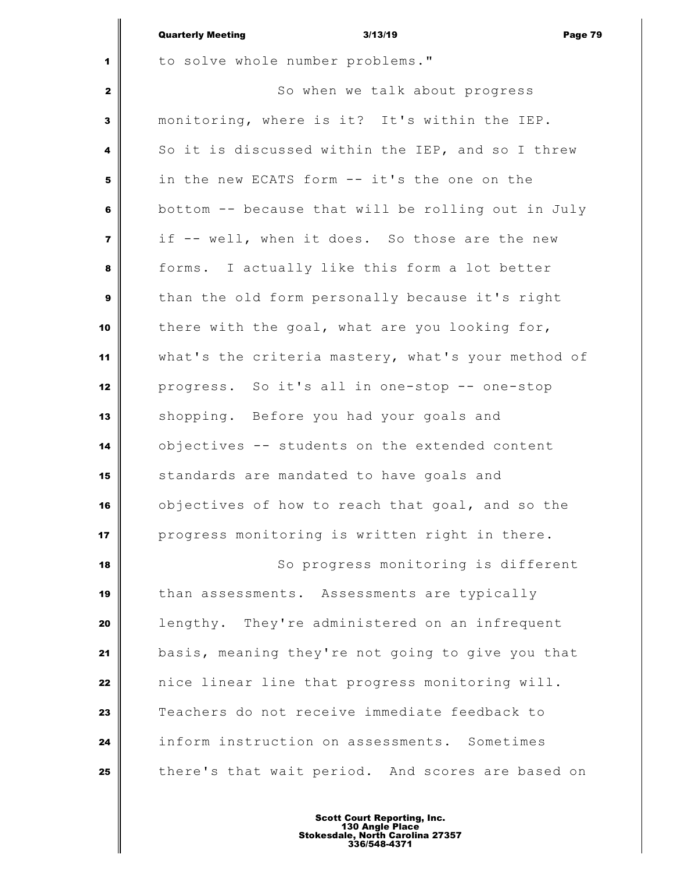|                         | <b>Quarterly Meeting</b><br>3/13/19<br>Page 79     |
|-------------------------|----------------------------------------------------|
| 1                       | to solve whole number problems."                   |
| $\mathbf{2}$            | So when we talk about progress                     |
| 3                       | monitoring, where is it? It's within the IEP.      |
| 4                       | So it is discussed within the IEP, and so I threw  |
| 5                       | in the new ECATS form -- it's the one on the       |
| 6                       | bottom -- because that will be rolling out in July |
| $\overline{\mathbf{z}}$ | if -- well, when it does. So those are the new     |
| 8                       | forms. I actually like this form a lot better      |
| $\boldsymbol{9}$        | than the old form personally because it's right    |
| 10                      | there with the goal, what are you looking for,     |
| 11                      | what's the criteria mastery, what's your method of |
| 12                      | progress. So it's all in one-stop -- one-stop      |
| 13                      | shopping. Before you had your goals and            |
| 14                      | objectives -- students on the extended content     |
| 15                      | standards are mandated to have goals and           |
| 16                      | objectives of how to reach that goal, and so the   |
| 17                      | progress monitoring is written right in there.     |
| 18                      | So progress monitoring is different                |
| 19                      | than assessments. Assessments are typically        |
| 20                      | lengthy. They're administered on an infrequent     |
| 21                      | basis, meaning they're not going to give you that  |
| 22                      | nice linear line that progress monitoring will.    |
| 23                      | Teachers do not receive immediate feedback to      |
| 24                      | inform instruction on assessments. Sometimes       |
| 25                      | there's that wait period. And scores are based on  |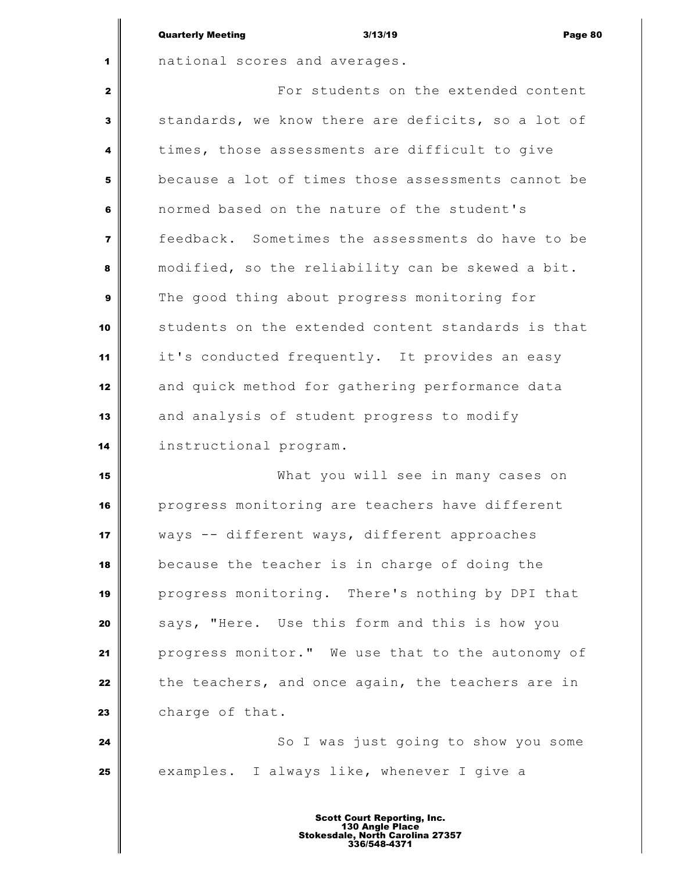|              | <b>Quarterly Meeting</b>      |                                      | 3/13/19 | Page 80 |
|--------------|-------------------------------|--------------------------------------|---------|---------|
| $\mathbf 1$  | national scores and averages. |                                      |         |         |
| $\mathbf{2}$ |                               | For students on the extended content |         |         |

 $\mathbf{I}$ 

 standards, we know there are deficits, so a lot of times, those assessments are difficult to give because a lot of times those assessments cannot be normed based on the nature of the student's feedback. Sometimes the assessments do have to be modified, so the reliability can be skewed a bit. The good thing about progress monitoring for students on the extended content standards is that it's conducted frequently. It provides an easy and quick method for gathering performance data and analysis of student progress to modify instructional program.

 What you will see in many cases on progress monitoring are teachers have different ways -- different ways, different approaches because the teacher is in charge of doing the progress monitoring. There's nothing by DPI that says, "Here. Use this form and this is how you progress monitor." We use that to the autonomy of the teachers, and once again, the teachers are in 23 charge of that.

 So I was just going to show you some examples. I always like, whenever I give a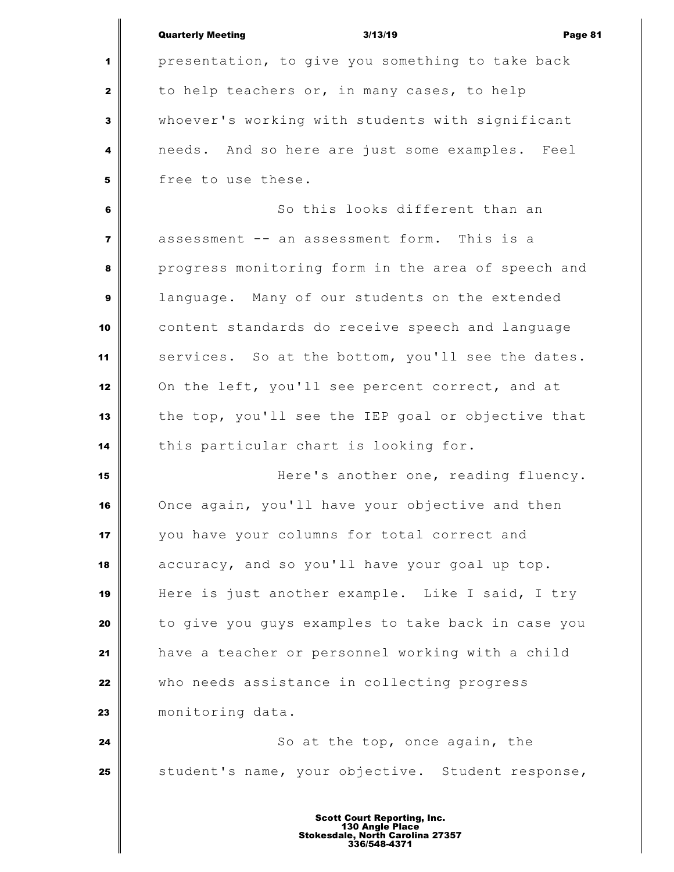|                | <b>Quarterly Meeting</b><br>3/13/19<br>Page 81     |
|----------------|----------------------------------------------------|
| 1              | presentation, to give you something to take back   |
| $\mathbf{2}$   | to help teachers or, in many cases, to help        |
| 3              | whoever's working with students with significant   |
| 4              | needs. And so here are just some examples. Feel    |
| 5              | free to use these.                                 |
| 6              | So this looks different than an                    |
| $\overline{7}$ | assessment -- an assessment form. This is a        |
| 8              | progress monitoring form in the area of speech and |
| 9              | language. Many of our students on the extended     |
| 10             | content standards do receive speech and language   |
| 11             | services. So at the bottom, you'll see the dates.  |
| 12             | On the left, you'll see percent correct, and at    |
| 13             | the top, you'll see the IEP goal or objective that |
| 14             | this particular chart is looking for.              |
| 15             | Here's another one, reading fluency.               |
| 16             | Once again, you'll have your objective and then    |
| 17             | you have your columns for total correct and        |
| 18             | accuracy, and so you'll have your goal up top.     |
| 19             | Here is just another example. Like I said, I try   |
| 20             | to give you guys examples to take back in case you |
| 21             | have a teacher or personnel working with a child   |
| 22             | who needs assistance in collecting progress        |
| 23             | monitoring data.                                   |
| 24             | So at the top, once again, the                     |
| 25             | student's name, your objective. Student response,  |
|                | <b>Scott Court Reporting, Inc.</b>                 |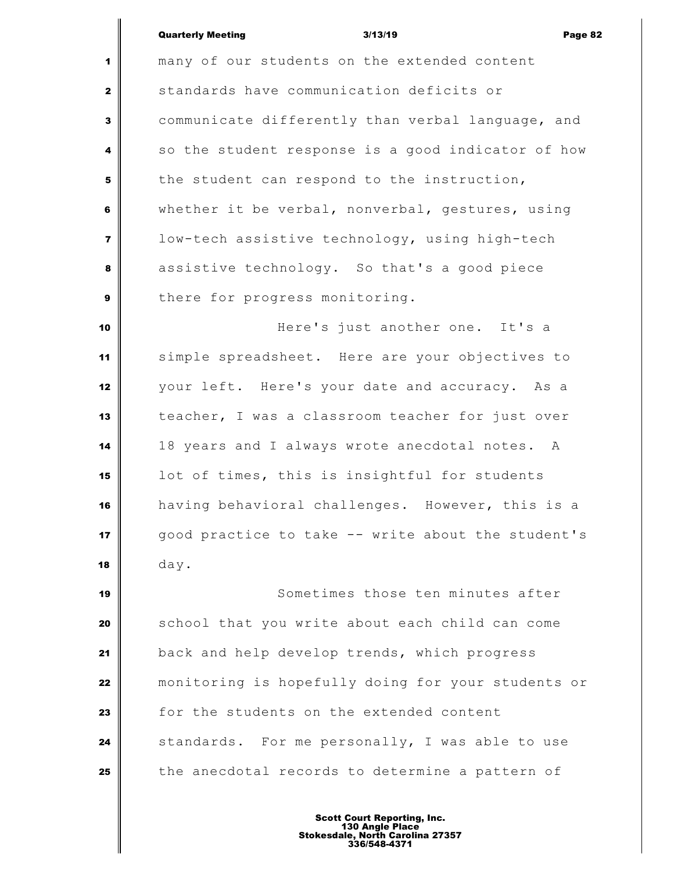many of our students on the extended content standards have communication deficits or communicate differently than verbal language, and so the student response is a good indicator of how the student can respond to the instruction, whether it be verbal, nonverbal, gestures, using low-tech assistive technology, using high-tech assistive technology. So that's a good piece | there for progress monitoring. **Here's** just another one. It's a simple spreadsheet. Here are your objectives to your left. Here's your date and accuracy. As a teacher, I was a classroom teacher for just over 18 years and I always wrote anecdotal notes. A lot of times, this is insightful for students having behavioral challenges. However, this is a good practice to take -- write about the student's day. Sometimes those ten minutes after

 School that you write about each child can come back and help develop trends, which progress monitoring is hopefully doing for your students or for the students on the extended content Standards. For me personally, I was able to use the anecdotal records to determine a pattern of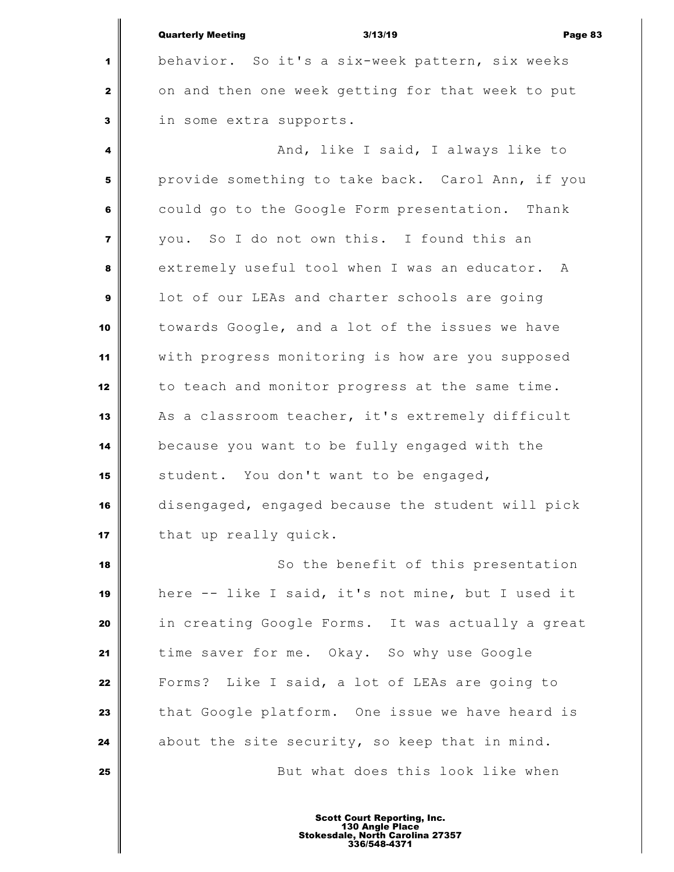|                | <b>Quarterly Meeting</b><br>3/13/19<br>Page 83     |
|----------------|----------------------------------------------------|
| 1              | behavior. So it's a six-week pattern, six weeks    |
| $\mathbf{2}$   | on and then one week getting for that week to put  |
| 3              | in some extra supports.                            |
| 4              | And, like I said, I always like to                 |
| 5              | provide something to take back. Carol Ann, if you  |
| 6              | could go to the Google Form presentation. Thank    |
| $\overline{7}$ | you. So I do not own this. I found this an         |
| 8              | extremely useful tool when I was an educator.<br>A |
| 9              | lot of our LEAs and charter schools are going      |
| 10             | towards Google, and a lot of the issues we have    |
| 11             | with progress monitoring is how are you supposed   |
| 12             | to teach and monitor progress at the same time.    |
| 13             | As a classroom teacher, it's extremely difficult   |
| 14             | because you want to be fully engaged with the      |
| 15             | student. You don't want to be engaged,             |
| 16             | disengaged, engaged because the student will pick  |
| 17             | that up really quick.                              |
| 18             | So the benefit of this presentation                |
| 19             | here -- like I said, it's not mine, but I used it  |
| 20             | in creating Google Forms. It was actually a great  |
| 21             | time saver for me. Okay. So why use Google         |
| 22             | Forms? Like I said, a lot of LEAs are going to     |
| 23             | that Google platform. One issue we have heard is   |
| 24             | about the site security, so keep that in mind.     |
| 25             | But what does this look like when                  |
|                |                                                    |

Ш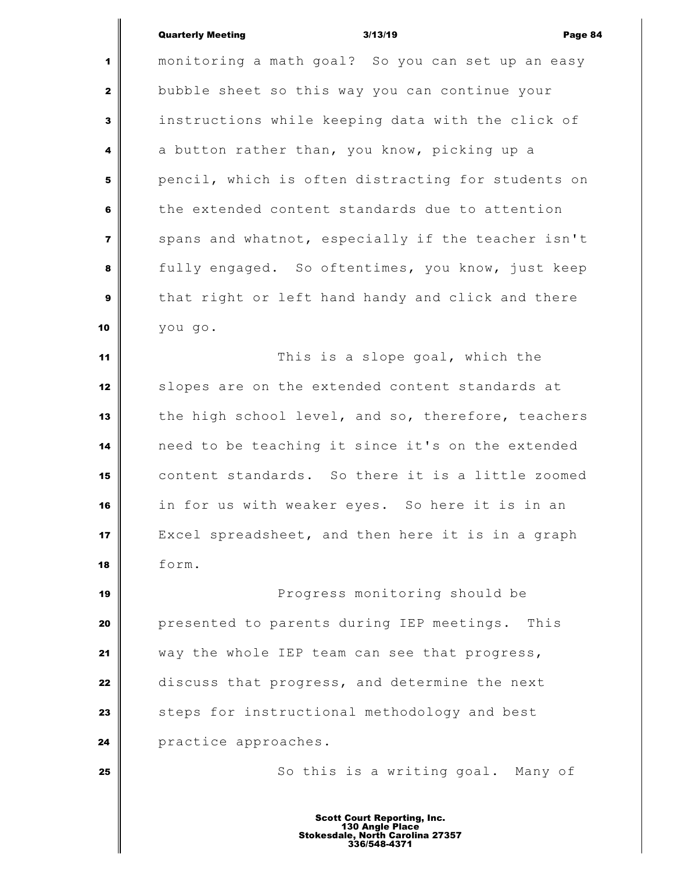monitoring a math goal? So you can set up an easy bubble sheet so this way you can continue your instructions while keeping data with the click of a button rather than, you know, picking up a pencil, which is often distracting for students on the extended content standards due to attention spans and whatnot, especially if the teacher isn't fully engaged. So oftentimes, you know, just keep that right or left hand handy and click and there you go. This is a slope goal, which the slopes are on the extended content standards at the high school level, and so, therefore, teachers

 need to be teaching it since it's on the extended content standards. So there it is a little zoomed in for us with weaker eyes. So here it is in an Excel spreadsheet, and then here it is in a graph form.

 Progress monitoring should be presented to parents during IEP meetings. This way the whole IEP team can see that progress, discuss that progress, and determine the next steps for instructional methodology and best **practice approaches.** 

So this is a writing goal. Many of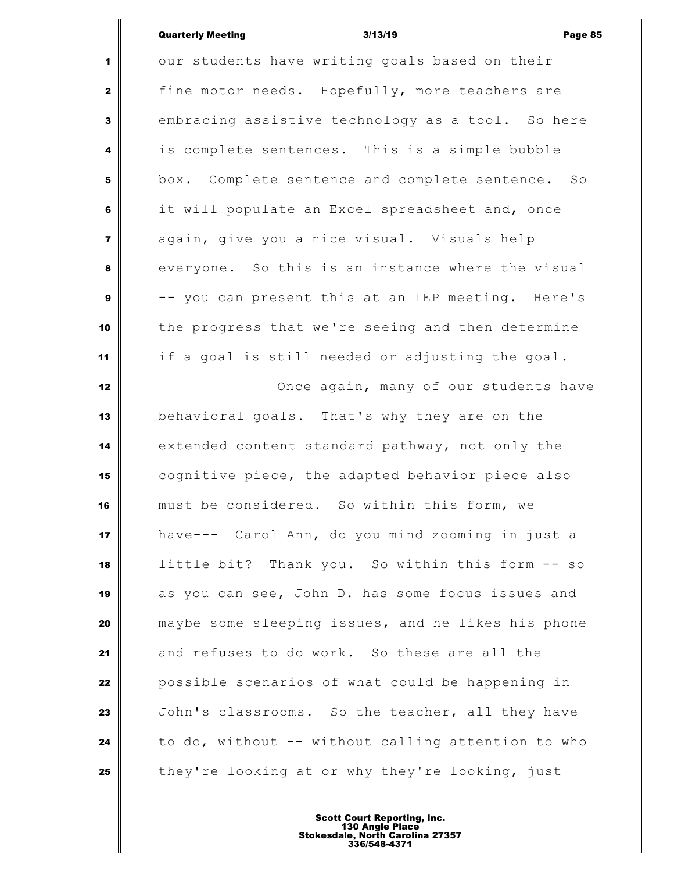our students have writing goals based on their fine motor needs. Hopefully, more teachers are embracing assistive technology as a tool. So here is complete sentences. This is a simple bubble box. Complete sentence and complete sentence. So it will populate an Excel spreadsheet and, once again, give you a nice visual. Visuals help everyone. So this is an instance where the visual -- you can present this at an IEP meeting. Here's the progress that we're seeing and then determine if a goal is still needed or adjusting the goal. Once again, many of our students have behavioral goals. That's why they are on the extended content standard pathway, not only the cognitive piece, the adapted behavior piece also must be considered. So within this form, we have--- Carol Ann, do you mind zooming in just a little bit? Thank you. So within this form -- so as you can see, John D. has some focus issues and maybe some sleeping issues, and he likes his phone and refuses to do work. So these are all the **p**ossible scenarios of what could be happening in John's classrooms. So the teacher, all they have to do, without -- without calling attention to who they're looking at or why they're looking, just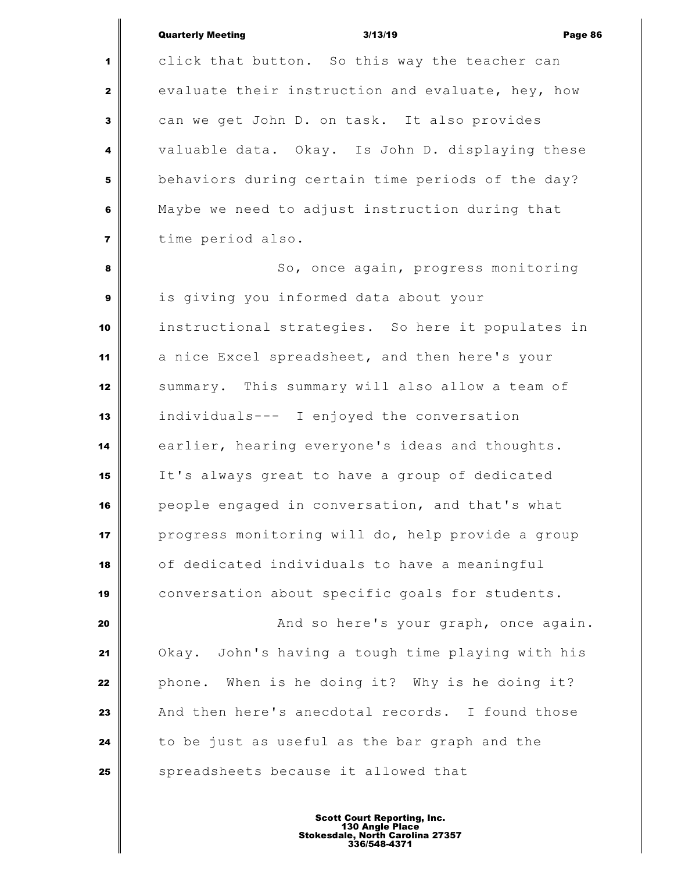click that button. So this way the teacher can evaluate their instruction and evaluate, hey, how can we get John D. on task. It also provides valuable data. Okay. Is John D. displaying these behaviors during certain time periods of the day? Maybe we need to adjust instruction during that time period also.

 So, once again, progress monitoring is giving you informed data about your instructional strategies. So here it populates in a nice Excel spreadsheet, and then here's your summary. This summary will also allow a team of individuals--- I enjoyed the conversation earlier, hearing everyone's ideas and thoughts. It's always great to have a group of dedicated people engaged in conversation, and that's what progress monitoring will do, help provide a group of dedicated individuals to have a meaningful 19 conversation about specific goals for students.

 **And so here's your graph, once again.**  Okay. John's having a tough time playing with his phone. When is he doing it? Why is he doing it? And then here's anecdotal records. I found those to be just as useful as the bar graph and the Spreadsheets because it allowed that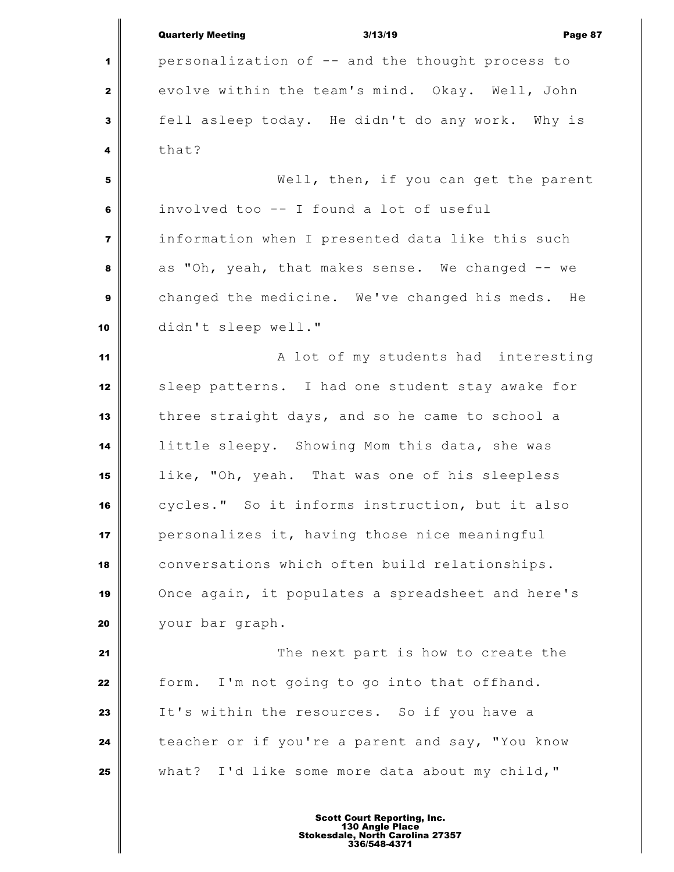Quarterly Meeting 3/13/19 Page 87 personalization of -- and the thought process to evolve within the team's mind. Okay. Well, John fell asleep today. He didn't do any work. Why is that? Well, then, if you can get the parent involved too -- I found a lot of useful information when I presented data like this such as "Oh, yeah, that makes sense. We changed -- we changed the medicine. We've changed his meds. He didn't sleep well." **A** lot of my students had interesting sleep patterns. I had one student stay awake for three straight days, and so he came to school a little sleepy. Showing Mom this data, she was like, "Oh, yeah. That was one of his sleepless cycles." So it informs instruction, but it also personalizes it, having those nice meaningful conversations which often build relationships. Once again, it populates a spreadsheet and here's your bar graph. The next part is how to create the form. I'm not going to go into that offhand. It's within the resources. So if you have a teacher or if you're a parent and say, "You know what? I'd like some more data about my child,"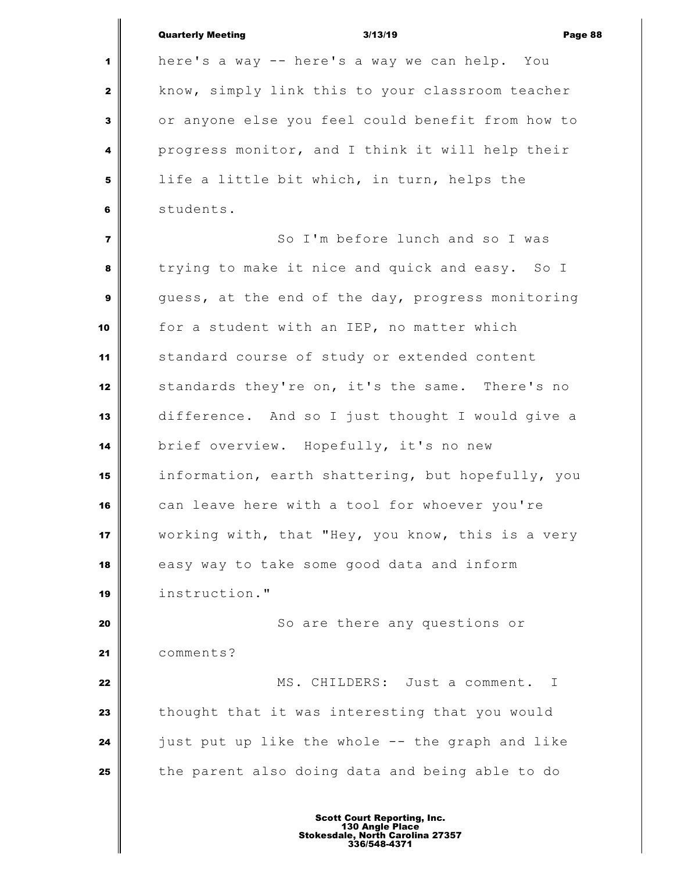|                         | <b>Quarterly Meeting</b><br>3/13/19<br>Page 88    |
|-------------------------|---------------------------------------------------|
| 1                       | here's a way -- here's a way we can help. You     |
| $\mathbf{2}$            | know, simply link this to your classroom teacher  |
| 3                       | or anyone else you feel could benefit from how to |
| 4                       | progress monitor, and I think it will help their  |
| 5                       | life a little bit which, in turn, helps the       |
| 6                       | students.                                         |
| $\overline{\mathbf{z}}$ | So I'm before lunch and so I was                  |
| 8                       | trying to make it nice and quick and easy. So I   |
| $\boldsymbol{9}$        | guess, at the end of the day, progress monitoring |
| 10                      | for a student with an IEP, no matter which        |
| 11                      | standard course of study or extended content      |
| 12                      | standards they're on, it's the same. There's no   |
| 13                      | difference. And so I just thought I would give a  |
| 14                      | brief overview. Hopefully, it's no new            |
| 15                      | information, earth shattering, but hopefully, you |
| 16                      | can leave here with a tool for whoever you're     |
| 17                      | working with, that "Hey, you know, this is a very |
| 18                      | easy way to take some good data and inform        |
| 19                      | instruction."                                     |
| 20                      | So are there any questions or                     |
| 21                      | comments?                                         |
| 22                      | MS. CHILDERS: Just a comment. I                   |
| 23                      | thought that it was interesting that you would    |
| 24                      | just put up like the whole -- the graph and like  |
| 25                      | the parent also doing data and being able to do   |
|                         |                                                   |
|                         |                                                   |

Ш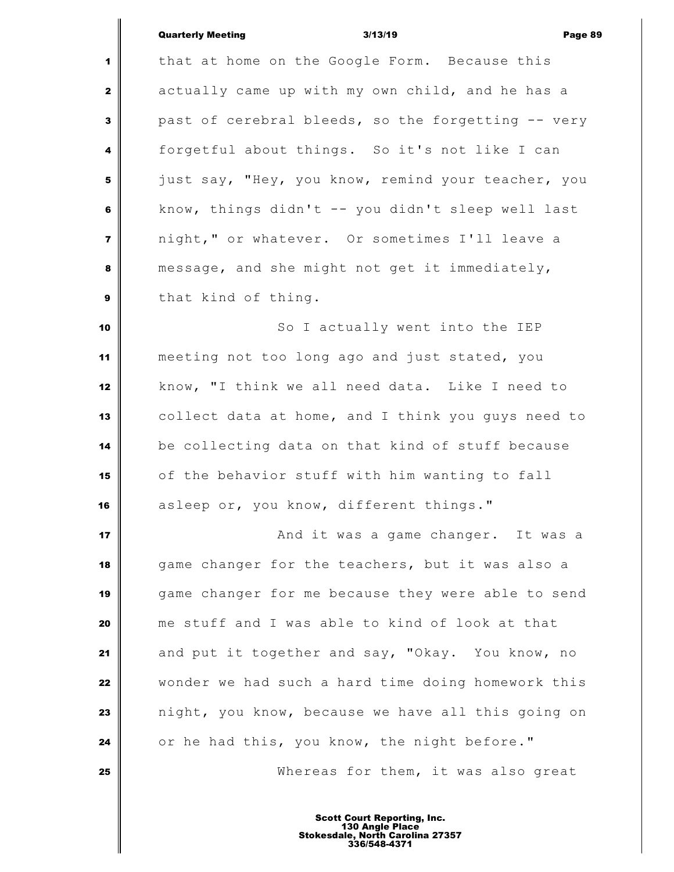# Quarterly Meeting **Contract Contract Contract Contract Contract Contract Contract Contract Contract Contract Contract Contract Contract Contract Contract Contract Contract Contract Contract Contract Contract Contract Contr**

|                         | <b>Quarterly Meeting</b><br>3/13/19<br>Page i      |
|-------------------------|----------------------------------------------------|
| 1                       | that at home on the Google Form. Because this      |
| $\mathbf{2}$            | actually came up with my own child, and he has a   |
| 3                       | past of cerebral bleeds, so the forgetting -- very |
| 4                       | forgetful about things. So it's not like I can     |
| 5                       | just say, "Hey, you know, remind your teacher, you |
| 6                       | know, things didn't -- you didn't sleep well last  |
| $\overline{\mathbf{z}}$ | night," or whatever. Or sometimes I'll leave a     |
| 8                       | message, and she might not get it immediately,     |
| $\boldsymbol{9}$        | that kind of thing.                                |
| 10                      | So I actually went into the IEP                    |
| 11                      | meeting not too long ago and just stated, you      |
| 12                      | know, "I think we all need data. Like I need to    |
| 13                      | collect data at home, and I think you guys need to |
| 14                      | be collecting data on that kind of stuff because   |
| 15                      | of the behavior stuff with him wanting to fall     |
| 16                      | asleep or, you know, different things."            |
| 17                      | And it was a game changer. It was a                |
| 18                      | game changer for the teachers, but it was also a   |
| 19                      | game changer for me because they were able to send |
| 20                      | me stuff and I was able to kind of look at that    |
| 21                      | and put it together and say, "Okay. You know, no   |
| 22                      | wonder we had such a hard time doing homework this |
| 23                      | night, you know, because we have all this going on |
| 24                      | or he had this, you know, the night before."       |
| 25                      | Whereas for them, it was also great                |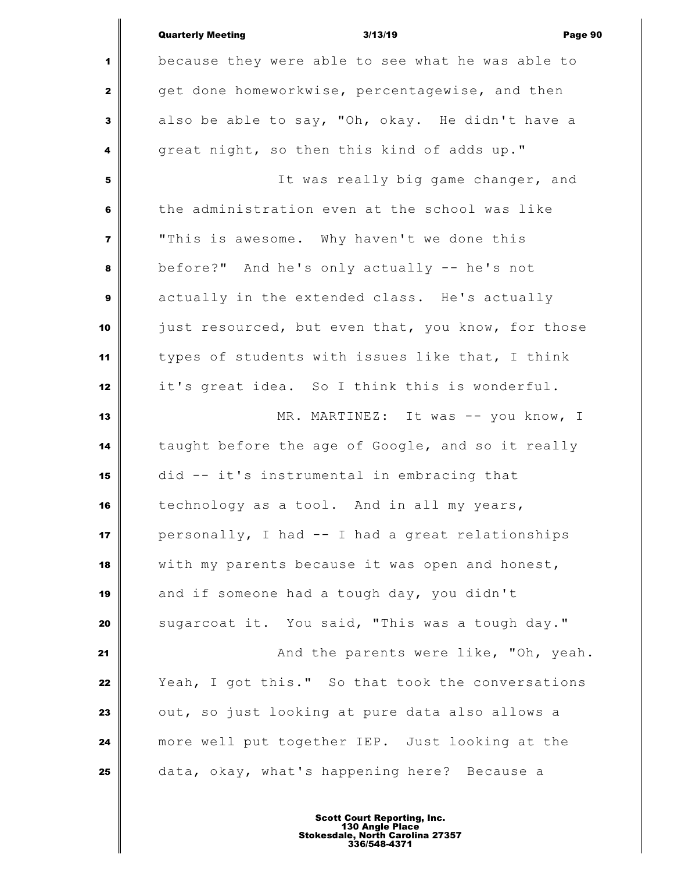|                         | <b>Quarterly Meeting</b><br>Page 90<br>3/13/19     |
|-------------------------|----------------------------------------------------|
| 1                       | because they were able to see what he was able to  |
| $\mathbf{2}$            | get done homeworkwise, percentagewise, and then    |
| $\mathbf{3}$            | also be able to say, "Oh, okay. He didn't have a   |
| 4                       | great night, so then this kind of adds up."        |
| 5                       | It was really big game changer, and                |
| 6                       | the administration even at the school was like     |
| $\overline{\mathbf{z}}$ | "This is awesome. Why haven't we done this         |
| 8                       | before?" And he's only actually -- he's not        |
| $\boldsymbol{9}$        | actually in the extended class. He's actually      |
| 10                      | just resourced, but even that, you know, for those |
| 11                      | types of students with issues like that, I think   |
| 12                      | it's great idea. So I think this is wonderful.     |
| 13                      | MR. MARTINEZ: It was -- you know, I                |
| 14                      | taught before the age of Google, and so it really  |
| 15                      | did -- it's instrumental in embracing that         |
| 16                      | technology as a tool. And in all my years,         |
| 17                      | personally, I had -- I had a great relationships   |
| 18                      | with my parents because it was open and honest,    |
| 19                      | and if someone had a tough day, you didn't         |
| 20                      | sugarcoat it. You said, "This was a tough day."    |
| 21                      | And the parents were like, "Oh, yeah.              |
| 22                      | Yeah, I got this." So that took the conversations  |
| 23                      | out, so just looking at pure data also allows a    |
| 24                      | more well put together IEP. Just looking at the    |
| 25                      | data, okay, what's happening here? Because a       |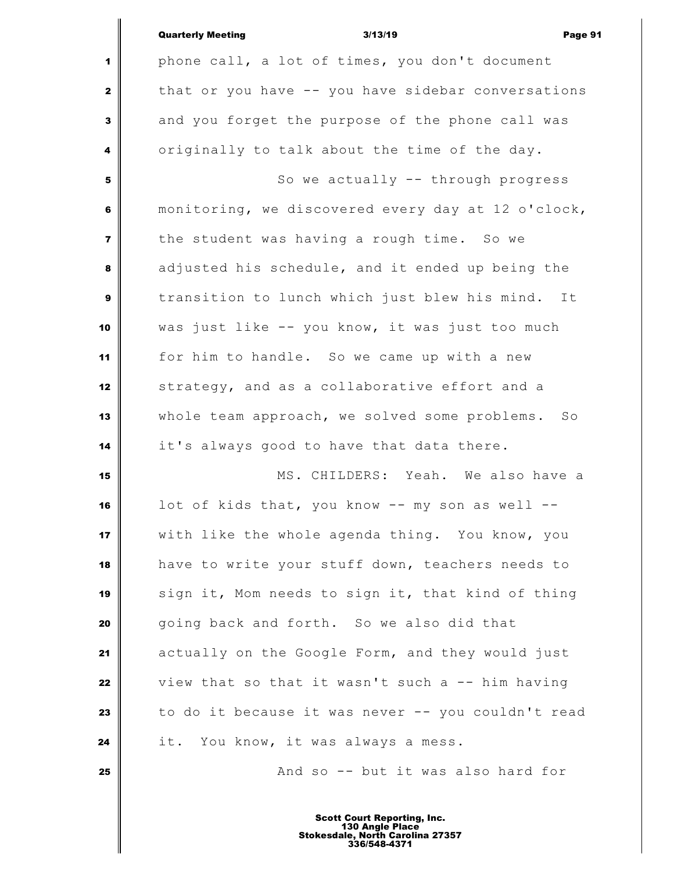|                | <b>Quarterly Meeting</b><br>3/13/19<br>Page 91     |
|----------------|----------------------------------------------------|
| 1              | phone call, a lot of times, you don't document     |
| $\mathbf{2}$   | that or you have -- you have sidebar conversations |
| 3              | and you forget the purpose of the phone call was   |
| 4              | originally to talk about the time of the day.      |
| 5              | So we actually -- through progress                 |
| 6              | monitoring, we discovered every day at 12 o'clock, |
| $\overline{7}$ | the student was having a rough time. So we         |
| 8              | adjusted his schedule, and it ended up being the   |
| 9              | transition to lunch which just blew his mind. It   |
| 10             | was just like -- you know, it was just too much    |
| 11             | for him to handle. So we came up with a new        |
| 12             | strategy, and as a collaborative effort and a      |
| 13             | whole team approach, we solved some problems. So   |
| 14             | it's always good to have that data there.          |
| 15             | MS. CHILDERS: Yeah. We also have a                 |
| 16             | lot of kids that, you know -- my son as well       |
| 17             | with like the whole agenda thing. You know, you    |
| 18             | have to write your stuff down, teachers needs to   |
| 19             | sign it, Mom needs to sign it, that kind of thing  |
| 20             | going back and forth. So we also did that          |
| 21             | actually on the Google Form, and they would just   |
| 22             | view that so that it wasn't such a -- him having   |
| 23             | to do it because it was never -- you couldn't read |
| 24             | it. You know, it was always a mess.                |
| 25             | And so -- but it was also hard for                 |
|                |                                                    |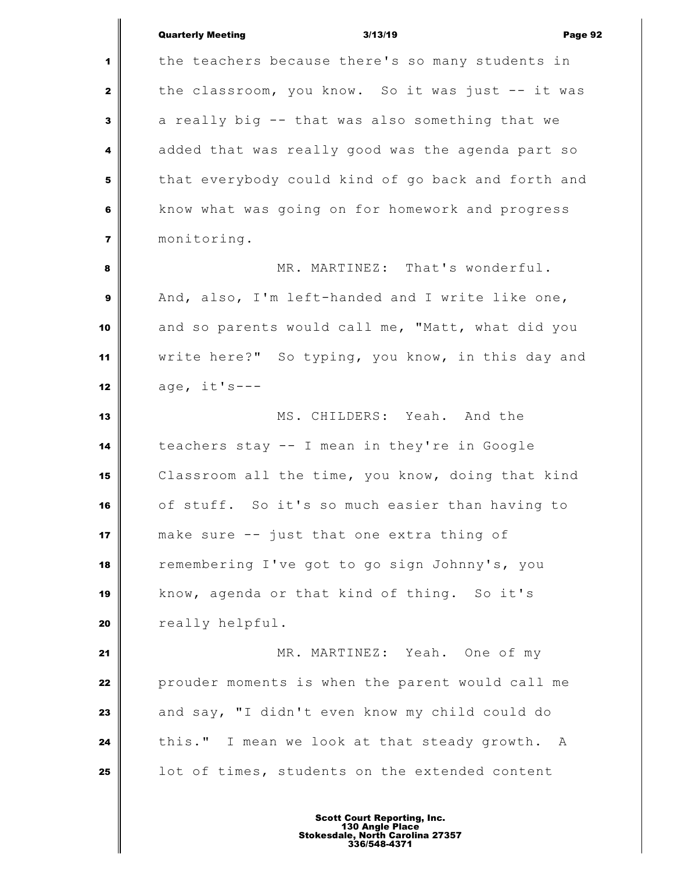|                         | <b>Quarterly Meeting</b><br>3/13/19<br>Page 92     |
|-------------------------|----------------------------------------------------|
| 1                       | the teachers because there's so many students in   |
| $\mathbf{2}$            | the classroom, you know. So it was just -- it was  |
| 3                       | a really big -- that was also something that we    |
| 4                       | added that was really good was the agenda part so  |
| 5                       | that everybody could kind of go back and forth and |
| 6                       | know what was going on for homework and progress   |
| $\overline{\mathbf{z}}$ | monitoring.                                        |
| 8                       | MR. MARTINEZ: That's wonderful.                    |
| 9                       | And, also, I'm left-handed and I write like one,   |
| 10                      | and so parents would call me, "Matt, what did you  |
| 11                      | write here?" So typing, you know, in this day and  |
| 12                      | $age, it's ---$                                    |
| 13                      | MS. CHILDERS: Yeah. And the                        |
| 14                      | teachers stay -- I mean in they're in Google       |
| 15                      | Classroom all the time, you know, doing that kind  |
| 16                      | of stuff. So it's so much easier than having to    |
| 17                      | make sure -- just that one extra thing of          |
| 18                      | remembering I've got to go sign Johnny's, you      |
| 19                      | know, agenda or that kind of thing. So it's        |
| 20                      | really helpful.                                    |
| 21                      | MR. MARTINEZ: Yeah. One of my                      |
| 22                      | prouder moments is when the parent would call me   |
| 23                      | and say, "I didn't even know my child could do     |
| 24                      | this." I mean we look at that steady growth. A     |
| 25                      | lot of times, students on the extended content     |
|                         |                                                    |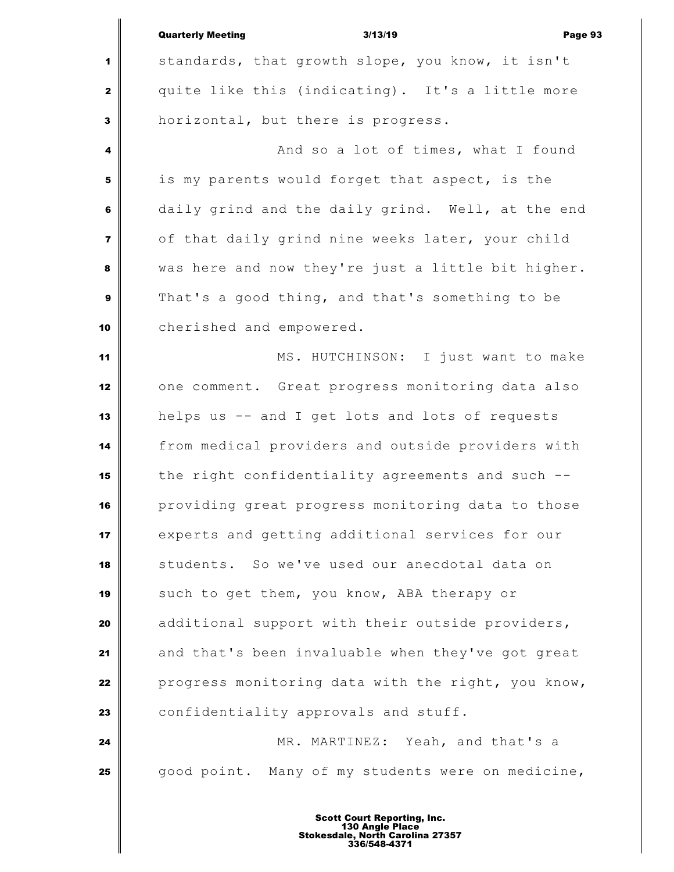|                         | <b>Quarterly Meeting</b><br>3/13/19<br>Page 93     |
|-------------------------|----------------------------------------------------|
| $\mathbf 1$             | standards, that growth slope, you know, it isn't   |
| $\mathbf{2}$            | quite like this (indicating). It's a little more   |
| $\mathbf{3}$            | horizontal, but there is progress.                 |
| 4                       | And so a lot of times, what I found                |
| 5                       | is my parents would forget that aspect, is the     |
| 6                       | daily grind and the daily grind. Well, at the end  |
| $\overline{\mathbf{z}}$ | of that daily grind nine weeks later, your child   |
| 8                       | was here and now they're just a little bit higher. |
| $\boldsymbol{9}$        | That's a good thing, and that's something to be    |
| 10                      | cherished and empowered.                           |
| 11                      | MS. HUTCHINSON: I just want to make                |
| 12                      | one comment. Great progress monitoring data also   |
| 13                      | helps us -- and I get lots and lots of requests    |
| 14                      | from medical providers and outside providers with  |
| 15                      | the right confidentiality agreements and such --   |
| 16                      | providing great progress monitoring data to those  |
| 17                      | experts and getting additional services for our    |
| 18                      | students. So we've used our anecdotal data on      |
| 19                      | such to get them, you know, ABA therapy or         |
| 20                      | additional support with their outside providers,   |
| 21                      | and that's been invaluable when they've got great  |
| 22                      | progress monitoring data with the right, you know, |
| 23                      | confidentiality approvals and stuff.               |
| 24                      | MR. MARTINEZ: Yeah, and that's a                   |
| 25                      | good point. Many of my students were on medicine,  |
|                         |                                                    |
|                         | <b>Scott Court Reporting, Inc.</b>                 |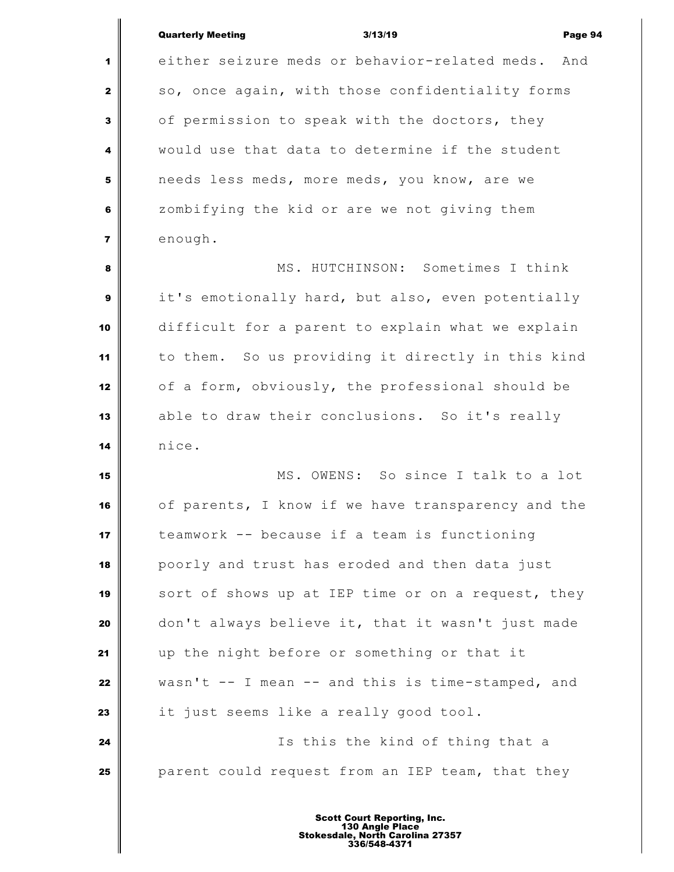| Quarterly Meeting |  |
|-------------------|--|

Quarterly Meeting 3/13/19 Page 94 either seizure meds or behavior-related meds. And so, once again, with those confidentiality forms of permission to speak with the doctors, they would use that data to determine if the student needs less meds, more meds, you know, are we zombifying the kid or are we not giving them enough. MS. HUTCHINSON: Sometimes I think it's emotionally hard, but also, even potentially difficult for a parent to explain what we explain to them. So us providing it directly in this kind of a form, obviously, the professional should be able to draw their conclusions. So it's really nice. MS. OWENS: So since I talk to a lot of parents, I know if we have transparency and the teamwork -- because if a team is functioning poorly and trust has eroded and then data just sort of shows up at IEP time or on a request, they don't always believe it, that it wasn't just made up the night before or something or that it wasn't -- I mean -- and this is time-stamped, and it just seems like a really good tool. Is this the kind of thing that a parent could request from an IEP team, that they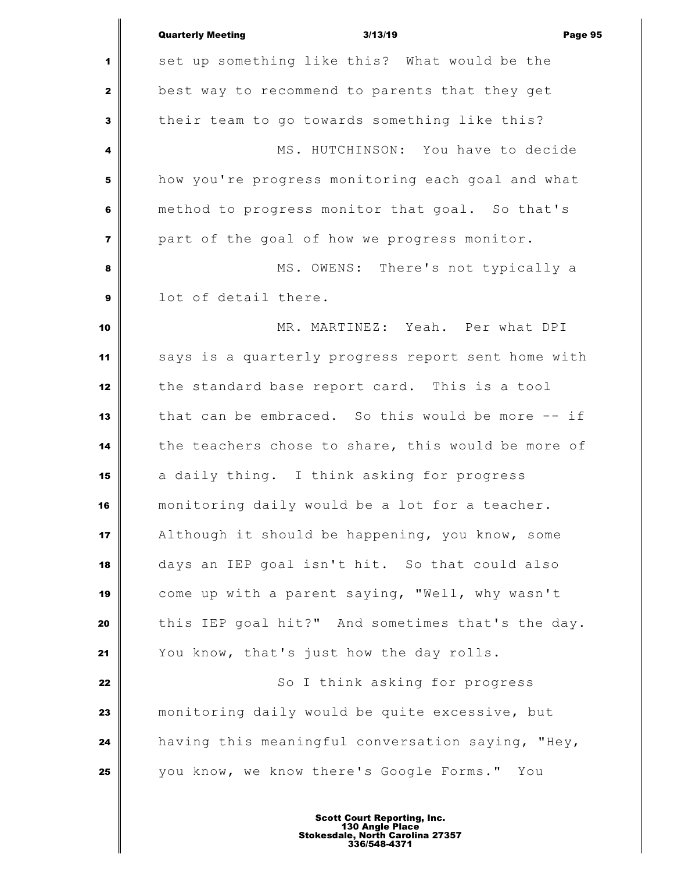|                | <b>Quarterly Meeting</b>                           | 3/13/19 |                                    | Page 95 |
|----------------|----------------------------------------------------|---------|------------------------------------|---------|
| 1              | set up something like this? What would be the      |         |                                    |         |
| $\mathbf{2}$   | best way to recommend to parents that they get     |         |                                    |         |
| 3              | their team to go towards something like this?      |         |                                    |         |
| 4              |                                                    |         | MS. HUTCHINSON: You have to decide |         |
| 5              | how you're progress monitoring each goal and what  |         |                                    |         |
| 6              | method to progress monitor that goal. So that's    |         |                                    |         |
| $\overline{7}$ | part of the goal of how we progress monitor.       |         |                                    |         |
| 8              |                                                    |         | MS. OWENS: There's not typically a |         |
| 9              | lot of detail there.                               |         |                                    |         |
| 10             |                                                    |         | MR. MARTINEZ: Yeah. Per what DPI   |         |
| 11             | says is a quarterly progress report sent home with |         |                                    |         |
| 12             | the standard base report card. This is a tool      |         |                                    |         |
| 13             | that can be embraced. So this would be more -- if  |         |                                    |         |
| 14             | the teachers chose to share, this would be more of |         |                                    |         |
| 15             | a daily thing. I think asking for progress         |         |                                    |         |
| 16             | monitoring daily would be a lot for a teacher.     |         |                                    |         |
| 17             | Although it should be happening, you know, some    |         |                                    |         |
| 18             | days an IEP goal isn't hit. So that could also     |         |                                    |         |
| 19             | come up with a parent saying, "Well, why wasn't    |         |                                    |         |
| 20             | this IEP goal hit?" And sometimes that's the day.  |         |                                    |         |
| 21             | You know, that's just how the day rolls.           |         |                                    |         |
| 22             |                                                    |         | So I think asking for progress     |         |
| 23             | monitoring daily would be quite excessive, but     |         |                                    |         |
| 24             | having this meaningful conversation saying, "Hey,  |         |                                    |         |
| 25             | you know, we know there's Google Forms." You       |         |                                    |         |
|                |                                                    |         |                                    |         |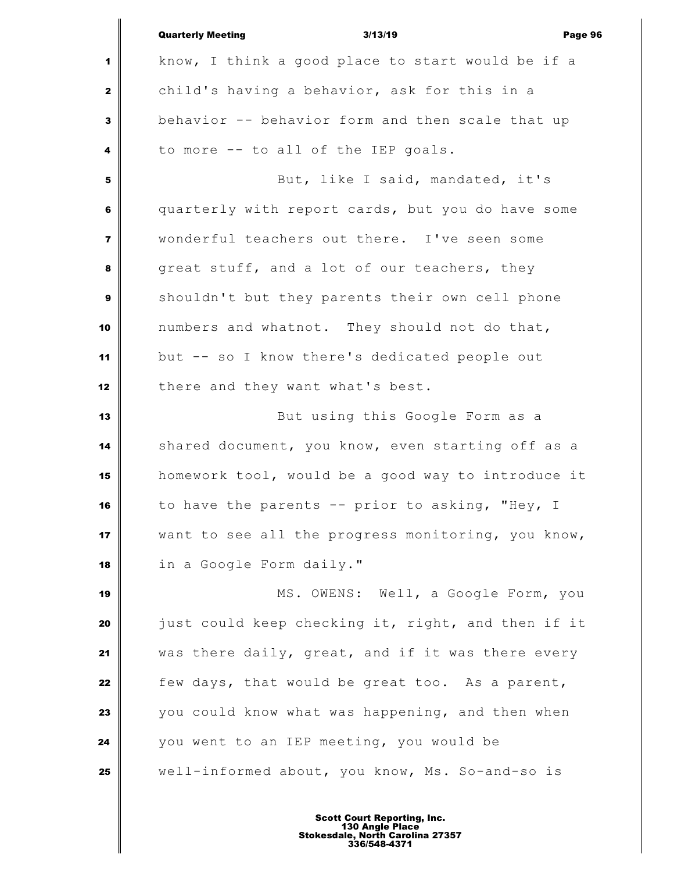|                | <b>Quarterly Meeting</b><br>3/13/19<br>Page 96     |
|----------------|----------------------------------------------------|
| 1              | know, I think a good place to start would be if a  |
| $\mathbf{2}$   | child's having a behavior, ask for this in a       |
| 3              | behavior -- behavior form and then scale that up   |
| 4              | to more -- to all of the IEP goals.                |
| 5              | But, like I said, mandated, it's                   |
| 6              | quarterly with report cards, but you do have some  |
| $\overline{7}$ | wonderful teachers out there. I've seen some       |
| 8              | great stuff, and a lot of our teachers, they       |
| 9              | shouldn't but they parents their own cell phone    |
| 10             | numbers and whatnot. They should not do that,      |
| 11             | but -- so I know there's dedicated people out      |
| 12             | there and they want what's best.                   |
| 13             | But using this Google Form as a                    |
| 14             | shared document, you know, even starting off as a  |
| 15             | homework tool, would be a good way to introduce it |
| 16             | to have the parents -- prior to asking, "Hey, I    |
| 17             | want to see all the progress monitoring, you know, |
| 18             | in a Google Form daily."                           |
| 19             | MS. OWENS: Well, a Google Form, you                |
| 20             | just could keep checking it, right, and then if it |
| 21             | was there daily, great, and if it was there every  |
| 22             | few days, that would be great too. As a parent,    |
| 23             | you could know what was happening, and then when   |
| 24             | you went to an IEP meeting, you would be           |
| 25             | well-informed about, you know, Ms. So-and-so is    |
|                |                                                    |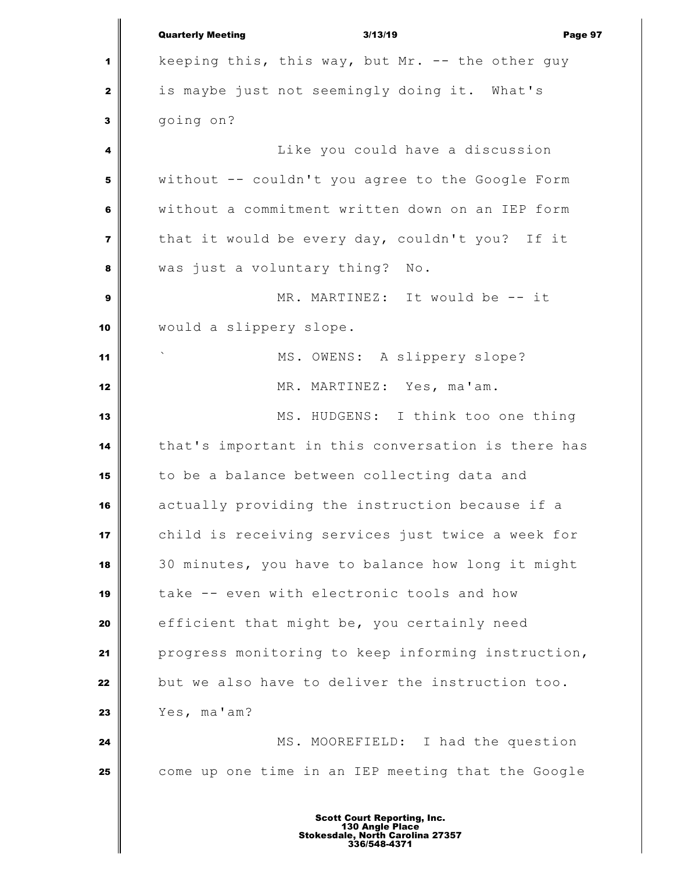|                  | <b>Quarterly Meeting</b><br>3/13/19<br>Page 97     |
|------------------|----------------------------------------------------|
| 1                | keeping this, this way, but Mr. -- the other guy   |
| $\mathbf{2}$     | is maybe just not seemingly doing it. What's       |
| 3                | going on?                                          |
| 4                | Like you could have a discussion                   |
| 5                | without -- couldn't you agree to the Google Form   |
| 6                | without a commitment written down on an IEP form   |
| $\overline{7}$   | that it would be every day, couldn't you? If it    |
| 8                | was just a voluntary thing? No.                    |
| $\boldsymbol{9}$ | MR. MARTINEZ: It would be -- it                    |
| 10               | would a slippery slope.                            |
| 11               | MS. OWENS: A slippery slope?                       |
| 12               | MR. MARTINEZ: Yes, ma'am.                          |
| 13               | MS. HUDGENS: I think too one thing                 |
| 14               | that's important in this conversation is there has |
| 15               | to be a balance between collecting data and        |
| 16               | actually providing the instruction because if a    |
| 17               | child is receiving services just twice a week for  |
| 18               | 30 minutes, you have to balance how long it might  |
| 19               | take -- even with electronic tools and how         |
| 20               | efficient that might be, you certainly need        |
| 21               | progress monitoring to keep informing instruction, |
| 22               | but we also have to deliver the instruction too.   |
| 23               | Yes, ma'am?                                        |
| 24               | MS. MOOREFIELD: I had the question                 |
| 25               | come up one time in an IEP meeting that the Google |
|                  | d Danautina                                        |

I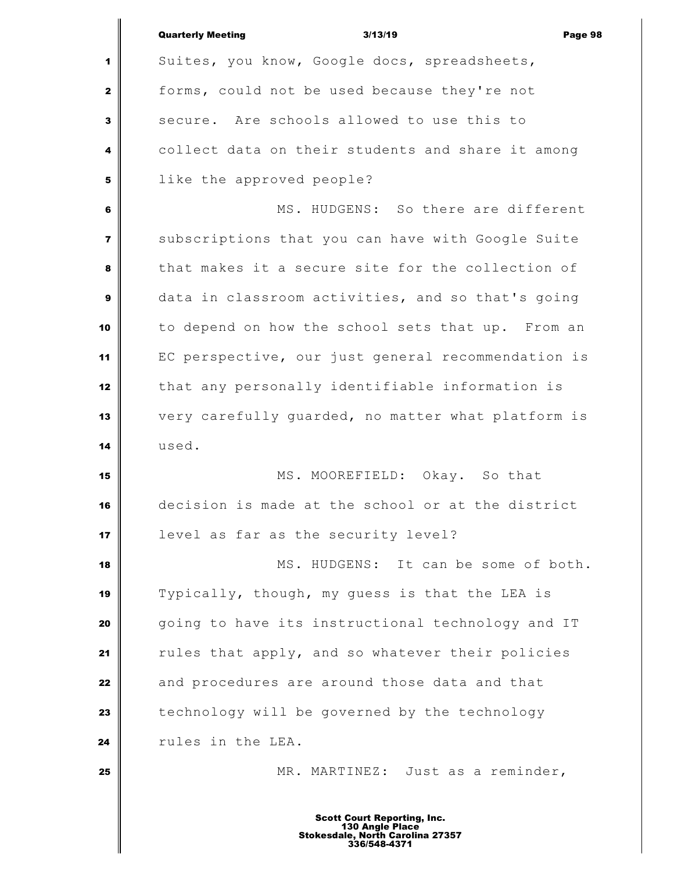|                         | <b>Quarterly Meeting</b><br>3/13/19<br>Page 98                                                            |
|-------------------------|-----------------------------------------------------------------------------------------------------------|
| 1                       | Suites, you know, Google docs, spreadsheets,                                                              |
| $\mathbf{2}$            | forms, could not be used because they're not                                                              |
| 3                       | secure. Are schools allowed to use this to                                                                |
| 4                       | collect data on their students and share it among                                                         |
| $\overline{\mathbf{5}}$ | like the approved people?                                                                                 |
| 6                       | MS. HUDGENS: So there are different                                                                       |
| $\overline{\mathbf{z}}$ | subscriptions that you can have with Google Suite                                                         |
| 8                       | that makes it a secure site for the collection of                                                         |
|                         |                                                                                                           |
| $\boldsymbol{9}$        | data in classroom activities, and so that's going                                                         |
| 10                      | to depend on how the school sets that up. From an                                                         |
| 11                      | EC perspective, our just general recommendation is                                                        |
| 12                      | that any personally identifiable information is                                                           |
| 13                      | very carefully guarded, no matter what platform is                                                        |
| 14                      | used.                                                                                                     |
| 15                      | MS. MOOREFIELD: Okay. So that                                                                             |
| 16                      | decision is made at the school or at the district                                                         |
| 17                      | level as far as the security level?                                                                       |
| 18                      | MS. HUDGENS: It can be some of both.                                                                      |
| 19                      | Typically, though, my guess is that the LEA is                                                            |
| 20                      | going to have its instructional technology and IT                                                         |
| 21                      | rules that apply, and so whatever their policies                                                          |
| 22                      | and procedures are around those data and that                                                             |
| 23                      | technology will be governed by the technology                                                             |
| 24                      | rules in the LEA.                                                                                         |
| 25                      | MR. MARTINEZ: Just as a reminder,                                                                         |
|                         |                                                                                                           |
|                         | <b>Scott Court Reporting, Inc.</b><br>130 Angle Place<br>Stokesdale, North Carolina 27357<br>336/548-4371 |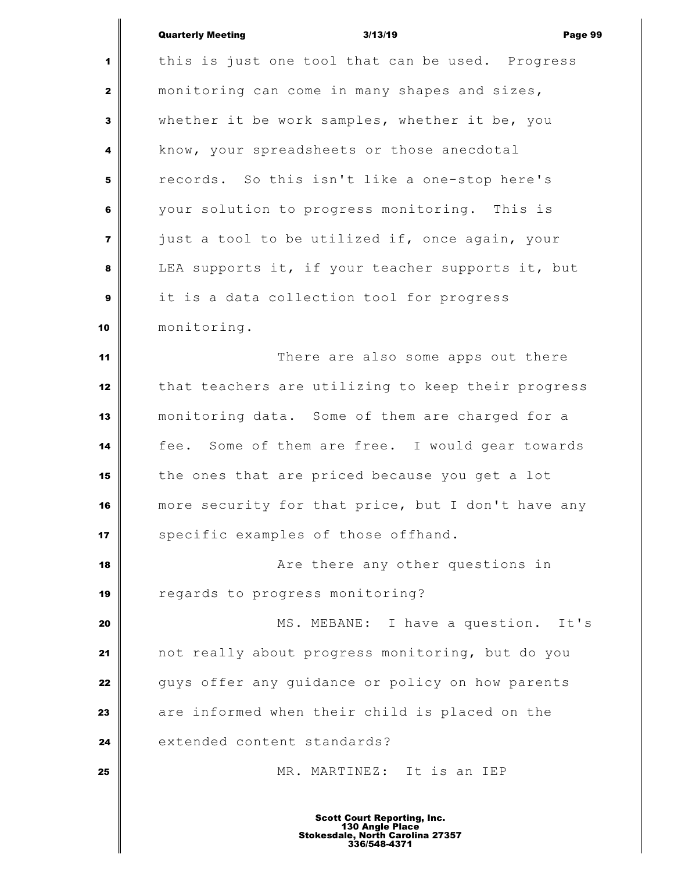Ш

|                         | <b>Quarterly Meeting</b><br>3/13/19<br>Page 9      |
|-------------------------|----------------------------------------------------|
| $\mathbf{1}$            | this is just one tool that can be used. Progress   |
| $\mathbf{2}$            | monitoring can come in many shapes and sizes,      |
| $\mathbf{3}$            | whether it be work samples, whether it be, you     |
| 4                       | know, your spreadsheets or those anecdotal         |
| 5                       | records. So this isn't like a one-stop here's      |
| 6                       | your solution to progress monitoring. This is      |
| $\overline{\mathbf{z}}$ | just a tool to be utilized if, once again, your    |
| 8                       | LEA supports it, if your teacher supports it, but  |
| $\boldsymbol{9}$        | it is a data collection tool for progress          |
| 10                      | monitoring.                                        |
| 11                      | There are also some apps out there                 |
| 12                      | that teachers are utilizing to keep their progress |
| 13                      | monitoring data. Some of them are charged for a    |
| 14                      | fee. Some of them are free. I would gear towards   |
| 15                      | the ones that are priced because you get a lot     |
| 16                      | more security for that price, but I don't have any |
| 17                      | specific examples of those offhand.                |
| 18                      | Are there any other questions in                   |
| 19                      | regards to progress monitoring?                    |
| 20                      | MS. MEBANE: I have a question. It's                |
| 21                      | not really about progress monitoring, but do you   |
| 22                      | guys offer any guidance or policy on how parents   |
| 23                      | are informed when their child is placed on the     |
| 24                      | extended content standards?                        |
| 25                      | MR. MARTINEZ: It is an IEP                         |
|                         |                                                    |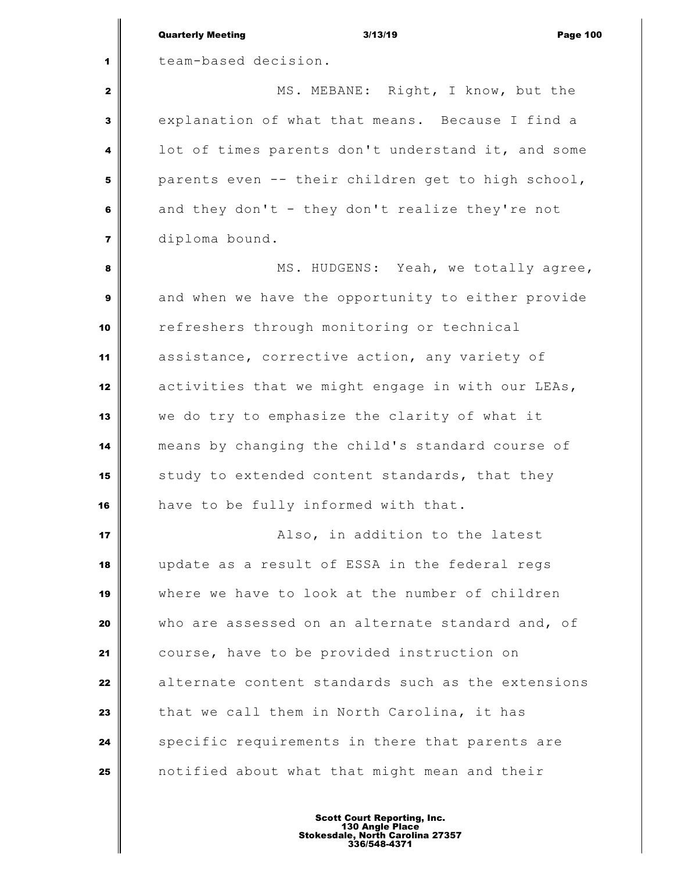|                         | <b>Quarterly Meeting</b><br><b>Page 100</b><br>3/13/19 |
|-------------------------|--------------------------------------------------------|
| 1                       | team-based decision.                                   |
| $\mathbf{2}$            | MS. MEBANE: Right, I know, but the                     |
| 3                       | explanation of what that means. Because I find a       |
| 4                       | lot of times parents don't understand it, and some     |
| 5                       | parents even -- their children get to high school,     |
| 6                       | and they don't - they don't realize they're not        |
| $\overline{\mathbf{z}}$ | diploma bound.                                         |
| 8                       | MS. HUDGENS: Yeah, we totally agree,                   |
| $\boldsymbol{9}$        | and when we have the opportunity to either provide     |
| 10                      | refreshers through monitoring or technical             |
| 11                      | assistance, corrective action, any variety of          |
| 12                      | activities that we might engage in with our LEAs,      |
| 13                      | we do try to emphasize the clarity of what it          |
| 14                      | means by changing the child's standard course of       |
| 15                      | study to extended content standards, that they         |
| 16                      | have to be fully informed with that.                   |
| 17                      | Also, in addition to the latest                        |
| 18                      | update as a result of ESSA in the federal regs         |
| 19                      | where we have to look at the number of children        |
| 20                      | who are assessed on an alternate standard and, of      |
| 21                      | course, have to be provided instruction on             |
| 22                      | alternate content standards such as the extensions     |
| 23                      | that we call them in North Carolina, it has            |
| 24                      | specific requirements in there that parents are        |
| 25                      | notified about what that might mean and their          |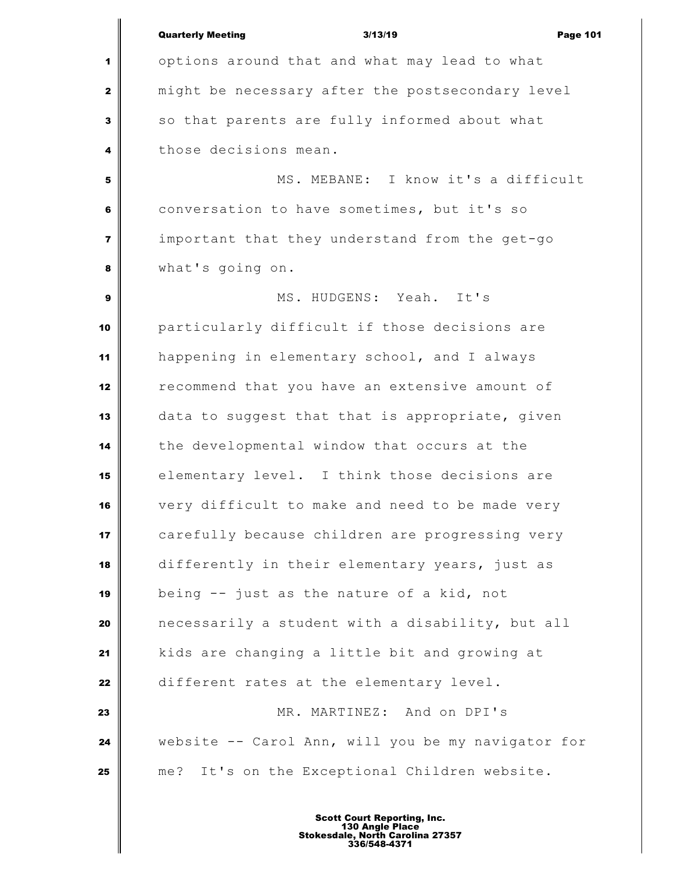|                | <b>Quarterly Meeting</b><br>3/13/19<br><b>Page 101</b> |
|----------------|--------------------------------------------------------|
| 1              | options around that and what may lead to what          |
| $\mathbf{2}$   | might be necessary after the postsecondary level       |
| 3              | so that parents are fully informed about what          |
| 4              | those decisions mean.                                  |
| 5              | MS. MEBANE: I know it's a difficult                    |
| 6              | conversation to have sometimes, but it's so            |
| $\overline{7}$ | important that they understand from the get-go         |
| 8              | what's going on.                                       |
| $\mathbf{9}$   | MS. HUDGENS: Yeah. It's                                |
| 10             | particularly difficult if those decisions are          |
| 11             | happening in elementary school, and I always           |
| 12             | recommend that you have an extensive amount of         |
| 13             | data to suggest that that is appropriate, given        |
| 14             | the developmental window that occurs at the            |
| 15             | elementary level. I think those decisions are          |
| 16             | very difficult to make and need to be made very        |
| 17             | carefully because children are progressing very        |
| 18             | differently in their elementary years, just as         |
| 19             | being -- just as the nature of a kid, not              |
| 20             | necessarily a student with a disability, but all       |
| 21             | kids are changing a little bit and growing at          |
| 22             | different rates at the elementary level.               |
| 23             | MR. MARTINEZ: And on DPI's                             |
| 24             | website -- Carol Ann, will you be my navigator for     |
| 25             | me? It's on the Exceptional Children website.          |
|                | Scott Court Donorting Inc                              |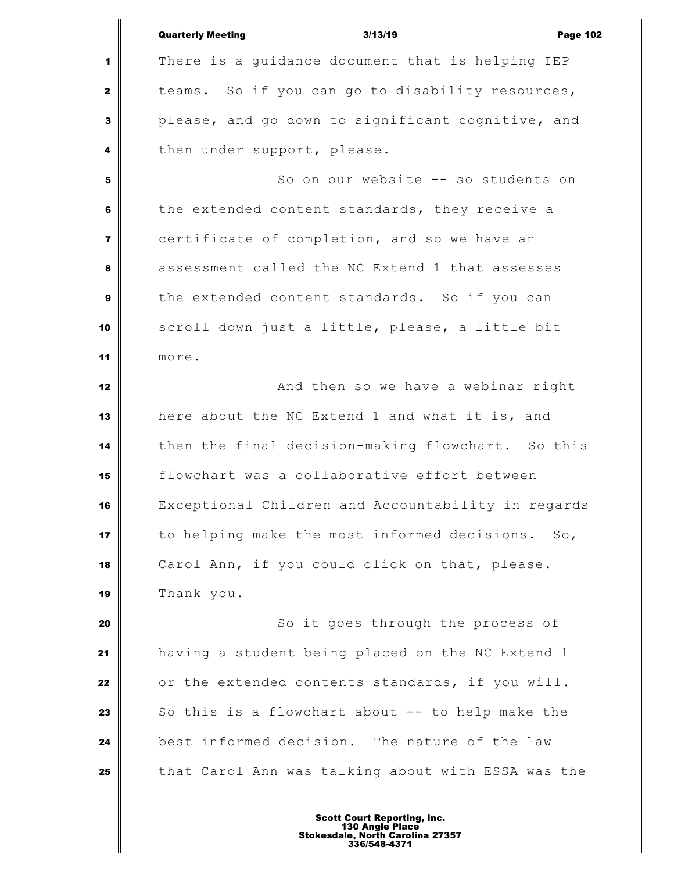|                         | <b>Quarterly Meeting</b><br>3/13/19<br><b>Page 102</b> |
|-------------------------|--------------------------------------------------------|
| 1                       | There is a guidance document that is helping IEP       |
| $\mathbf{2}$            | teams. So if you can go to disability resources,       |
| 3                       | please, and go down to significant cognitive, and      |
| 4                       | then under support, please.                            |
| 5                       | So on our website -- so students on                    |
| 6                       | the extended content standards, they receive a         |
| $\overline{\mathbf{z}}$ | certificate of completion, and so we have an           |
| 8                       | assessment called the NC Extend 1 that assesses        |
| 9                       | the extended content standards. So if you can          |
| 10                      | scroll down just a little, please, a little bit        |
| 11                      | more.                                                  |
| 12                      | And then so we have a webinar right                    |
| 13                      | here about the NC Extend 1 and what it is, and         |
| 14                      | then the final decision-making flowchart. So this      |
| 15                      | flowchart was a collaborative effort between           |
| 16                      | Exceptional Children and Accountability in regards     |
| 17                      | to helping make the most informed decisions. So,       |
| 18                      | Carol Ann, if you could click on that, please.         |
| 19                      | Thank you.                                             |
| 20                      | So it goes through the process of                      |
| 21                      | having a student being placed on the NC Extend 1       |
| 22                      | or the extended contents standards, if you will.       |
| 23                      | So this is a flowchart about -- to help make the       |
| 24                      | best informed decision. The nature of the law          |
| 25                      | that Carol Ann was talking about with ESSA was the     |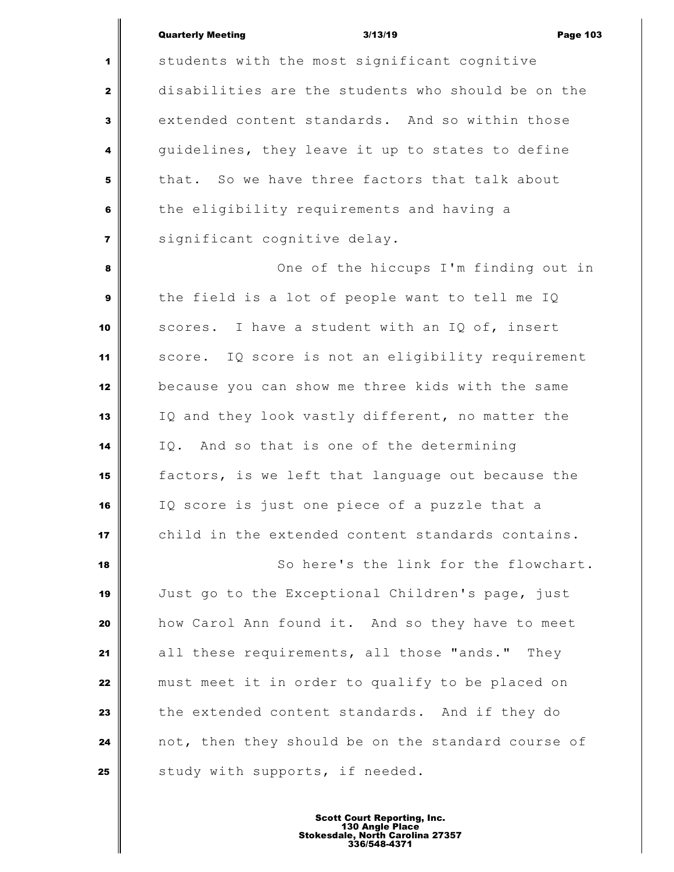students with the most significant cognitive disabilities are the students who should be on the extended content standards. And so within those guidelines, they leave it up to states to define that. So we have three factors that talk about the eligibility requirements and having a significant cognitive delay. One of the hiccups I'm finding out in the field is a lot of people want to tell me IQ scores. I have a student with an IQ of, insert score. IQ score is not an eligibility requirement because you can show me three kids with the same IQ and they look vastly different, no matter the IQ. And so that is one of the determining factors, is we left that language out because the IQ score is just one piece of a puzzle that a child in the extended content standards contains. So here's the link for the flowchart. Just go to the Exceptional Children's page, just how Carol Ann found it. And so they have to meet all these requirements, all those "ands." They must meet it in order to qualify to be placed on the extended content standards. And if they do not, then they should be on the standard course of Study with supports, if needed.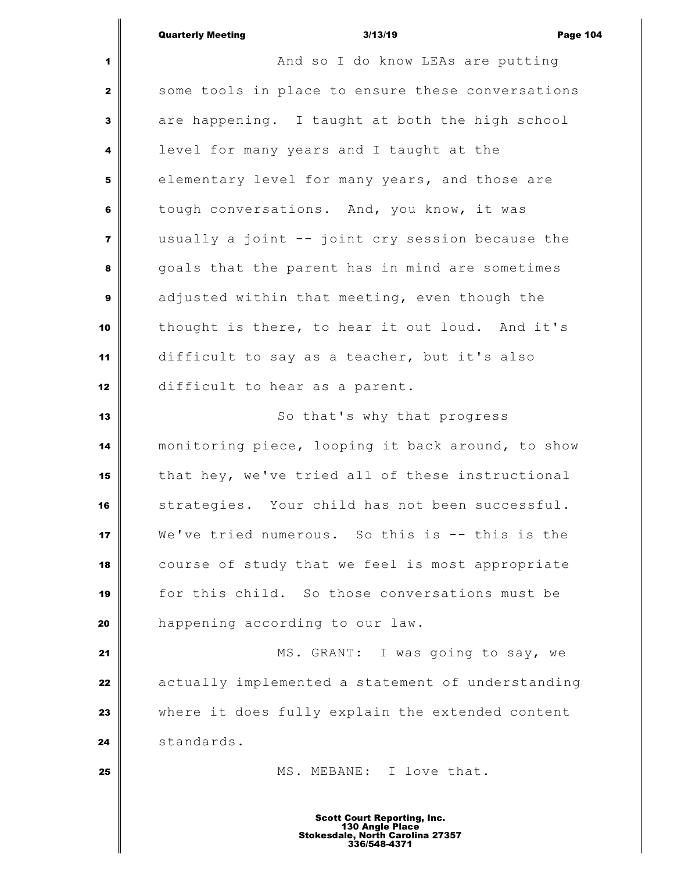**And so I do know LEAs are putting**  some tools in place to ensure these conversations are happening. I taught at both the high school level for many years and I taught at the elementary level for many years, and those are tough conversations. And, you know, it was usually a joint -- joint cry session because the goals that the parent has in mind are sometimes adjusted within that meeting, even though the thought is there, to hear it out loud. And it's difficult to say as a teacher, but it's also difficult to hear as a parent. So that's why that progress monitoring piece, looping it back around, to show that hey, we've tried all of these instructional strategies. Your child has not been successful. We've tried numerous. So this is -- this is the course of study that we feel is most appropriate for this child. So those conversations must be **happening according to our law.**  MS. GRANT: I was going to say, we actually implemented a statement of understanding where it does fully explain the extended content standards. **MS. MEBANE:** I love that.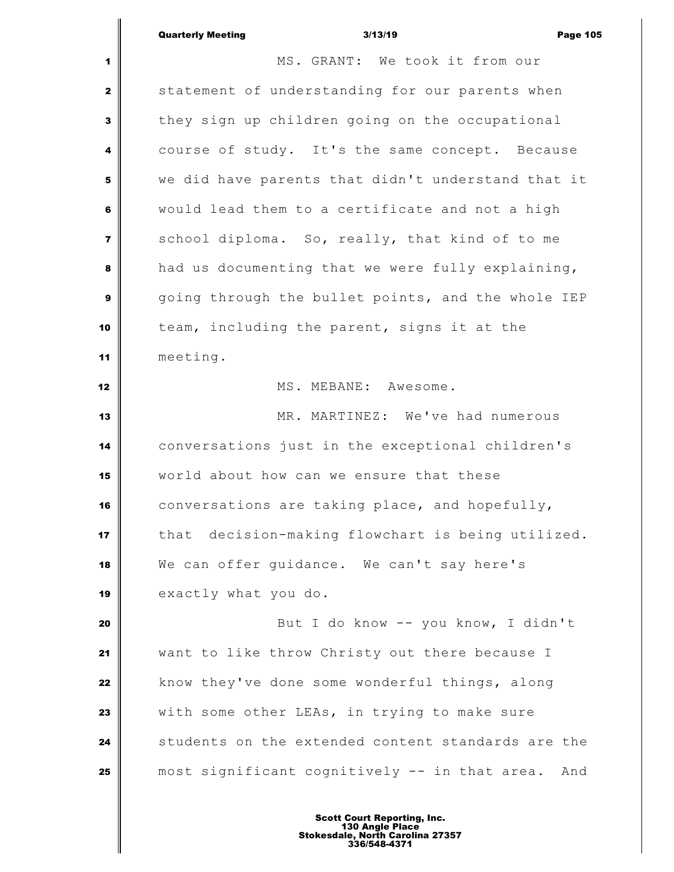|                | <b>Quarterly Meeting</b> | 3/13/19 |                                |  |  |  |  |  | <b>Page 105</b> |
|----------------|--------------------------|---------|--------------------------------|--|--|--|--|--|-----------------|
| 1 <sup>1</sup> |                          |         | MS. GRANT: We took it from our |  |  |  |  |  |                 |

 statement of understanding for our parents when they sign up children going on the occupational course of study. It's the same concept. Because we did have parents that didn't understand that it would lead them to a certificate and not a high School diploma. So, really, that kind of to me had us documenting that we were fully explaining, going through the bullet points, and the whole IEP team, including the parent, signs it at the meeting.

# MS. MEBANE: Awesome.

 MR. MARTINEZ: We've had numerous conversations just in the exceptional children's world about how can we ensure that these conversations are taking place, and hopefully, that decision-making flowchart is being utilized. We can offer guidance. We can't say here's 19 exactly what you do.

 But I do know -- you know, I didn't want to like throw Christy out there because I know they've done some wonderful things, along With some other LEAs, in trying to make sure students on the extended content standards are the most significant cognitively -- in that area. And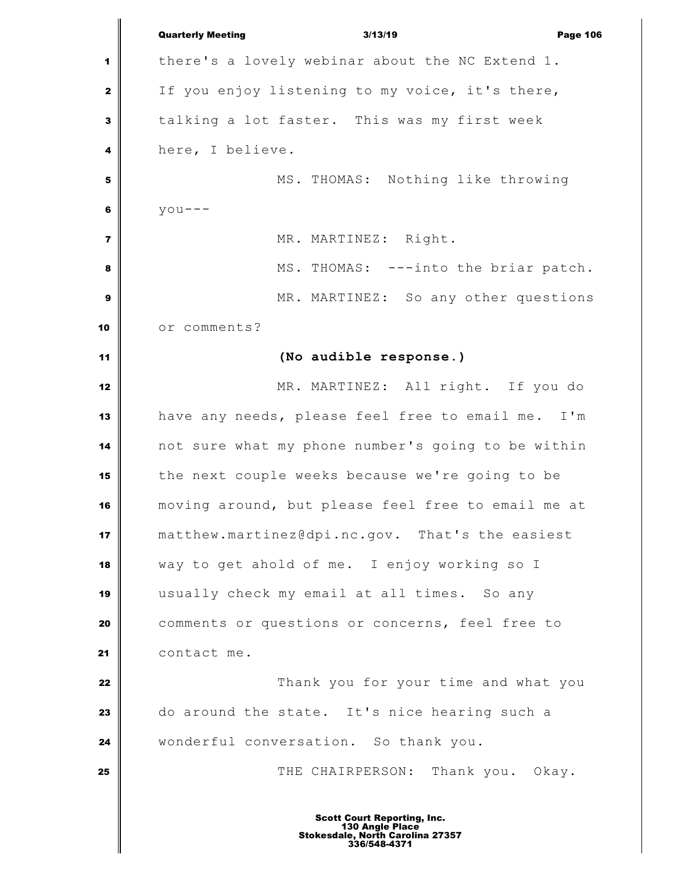|                | <b>Quarterly Meeting</b><br>3/13/19<br><b>Page 106</b>                                                    |
|----------------|-----------------------------------------------------------------------------------------------------------|
| 1              | there's a lovely webinar about the NC Extend 1.                                                           |
| $\mathbf{2}$   | If you enjoy listening to my voice, it's there,                                                           |
| 3              | talking a lot faster. This was my first week                                                              |
| 4              | here, I believe.                                                                                          |
| 5              | MS. THOMAS: Nothing like throwing                                                                         |
| 6              | $y$ ou---                                                                                                 |
| $\overline{7}$ | MR. MARTINEZ: Right.                                                                                      |
| 8              | MS. THOMAS: ---into the briar patch.                                                                      |
| 9              | MR. MARTINEZ: So any other questions                                                                      |
| 10             | or comments?                                                                                              |
| 11             | (No audible response.)                                                                                    |
| 12             | MR. MARTINEZ: All right. If you do                                                                        |
| 13             | have any needs, please feel free to email me. I'm                                                         |
| 14             | not sure what my phone number's going to be within                                                        |
| 15             | the next couple weeks because we're going to be                                                           |
| 16             | moving around, but please feel free to email me at                                                        |
| 17             | matthew.martinez@dpi.nc.gov. That's the easiest                                                           |
| 18             | way to get ahold of me. I enjoy working so I                                                              |
| 19             | usually check my email at all times. So any                                                               |
| 20             | comments or questions or concerns, feel free to                                                           |
| 21             | contact me.                                                                                               |
| 22             | Thank you for your time and what you                                                                      |
| 23             | do around the state. It's nice hearing such a                                                             |
| 24             | wonderful conversation. So thank you.                                                                     |
| 25             | THE CHAIRPERSON: Thank you. Okay.                                                                         |
|                | <b>Scott Court Reporting, Inc.</b><br>130 Angle Place<br>Stokesdale, North Carolina 27357<br>336/548-4371 |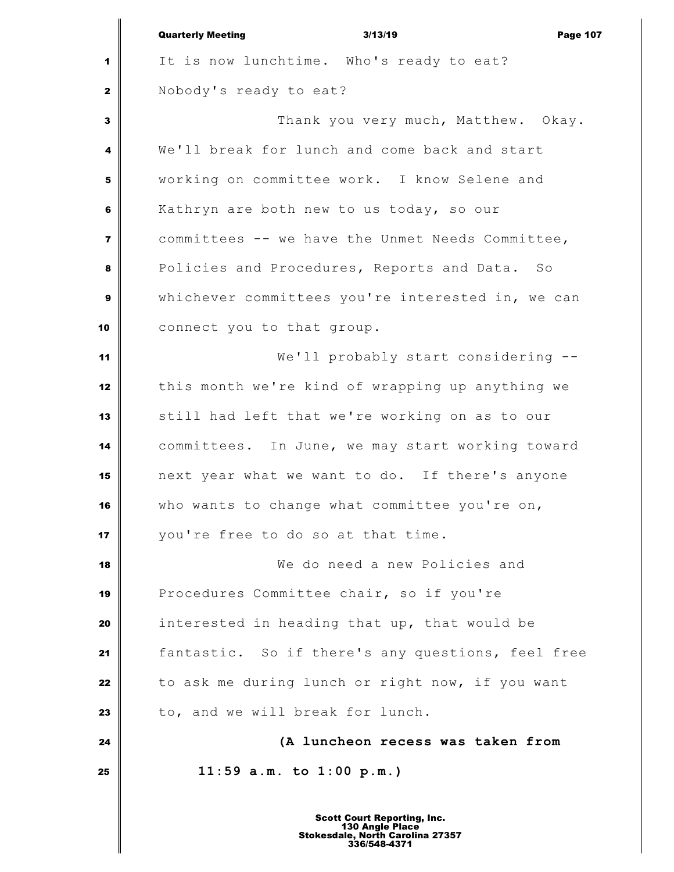|                         | <b>Quarterly Meeting</b><br>3/13/19<br><b>Page 107</b> |
|-------------------------|--------------------------------------------------------|
| 1                       | It is now lunchtime. Who's ready to eat?               |
| $\mathbf{2}$            | Nobody's ready to eat?                                 |
| 3                       | Thank you very much, Matthew. Okay.                    |
| 4                       | We'll break for lunch and come back and start          |
| 5                       | working on committee work. I know Selene and           |
| 6                       | Kathryn are both new to us today, so our               |
| $\overline{\mathbf{z}}$ | committees -- we have the Unmet Needs Committee,       |
| 8                       | Policies and Procedures, Reports and Data. So          |
| 9                       | whichever committees you're interested in, we can      |
| 10                      | connect you to that group.                             |
| 11                      | We'll probably start considering --                    |
| 12                      | this month we're kind of wrapping up anything we       |
| 13                      | still had left that we're working on as to our         |
| 14                      | committees. In June, we may start working toward       |
| 15                      | next year what we want to do. If there's anyone        |
| 16                      | who wants to change what committee you're on,          |
| 17                      | you're free to do so at that time.                     |
| 18                      | We do need a new Policies and                          |
| 19                      | Procedures Committee chair, so if you're               |
| 20                      | interested in heading that up, that would be           |
| 21                      | fantastic. So if there's any questions, feel free      |
| 22                      | to ask me during lunch or right now, if you want       |
| 23                      | to, and we will break for lunch.                       |
| 24                      | (A luncheon recess was taken from                      |
| 25                      | $11:59$ a.m. to $1:00$ p.m.)                           |
|                         |                                                        |
|                         | <b>Scott Court Reporting, Inc.</b>                     |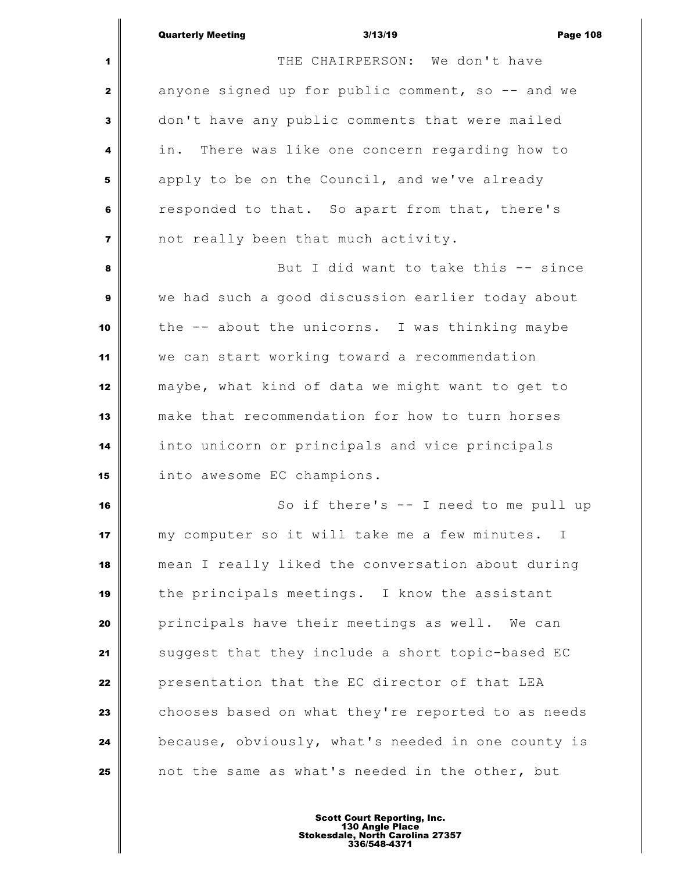|                         | <b>Quarterly Meeting</b><br>3/13/19<br><b>Page 108</b> |
|-------------------------|--------------------------------------------------------|
| 1                       | THE CHAIRPERSON: We don't have                         |
| $\mathbf{2}$            | anyone signed up for public comment, so -- and we      |
| 3                       | don't have any public comments that were mailed        |
| 4                       | There was like one concern regarding how to<br>in.     |
| 5                       | apply to be on the Council, and we've already          |
| 6                       | responded to that. So apart from that, there's         |
| $\overline{\mathbf{z}}$ | not really been that much activity.                    |
| 8                       | But I did want to take this -- since                   |
| 9                       | we had such a good discussion earlier today about      |
| 10                      | the -- about the unicorns. I was thinking maybe        |
| 11                      | we can start working toward a recommendation           |
| 12                      | maybe, what kind of data we might want to get to       |
| 13                      | make that recommendation for how to turn horses        |
| 14                      | into unicorn or principals and vice principals         |
| 15                      | into awesome EC champions.                             |
| 16                      | So if there's -- I need to me pull up                  |
| 17                      | my computer so it will take me a few minutes. I        |
| 18                      | mean I really liked the conversation about during      |
| 19                      | the principals meetings. I know the assistant          |
| 20                      | principals have their meetings as well. We can         |
| 21                      | suggest that they include a short topic-based EC       |
| 22                      | presentation that the EC director of that LEA          |
| 23                      | chooses based on what they're reported to as needs     |
| 24                      | because, obviously, what's needed in one county is     |
| 25                      | not the same as what's needed in the other, but        |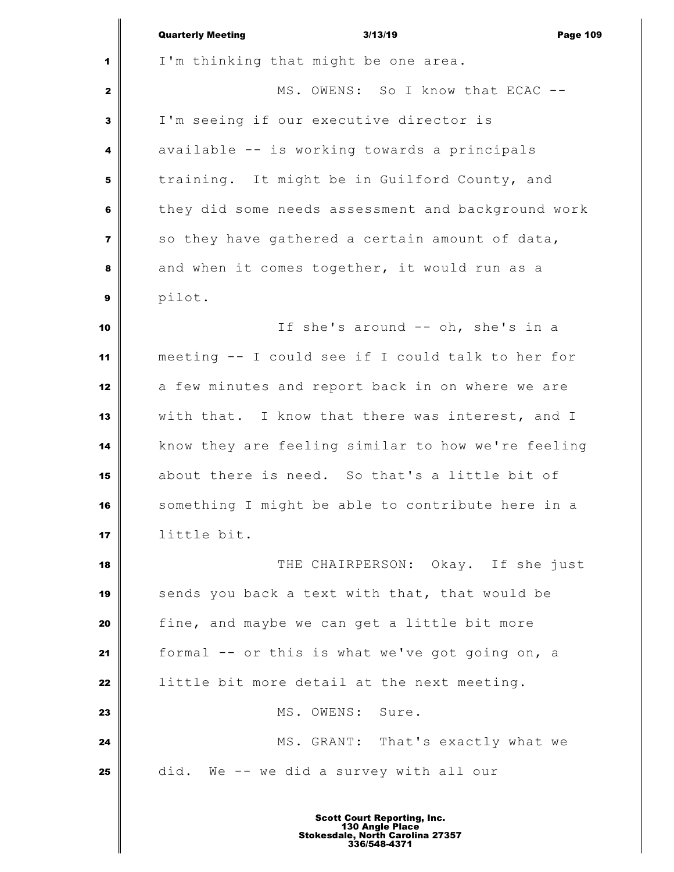|                         | <b>Quarterly Meeting</b><br><b>Page 109</b><br>3/13/19 |
|-------------------------|--------------------------------------------------------|
| 1                       | I'm thinking that might be one area.                   |
| $\mathbf{z}$            | MS. OWENS: So I know that ECAC --                      |
| 3                       | I'm seeing if our executive director is                |
| 4                       | available -- is working towards a principals           |
| 5                       | training. It might be in Guilford County, and          |
| 6                       | they did some needs assessment and background work     |
| $\overline{\mathbf{z}}$ | so they have gathered a certain amount of data,        |
| 8                       | and when it comes together, it would run as a          |
| $\boldsymbol{9}$        | pilot.                                                 |
| 10                      | If she's around -- oh, she's in a                      |
| 11                      | meeting -- I could see if I could talk to her for      |
| 12                      | a few minutes and report back in on where we are       |
| 13                      | with that. I know that there was interest, and I       |
| 14                      | know they are feeling similar to how we're feeling     |
| 15                      | about there is need. So that's a little bit of         |
| 16                      | something I might be able to contribute here in a      |
| 17                      | little bit.                                            |
| 18                      | THE CHAIRPERSON: Okay. If she just                     |
| 19                      | sends you back a text with that, that would be         |
| 20                      | fine, and maybe we can get a little bit more           |
| 21                      | formal -- or this is what we've got going on, a        |
| 22                      | little bit more detail at the next meeting.            |
| 23                      | MS. OWENS: Sure.                                       |
| 24                      | MS. GRANT: That's exactly what we                      |
| 25                      | did. We -- we did a survey with all our                |
|                         | <b>Scott Court Reporting, Inc.</b>                     |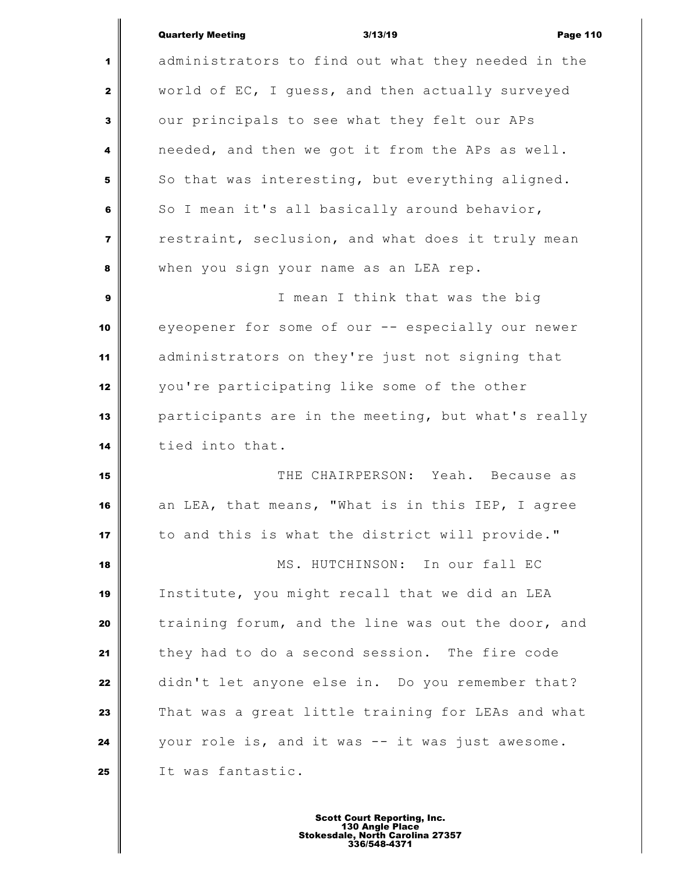# Quarterly Meeting **Contract Contract Contract Contract Contract Contract Contract Contract Contract Contract Contract Contract Contract Contract Contract Contract Contract Contract Contract Contract Contract Contract Contr**

 $\parallel$ 

| $\mathbf{1}$   | administrators to find out what they needed in the |
|----------------|----------------------------------------------------|
| $\mathbf{2}$   | world of EC, I guess, and then actually surveyed   |
| 3              | our principals to see what they felt our APs       |
| 4              | needed, and then we got it from the APs as well.   |
| 5              | So that was interesting, but everything aligned.   |
| 6              | So I mean it's all basically around behavior,      |
| $\overline{7}$ | restraint, seclusion, and what does it truly mean  |
| 8              | when you sign your name as an LEA rep.             |
| $\mathbf{9}$   | I mean I think that was the big                    |
| 10             | eyeopener for some of our -- especially our newer  |
| 11             | administrators on they're just not signing that    |
| 12             | you're participating like some of the other        |
| 13             | participants are in the meeting, but what's really |
| 14             | tied into that.                                    |
| 15             | THE CHAIRPERSON: Yeah. Because as                  |
| 16             | an LEA, that means, "What is in this IEP, I agree  |
| 17             | to and this is what the district will provide."    |
| 18             | MS. HUTCHINSON: In our fall EC                     |
| 19             | Institute, you might recall that we did an LEA     |
| 20             | training forum, and the line was out the door, and |
| 21             | they had to do a second session. The fire code     |
| 22             | didn't let anyone else in. Do you remember that?   |
| 23             | That was a great little training for LEAs and what |
| 24             | your role is, and it was -- it was just awesome.   |
| 25             | It was fantastic.                                  |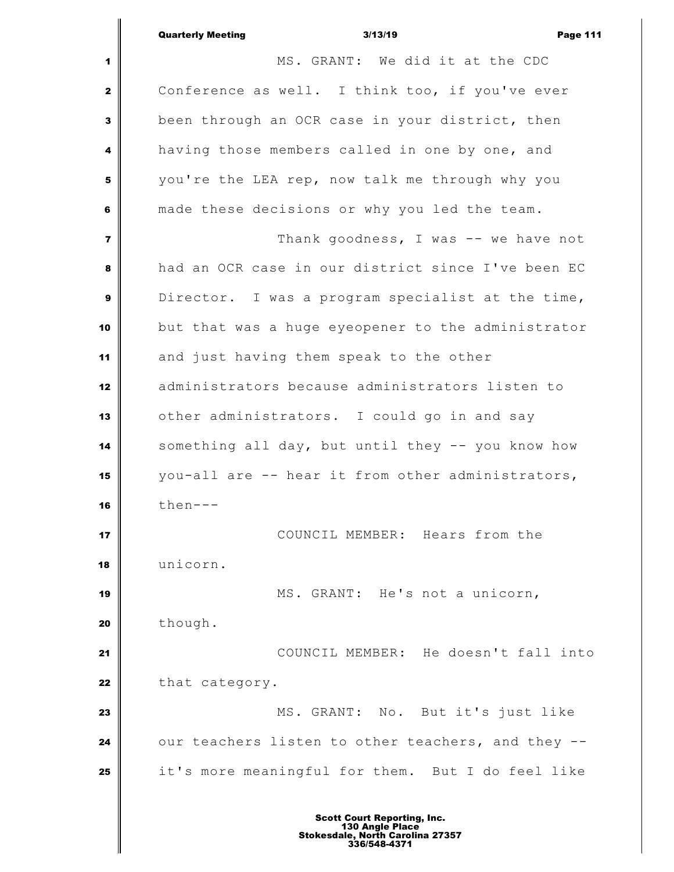$\overline{\mathbb{I}}$ 

Ш

| 1              | MS. GRANT: We did it at the CDC                    |
|----------------|----------------------------------------------------|
| $\mathbf{z}$   | Conference as well. I think too, if you've ever    |
| 3              | been through an OCR case in your district, then    |
| 4              | having those members called in one by one, and     |
| 5              | you're the LEA rep, now talk me through why you    |
| 6              | made these decisions or why you led the team.      |
| $\overline{7}$ | Thank goodness, I was -- we have not               |
| 8              | had an OCR case in our district since I've been EC |
| 9              | Director. I was a program specialist at the time,  |
| 10             | but that was a huge eyeopener to the administrator |
| 11             | and just having them speak to the other            |
| 12             | administrators because administrators listen to    |
| 13             | other administrators. I could go in and say        |
| 14             | something all day, but until they -- you know how  |
| 15             | you-all are -- hear it from other administrators,  |
| 16             | $then--$                                           |
| 17             | COUNCIL MEMBER: Hears from the                     |
| 18             | unicorn.                                           |
| 19             | MS. GRANT: He's not a unicorn,                     |
| 20             | though.                                            |
| 21             | COUNCIL MEMBER: He doesn't fall into               |
| 22             | that category.                                     |
| 23             | MS. GRANT: No. But it's just like                  |
| 24             | our teachers listen to other teachers, and they -- |
| 25             | it's more meaningful for them. But I do feel like  |
|                |                                                    |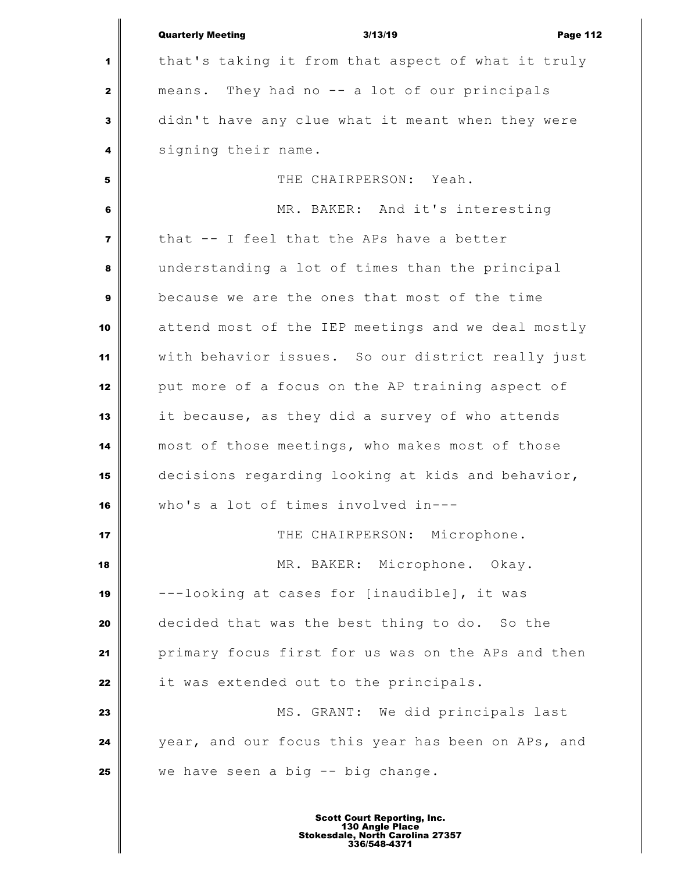|                  | <b>Quarterly Meeting</b><br>3/13/19<br><b>Page 112</b> |
|------------------|--------------------------------------------------------|
| 1                | that's taking it from that aspect of what it truly     |
| $\mathbf{2}$     | means. They had no -- a lot of our principals          |
| 3                | didn't have any clue what it meant when they were      |
| 4                | signing their name.                                    |
| 5                | THE CHAIRPERSON: Yeah.                                 |
| 6                | MR. BAKER: And it's interesting                        |
| $\overline{7}$   | that -- I feel that the APs have a better              |
| 8                | understanding a lot of times than the principal        |
| $\boldsymbol{9}$ | because we are the ones that most of the time          |
| 10               | attend most of the IEP meetings and we deal mostly     |
| 11               | with behavior issues. So our district really just      |
| 12               | put more of a focus on the AP training aspect of       |
| 13               | it because, as they did a survey of who attends        |
| 14               | most of those meetings, who makes most of those        |
| 15               | decisions regarding looking at kids and behavior,      |
| 16               | who's a lot of times involved in---                    |
| 17               | THE CHAIRPERSON: Microphone.                           |
| 18               | MR. BAKER: Microphone. Okay.                           |
| 19               | ---looking at cases for [inaudible], it was            |
| 20               | decided that was the best thing to do. So the          |
| 21               | primary focus first for us was on the APs and then     |
| 22               | it was extended out to the principals.                 |
| 23               | MS. GRANT: We did principals last                      |
| 24               | year, and our focus this year has been on APs, and     |
| 25               | we have seen a big -- big change.                      |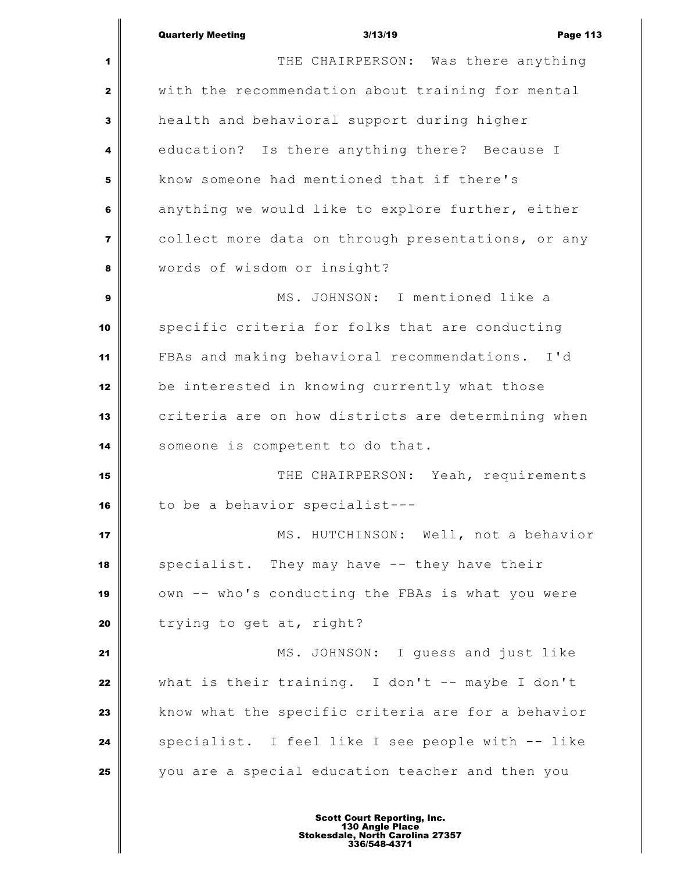|                         | <b>Quarterly Meeting</b><br>3/13/19<br><b>Page 113</b> |
|-------------------------|--------------------------------------------------------|
| 1                       | THE CHAIRPERSON: Was there anything                    |
| $\mathbf{2}$            | with the recommendation about training for mental      |
| 3                       | health and behavioral support during higher            |
| 4                       | education? Is there anything there? Because I          |
| 5                       | know someone had mentioned that if there's             |
| 6                       | anything we would like to explore further, either      |
| $\overline{\mathbf{z}}$ | collect more data on through presentations, or any     |
| 8                       | words of wisdom or insight?                            |
| 9                       | MS. JOHNSON: I mentioned like a                        |
| 10                      | specific criteria for folks that are conducting        |
| 11                      | FBAs and making behavioral recommendations. I'd        |
| 12                      | be interested in knowing currently what those          |
| 13                      | criteria are on how districts are determining when     |
| 14                      | someone is competent to do that.                       |
| 15                      | THE CHAIRPERSON: Yeah, requirements                    |
| 16                      | to be a behavior specialist---                         |
| 17                      | MS. HUTCHINSON: Well, not a behavior                   |
| 18                      | specialist. They may have -- they have their           |
| 19                      | own -- who's conducting the FBAs is what you were      |
| 20                      | trying to get at, right?                               |
| 21                      | MS. JOHNSON: I guess and just like                     |
| 22                      | what is their training. I don't $-$ - maybe I don't    |
| 23                      | know what the specific criteria are for a behavior     |
| 24                      | specialist. I feel like I see people with -- like      |
| 25                      | you are a special education teacher and then you       |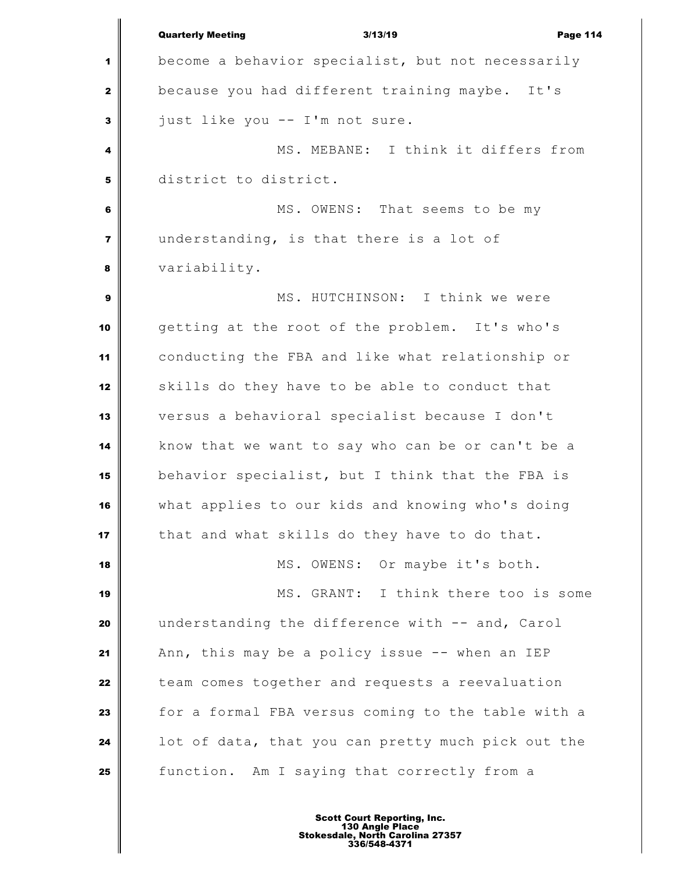Quarterly Meeting 3/13/19 Page 114 become a behavior specialist, but not necessarily because you had different training maybe. It's just like you -- I'm not sure. MS. MEBANE: I think it differs from district to district. MS. OWENS: That seems to be my understanding, is that there is a lot of variability. MS. HUTCHINSON: I think we were getting at the root of the problem. It's who's conducting the FBA and like what relationship or skills do they have to be able to conduct that versus a behavioral specialist because I don't know that we want to say who can be or can't be a behavior specialist, but I think that the FBA is what applies to our kids and knowing who's doing that and what skills do they have to do that. MS. OWENS: Or maybe it's both. MS. GRANT: I think there too is some understanding the difference with -- and, Carol Ann, this may be a policy issue -- when an IEP team comes together and requests a reevaluation for a formal FBA versus coming to the table with a **l** lot of data, that you can pretty much pick out the function. Am I saying that correctly from a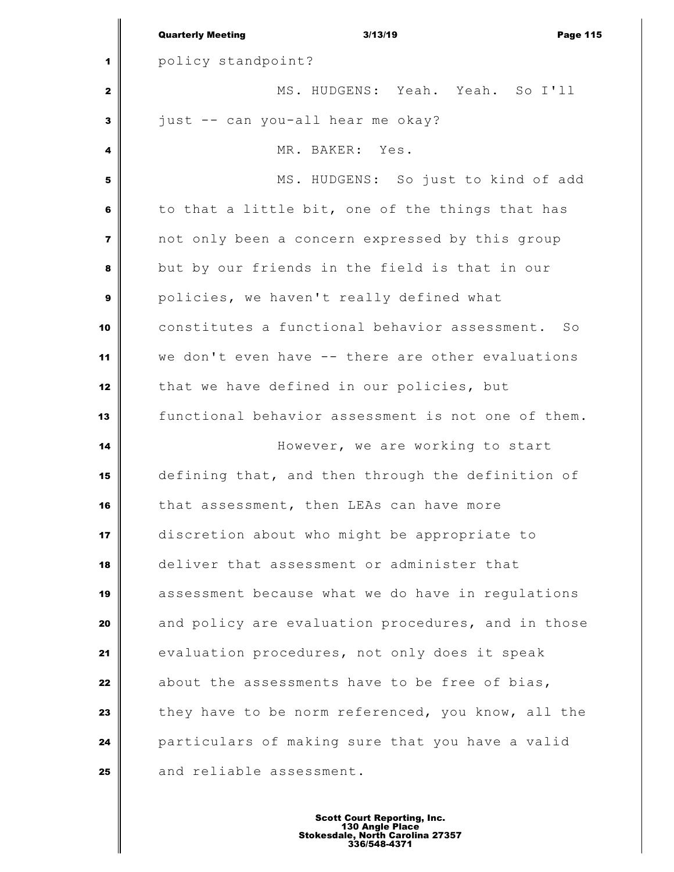|                         | <b>Quarterly Meeting</b><br>3/13/19<br><b>Page 115</b> |
|-------------------------|--------------------------------------------------------|
| 1                       | policy standpoint?                                     |
| 2                       | MS. HUDGENS: Yeah. Yeah. So I'll                       |
| 3                       | just -- can you-all hear me okay?                      |
| 4                       | MR. BAKER: Yes.                                        |
| 5                       | MS. HUDGENS: So just to kind of add                    |
| 6                       | to that a little bit, one of the things that has       |
| $\overline{\mathbf{z}}$ | not only been a concern expressed by this group        |
| 8                       | but by our friends in the field is that in our         |
| 9                       | policies, we haven't really defined what               |
| 10                      | constitutes a functional behavior assessment. So       |
| 11                      | we don't even have -- there are other evaluations      |
| 12                      | that we have defined in our policies, but              |
| 13                      | functional behavior assessment is not one of them.     |
| 14                      | However, we are working to start                       |
| 15                      | defining that, and then through the definition of      |
| 16                      | that assessment, then LEAs can have more               |
| 17                      | discretion about who might be appropriate to           |
| 18                      | deliver that assessment or administer that             |
| 19                      | assessment because what we do have in regulations      |
| 20                      | and policy are evaluation procedures, and in those     |
| 21                      | evaluation procedures, not only does it speak          |
| 22                      | about the assessments have to be free of bias,         |
| 23                      | they have to be norm referenced, you know, all the     |
| 24                      | particulars of making sure that you have a valid       |
| 25                      | and reliable assessment.                               |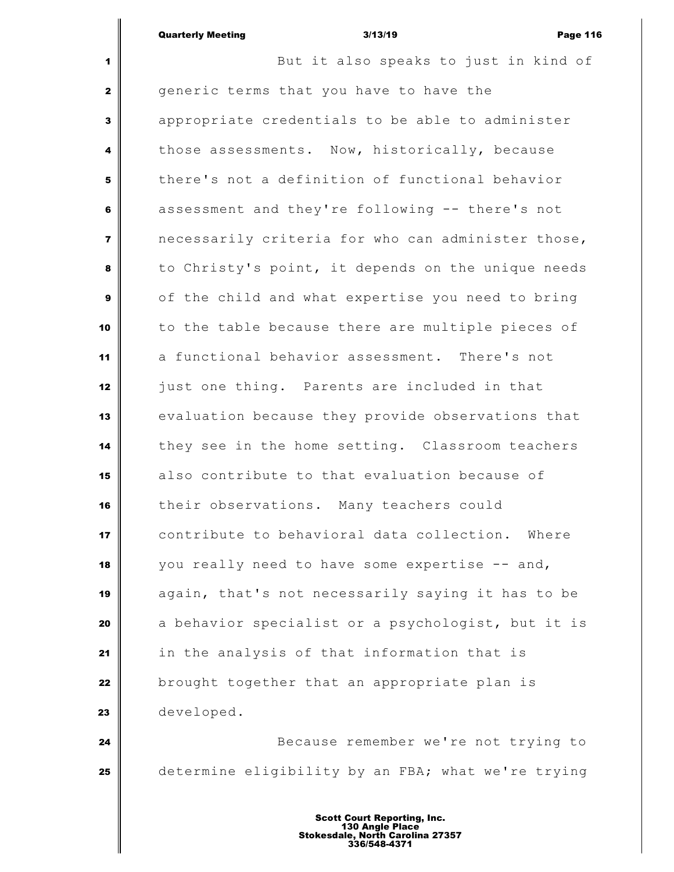But it also speaks to just in kind of generic terms that you have to have the appropriate credentials to be able to administer those assessments. Now, historically, because there's not a definition of functional behavior assessment and they're following -- there's not necessarily criteria for who can administer those, to Christy's point, it depends on the unique needs of the child and what expertise you need to bring to the table because there are multiple pieces of a functional behavior assessment. There's not just one thing. Parents are included in that evaluation because they provide observations that they see in the home setting. Classroom teachers also contribute to that evaluation because of their observations. Many teachers could contribute to behavioral data collection. Where you really need to have some expertise -- and, again, that's not necessarily saying it has to be a behavior specialist or a psychologist, but it is in the analysis of that information that is brought together that an appropriate plan is developed. Because remember we're not trying to

determine eligibility by an FBA; what we're trying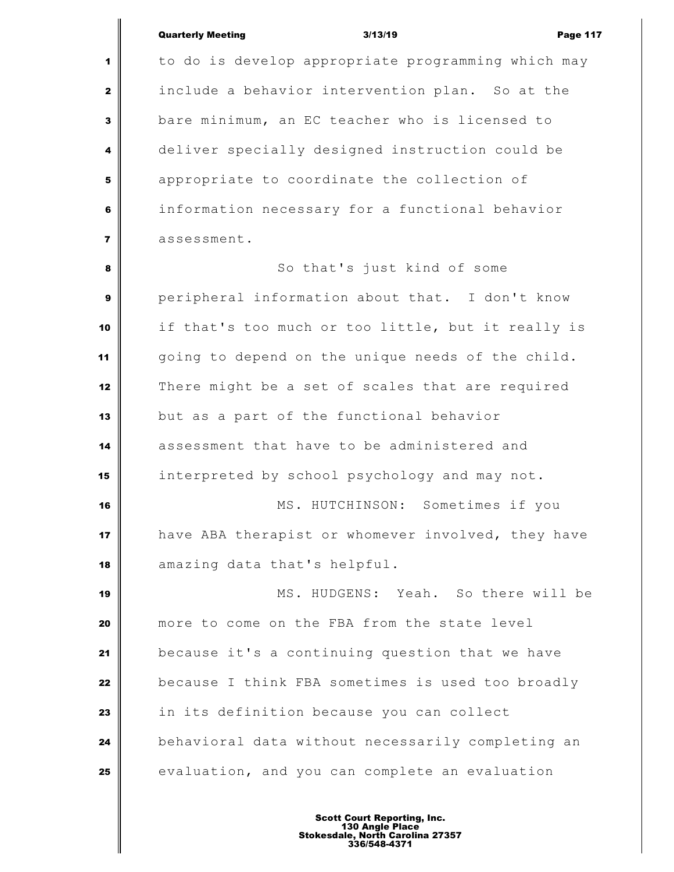to do is develop appropriate programming which may include a behavior intervention plan. So at the bare minimum, an EC teacher who is licensed to deliver specially designed instruction could be appropriate to coordinate the collection of information necessary for a functional behavior assessment.

 So that's just kind of some peripheral information about that. I don't know if that's too much or too little, but it really is going to depend on the unique needs of the child. There might be a set of scales that are required but as a part of the functional behavior assessment that have to be administered and interpreted by school psychology and may not. MS. HUTCHINSON: Sometimes if you have ABA therapist or whomever involved, they have amazing data that's helpful. MS. HUDGENS: Yeah. So there will be more to come on the FBA from the state level because it's a continuing question that we have because I think FBA sometimes is used too broadly in its definition because you can collect behavioral data without necessarily completing an evaluation, and you can complete an evaluation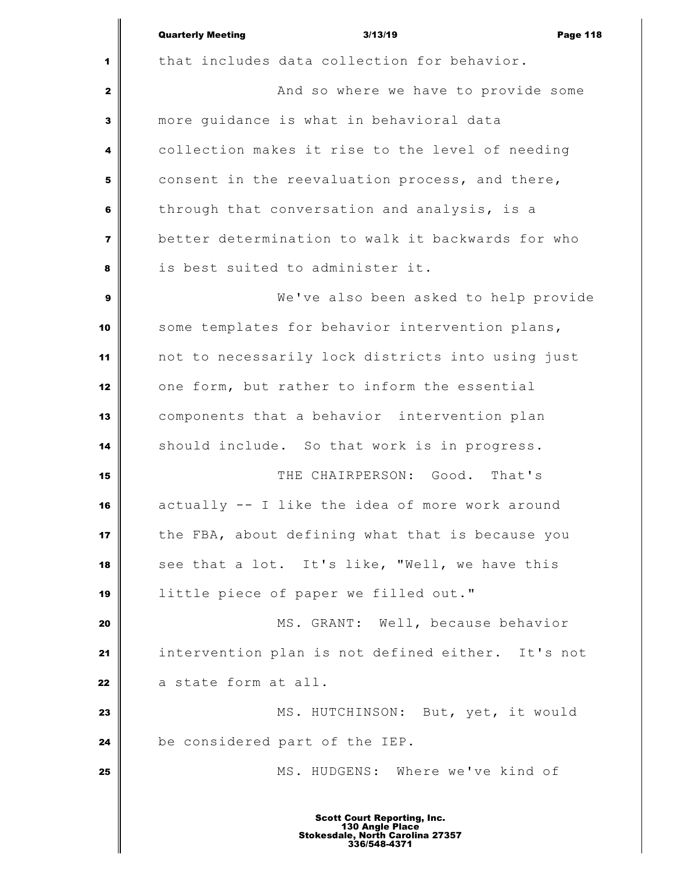|                | <b>Quarterly Meeting</b><br>3/13/19<br><b>Page 118</b> |
|----------------|--------------------------------------------------------|
| 1              | that includes data collection for behavior.            |
| 2              | And so where we have to provide some                   |
| 3              | more quidance is what in behavioral data               |
| 4              | collection makes it rise to the level of needing       |
| 5              | consent in the reevaluation process, and there,        |
| 6              | through that conversation and analysis, is a           |
| $\overline{7}$ | better determination to walk it backwards for who      |
| 8              | is best suited to administer it.                       |
| 9              | We've also been asked to help provide                  |
| 10             | some templates for behavior intervention plans,        |
| 11             | not to necessarily lock districts into using just      |
| 12             | one form, but rather to inform the essential           |
| 13             | components that a behavior intervention plan           |
| 14             | should include. So that work is in progress.           |
| 15             | THE CHAIRPERSON: Good.<br>That's                       |
| 16             | actually -- I like the idea of more work around        |
| 17             | the FBA, about defining what that is because you       |
| 18             | see that a lot. It's like, "Well, we have this         |
| 19             | little piece of paper we filled out."                  |
| 20             | MS. GRANT: Well, because behavior                      |
| 21             | intervention plan is not defined either. It's not      |
| 22             | a state form at all.                                   |
| 23             | MS. HUTCHINSON: But, yet, it would                     |
| 24             | be considered part of the IEP.                         |
| 25             | MS. HUDGENS: Where we've kind of                       |
|                | <b>Scott Court Reporting, Inc.</b><br>130 Angle Place  |

I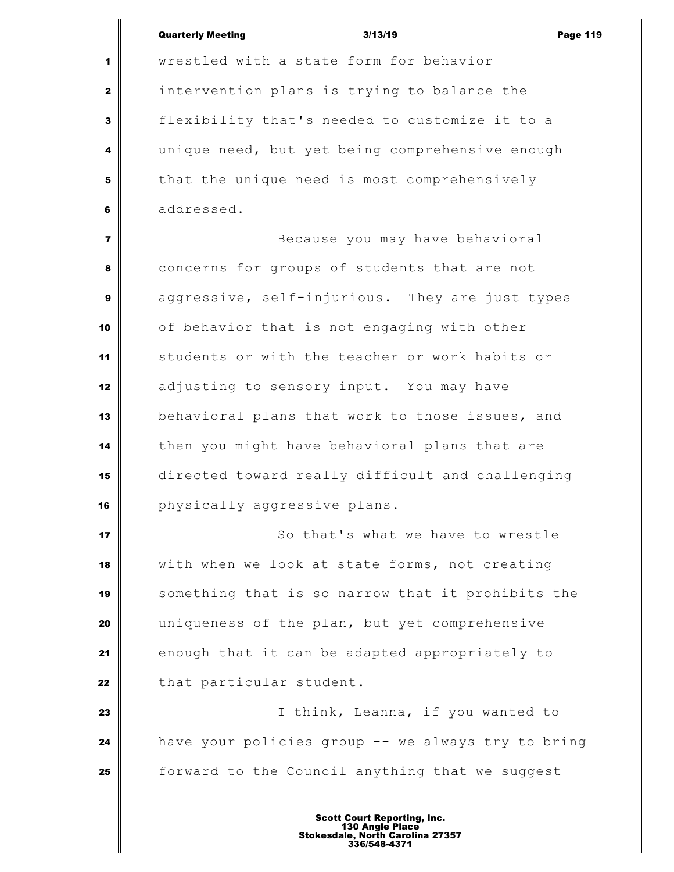wrestled with a state form for behavior intervention plans is trying to balance the flexibility that's needed to customize it to a unique need, but yet being comprehensive enough that the unique need is most comprehensively addressed.

 Because you may have behavioral concerns for groups of students that are not aggressive, self-injurious. They are just types of behavior that is not engaging with other students or with the teacher or work habits or adjusting to sensory input. You may have behavioral plans that work to those issues, and then you might have behavioral plans that are directed toward really difficult and challenging **physically aggressive plans.** 

 So that's what we have to wrestle with when we look at state forms, not creating something that is so narrow that it prohibits the uniqueness of the plan, but yet comprehensive enough that it can be adapted appropriately to that particular student.

 I think, Leanna, if you wanted to have your policies group -- we always try to bring forward to the Council anything that we suggest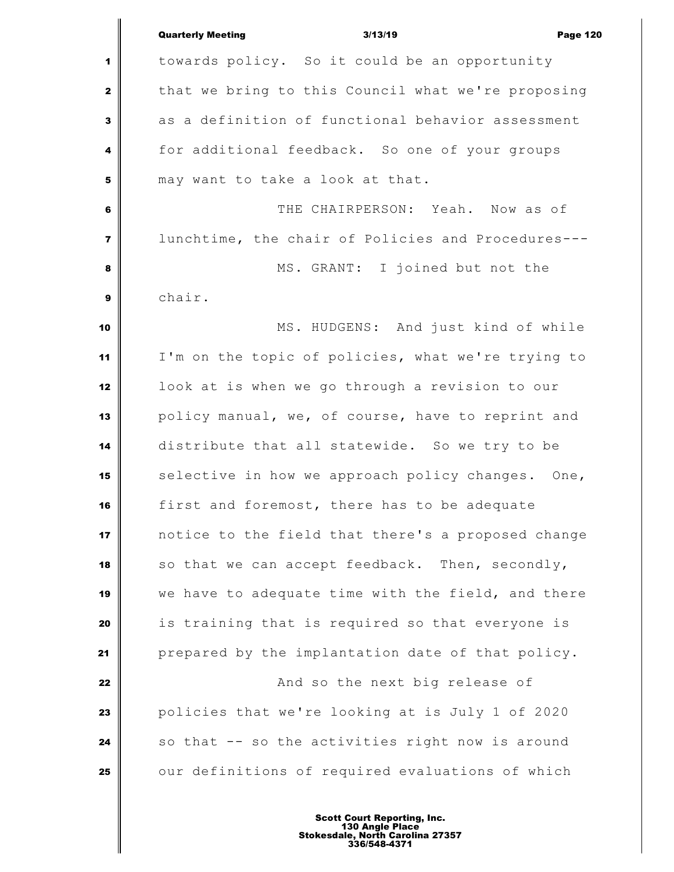|                  | <b>Quarterly Meeting</b><br><b>Page 120</b><br>3/13/19 |
|------------------|--------------------------------------------------------|
| 1                | towards policy. So it could be an opportunity          |
| $\mathbf{2}$     | that we bring to this Council what we're proposing     |
| 3                | as a definition of functional behavior assessment      |
| 4                | for additional feedback. So one of your groups         |
| 5                | may want to take a look at that.                       |
| 6                | THE CHAIRPERSON: Yeah. Now as of                       |
| $\overline{7}$   | lunchtime, the chair of Policies and Procedures---     |
| 8                | MS. GRANT: I joined but not the                        |
| $\boldsymbol{9}$ | chair.                                                 |
| 10               | MS. HUDGENS: And just kind of while                    |
| 11               | I'm on the topic of policies, what we're trying to     |
| 12               | look at is when we go through a revision to our        |
| 13               | policy manual, we, of course, have to reprint and      |
| 14               | distribute that all statewide. So we try to be         |
| 15               | selective in how we approach policy changes. One,      |
| 16               | first and foremost, there has to be adequate           |
| 17               | notice to the field that there's a proposed change     |
| 18               | so that we can accept feedback. Then, secondly,        |
| 19               | we have to adequate time with the field, and there     |
| 20               | is training that is required so that everyone is       |
| 21               | prepared by the implantation date of that policy.      |
| 22               | And so the next big release of                         |
| 23               | policies that we're looking at is July 1 of 2020       |
| 24               | so that -- so the activities right now is around       |
| 25               | our definitions of required evaluations of which       |
|                  |                                                        |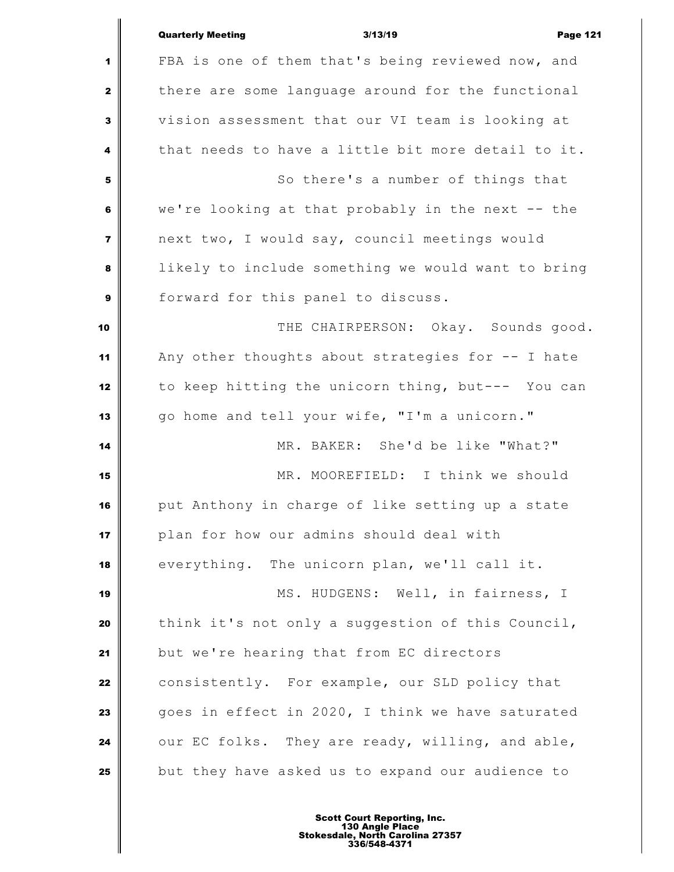|                         | <b>Quarterly Meeting</b><br>3/13/19<br><b>Page 121</b> |
|-------------------------|--------------------------------------------------------|
| 1                       | FBA is one of them that's being reviewed now, and      |
| $\mathbf{z}$            | there are some language around for the functional      |
| 3                       | vision assessment that our VI team is looking at       |
| 4                       | that needs to have a little bit more detail to it.     |
| 5                       | So there's a number of things that                     |
| 6                       | we're looking at that probably in the next -- the      |
| $\overline{\mathbf{z}}$ | next two, I would say, council meetings would          |
| 8                       | likely to include something we would want to bring     |
| 9                       | forward for this panel to discuss.                     |
| 10                      | THE CHAIRPERSON: Okay. Sounds good.                    |
| 11                      | Any other thoughts about strategies for -- I hate      |
| 12                      | to keep hitting the unicorn thing, but--- You can      |
| 13                      | go home and tell your wife, "I'm a unicorn."           |
| 14                      | MR. BAKER: She'd be like "What?"                       |
| 15                      | MR. MOOREFIELD: I think we should                      |
| 16                      | put Anthony in charge of like setting up a state       |
| 17                      | plan for how our admins should deal with               |
| 18                      | everything. The unicorn plan, we'll call it.           |
| 19                      | MS. HUDGENS: Well, in fairness, I                      |
| 20                      | think it's not only a suggestion of this Council,      |
| 21                      | but we're hearing that from EC directors               |
| 22                      | consistently. For example, our SLD policy that         |
| 23                      | goes in effect in 2020, I think we have saturated      |
| 24                      | our EC folks. They are ready, willing, and able,       |
| 25                      | but they have asked us to expand our audience to       |
|                         |                                                        |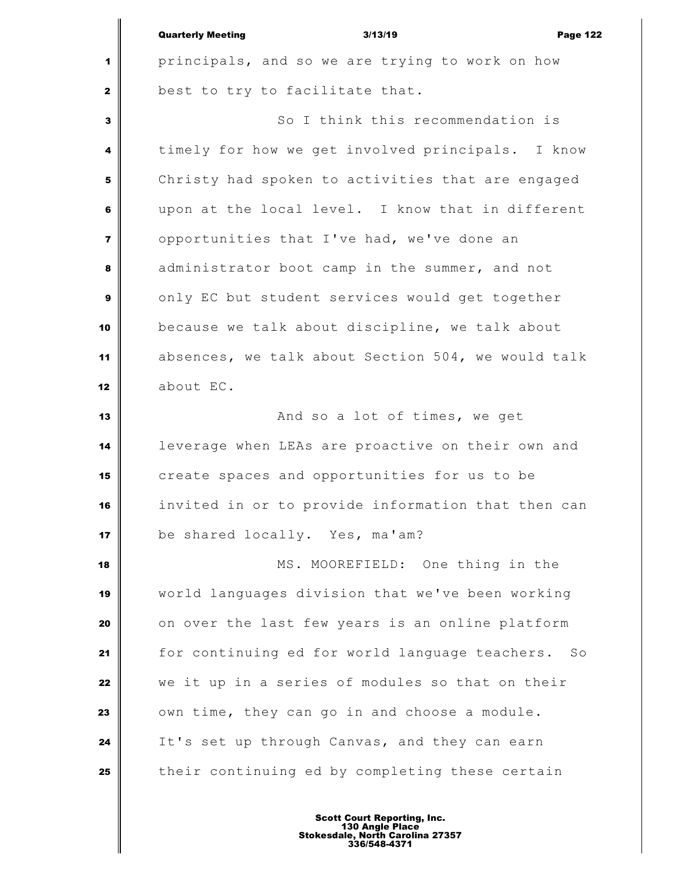| principals, and so we are trying to work on how<br>1<br>best to try to facilitate that.<br>$\mathbf{2}$<br>So I think this recommendation is<br>3<br>timely for how we get involved principals. I know<br>4<br>Christy had spoken to activities that are engaged<br>5<br>upon at the local level. I know that in different<br>6<br>opportunities that I've had, we've done an<br>$\overline{\mathbf{z}}$<br>administrator boot camp in the summer, and not<br>8<br>only EC but student services would get together<br>9<br>because we talk about discipline, we talk about<br>10<br>absences, we talk about Section 504, we would talk<br>11<br>about EC.<br>12<br>And so a lot of times, we get<br>13<br>leverage when LEAs are proactive on their own and<br>14<br>create spaces and opportunities for us to be<br>15<br>invited in or to provide information that then can<br>16<br>be shared locally. Yes, ma'am?<br>17<br>MS. MOOREFIELD: One thing in the<br>18<br>world languages division that we've been working<br>19<br>on over the last few years is an online platform<br>20<br>for continuing ed for world language teachers.<br>21<br>So<br>we it up in a series of modules so that on their<br>22<br>own time, they can go in and choose a module.<br>23<br>It's set up through Canvas, and they can earn<br>24<br>their continuing ed by completing these certain<br>25 | <b>Quarterly Meeting</b><br>3/13/19<br><b>Page 122</b> |
|------------------------------------------------------------------------------------------------------------------------------------------------------------------------------------------------------------------------------------------------------------------------------------------------------------------------------------------------------------------------------------------------------------------------------------------------------------------------------------------------------------------------------------------------------------------------------------------------------------------------------------------------------------------------------------------------------------------------------------------------------------------------------------------------------------------------------------------------------------------------------------------------------------------------------------------------------------------------------------------------------------------------------------------------------------------------------------------------------------------------------------------------------------------------------------------------------------------------------------------------------------------------------------------------------------------------------------------------------------------------------------------|--------------------------------------------------------|
|                                                                                                                                                                                                                                                                                                                                                                                                                                                                                                                                                                                                                                                                                                                                                                                                                                                                                                                                                                                                                                                                                                                                                                                                                                                                                                                                                                                          |                                                        |
|                                                                                                                                                                                                                                                                                                                                                                                                                                                                                                                                                                                                                                                                                                                                                                                                                                                                                                                                                                                                                                                                                                                                                                                                                                                                                                                                                                                          |                                                        |
|                                                                                                                                                                                                                                                                                                                                                                                                                                                                                                                                                                                                                                                                                                                                                                                                                                                                                                                                                                                                                                                                                                                                                                                                                                                                                                                                                                                          |                                                        |
|                                                                                                                                                                                                                                                                                                                                                                                                                                                                                                                                                                                                                                                                                                                                                                                                                                                                                                                                                                                                                                                                                                                                                                                                                                                                                                                                                                                          |                                                        |
|                                                                                                                                                                                                                                                                                                                                                                                                                                                                                                                                                                                                                                                                                                                                                                                                                                                                                                                                                                                                                                                                                                                                                                                                                                                                                                                                                                                          |                                                        |
|                                                                                                                                                                                                                                                                                                                                                                                                                                                                                                                                                                                                                                                                                                                                                                                                                                                                                                                                                                                                                                                                                                                                                                                                                                                                                                                                                                                          |                                                        |
|                                                                                                                                                                                                                                                                                                                                                                                                                                                                                                                                                                                                                                                                                                                                                                                                                                                                                                                                                                                                                                                                                                                                                                                                                                                                                                                                                                                          |                                                        |
|                                                                                                                                                                                                                                                                                                                                                                                                                                                                                                                                                                                                                                                                                                                                                                                                                                                                                                                                                                                                                                                                                                                                                                                                                                                                                                                                                                                          |                                                        |
|                                                                                                                                                                                                                                                                                                                                                                                                                                                                                                                                                                                                                                                                                                                                                                                                                                                                                                                                                                                                                                                                                                                                                                                                                                                                                                                                                                                          |                                                        |
|                                                                                                                                                                                                                                                                                                                                                                                                                                                                                                                                                                                                                                                                                                                                                                                                                                                                                                                                                                                                                                                                                                                                                                                                                                                                                                                                                                                          |                                                        |
|                                                                                                                                                                                                                                                                                                                                                                                                                                                                                                                                                                                                                                                                                                                                                                                                                                                                                                                                                                                                                                                                                                                                                                                                                                                                                                                                                                                          |                                                        |
|                                                                                                                                                                                                                                                                                                                                                                                                                                                                                                                                                                                                                                                                                                                                                                                                                                                                                                                                                                                                                                                                                                                                                                                                                                                                                                                                                                                          |                                                        |
|                                                                                                                                                                                                                                                                                                                                                                                                                                                                                                                                                                                                                                                                                                                                                                                                                                                                                                                                                                                                                                                                                                                                                                                                                                                                                                                                                                                          |                                                        |
|                                                                                                                                                                                                                                                                                                                                                                                                                                                                                                                                                                                                                                                                                                                                                                                                                                                                                                                                                                                                                                                                                                                                                                                                                                                                                                                                                                                          |                                                        |
|                                                                                                                                                                                                                                                                                                                                                                                                                                                                                                                                                                                                                                                                                                                                                                                                                                                                                                                                                                                                                                                                                                                                                                                                                                                                                                                                                                                          |                                                        |
|                                                                                                                                                                                                                                                                                                                                                                                                                                                                                                                                                                                                                                                                                                                                                                                                                                                                                                                                                                                                                                                                                                                                                                                                                                                                                                                                                                                          |                                                        |
|                                                                                                                                                                                                                                                                                                                                                                                                                                                                                                                                                                                                                                                                                                                                                                                                                                                                                                                                                                                                                                                                                                                                                                                                                                                                                                                                                                                          |                                                        |
|                                                                                                                                                                                                                                                                                                                                                                                                                                                                                                                                                                                                                                                                                                                                                                                                                                                                                                                                                                                                                                                                                                                                                                                                                                                                                                                                                                                          |                                                        |
|                                                                                                                                                                                                                                                                                                                                                                                                                                                                                                                                                                                                                                                                                                                                                                                                                                                                                                                                                                                                                                                                                                                                                                                                                                                                                                                                                                                          |                                                        |
|                                                                                                                                                                                                                                                                                                                                                                                                                                                                                                                                                                                                                                                                                                                                                                                                                                                                                                                                                                                                                                                                                                                                                                                                                                                                                                                                                                                          |                                                        |
|                                                                                                                                                                                                                                                                                                                                                                                                                                                                                                                                                                                                                                                                                                                                                                                                                                                                                                                                                                                                                                                                                                                                                                                                                                                                                                                                                                                          |                                                        |
|                                                                                                                                                                                                                                                                                                                                                                                                                                                                                                                                                                                                                                                                                                                                                                                                                                                                                                                                                                                                                                                                                                                                                                                                                                                                                                                                                                                          |                                                        |
|                                                                                                                                                                                                                                                                                                                                                                                                                                                                                                                                                                                                                                                                                                                                                                                                                                                                                                                                                                                                                                                                                                                                                                                                                                                                                                                                                                                          |                                                        |
|                                                                                                                                                                                                                                                                                                                                                                                                                                                                                                                                                                                                                                                                                                                                                                                                                                                                                                                                                                                                                                                                                                                                                                                                                                                                                                                                                                                          |                                                        |
|                                                                                                                                                                                                                                                                                                                                                                                                                                                                                                                                                                                                                                                                                                                                                                                                                                                                                                                                                                                                                                                                                                                                                                                                                                                                                                                                                                                          |                                                        |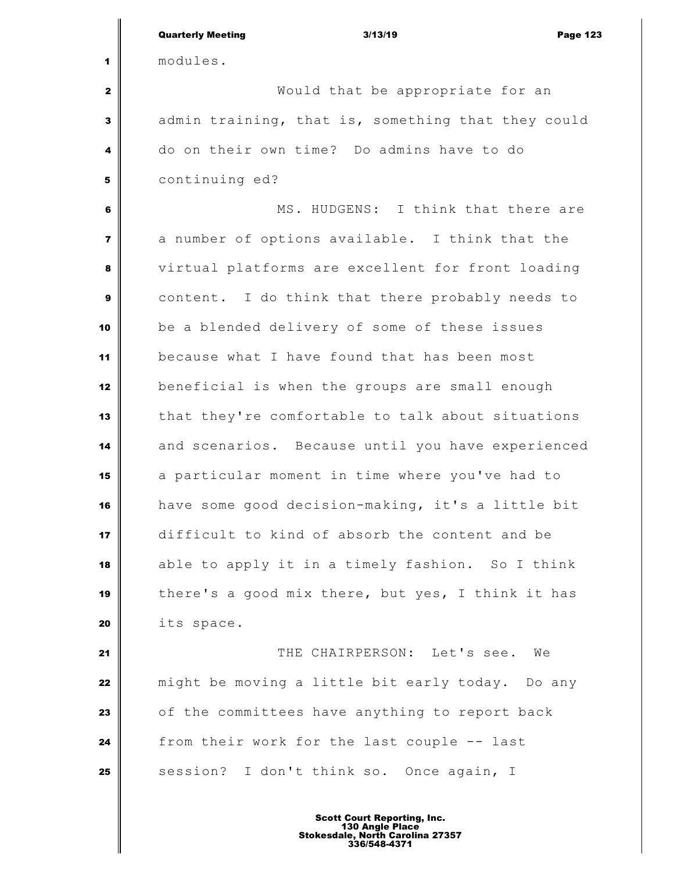|                  | <b>Quarterly Meeting</b><br>3/13/19<br><b>Page 123</b> |
|------------------|--------------------------------------------------------|
| 1                | modules.                                               |
| $\mathbf{2}$     | Would that be appropriate for an                       |
| $\mathbf{3}$     | admin training, that is, something that they could     |
| 4                | do on their own time? Do admins have to do             |
| 5                | continuing ed?                                         |
| $6\phantom{1}6$  | MS. HUDGENS: I think that there are                    |
| $\overline{7}$   | a number of options available. I think that the        |
| 8                | virtual platforms are excellent for front loading      |
| $\boldsymbol{9}$ | content. I do think that there probably needs to       |
| 10               | be a blended delivery of some of these issues          |
| 11               | because what I have found that has been most           |
| 12               | beneficial is when the groups are small enough         |
| 13               | that they're comfortable to talk about situations      |
| 14               | and scenarios. Because until you have experienced      |
| 15               | a particular moment in time where you've had to        |
| 16               | have some good decision-making, it's a little bit      |
| 17               | difficult to kind of absorb the content and be         |
| 18               | able to apply it in a timely fashion. So I think       |
| 19               | there's a good mix there, but yes, I think it has      |
| 20               | its space.                                             |
| 21               | THE CHAIRPERSON: Let's see.<br>We                      |
| 22               | might be moving a little bit early today. Do any       |
| 23               | of the committees have anything to report back         |
| 24               | from their work for the last couple -- last            |
| 25               | session? I don't think so. Once again, I               |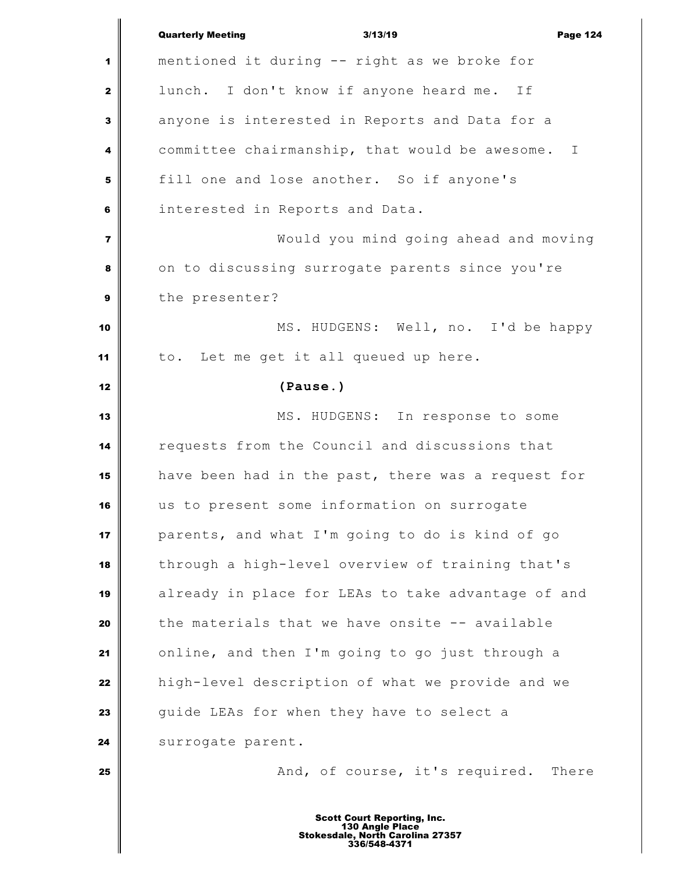|                         | <b>Quarterly Meeting</b><br>3/13/19<br><b>Page 124</b> |
|-------------------------|--------------------------------------------------------|
| 1                       | mentioned it during -- right as we broke for           |
| $\mathbf{2}$            | lunch. I don't know if anyone heard me. If             |
| $\mathbf{3}$            | anyone is interested in Reports and Data for a         |
| 4                       | committee chairmanship, that would be awesome. I       |
| 5                       | fill one and lose another. So if anyone's              |
| 6                       | interested in Reports and Data.                        |
| $\overline{\mathbf{z}}$ | Would you mind going ahead and moving                  |
| 8                       | on to discussing surrogate parents since you're        |
| $\boldsymbol{9}$        | the presenter?                                         |
| 10                      | MS. HUDGENS: Well, no. I'd be happy                    |
| 11                      | to. Let me get it all queued up here.                  |
| 12                      | (Pause.)                                               |
| 13                      | MS. HUDGENS: In response to some                       |
| 14                      | requests from the Council and discussions that         |
| 15                      | have been had in the past, there was a request for     |
| 16                      | us to present some information on surrogate            |
| 17                      | parents, and what I'm going to do is kind of go        |
| 18                      | through a high-level overview of training that's       |
| 19                      | already in place for LEAs to take advantage of and     |
| 20                      | the materials that we have onsite -- available         |
| 21                      | online, and then I'm going to go just through a        |
| 22                      | high-level description of what we provide and we       |
| 23                      | guide LEAs for when they have to select a              |
| 24                      | surrogate parent.                                      |
| 25                      | And, of course, it's required. There                   |
|                         | <b>Scott Court Reporting, Inc.</b><br>130 Angle Place  |
|                         | Stokesdale, North Carolina 27357<br>336/548-4371       |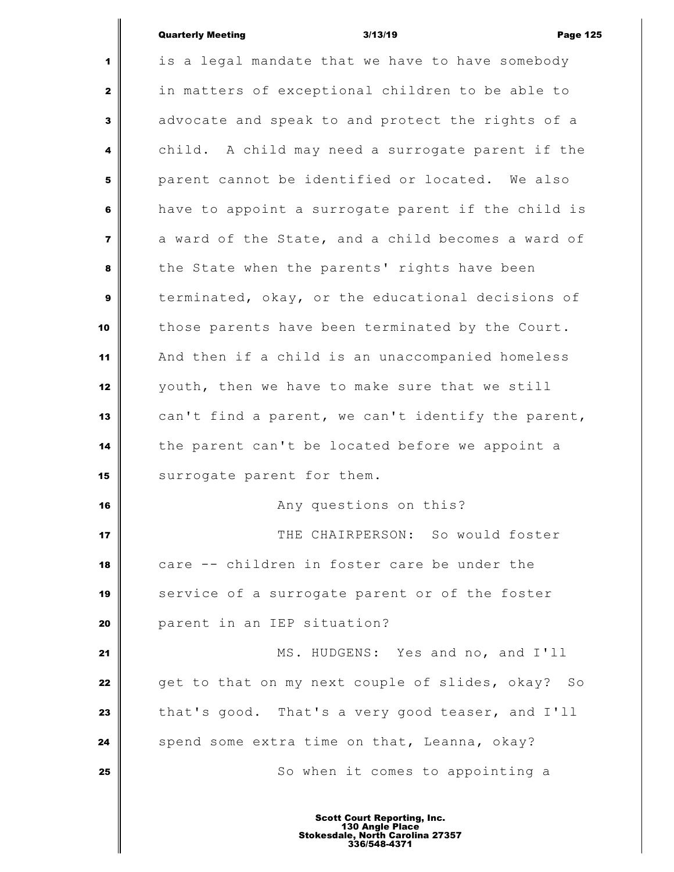## Quarterly Meeting **2008 CONTER 120 CONTER 120 ASSEM Page 125**

 $\overline{\mathbb{I}}$ 

Ш

| 1                       | is a legal mandate that we have to have somebody   |
|-------------------------|----------------------------------------------------|
| $\mathbf{2}$            | in matters of exceptional children to be able to   |
| 3                       | advocate and speak to and protect the rights of a  |
| 4                       | child. A child may need a surrogate parent if the  |
| 5                       | parent cannot be identified or located. We also    |
| 6                       | have to appoint a surrogate parent if the child is |
| $\overline{\mathbf{r}}$ | a ward of the State, and a child becomes a ward of |
| 8                       | the State when the parents' rights have been       |
| $\boldsymbol{9}$        | terminated, okay, or the educational decisions of  |
| 10                      | those parents have been terminated by the Court.   |
| 11                      | And then if a child is an unaccompanied homeless   |
| 12                      | youth, then we have to make sure that we still     |
| 13                      | can't find a parent, we can't identify the parent, |
| 14                      | the parent can't be located before we appoint a    |
| 15                      | surrogate parent for them.                         |
| 16                      | Any questions on this?                             |
| 17                      | THE CHAIRPERSON: So would foster                   |
| 18                      | care -- children in foster care be under the       |
| 19                      | service of a surrogate parent or of the foster     |
| 20                      | parent in an IEP situation?                        |
| 21                      | MS. HUDGENS: Yes and no, and I'll                  |
| 22                      | get to that on my next couple of slides, okay? So  |
| 23                      | that's good. That's a very good teaser, and I'll   |
| 24                      | spend some extra time on that, Leanna, okay?       |
| 25                      | So when it comes to appointing a                   |
|                         |                                                    |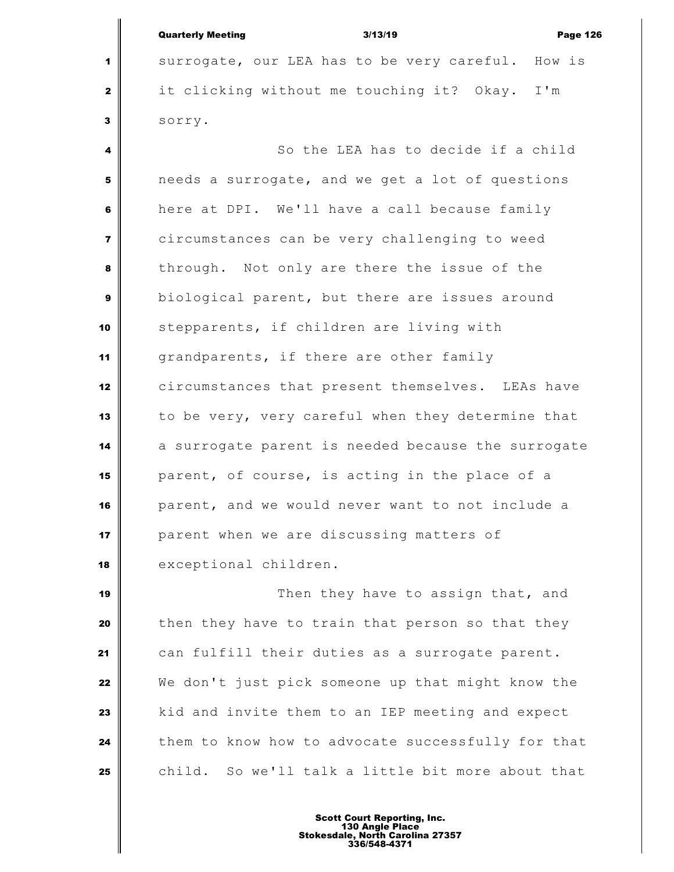|                | <b>Quarterly Meeting</b><br>3/13/19<br><b>Page 126</b> |
|----------------|--------------------------------------------------------|
| 1              | surrogate, our LEA has to be very careful. How is      |
| $\mathbf{2}$   | it clicking without me touching it? Okay. I'm          |
| 3              | sorry.                                                 |
| 4              | So the LEA has to decide if a child                    |
| 5              | needs a surrogate, and we get a lot of questions       |
| 6              | here at DPI. We'll have a call because family          |
| $\overline{7}$ | circumstances can be very challenging to weed          |
| 8              | through. Not only are there the issue of the           |
| 9              | biological parent, but there are issues around         |
| 10             | stepparents, if children are living with               |
| 11             | grandparents, if there are other family                |
| 12             | circumstances that present themselves. LEAs have       |
| 13             | to be very, very careful when they determine that      |
| 14             | a surrogate parent is needed because the surrogate     |
| 15             | parent, of course, is acting in the place of a         |
| 16             | parent, and we would never want to not include a       |
| 17             | parent when we are discussing matters of               |
| 18             | exceptional children.                                  |
| 19             | Then they have to assign that, and                     |
| 20             | then they have to train that person so that they       |
| 21             | can fulfill their duties as a surrogate parent.        |
| 22             | We don't just pick someone up that might know the      |
| 23             | kid and invite them to an IEP meeting and expect       |

 them to know how to advocate successfully for that child. So we'll talk a little bit more about that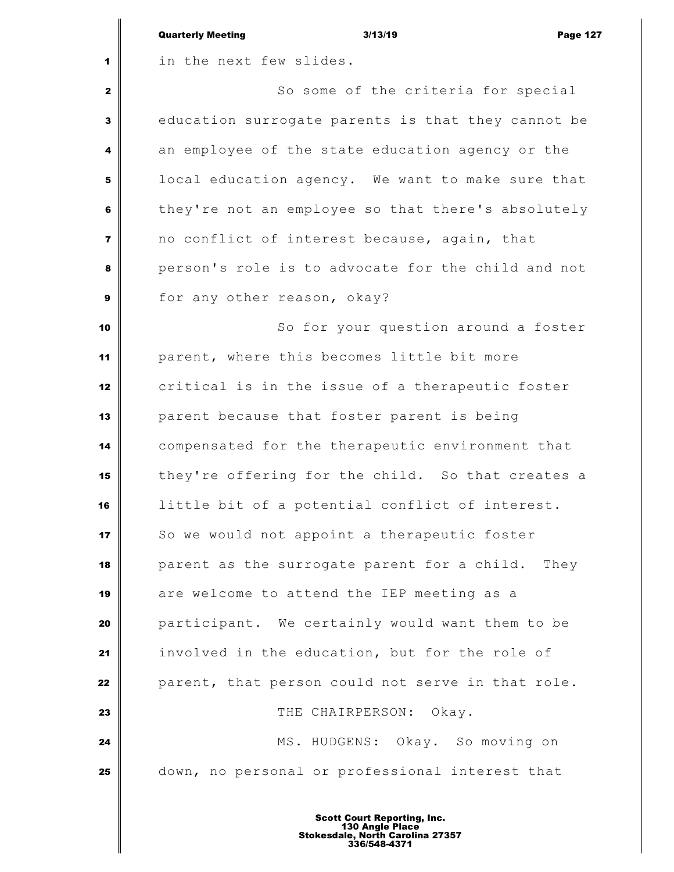|                         | <b>Quarterly Meeting</b><br><b>Page 127</b><br>3/13/19 |
|-------------------------|--------------------------------------------------------|
| 1                       | in the next few slides.                                |
| $\mathbf{2}$            | So some of the criteria for special                    |
| $\mathbf{3}$            | education surrogate parents is that they cannot be     |
| 4                       | an employee of the state education agency or the       |
| 5                       | local education agency. We want to make sure that      |
| 6                       | they're not an employee so that there's absolutely     |
| $\overline{\mathbf{z}}$ | no conflict of interest because, again, that           |
| 8                       | person's role is to advocate for the child and not     |
| $\boldsymbol{9}$        | for any other reason, okay?                            |
| 10                      | So for your question around a foster                   |
| 11                      | parent, where this becomes little bit more             |
| 12                      | critical is in the issue of a therapeutic foster       |
| 13                      | parent because that foster parent is being             |
| 14                      | compensated for the therapeutic environment that       |
| 15                      | they're offering for the child. So that creates a      |
| 16                      | little bit of a potential conflict of interest.        |
| 17                      | So we would not appoint a therapeutic foster           |
| 18                      | parent as the surrogate parent for a child. They       |
| 19                      | are welcome to attend the IEP meeting as a             |
| 20                      | participant. We certainly would want them to be        |
| 21                      | involved in the education, but for the role of         |
| 22                      | parent, that person could not serve in that role.      |
| 23                      | THE CHAIRPERSON:<br>Okay.                              |
| 24                      | MS. HUDGENS: Okay. So moving on                        |
| 25                      | down, no personal or professional interest that        |
|                         |                                                        |

Ш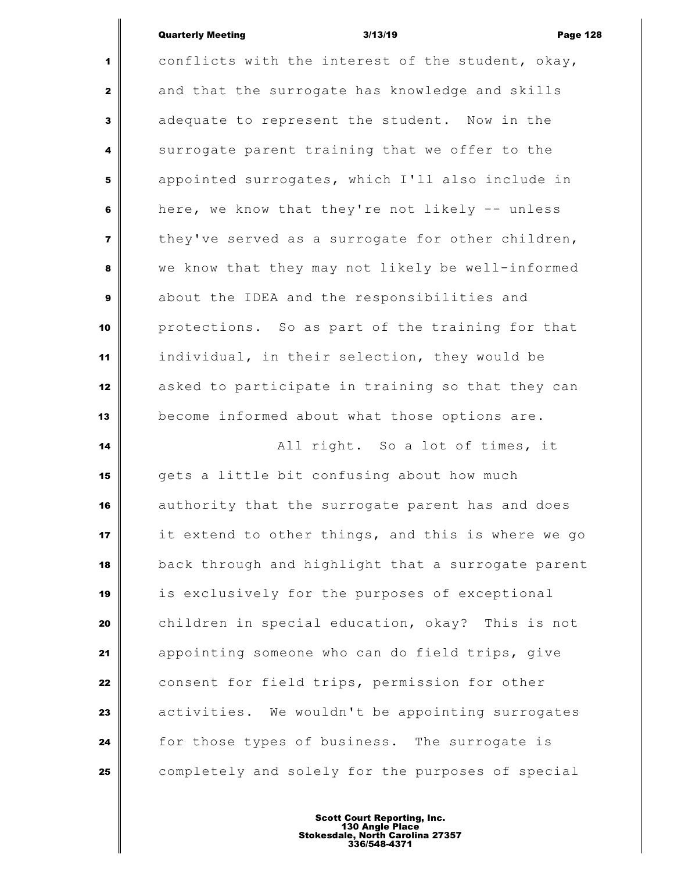conflicts with the interest of the student, okay, and that the surrogate has knowledge and skills adequate to represent the student. Now in the surrogate parent training that we offer to the appointed surrogates, which I'll also include in here, we know that they're not likely -- unless they've served as a surrogate for other children, we know that they may not likely be well-informed about the IDEA and the responsibilities and protections. So as part of the training for that individual, in their selection, they would be asked to participate in training so that they can become informed about what those options are. **All right.** So a lot of times, it gets a little bit confusing about how much authority that the surrogate parent has and does it extend to other things, and this is where we go back through and highlight that a surrogate parent is exclusively for the purposes of exceptional children in special education, okay? This is not appointing someone who can do field trips, give consent for field trips, permission for other activities. We wouldn't be appointing surrogates for those types of business. The surrogate is completely and solely for the purposes of special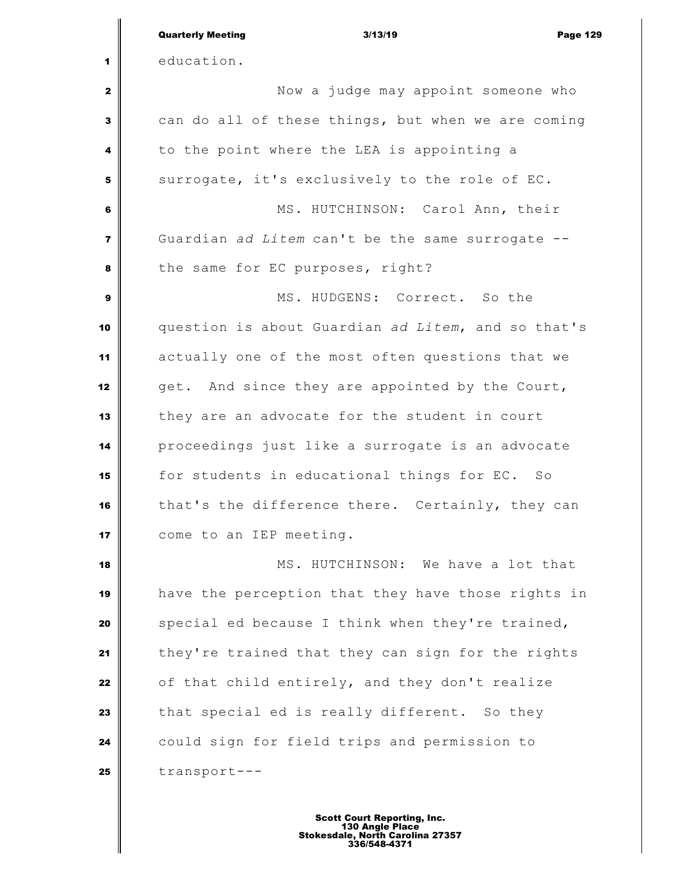|                | <b>Quarterly Meeting</b><br><b>Page 129</b><br>3/13/19 |
|----------------|--------------------------------------------------------|
| 1              | education.                                             |
| 2              | Now a judge may appoint someone who                    |
| 3              | can do all of these things, but when we are coming     |
| 4              | to the point where the LEA is appointing a             |
| 5              | surrogate, it's exclusively to the role of EC.         |
| 6              | MS. HUTCHINSON: Carol Ann, their                       |
| $\overline{7}$ | Guardian ad Litem can't be the same surrogate --       |
| 8              | the same for EC purposes, right?                       |
| 9              | MS. HUDGENS: Correct. So the                           |
| 10             | question is about Guardian ad Litem, and so that's     |
| 11             | actually one of the most often questions that we       |
| 12             | get. And since they are appointed by the Court,        |
| 13             | they are an advocate for the student in court          |
| 14             | proceedings just like a surrogate is an advocate       |
| 15             | for students in educational things for EC. So          |
| 16             | that's the difference there. Certainly, they can       |
| 17             | come to an IEP meeting.                                |
| 18             | MS. HUTCHINSON: We have a lot that                     |
| 19             | have the perception that they have those rights in     |
| 20             | special ed because I think when they're trained,       |
| 21             | they're trained that they can sign for the rights      |
| 22             | of that child entirely, and they don't realize         |
| 23             | that special ed is really different. So they           |
| 24             | could sign for field trips and permission to           |
| 25             | transport---                                           |
|                |                                                        |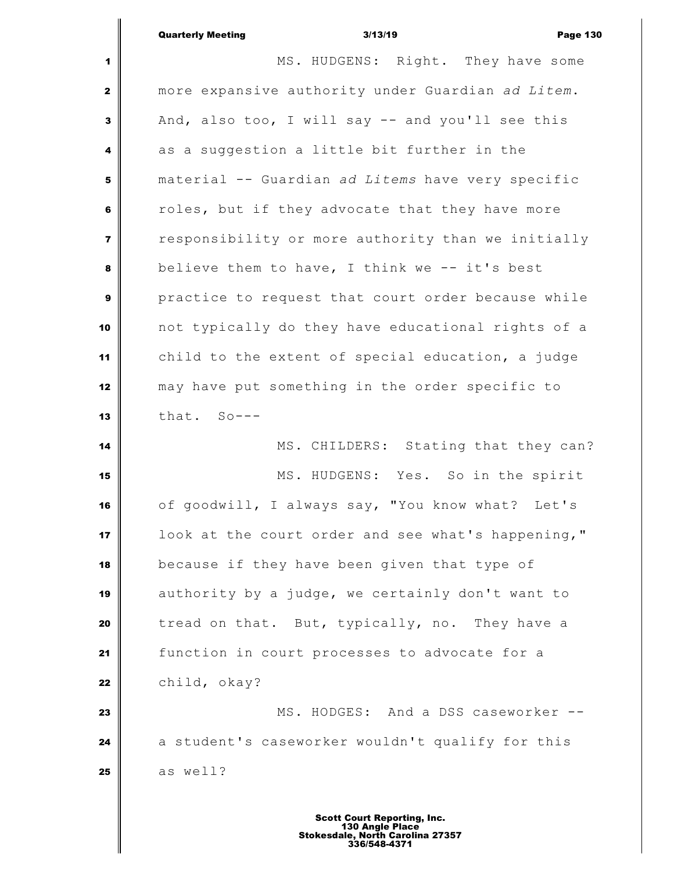|                | <b>Quarterly Meeting</b><br>3/13/19<br><b>Page 130</b> |
|----------------|--------------------------------------------------------|
| 1              | MS. HUDGENS: Right. They have some                     |
| $\mathbf{2}$   | more expansive authority under Guardian ad Litem.      |
| 3              | And, also too, I will say -- and you'll see this       |
| 4              | as a suggestion a little bit further in the            |
| 5              | material -- Guardian ad Litems have very specific      |
| 6              | roles, but if they advocate that they have more        |
| $\overline{7}$ | responsibility or more authority than we initially     |
| 8              | believe them to have, I think we -- it's best          |
| 9              | practice to request that court order because while     |
| 10             | not typically do they have educational rights of a     |
| 11             | child to the extent of special education, a judge      |
| 12             | may have put something in the order specific to        |
| 13             | that. So---                                            |
| 14             | MS. CHILDERS: Stating that they can?                   |
| 15             | MS. HUDGENS: Yes. So in the spirit                     |
| 16             | of goodwill, I always say, "You know what? Let's       |
| 17             | look at the court order and see what's happening,"     |
| 18             | because if they have been given that type of           |
| 19             | authority by a judge, we certainly don't want to       |
| 20             | tread on that. But, typically, no. They have a         |
| 21             | function in court processes to advocate for a          |
| 22             | child, okay?                                           |
| 23             | MS. HODGES: And a DSS caseworker --                    |
| 24             | a student's caseworker wouldn't qualify for this       |
| 25             | as well?                                               |
|                |                                                        |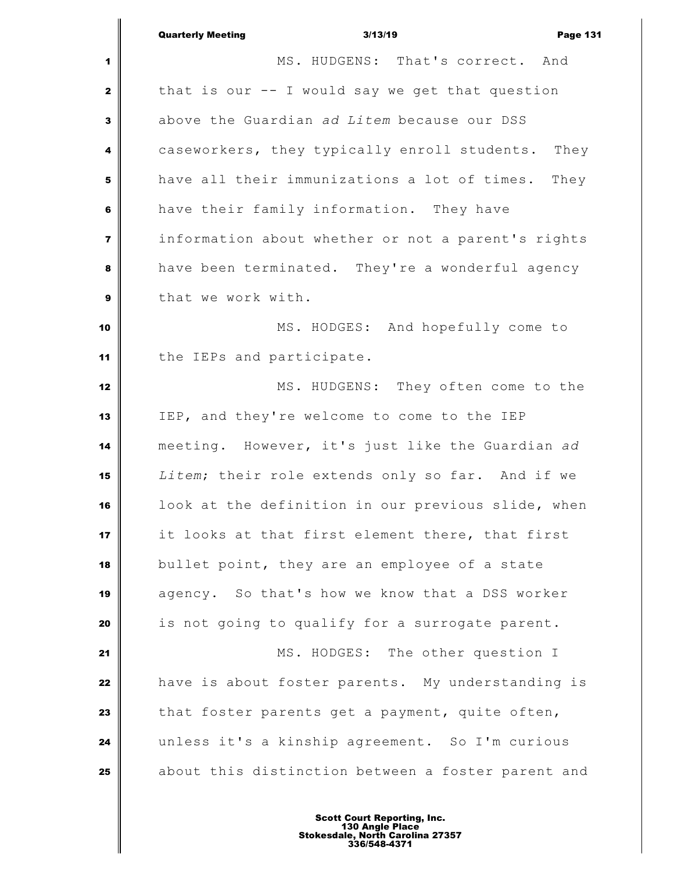| Quarterly Meeting | 3/13/19                          |  | <b>Page 131</b> |  |
|-------------------|----------------------------------|--|-----------------|--|
|                   | MS. HUDGENS: That's correct. And |  |                 |  |

 MS. HUDGENS: That's correct. And that is our -- I would say we get that question above the Guardian *ad Litem* because our DSS caseworkers, they typically enroll students. They have all their immunizations a lot of times. They have their family information. They have information about whether or not a parent's rights have been terminated. They're a wonderful agency that we work with. MS. HODGES: And hopefully come to the IEPs and participate. MS. HUDGENS: They often come to the IEP, and they're welcome to come to the IEP meeting. However, it's just like the Guardian *ad Litem*; their role extends only so far. And if we look at the definition in our previous slide, when it looks at that first element there, that first bullet point, they are an employee of a state agency. So that's how we know that a DSS worker is not going to qualify for a surrogate parent. MS. HODGES: The other question I have is about foster parents. My understanding is that foster parents get a payment, quite often, unless it's a kinship agreement. So I'm curious about this distinction between a foster parent and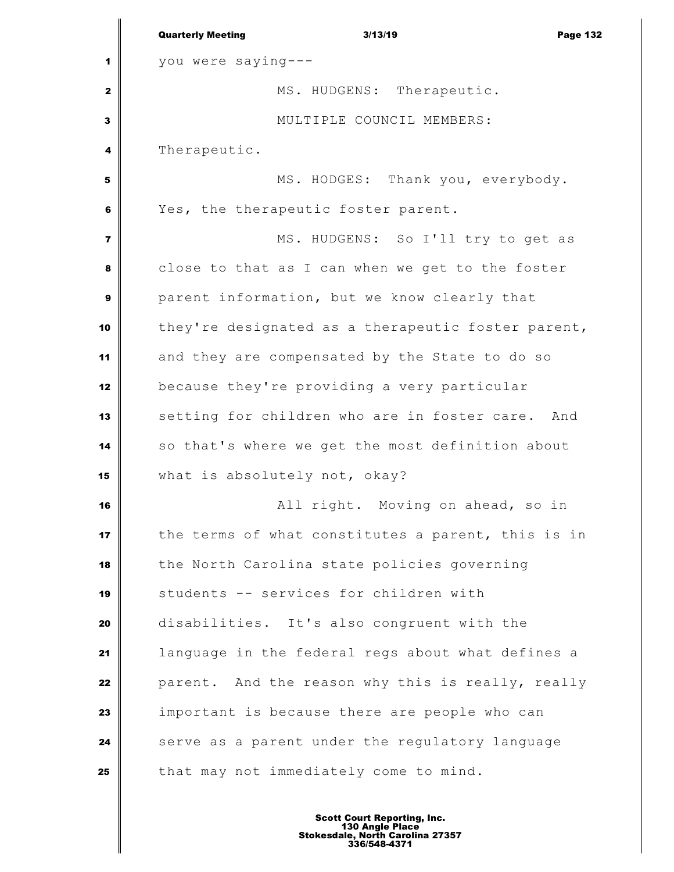|                         | <b>Quarterly Meeting</b>      | 3/13/19                                            | <b>Page 132</b> |
|-------------------------|-------------------------------|----------------------------------------------------|-----------------|
| 1                       | you were saying---            |                                                    |                 |
| $\mathbf{2}$            |                               | MS. HUDGENS: Therapeutic.                          |                 |
| 3                       |                               | MULTIPLE COUNCIL MEMBERS:                          |                 |
| 4                       | Therapeutic.                  |                                                    |                 |
| 5                       |                               | MS. HODGES: Thank you, everybody.                  |                 |
| 6                       |                               | Yes, the therapeutic foster parent.                |                 |
| $\overline{\mathbf{z}}$ |                               | MS. HUDGENS: So I'll try to get as                 |                 |
| 8                       |                               | close to that as I can when we get to the foster   |                 |
| 9                       |                               | parent information, but we know clearly that       |                 |
| 10                      |                               | they're designated as a therapeutic foster parent, |                 |
| 11                      |                               | and they are compensated by the State to do so     |                 |
| 12                      |                               | because they're providing a very particular        |                 |
| 13                      |                               | setting for children who are in foster care. And   |                 |
| 14                      |                               | so that's where we get the most definition about   |                 |
| 15                      | what is absolutely not, okay? |                                                    |                 |
| 16                      |                               | All right. Moving on ahead, so in                  |                 |
| 17                      |                               | the terms of what constitutes a parent, this is in |                 |
| 18                      |                               | the North Carolina state policies governing        |                 |
| 19                      |                               | students -- services for children with             |                 |
| 20                      |                               | disabilities. It's also congruent with the         |                 |
| 21                      |                               | language in the federal regs about what defines a  |                 |
| 22                      |                               | parent. And the reason why this is really, really  |                 |
| 23                      |                               | important is because there are people who can      |                 |
| 24                      |                               | serve as a parent under the regulatory language    |                 |
| 25                      |                               | that may not immediately come to mind.             |                 |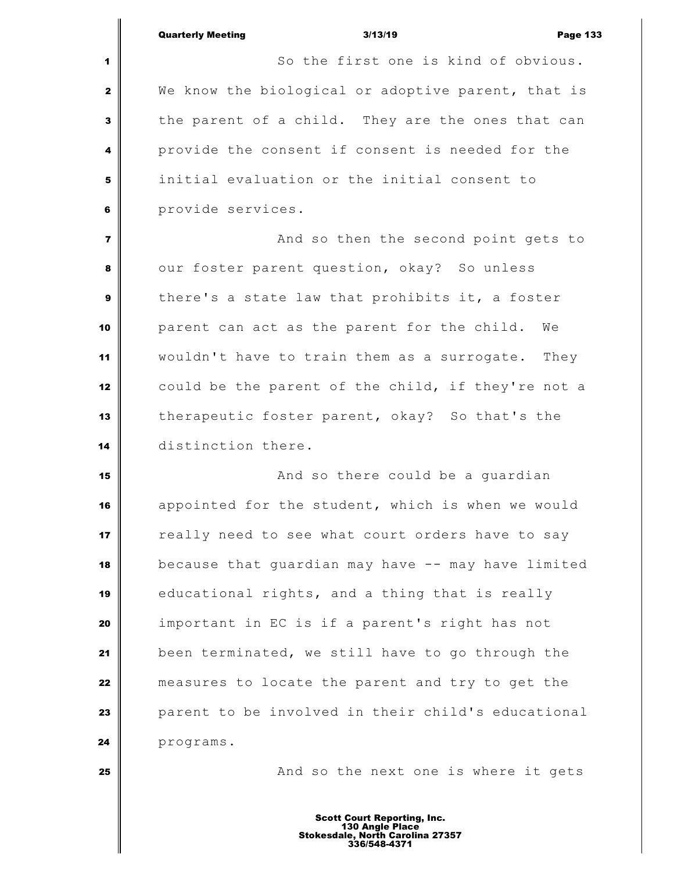Quarterly Meeting 3/13/19 Page 133 So the first one is kind of obvious. We know the biological or adoptive parent, that is the parent of a child. They are the ones that can provide the consent if consent is needed for the initial evaluation or the initial consent to provide services.  $\parallel$  **And so then the second point gets to**  our foster parent question, okay? So unless there's a state law that prohibits it, a foster parent can act as the parent for the child. We wouldn't have to train them as a surrogate. They could be the parent of the child, if they're not a therapeutic foster parent, okay? So that's the distinction there. **And so there could be a guardian**  appointed for the student, which is when we would really need to see what court orders have to say because that quardian may have -- may have limited educational rights, and a thing that is really important in EC is if a parent's right has not been terminated, we still have to go through the measures to locate the parent and try to get the **parent to be involved in their child's educational** programs.

**And so the next one is where it gets**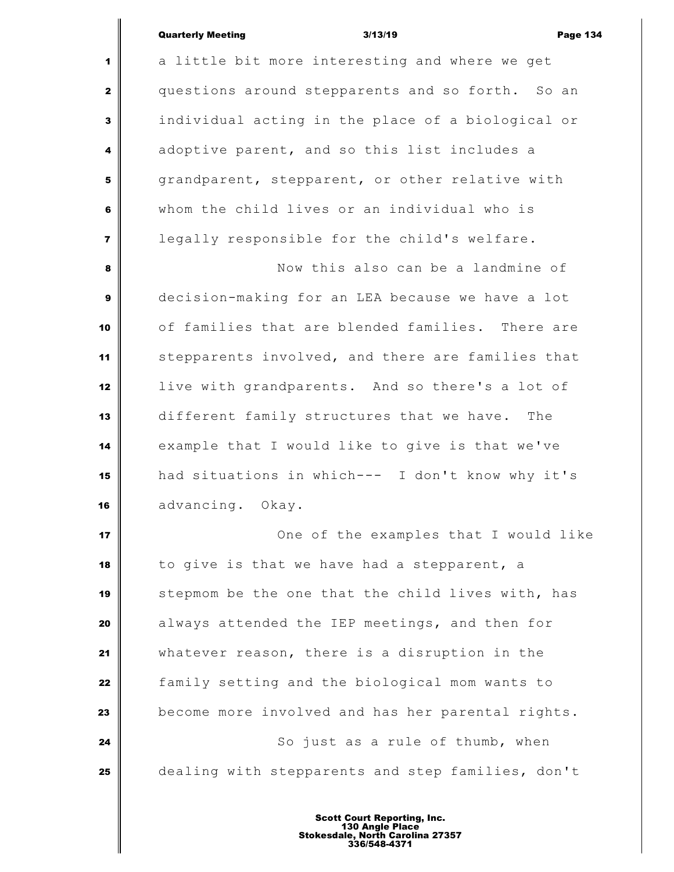a little bit more interesting and where we get questions around stepparents and so forth. So an individual acting in the place of a biological or adoptive parent, and so this list includes a grandparent, stepparent, or other relative with whom the child lives or an individual who is legally responsible for the child's welfare. Now this also can be a landmine of decision-making for an LEA because we have a lot of families that are blended families. There are stepparents involved, and there are families that live with grandparents. And so there's a lot of different family structures that we have. The example that I would like to give is that we've had situations in which--- I don't know why it's advancing. Okay. **I** One of the examples that I would like to give is that we have had a stepparent, a stepmom be the one that the child lives with, has always attended the IEP meetings, and then for whatever reason, there is a disruption in the family setting and the biological mom wants to become more involved and has her parental rights. So just as a rule of thumb, when dealing with stepparents and step families, don't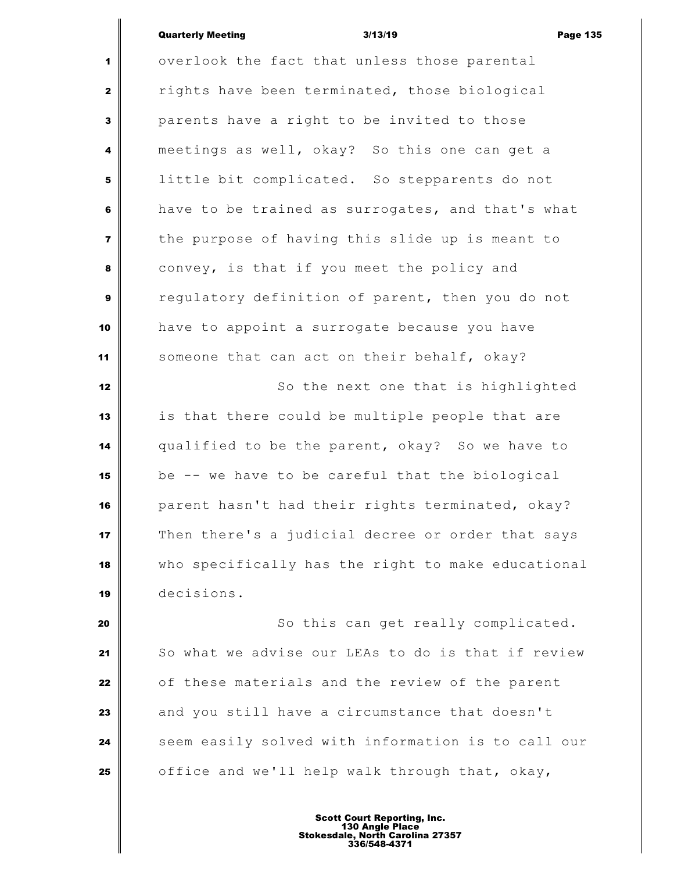overlook the fact that unless those parental rights have been terminated, those biological parents have a right to be invited to those meetings as well, okay? So this one can get a **d** little bit complicated. So stepparents do not have to be trained as surrogates, and that's what the purpose of having this slide up is meant to convey, is that if you meet the policy and requlatory definition of parent, then you do not have to appoint a surrogate because you have Someone that can act on their behalf, okay? So the next one that is highlighted is that there could be multiple people that are qualified to be the parent, okay? So we have to be -- we have to be careful that the biological parent hasn't had their rights terminated, okay? Then there's a judicial decree or order that says who specifically has the right to make educational decisions. So this can get really complicated.

 So what we advise our LEAs to do is that if review **o**f these materials and the review of the parent and you still have a circumstance that doesn't Seem easily solved with information is to call our office and we'll help walk through that, okay,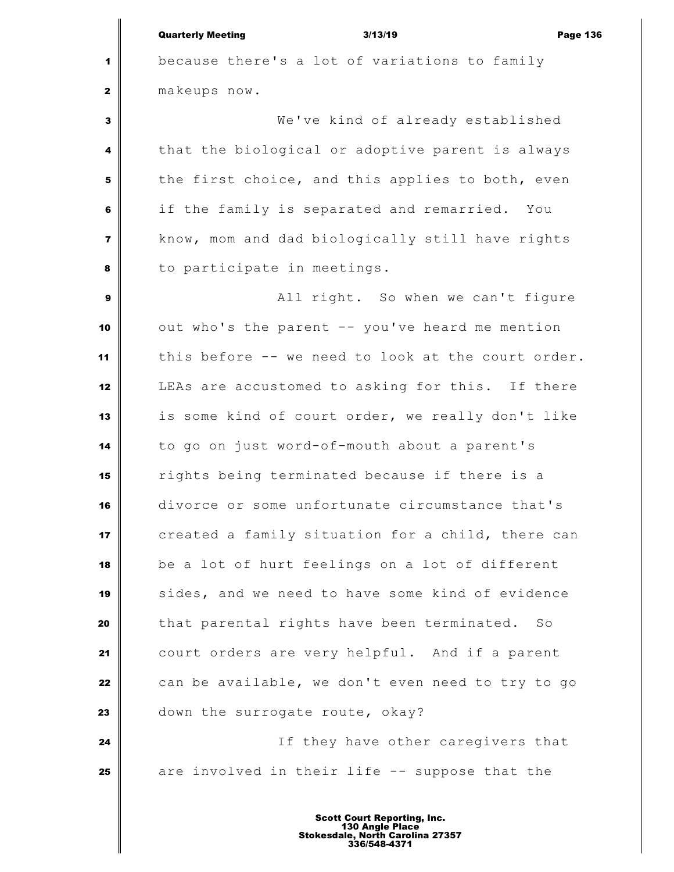because there's a lot of variations to family makeups now. We've kind of already established that the biological or adoptive parent is always the first choice, and this applies to both, even if the family is separated and remarried. You know, mom and dad biologically still have rights to participate in meetings. All right. So when we can't figure out who's the parent -- you've heard me mention 11 | this before -- we need to look at the court order. LEAs are accustomed to asking for this. If there is some kind of court order, we really don't like to go on just word-of-mouth about a parent's rights being terminated because if there is a divorce or some unfortunate circumstance that's created a family situation for a child, there can be a lot of hurt feelings on a lot of different sides, and we need to have some kind of evidence that parental rights have been terminated. So court orders are very helpful. And if a parent can be available, we don't even need to try to go down the surrogate route, okay? If they have other caregivers that are involved in their life -- suppose that the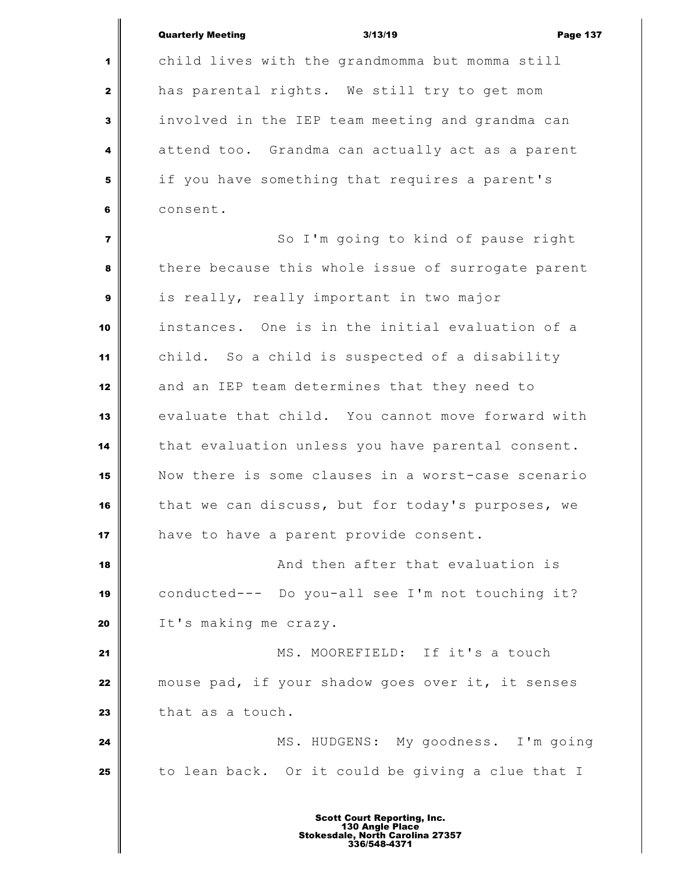|                | <b>Quarterly Meeting</b><br><b>Page 137</b><br>3/13/19 |
|----------------|--------------------------------------------------------|
| 1              | child lives with the grandmomma but momma still        |
| $\mathbf{2}$   | has parental rights. We still try to get mom           |
| 3              | involved in the IEP team meeting and grandma can       |
| 4              | attend too. Grandma can actually act as a parent       |
| 5              | if you have something that requires a parent's         |
| 6              | consent.                                               |
| $\overline{7}$ | So I'm going to kind of pause right                    |
| 8              | there because this whole issue of surrogate parent     |
| 9              | is really, really important in two major               |
| 10             | instances. One is in the initial evaluation of a       |
| 11             | child. So a child is suspected of a disability         |
| 12             | and an IEP team determines that they need to           |
| 13             | evaluate that child. You cannot move forward with      |
| 14             | that evaluation unless you have parental consent.      |
| 15             | Now there is some clauses in a worst-case scenario     |
| 16             | that we can discuss, but for today's purposes, we      |
| 17             | have to have a parent provide consent.                 |
| 18             | And then after that evaluation is                      |
| 19             | conducted--- Do you-all see I'm not touching it?       |
| 20             | It's making me crazy.                                  |
| 21             | MS. MOOREFIELD: If it's a touch                        |
| 22             | mouse pad, if your shadow goes over it, it senses      |
| 23             | that as a touch.                                       |
| 24             | MS. HUDGENS: My goodness. I'm going                    |
| 25             | to lean back. Or it could be giving a clue that I      |
|                |                                                        |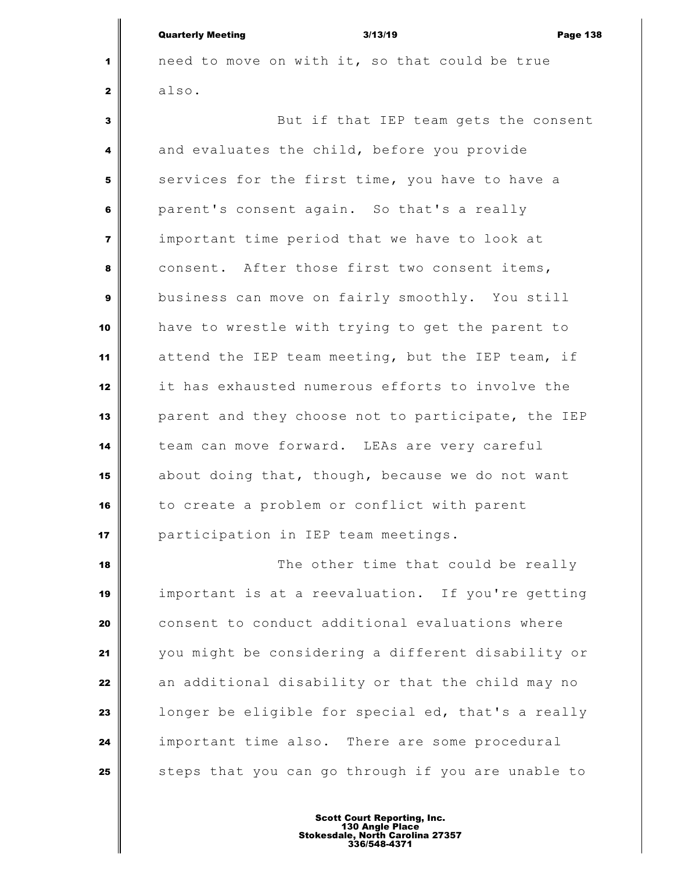| <b>Quarterly Meeting</b> | 3/13/19 | <b>Page 138</b> |
|--------------------------|---------|-----------------|
|                          |         |                 |

1 need to move on with it, so that could be true also.

 But if that IEP team gets the consent and evaluates the child, before you provide services for the first time, you have to have a parent's consent again. So that's a really important time period that we have to look at consent. After those first two consent items, business can move on fairly smoothly. You still have to wrestle with trying to get the parent to attend the IEP team meeting, but the IEP team, if it has exhausted numerous efforts to involve the parent and they choose not to participate, the IEP team can move forward. LEAs are very careful about doing that, though, because we do not want to create a problem or conflict with parent participation in IEP team meetings.

 The other time that could be really important is at a reevaluation. If you're getting consent to conduct additional evaluations where you might be considering a different disability or an additional disability or that the child may no **l** longer be eligible for special ed, that's a really important time also. There are some procedural Steps that you can go through if you are unable to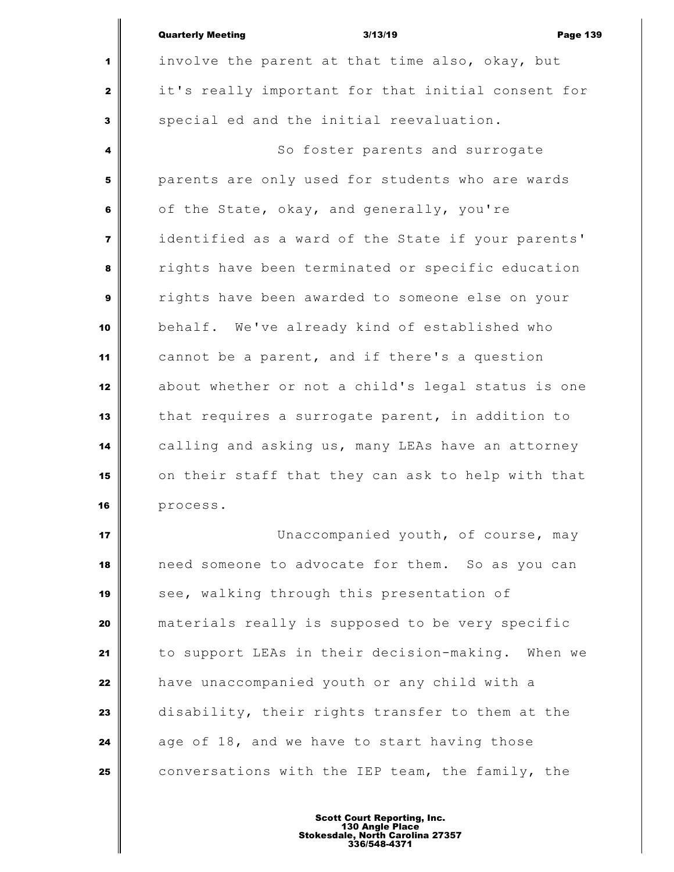|                         | <b>Quarterly Meeting</b><br>3/13/19<br><b>Page 139</b> |
|-------------------------|--------------------------------------------------------|
| 1                       | involve the parent at that time also, okay, but        |
| $\mathbf{z}$            | it's really important for that initial consent for     |
| 3                       | special ed and the initial reevaluation.               |
| 4                       | So foster parents and surrogate                        |
| 5                       | parents are only used for students who are wards       |
| 6                       | of the State, okay, and generally, you're              |
| $\overline{\mathbf{z}}$ | identified as a ward of the State if your parents'     |
| 8                       | rights have been terminated or specific education      |
| 9                       | rights have been awarded to someone else on your       |
| 10                      | behalf. We've already kind of established who          |
| 11                      | cannot be a parent, and if there's a question          |
| 12                      | about whether or not a child's legal status is one     |
| 13                      | that requires a surrogate parent, in addition to       |
| 14                      | calling and asking us, many LEAs have an attorney      |
| 15                      | on their staff that they can ask to help with that     |
| 16                      | process.                                               |
| 17                      | Unaccompanied youth, of course, may                    |
|                         |                                                        |

 need someone to advocate for them. So as you can see, walking through this presentation of materials really is supposed to be very specific to support LEAs in their decision-making. When we have unaccompanied youth or any child with a disability, their rights transfer to them at the age of 18, and we have to start having those conversations with the IEP team, the family, the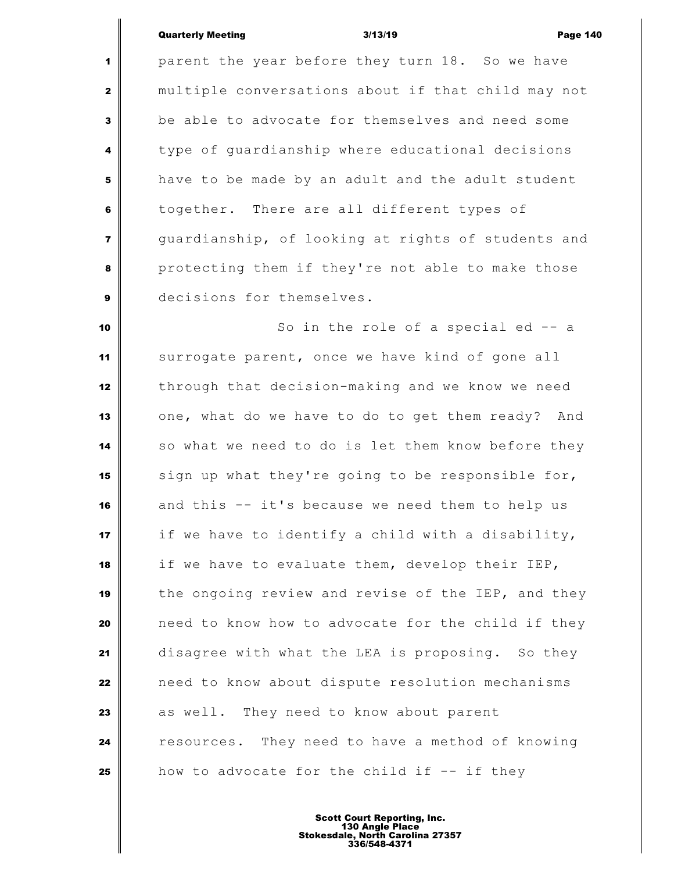parent the year before they turn 18. So we have multiple conversations about if that child may not be able to advocate for themselves and need some type of quardianship where educational decisions have to be made by an adult and the adult student together. There are all different types of guardianship, of looking at rights of students and protecting them if they're not able to make those decisions for themselves.

 So in the role of a special ed -- a surrogate parent, once we have kind of gone all through that decision-making and we know we need one, what do we have to do to get them ready? And so what we need to do is let them know before they sign up what they're going to be responsible for, and this -- it's because we need them to help us if we have to identify a child with a disability, if we have to evaluate them, develop their IEP, the ongoing review and revise of the IEP, and they need to know how to advocate for the child if they disagree with what the LEA is proposing. So they need to know about dispute resolution mechanisms as well. They need to know about parent **resources.** They need to have a method of knowing **how** to advocate for the child if -- if they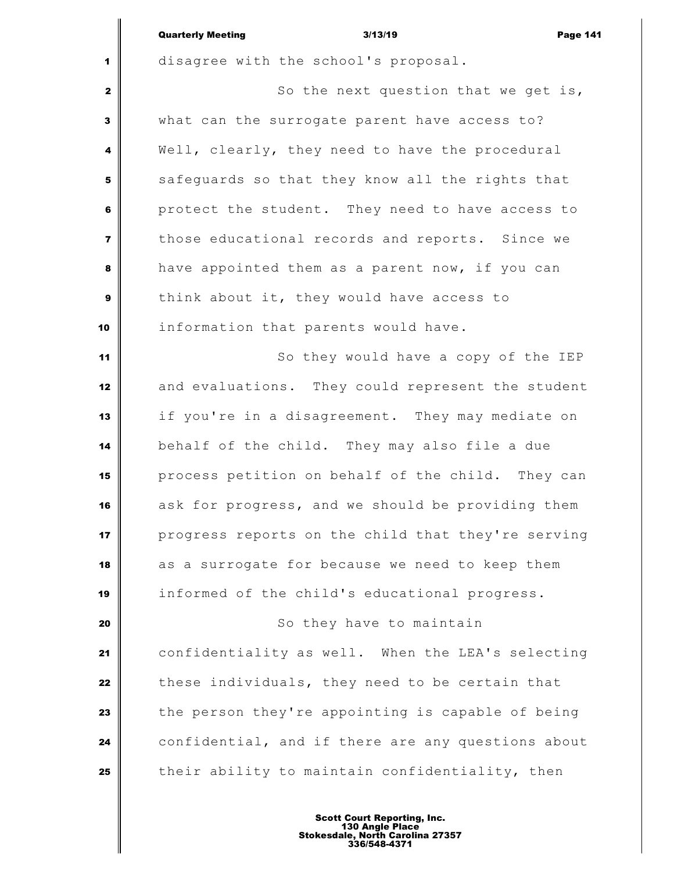|                         | <b>Quarterly Meeting</b><br><b>Page 141</b><br>3/13/19 |
|-------------------------|--------------------------------------------------------|
| 1                       | disagree with the school's proposal.                   |
| $\mathbf{2}$            | So the next question that we get is,                   |
| 3                       | what can the surrogate parent have access to?          |
| 4                       | Well, clearly, they need to have the procedural        |
| 5                       | safeguards so that they know all the rights that       |
| 6                       | protect the student. They need to have access to       |
| $\overline{\mathbf{z}}$ | those educational records and reports. Since we        |
| 8                       | have appointed them as a parent now, if you can        |
| 9                       | think about it, they would have access to              |
| 10                      | information that parents would have.                   |
| 11                      | So they would have a copy of the IEP                   |
| 12                      | and evaluations. They could represent the student      |
| 13                      | if you're in a disagreement. They may mediate on       |
| 14                      | behalf of the child. They may also file a due          |
| 15                      | process petition on behalf of the child. They can      |
| 16                      | ask for progress, and we should be providing them      |
| 17                      | progress reports on the child that they're serving     |
| 18                      | as a surrogate for because we need to keep them        |
| 19                      | informed of the child's educational progress.          |
| 20                      | So they have to maintain                               |
| 21                      | confidentiality as well. When the LEA's selecting      |
| 22                      | these individuals, they need to be certain that        |
| 23                      | the person they're appointing is capable of being      |
| 24                      | confidential, and if there are any questions about     |
| 25                      | their ability to maintain confidentiality, then        |
|                         | Scott Court Danarting Inc                              |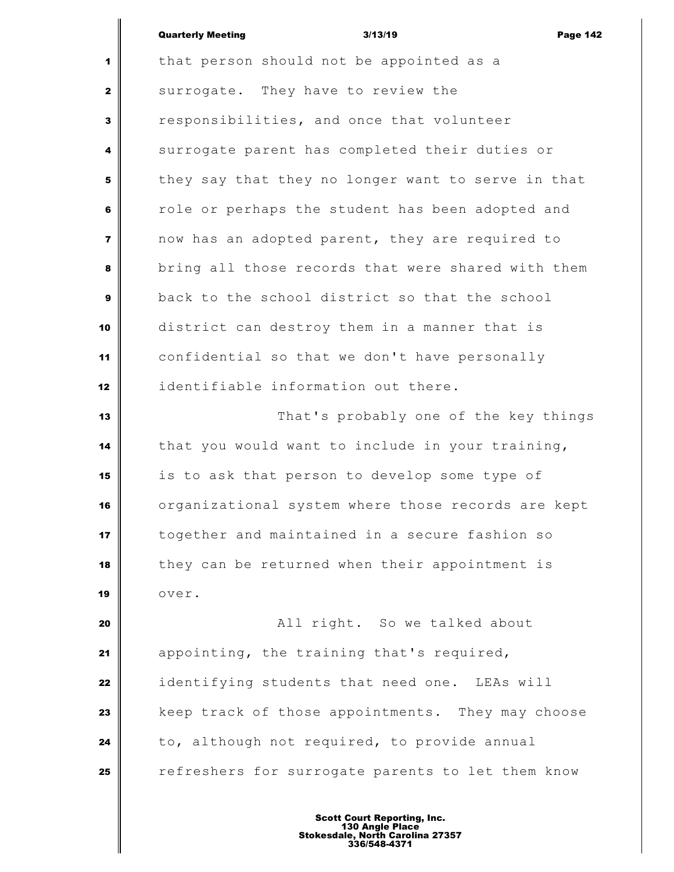| Quarterly Meeting | 3/13/19 | <b>Page 142</b> |
|-------------------|---------|-----------------|
|                   |         |                 |

 that person should not be appointed as a surrogate. They have to review the responsibilities, and once that volunteer surrogate parent has completed their duties or they say that they no longer want to serve in that role or perhaps the student has been adopted and now has an adopted parent, they are required to bring all those records that were shared with them back to the school district so that the school district can destroy them in a manner that is confidential so that we don't have personally identifiable information out there. That's probably one of the key things that you would want to include in your training, is to ask that person to develop some type of organizational system where those records are kept together and maintained in a secure fashion so they can be returned when their appointment is over.  $\parallel$  **All right.** So we talked about appointing, the training that's required, identifying students that need one. LEAs will keep track of those appointments. They may choose to, although not required, to provide annual refreshers for surrogate parents to let them know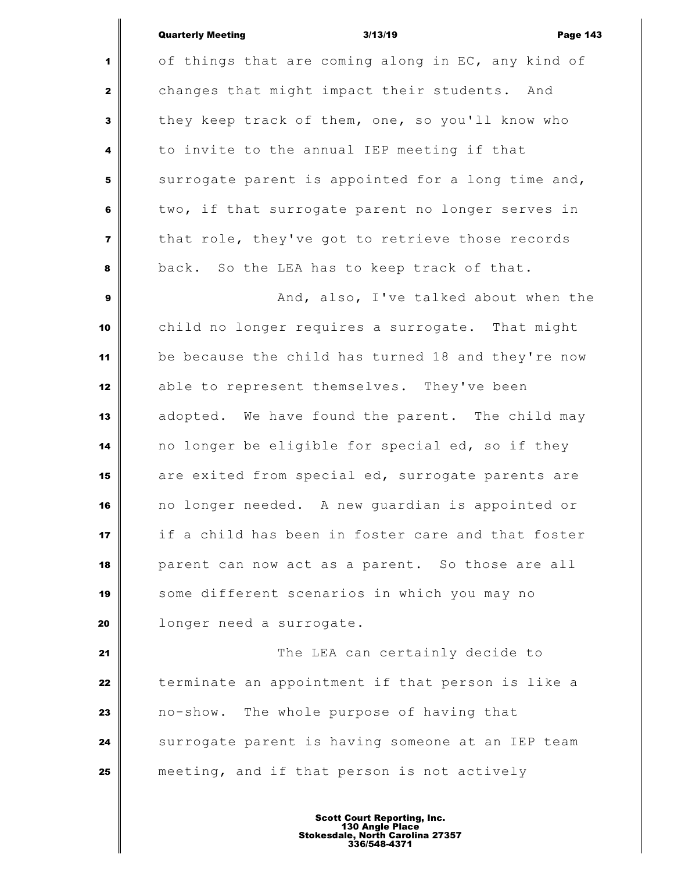| <b>Quarterly Meeting</b> | 3/13/19 | <b>Page 143</b> |
|--------------------------|---------|-----------------|
|                          |         |                 |

 of things that are coming along in EC, any kind of changes that might impact their students. And they keep track of them, one, so you'll know who to invite to the annual IEP meeting if that surrogate parent is appointed for a long time and, two, if that surrogate parent no longer serves in that role, they've got to retrieve those records back. So the LEA has to keep track of that. And, also, I've talked about when the child no longer requires a surrogate. That might be because the child has turned 18 and they're now 12 able to represent themselves. They've been adopted. We have found the parent. The child may no longer be eligible for special ed, so if they are exited from special ed, surrogate parents are no longer needed. A new guardian is appointed or if a child has been in foster care and that foster parent can now act as a parent. So those are all some different scenarios in which you may no longer need a surrogate. The LEA can certainly decide to terminate an appointment if that person is like a no-show. The whole purpose of having that Surrogate parent is having someone at an IEP team meeting, and if that person is not actively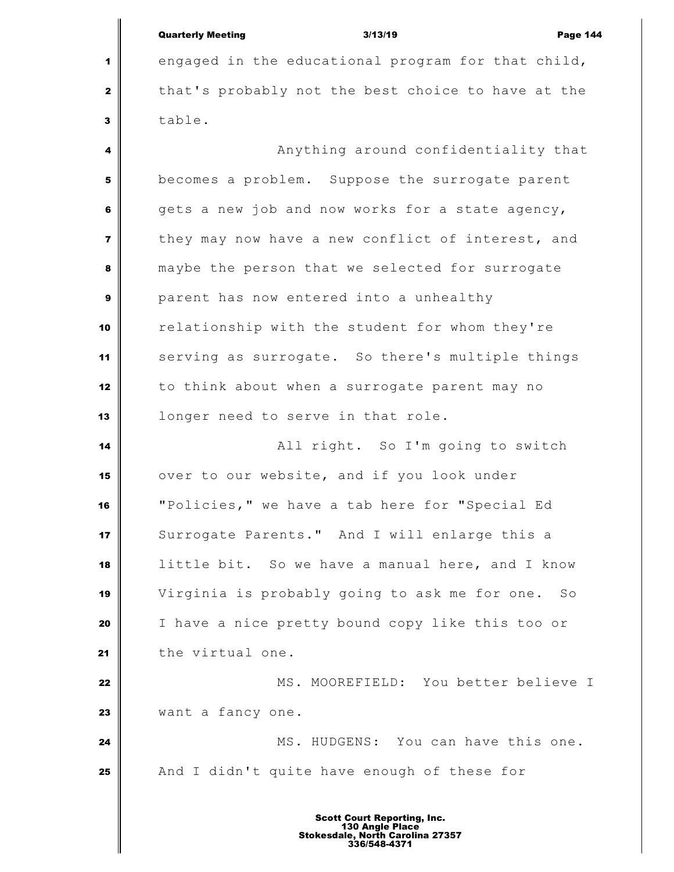|                         | <b>Page 144</b><br>3/13/19                                                                                |  |  |
|-------------------------|-----------------------------------------------------------------------------------------------------------|--|--|
|                         | <b>Quarterly Meeting</b>                                                                                  |  |  |
| 1                       | engaged in the educational program for that child,                                                        |  |  |
| $\mathbf{2}$            | that's probably not the best choice to have at the                                                        |  |  |
| 3                       | table.                                                                                                    |  |  |
| 4                       | Anything around confidentiality that                                                                      |  |  |
| 5                       | becomes a problem. Suppose the surrogate parent                                                           |  |  |
| 6                       | gets a new job and now works for a state agency,                                                          |  |  |
| $\overline{\mathbf{z}}$ | they may now have a new conflict of interest, and                                                         |  |  |
| 8                       | maybe the person that we selected for surrogate                                                           |  |  |
| 9                       | parent has now entered into a unhealthy                                                                   |  |  |
| 10                      | relationship with the student for whom they're                                                            |  |  |
| 11                      | serving as surrogate. So there's multiple things                                                          |  |  |
| 12                      | to think about when a surrogate parent may no                                                             |  |  |
| 13                      | longer need to serve in that role.                                                                        |  |  |
| 14                      | All right. So I'm going to switch                                                                         |  |  |
| 15                      | over to our website, and if you look under                                                                |  |  |
| 16                      | "Policies," we have a tab here for "Special Ed                                                            |  |  |
| 17                      | Surrogate Parents." And I will enlarge this a                                                             |  |  |
| 18                      | little bit. So we have a manual here, and I know                                                          |  |  |
| 19                      | Virginia is probably going to ask me for one. So                                                          |  |  |
| 20                      | I have a nice pretty bound copy like this too or                                                          |  |  |
| 21                      | the virtual one.                                                                                          |  |  |
| 22                      | MS. MOOREFIELD: You better believe I                                                                      |  |  |
| 23                      | want a fancy one.                                                                                         |  |  |
| 24                      | MS. HUDGENS: You can have this one.                                                                       |  |  |
| 25                      | And I didn't quite have enough of these for                                                               |  |  |
|                         |                                                                                                           |  |  |
|                         | <b>Scott Court Reporting, Inc.</b><br>130 Angle Place<br>Stokesdale, North Carolina 27357<br>336/548-4371 |  |  |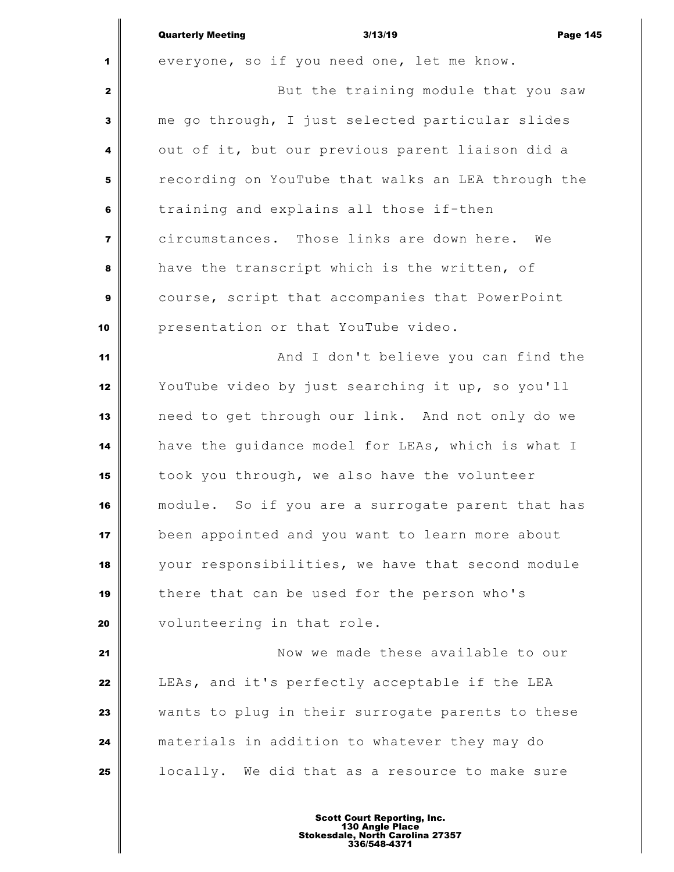|                | <b>Quarterly Meeting</b><br><b>Page 145</b><br>3/13/19 |
|----------------|--------------------------------------------------------|
| 1              | everyone, so if you need one, let me know.             |
| $\mathbf{2}$   | But the training module that you saw                   |
| 3              | me go through, I just selected particular slides       |
| 4              | out of it, but our previous parent liaison did a       |
| 5              | recording on YouTube that walks an LEA through the     |
| 6              | training and explains all those if-then                |
| $\overline{7}$ | circumstances. Those links are down here.<br>We        |
| 8              | have the transcript which is the written, of           |
| $\mathbf{9}$   | course, script that accompanies that PowerPoint        |
| 10             | presentation or that YouTube video.                    |
| 11             | And I don't believe you can find the                   |
| 12             | YouTube video by just searching it up, so you'll       |
| 13             | need to get through our link. And not only do we       |
| 14             | have the guidance model for LEAs, which is what I      |
| 15             | took you through, we also have the volunteer           |
| 16             | module. So if you are a surrogate parent that has      |
| 17             | been appointed and you want to learn more about        |
| 18             | your responsibilities, we have that second module      |
| 19             | there that can be used for the person who's            |
| 20             | volunteering in that role.                             |
| 21             | Now we made these available to our                     |
| 22             | LEAs, and it's perfectly acceptable if the LEA         |
| 23             | wants to plug in their surrogate parents to these      |
| 24             | materials in addition to whatever they may do          |
| 25             | locally. We did that as a resource to make sure        |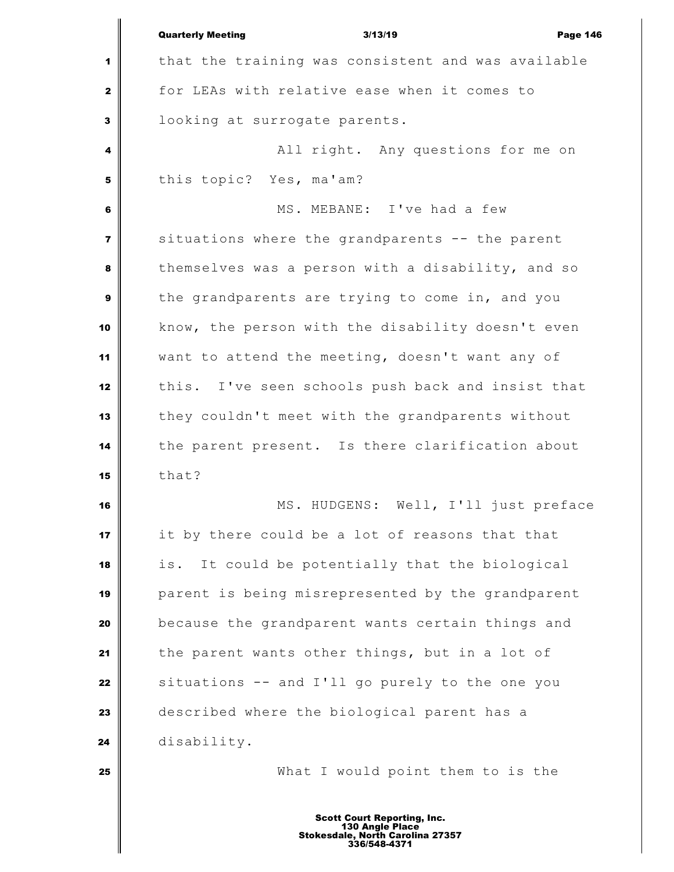|                         | <b>Quarterly Meeting</b><br>3/13/19<br><b>Page 146</b> |
|-------------------------|--------------------------------------------------------|
| 1                       | that the training was consistent and was available     |
| $\mathbf{2}$            | for LEAs with relative ease when it comes to           |
| 3                       | looking at surrogate parents.                          |
| 4                       | All right. Any questions for me on                     |
| 5                       | this topic? Yes, ma'am?                                |
| 6                       | MS. MEBANE: I've had a few                             |
| $\overline{\mathbf{z}}$ | situations where the grandparents -- the parent        |
| 8                       | themselves was a person with a disability, and so      |
| $\boldsymbol{9}$        | the grandparents are trying to come in, and you        |
| 10                      | know, the person with the disability doesn't even      |
| 11                      | want to attend the meeting, doesn't want any of        |
| 12                      | this. I've seen schools push back and insist that      |
| 13                      | they couldn't meet with the grandparents without       |
| 14                      | the parent present. Is there clarification about       |
| 15                      | that?                                                  |
| 16                      | Well, I'll just preface<br>MS. HUDGENS:                |
| 17                      | it by there could be a lot of reasons that that        |
| 18                      | It could be potentially that the biological<br>is.     |
| 19                      | parent is being misrepresented by the grandparent      |
| 20                      | because the grandparent wants certain things and       |
| 21                      | the parent wants other things, but in a lot of         |
| 22                      | situations -- and I'll go purely to the one you        |
| 23                      | described where the biological parent has a            |
| 24                      | disability.                                            |
| 25                      | What I would point them to is the                      |
|                         | <b>Scott Court Reporting, Inc.</b>                     |

Ш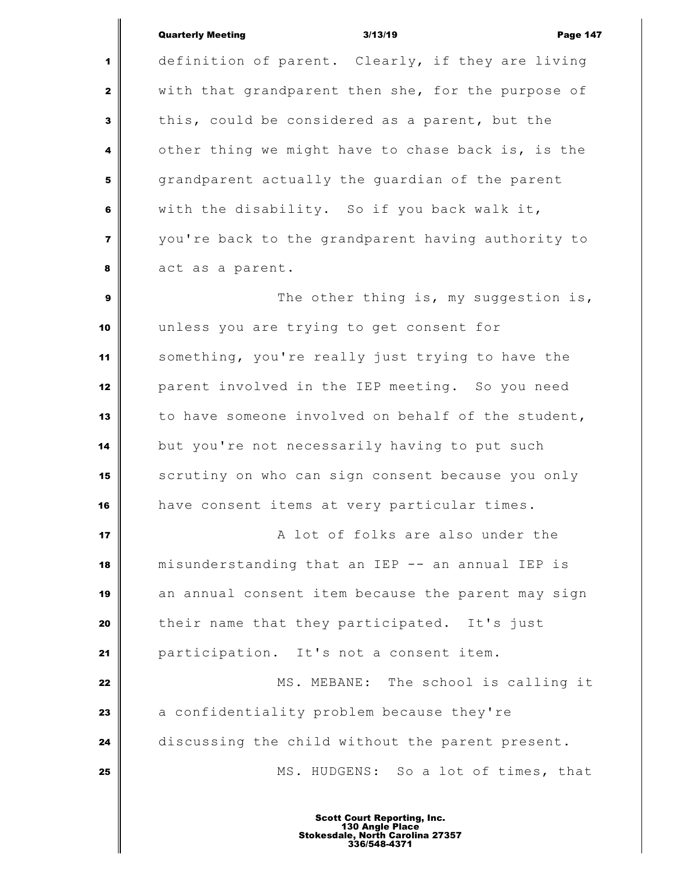### Quarterly Meeting 3/13/19 Page 147

 definition of parent. Clearly, if they are living with that grandparent then she, for the purpose of this, could be considered as a parent, but the other thing we might have to chase back is, is the grandparent actually the quardian of the parent with the disability. So if you back walk it, you're back to the grandparent having authority to act as a parent.

  $\parallel$  The other thing is, my suggestion is, unless you are trying to get consent for something, you're really just trying to have the parent involved in the IEP meeting. So you need to have someone involved on behalf of the student, but you're not necessarily having to put such scrutiny on who can sign consent because you only have consent items at very particular times.

 **A** lot of folks are also under the misunderstanding that an IEP -- an annual IEP is an annual consent item because the parent may sign their name that they participated. It's just participation. It's not a consent item.

 MS. MEBANE: The school is calling it a confidentiality problem because they're discussing the child without the parent present. MS. HUDGENS: So a lot of times, that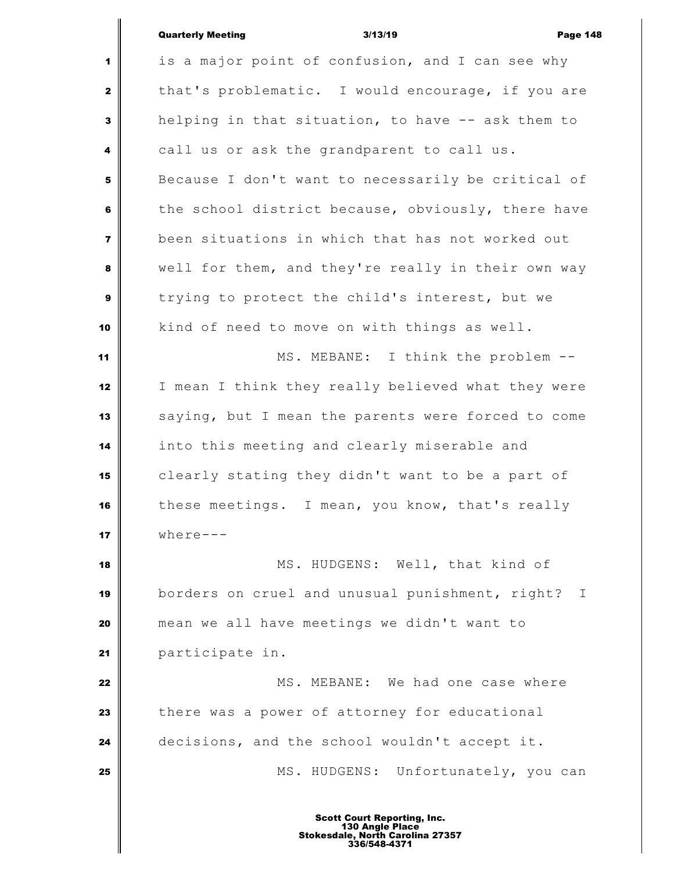# Quarterly Meeting **Contract Contract Contract Contract Contract Contract Contract Contract Contract Contract Contract Contract Contract Contract Contract Contract Contract Contract Contract Contract Contract Contract Contr**

 $\parallel$ 

| $\blacksquare$          | is a major point of confusion, and I can see why                |
|-------------------------|-----------------------------------------------------------------|
| $\mathbf{2}$            | that's problematic. I would encourage, if you are               |
| 3                       | helping in that situation, to have -- ask them to               |
| 4                       | call us or ask the grandparent to call us.                      |
| 5                       | Because I don't want to necessarily be critical of              |
| 6                       | the school district because, obviously, there have              |
| $\overline{\mathbf{z}}$ | been situations in which that has not worked out                |
| 8                       | well for them, and they're really in their own way              |
| $\mathbf{9}$            | trying to protect the child's interest, but we                  |
| 10                      | kind of need to move on with things as well.                    |
| 11                      | MS. MEBANE: I think the problem --                              |
| 12                      | I mean I think they really believed what they were              |
| 13                      | saying, but I mean the parents were forced to come              |
| 14                      | into this meeting and clearly miserable and                     |
| 15                      | clearly stating they didn't want to be a part of                |
| 16                      | these meetings. I mean, you know, that's really                 |
| 17                      | $where--$                                                       |
| 18                      | MS. HUDGENS: Well, that kind of                                 |
| 19                      | borders on cruel and unusual punishment, right?<br>$\mathbb{I}$ |
| 20                      | mean we all have meetings we didn't want to                     |
| 21                      | participate in.                                                 |
| 22                      | MS. MEBANE: We had one case where                               |
| 23                      | there was a power of attorney for educational                   |
| 24                      | decisions, and the school wouldn't accept it.                   |
| 25                      | MS. HUDGENS: Unfortunately, you can                             |
|                         |                                                                 |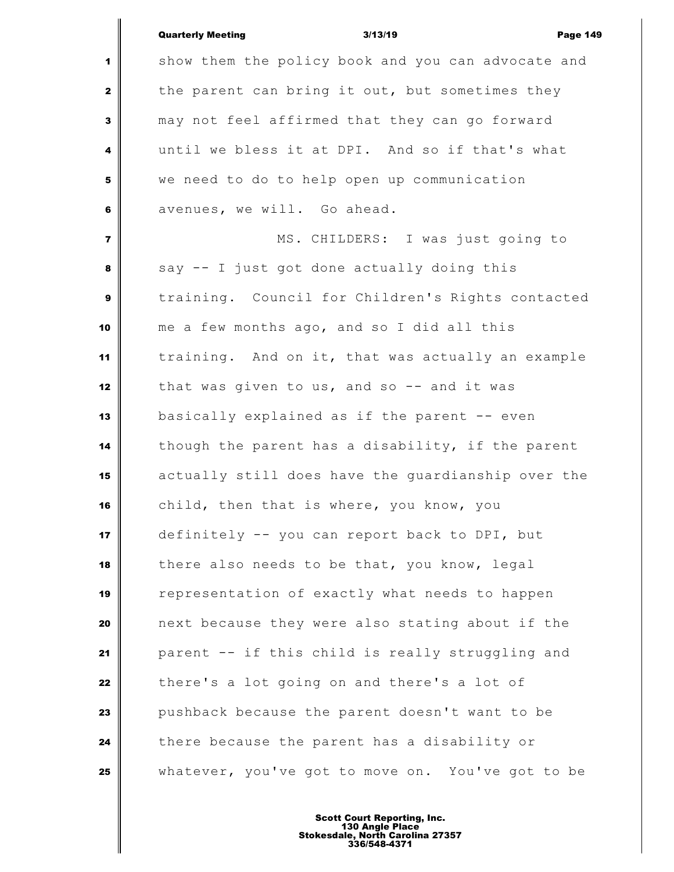|                         | <b>Quarterly Meeting</b><br><b>Page 149</b><br>3/13/19 |  |
|-------------------------|--------------------------------------------------------|--|
| 1                       | show them the policy book and you can advocate and     |  |
| $\mathbf{2}$            | the parent can bring it out, but sometimes they        |  |
| 3                       | may not feel affirmed that they can go forward         |  |
| 4                       | until we bless it at DPI. And so if that's what        |  |
| 5                       | we need to do to help open up communication            |  |
| 6                       | avenues, we will. Go ahead.                            |  |
| $\overline{\mathbf{z}}$ | MS. CHILDERS: I was just going to                      |  |
| 8                       | say -- I just got done actually doing this             |  |
| 9                       | training. Council for Children's Rights contacted      |  |
| 10                      | me a few months ago, and so I did all this             |  |
| 11                      | training. And on it, that was actually an example      |  |
| 12                      | that was given to us, and so $-$ and it was            |  |
| 13                      | basically explained as if the parent -- even           |  |
| 14                      | though the parent has a disability, if the parent      |  |
| 15                      | actually still does have the guardianship over the     |  |
| 16                      | child, then that is where, you know, you               |  |
| 17                      | definitely -- you can report back to DPI, but          |  |
| 18                      | there also needs to be that, you know, legal           |  |
| 19                      | representation of exactly what needs to happen         |  |
| 20                      | next because they were also stating about if the       |  |
| 21                      | parent -- if this child is really struggling and       |  |
| 22                      | there's a lot going on and there's a lot of            |  |
| 23                      | pushback because the parent doesn't want to be         |  |
| 24                      | there because the parent has a disability or           |  |
| 25                      | whatever, you've got to move on. You've got to be      |  |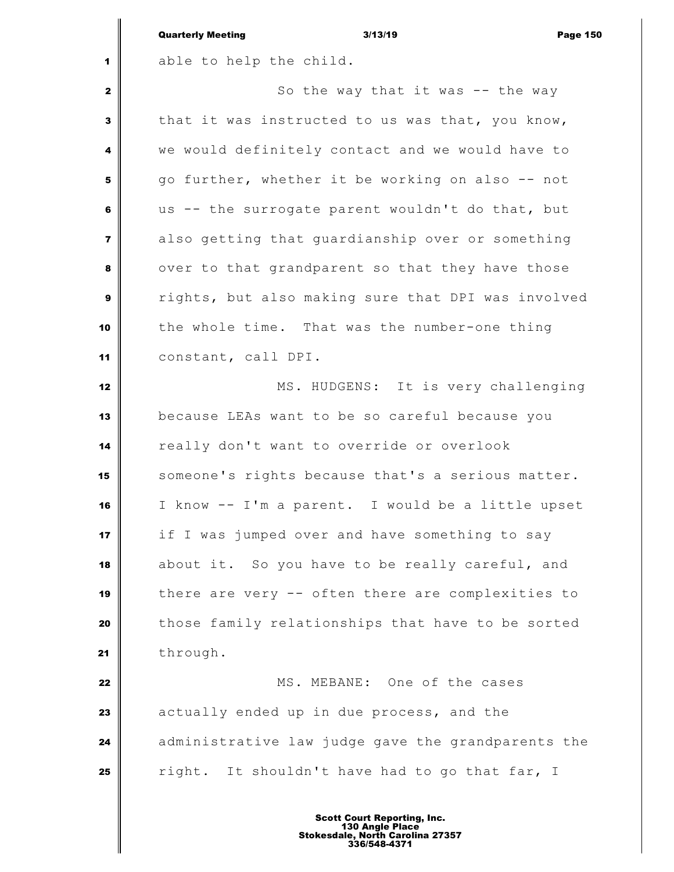|                         | <b>Quarterly Meeting</b><br>3/13/19<br><b>Page 150</b> |
|-------------------------|--------------------------------------------------------|
| 1                       | able to help the child.                                |
| $\mathbf{2}$            | So the way that it was $--$ the way                    |
| 3                       | that it was instructed to us was that, you know,       |
| 4                       | we would definitely contact and we would have to       |
| 5                       | go further, whether it be working on also -- not       |
| 6                       | us -- the surrogate parent wouldn't do that, but       |
| $\overline{\mathbf{z}}$ | also getting that guardianship over or something       |
| 8                       | over to that grandparent so that they have those       |
| 9                       | rights, but also making sure that DPI was involved     |
| 10                      | the whole time. That was the number-one thing          |
| 11                      | constant, call DPI.                                    |
| 12                      | MS. HUDGENS: It is very challenging                    |
| 13                      | because LEAs want to be so careful because you         |
| 14                      | really don't want to override or overlook              |
| 15                      | someone's rights because that's a serious matter.      |
| 16                      | I know -- I'm a parent. I would be a little upset      |
| 17                      | if I was jumped over and have something to say         |
| 18                      | about it. So you have to be really careful, and        |
| 19                      | there are very -- often there are complexities to      |
| 20                      | those family relationships that have to be sorted      |
| 21                      | through.                                               |
| 22                      | MS. MEBANE: One of the cases                           |
| 23                      | actually ended up in due process, and the              |
| 24                      | administrative law judge gave the grandparents the     |
| 25                      | It shouldn't have had to go that far, I<br>right.      |
|                         |                                                        |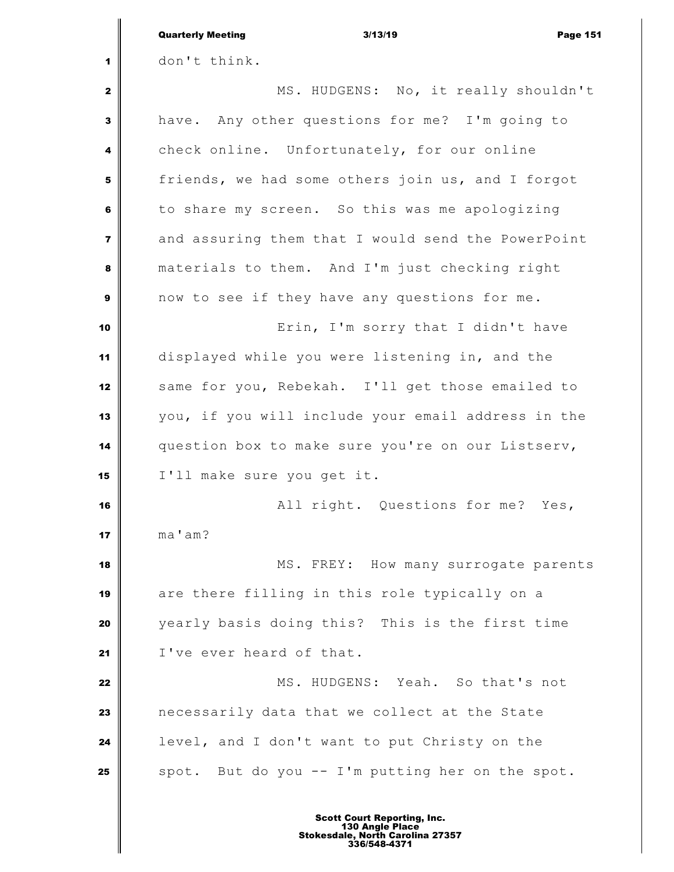|                         | <b>Quarterly Meeting</b><br>3/13/19<br><b>Page 151</b> |
|-------------------------|--------------------------------------------------------|
| 1                       | don't think.                                           |
| $\mathbf{2}$            | MS. HUDGENS: No, it really shouldn't                   |
| 3                       | have. Any other questions for me? I'm going to         |
| 4                       | check online. Unfortunately, for our online            |
| 5                       | friends, we had some others join us, and I forgot      |
| 6                       | to share my screen. So this was me apologizing         |
| $\overline{\mathbf{7}}$ | and assuring them that I would send the PowerPoint     |
| 8                       | materials to them. And I'm just checking right         |
| $\boldsymbol{9}$        | now to see if they have any questions for me.          |
| 10                      | Erin, I'm sorry that I didn't have                     |
| 11                      | displayed while you were listening in, and the         |
| 12                      | same for you, Rebekah. I'll get those emailed to       |
| 13                      | you, if you will include your email address in the     |
| 14                      | question box to make sure you're on our Listserv,      |
| 15                      | I'll make sure you get it.                             |
| 16                      | All right. Questions for me? Yes,                      |
| 17                      | ma'am?                                                 |
| 18                      | MS. FREY: How many surrogate parents                   |
| 19                      | are there filling in this role typically on a          |
| 20                      | yearly basis doing this? This is the first time        |
| 21                      | I've ever heard of that.                               |
| 22                      | MS. HUDGENS: Yeah. So that's not                       |
| 23                      | necessarily data that we collect at the State          |
| 24                      | level, and I don't want to put Christy on the          |
| 25                      | spot. But do you -- I'm putting her on the spot.       |
|                         |                                                        |

 $\mathbf I$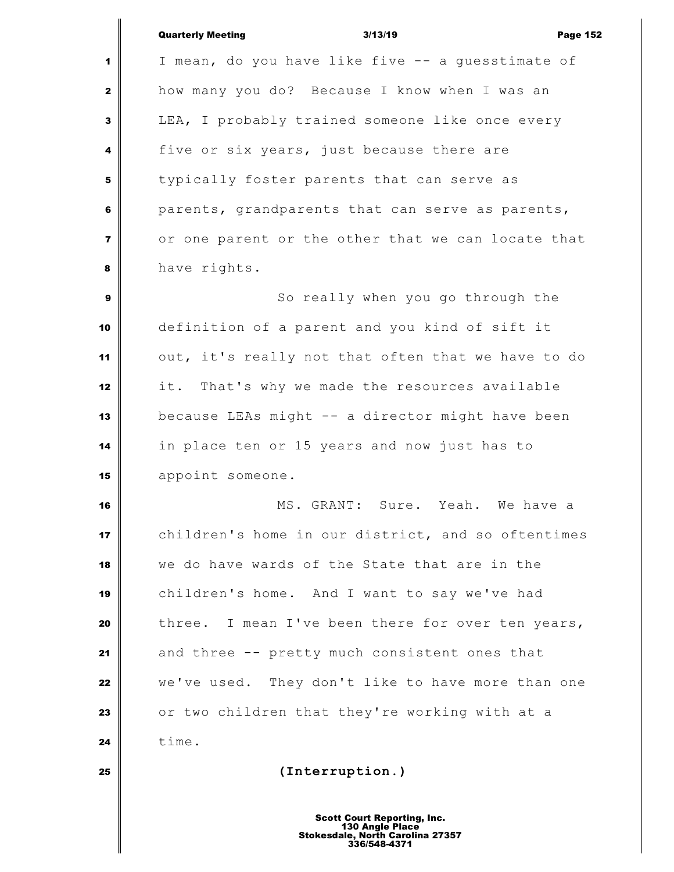| <b>Quarterly Meeting</b> |  |
|--------------------------|--|
|                          |  |

Quarterly Meeting 3/13/19 Page 152 I mean, do you have like five -- a guesstimate of how many you do? Because I know when I was an LEA, I probably trained someone like once every five or six years, just because there are typically foster parents that can serve as parents, grandparents that can serve as parents, or one parent or the other that we can locate that have rights. So really when you go through the definition of a parent and you kind of sift it out, it's really not that often that we have to do it. That's why we made the resources available because LEAs might -- a director might have been in place ten or 15 years and now just has to appoint someone. MS. GRANT: Sure. Yeah. We have a children's home in our district, and so oftentimes we do have wards of the State that are in the children's home. And I want to say we've had three. I mean I've been there for over ten years, and three -- pretty much consistent ones that we've used. They don't like to have more than one or two children that they're working with at a **time. (Interruption.)**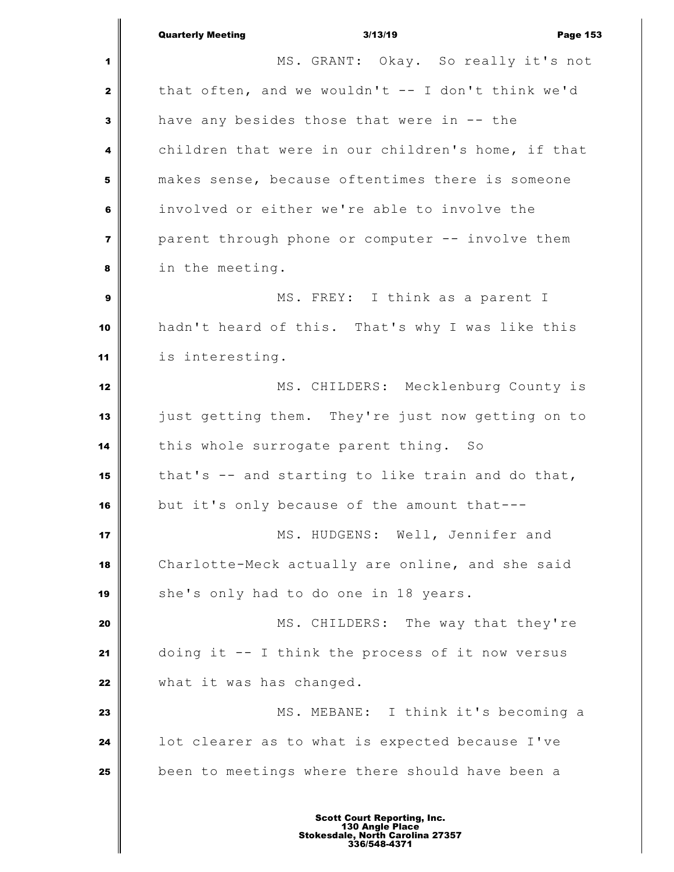Quarterly Meeting 3/13/19 Page 153 MS. GRANT: Okay. So really it's not that often, and we wouldn't -- I don't think we'd have any besides those that were in -- the children that were in our children's home, if that makes sense, because oftentimes there is someone involved or either we're able to involve the parent through phone or computer -- involve them in the meeting. **MS.** FREY: I think as a parent I hadn't heard of this. That's why I was like this is interesting. MS. CHILDERS: Mecklenburg County is just getting them. They're just now getting on to this whole surrogate parent thing. So that's -- and starting to like train and do that, but it's only because of the amount that--- **MS. HUDGENS:** Well, Jennifer and Charlotte-Meck actually are online, and she said she's only had to do one in 18 years. MS. CHILDERS: The way that they're doing it -- I think the process of it now versus what it was has changed. MS. MEBANE: I think it's becoming a **l** lot clearer as to what is expected because I've been to meetings where there should have been a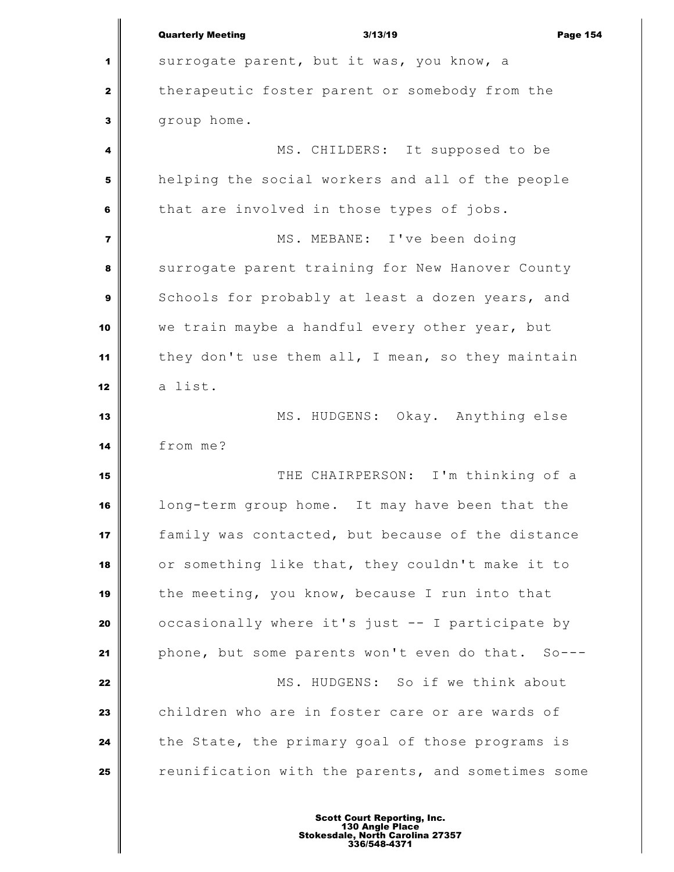|                | <b>Quarterly Meeting</b><br>3/13/19<br><b>Page 154</b> |
|----------------|--------------------------------------------------------|
| 1              | surrogate parent, but it was, you know, a              |
| $\mathbf{2}$   | therapeutic foster parent or somebody from the         |
| 3              | group home.                                            |
| 4              | MS. CHILDERS: It supposed to be                        |
| 5              | helping the social workers and all of the people       |
| 6              | that are involved in those types of jobs.              |
| $\overline{7}$ | MS. MEBANE: I've been doing                            |
| 8              | surrogate parent training for New Hanover County       |
| 9              | Schools for probably at least a dozen years, and       |
| 10             | we train maybe a handful every other year, but         |
| 11             | they don't use them all, I mean, so they maintain      |
| 12             | a list.                                                |
| 13             | MS. HUDGENS: Okay. Anything else                       |
| 14             | from me?                                               |
| 15             | THE CHAIRPERSON: I'm thinking of a                     |
| 16             | long-term group home. It may have been that the        |
| 17             | family was contacted, but because of the distance      |
| 18             | or something like that, they couldn't make it to       |
| 19             | the meeting, you know, because I run into that         |
| 20             | occasionally where it's just -- I participate by       |
| 21             | phone, but some parents won't even do that. So---      |
| 22             | MS. HUDGENS: So if we think about                      |
| 23             | children who are in foster care or are wards of        |
| 24             | the State, the primary goal of those programs is       |
| 25             | reunification with the parents, and sometimes some     |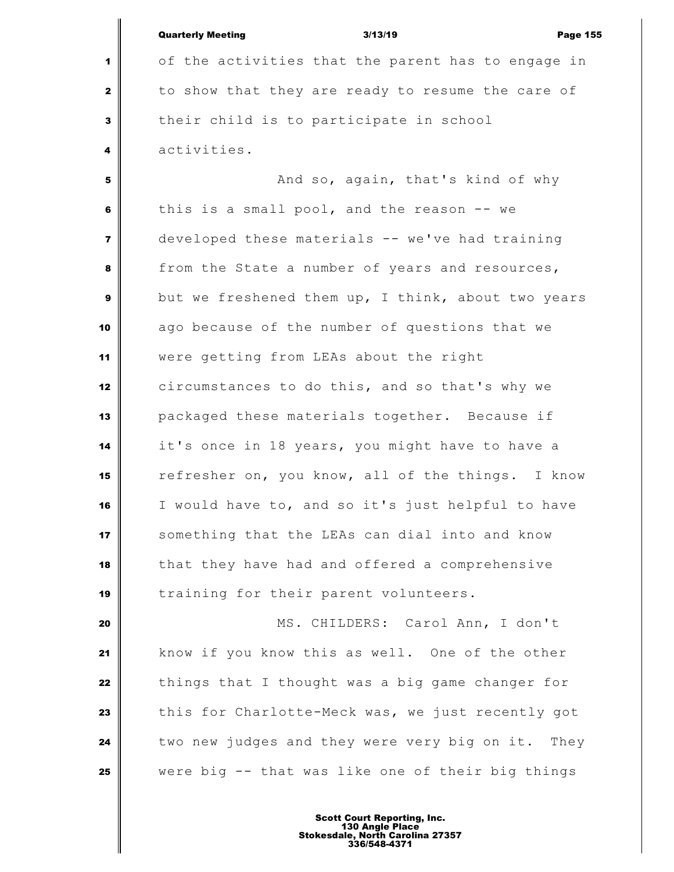|                | <b>Quarterly Meeting</b><br>3/13/19<br><b>Page 155</b> |
|----------------|--------------------------------------------------------|
| 1              | of the activities that the parent has to engage in     |
| $\mathbf{2}$   | to show that they are ready to resume the care of      |
| 3              | their child is to participate in school                |
| 4              | activities.                                            |
| 5              | And so, again, that's kind of why                      |
| 6              | this is a small pool, and the reason -- we             |
| $\overline{7}$ | developed these materials -- we've had training        |
| 8              | from the State a number of years and resources,        |
| 9              | but we freshened them up, I think, about two years     |
| 10             | ago because of the number of questions that we         |
| 11             | were getting from LEAs about the right                 |
| 12             | circumstances to do this, and so that's why we         |
| 13             | packaged these materials together. Because if          |
| 14             | it's once in 18 years, you might have to have a        |
| 15             | refresher on, you know, all of the things. I know      |
| 16             | I would have to, and so it's just helpful to have      |
| 17             | something that the LEAs can dial into and know         |
| 18             | that they have had and offered a comprehensive         |
| 19             | training for their parent volunteers.                  |
| 20             | MS. CHILDERS: Carol Ann, I don't                       |
| 21             | know if you know this as well. One of the other        |
| 22             | things that I thought was a big game changer for       |
| 23             | this for Charlotte-Meck was, we just recently got      |
| 24             | two new judges and they were very big on it. They      |
| 25             | were big -- that was like one of their big things      |
|                |                                                        |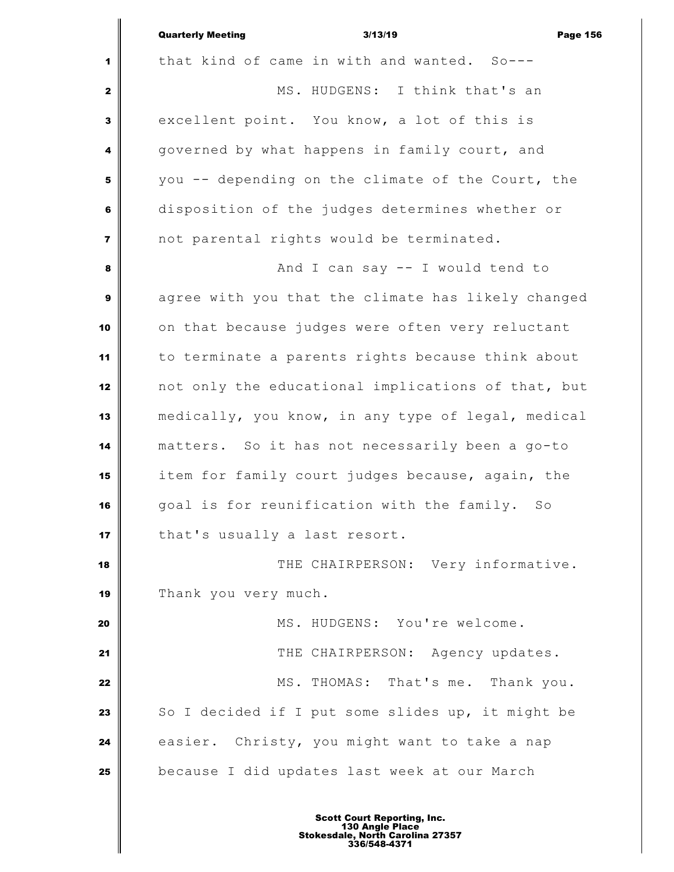|                         | <b>Quarterly Meeting</b><br>3/13/19<br><b>Page 156</b> |
|-------------------------|--------------------------------------------------------|
| 1                       | that kind of came in with and wanted. So---            |
| $\mathbf{2}$            | MS. HUDGENS: I think that's an                         |
| 3                       | excellent point. You know, a lot of this is            |
| 4                       | governed by what happens in family court, and          |
| 5                       | you -- depending on the climate of the Court, the      |
| 6                       | disposition of the judges determines whether or        |
| $\overline{\mathbf{z}}$ | not parental rights would be terminated.               |
| 8                       | And I can say -- I would tend to                       |
| $\boldsymbol{9}$        | agree with you that the climate has likely changed     |
| 10                      | on that because judges were often very reluctant       |
| 11                      | to terminate a parents rights because think about      |
| 12                      | not only the educational implications of that, but     |
| 13                      | medically, you know, in any type of legal, medical     |
| 14                      | matters. So it has not necessarily been a go-to        |
| 15                      | item for family court judges because, again, the       |
| 16                      | goal is for reunification with the family. So          |
| 17                      | that's usually a last resort.                          |
| 18                      | THE CHAIRPERSON: Very informative.                     |
| 19                      | Thank you very much.                                   |
| 20                      | MS. HUDGENS: You're welcome.                           |
| 21                      | THE CHAIRPERSON: Agency updates.                       |
| 22                      | MS. THOMAS: That's me. Thank you.                      |
| 23                      | So I decided if I put some slides up, it might be      |
| 24                      | easier. Christy, you might want to take a nap          |
| 25                      | because I did updates last week at our March           |
|                         |                                                        |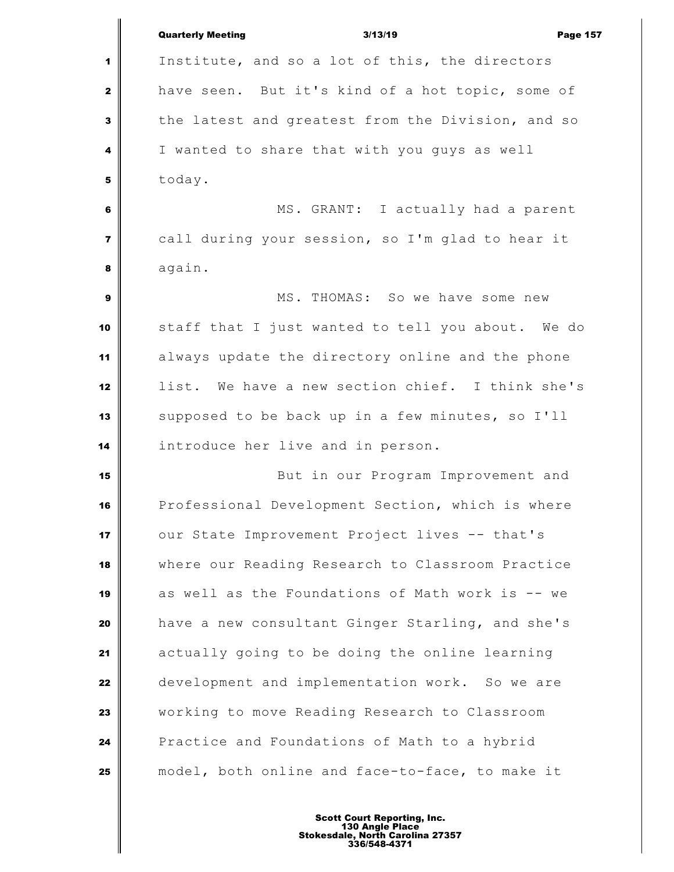|                         | <b>Quarterly Meeting</b><br>3/13/19<br><b>Page 157</b> |
|-------------------------|--------------------------------------------------------|
| 1                       | Institute, and so a lot of this, the directors         |
| $\mathbf{2}$            | have seen. But it's kind of a hot topic, some of       |
| 3                       | the latest and greatest from the Division, and so      |
| 4                       | I wanted to share that with you guys as well           |
| 5                       | today.                                                 |
| 6                       | MS. GRANT: I actually had a parent                     |
| $\overline{\mathbf{z}}$ | call during your session, so I'm glad to hear it       |
| 8                       | again.                                                 |
| 9                       | MS. THOMAS: So we have some new                        |
| 10                      | staff that I just wanted to tell you about. We do      |
| 11                      | always update the directory online and the phone       |
| 12                      | list. We have a new section chief. I think she's       |
| 13                      | supposed to be back up in a few minutes, so I'll       |
| 14                      | introduce her live and in person.                      |
| 15                      | But in our Program Improvement and                     |
| 16                      | Professional Development Section, which is where       |
| 17                      | our State Improvement Project lives -- that's          |
| 18                      | where our Reading Research to Classroom Practice       |
| 19                      | as well as the Foundations of Math work is -- we       |
| 20                      | have a new consultant Ginger Starling, and she's       |
| 21                      | actually going to be doing the online learning         |
| 22                      | development and implementation work. So we are         |
| 23                      | working to move Reading Research to Classroom          |
| 24                      | Practice and Foundations of Math to a hybrid           |
| 25                      | model, both online and face-to-face, to make it        |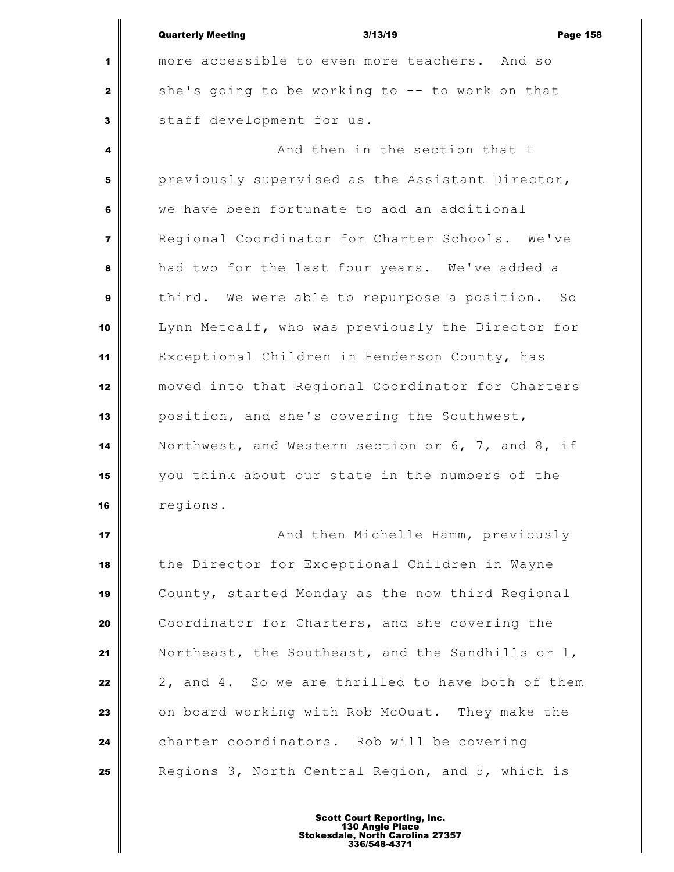|                         | <b>Quarterly Meeting</b><br>3/13/19<br><b>Page 158</b> |
|-------------------------|--------------------------------------------------------|
| 1                       | more accessible to even more teachers. And so          |
| $\mathbf{2}$            | she's going to be working to -- to work on that        |
| 3                       | staff development for us.                              |
| 4                       | And then in the section that I                         |
| 5                       | previously supervised as the Assistant Director,       |
| 6                       | we have been fortunate to add an additional            |
| $\overline{\mathbf{z}}$ | Regional Coordinator for Charter Schools. We've        |
| 8                       | had two for the last four years. We've added a         |
| 9                       | third. We were able to repurpose a position. So        |
| 10                      | Lynn Metcalf, who was previously the Director for      |
| 11                      | Exceptional Children in Henderson County, has          |
| 12                      | moved into that Regional Coordinator for Charters      |
| 13                      | position, and she's covering the Southwest,            |
| 14                      | Northwest, and Western section or 6, 7, and 8, if      |
| 15                      | you think about our state in the numbers of the        |
| 16                      | regions.                                               |
|                         |                                                        |

 **And then Michelle Hamm, previously**  the Director for Exceptional Children in Wayne County, started Monday as the now third Regional Coordinator for Charters, and she covering the Northeast, the Southeast, and the Sandhills or 1, 2, and 4. So we are thrilled to have both of them on board working with Rob McOuat. They make the charter coordinators. Rob will be covering Regions 3, North Central Region, and 5, which is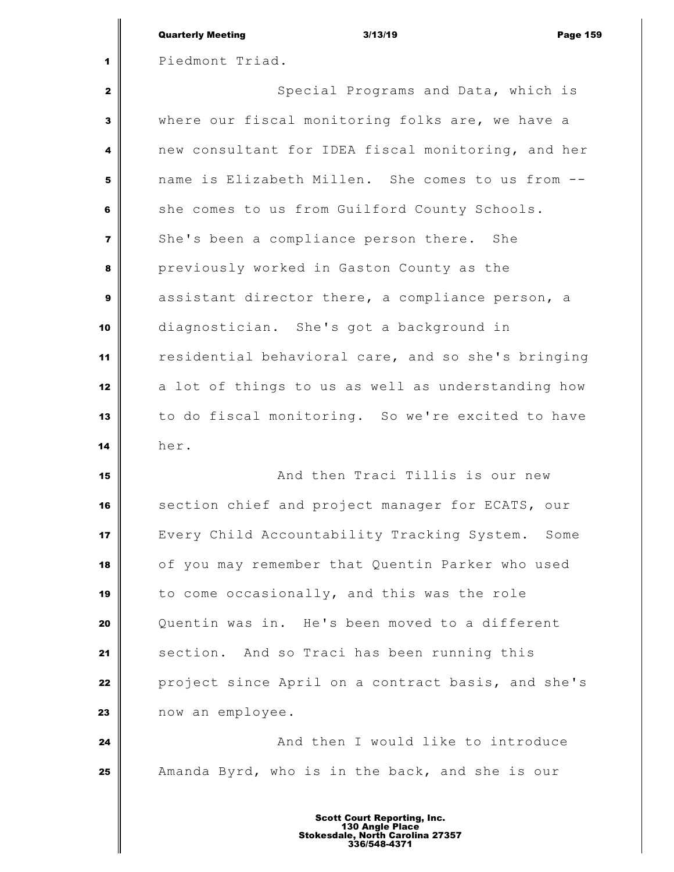|                | <b>Quarterly Meeting</b><br>3/13/19<br><b>Page 159</b> |
|----------------|--------------------------------------------------------|
| 1              | Piedmont Triad.                                        |
| $\mathbf{2}$   | Special Programs and Data, which is                    |
| $\mathbf{3}$   | where our fiscal monitoring folks are, we have a       |
| 4              | new consultant for IDEA fiscal monitoring, and her     |
| 5              | name is Elizabeth Millen. She comes to us from --      |
| 6              | she comes to us from Guilford County Schools.          |
| $\overline{7}$ | She's been a compliance person there. She              |
| 8              | previously worked in Gaston County as the              |
| $\mathbf{9}$   | assistant director there, a compliance person, a       |
| 10             | diagnostician. She's got a background in               |
| 11             | residential behavioral care, and so she's bringing     |
| 12             | a lot of things to us as well as understanding how     |
| 13             | to do fiscal monitoring. So we're excited to have      |
| 14             | her.                                                   |
| 15             | And then Traci Tillis is our new                       |
| 16             | section chief and project manager for ECATS, our       |
| 17             | Every Child Accountability Tracking System.<br>Some    |
| 18             | of you may remember that Quentin Parker who used       |
| 19             | to come occasionally, and this was the role            |

 Quentin was in. He's been moved to a different 21 Section. And so Traci has been running this **project since April on a contract basis, and she's** now an employee.

 **And then I would like to introduce** Amanda Byrd, who is in the back, and she is our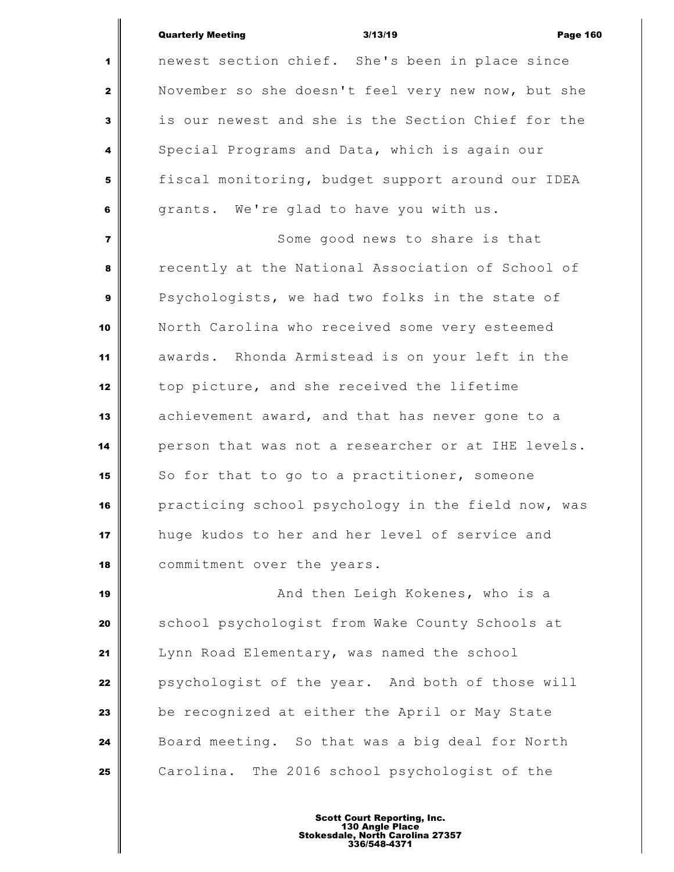| <b>Quarterly Meeting</b> | 3/13/19 | <b>Page 160</b> |
|--------------------------|---------|-----------------|
|                          |         |                 |

 newest section chief. She's been in place since November so she doesn't feel very new now, but she is our newest and she is the Section Chief for the Special Programs and Data, which is again our fiscal monitoring, budget support around our IDEA grants. We're glad to have you with us. Some good news to share is that recently at the National Association of School of Psychologists, we had two folks in the state of North Carolina who received some very esteemed awards. Rhonda Armistead is on your left in the top picture, and she received the lifetime achievement award, and that has never gone to a person that was not a researcher or at IHE levels. So for that to go to a practitioner, someone practicing school psychology in the field now, was huge kudos to her and her level of service and commitment over the years.

 **And then Leigh Kokenes, who is a**  School psychologist from Wake County Schools at Lynn Road Elementary, was named the school psychologist of the year. And both of those will be recognized at either the April or May State Board meeting. So that was a big deal for North Carolina. The 2016 school psychologist of the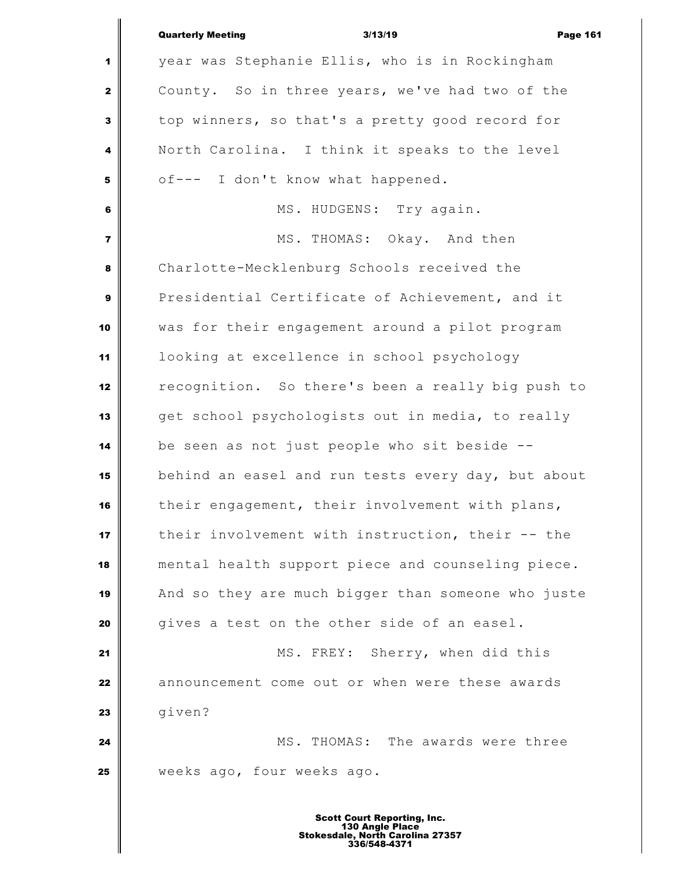|                         | <b>Quarterly Meeting</b><br>3/13/19<br><b>Page 161</b> |
|-------------------------|--------------------------------------------------------|
| 1                       | year was Stephanie Ellis, who is in Rockingham         |
| $\mathbf{2}$            | County. So in three years, we've had two of the        |
| 3                       | top winners, so that's a pretty good record for        |
| 4                       | North Carolina. I think it speaks to the level         |
| 5                       | of--- I don't know what happened.                      |
| 6                       | MS. HUDGENS: Try again.                                |
| $\overline{\mathbf{z}}$ | MS. THOMAS: Okay. And then                             |
| 8                       | Charlotte-Mecklenburg Schools received the             |
| 9                       | Presidential Certificate of Achievement, and it        |
| 10                      | was for their engagement around a pilot program        |
| 11                      | looking at excellence in school psychology             |
| 12                      | recognition. So there's been a really big push to      |
| 13                      | get school psychologists out in media, to really       |
| 14                      | be seen as not just people who sit beside --           |
| 15                      | behind an easel and run tests every day, but about     |
| 16                      | their engagement, their involvement with plans,        |
| 17                      | their involvement with instruction, their -- the       |
| 18                      | mental health support piece and counseling piece.      |
| 19                      | And so they are much bigger than someone who juste     |
| 20                      | gives a test on the other side of an easel.            |
| 21                      | MS. FREY: Sherry, when did this                        |
| 22                      | announcement come out or when were these awards        |
| 23                      | given?                                                 |
| 24                      | MS. THOMAS: The awards were three                      |
| 25                      | weeks ago, four weeks ago.                             |
|                         |                                                        |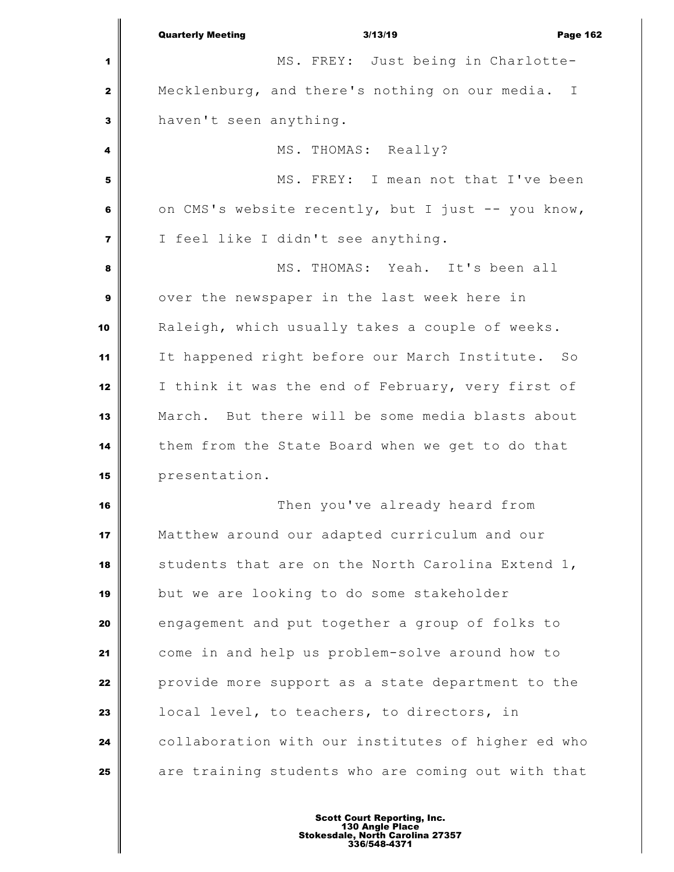|                | <b>Quarterly Meeting</b><br>3/13/19<br><b>Page 162</b>         |
|----------------|----------------------------------------------------------------|
| 1              | MS. FREY: Just being in Charlotte-                             |
| $\mathbf{2}$   | Mecklenburg, and there's nothing on our media.<br>$\mathbb{I}$ |
| 3              | haven't seen anything.                                         |
| 4              | MS. THOMAS: Really?                                            |
| 5              | MS. FREY: I mean not that I've been                            |
| 6              | on CMS's website recently, but I just -- you know,             |
| $\overline{7}$ | I feel like I didn't see anything.                             |
| 8              | MS. THOMAS: Yeah. It's been all                                |
| 9              | over the newspaper in the last week here in                    |
| 10             | Raleigh, which usually takes a couple of weeks.                |
| 11             | It happened right before our March Institute. So               |
| 12             | I think it was the end of February, very first of              |
| 13             | March. But there will be some media blasts about               |
| 14             | them from the State Board when we get to do that               |
| 15             | presentation.                                                  |
| 16             | Then you've already heard from                                 |
| 17             | Matthew around our adapted curriculum and our                  |
| 18             | students that are on the North Carolina Extend 1,              |
| 19             | but we are looking to do some stakeholder                      |
| 20             | engagement and put together a group of folks to                |
| 21             | come in and help us problem-solve around how to                |
| 22             | provide more support as a state department to the              |
| 23             | local level, to teachers, to directors, in                     |
| 24             | collaboration with our institutes of higher ed who             |
| 25             | are training students who are coming out with that             |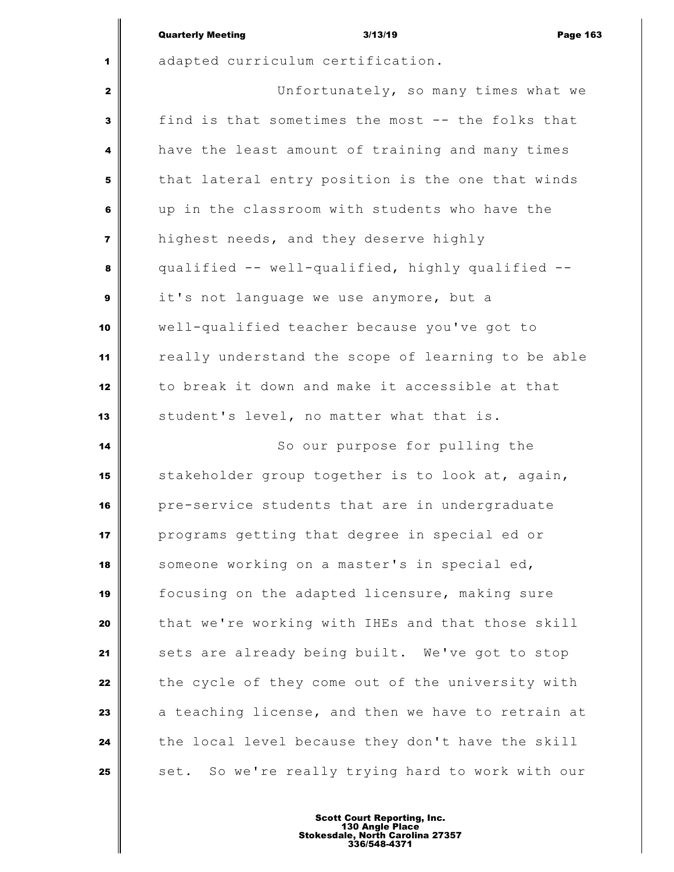|                         | <b>Quarterly Meeting</b><br>3/13/19<br><b>Page 163</b> |  |
|-------------------------|--------------------------------------------------------|--|
| 1                       | adapted curriculum certification.                      |  |
| $\mathbf{z}$            | Unfortunately, so many times what we                   |  |
| 3                       | find is that sometimes the most -- the folks that      |  |
| 4                       | have the least amount of training and many times       |  |
| 5                       | that lateral entry position is the one that winds      |  |
| 6                       | up in the classroom with students who have the         |  |
| $\overline{\mathbf{z}}$ | highest needs, and they deserve highly                 |  |
| 8                       | qualified -- well-qualified, highly qualified --       |  |
| $\boldsymbol{9}$        | it's not language we use anymore, but a                |  |
| 10                      | well-qualified teacher because you've got to           |  |
| 11                      | really understand the scope of learning to be able     |  |
| 12                      | to break it down and make it accessible at that        |  |
| 13                      | student's level, no matter what that is.               |  |
| 14                      | So our purpose for pulling the                         |  |
| 15                      | stakeholder group together is to look at, again,       |  |
| 16                      | pre-service students that are in undergraduate         |  |
| 17                      | programs getting that degree in special ed or          |  |
| 18                      | someone working on a master's in special ed,           |  |
| 19                      | focusing on the adapted licensure, making sure         |  |
| 20                      | that we're working with IHEs and that those skill      |  |
| 21                      | sets are already being built. We've got to stop        |  |
| 22                      | the cycle of they come out of the university with      |  |
| 23                      | a teaching license, and then we have to retrain at     |  |
| 24                      | the local level because they don't have the skill      |  |
| 25                      | set. So we're really trying hard to work with our      |  |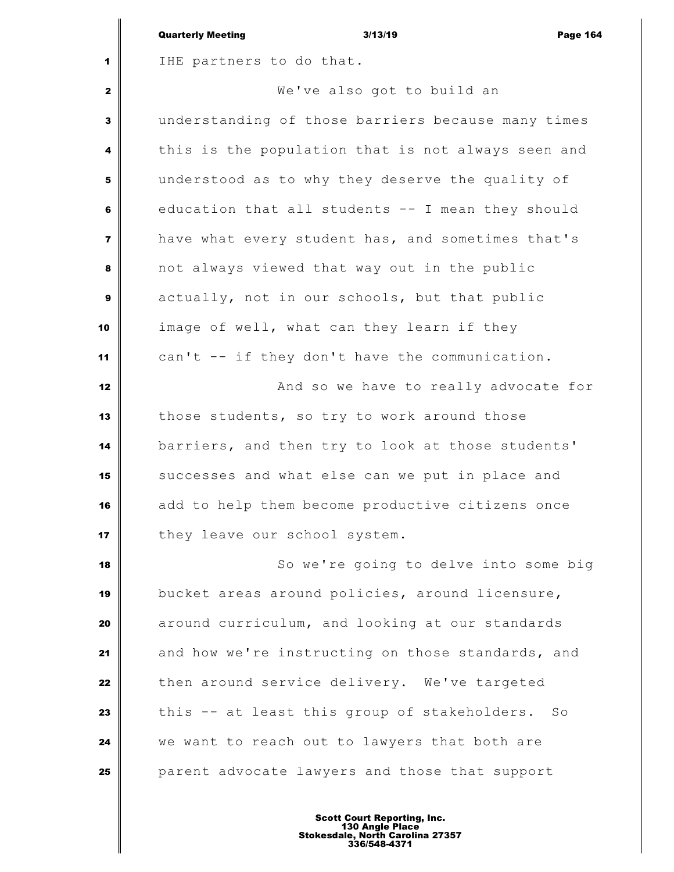|                         | <b>Quarterly Meeting</b><br>3/13/19<br><b>Page 164</b> |
|-------------------------|--------------------------------------------------------|
| 1                       | IHE partners to do that.                               |
| 2                       | We've also got to build an                             |
| 3                       | understanding of those barriers because many times     |
| 4                       | this is the population that is not always seen and     |
| 5                       | understood as to why they deserve the quality of       |
| 6                       | education that all students -- I mean they should      |
| $\overline{\mathbf{z}}$ | have what every student has, and sometimes that's      |
| 8                       | not always viewed that way out in the public           |
| 9                       | actually, not in our schools, but that public          |
| 10                      | image of well, what can they learn if they             |
| 11                      | can't -- if they don't have the communication.         |
| 12                      | And so we have to really advocate for                  |
| 13                      | those students, so try to work around those            |
| 14                      | barriers, and then try to look at those students'      |
| 15                      | successes and what else can we put in place and        |
| 16                      | add to help them become productive citizens once       |
| 17                      | they leave our school system.                          |
| 18                      | So we're going to delve into some big                  |
| 19                      | bucket areas around policies, around licensure,        |
| 20                      | around curriculum, and looking at our standards        |
| 21                      | and how we're instructing on those standards, and      |
| 22                      | then around service delivery. We've targeted           |
| 23                      | this -- at least this group of stakeholders.<br>SO     |
| 24                      | we want to reach out to lawyers that both are          |
| 25                      | parent advocate lawyers and those that support         |
|                         |                                                        |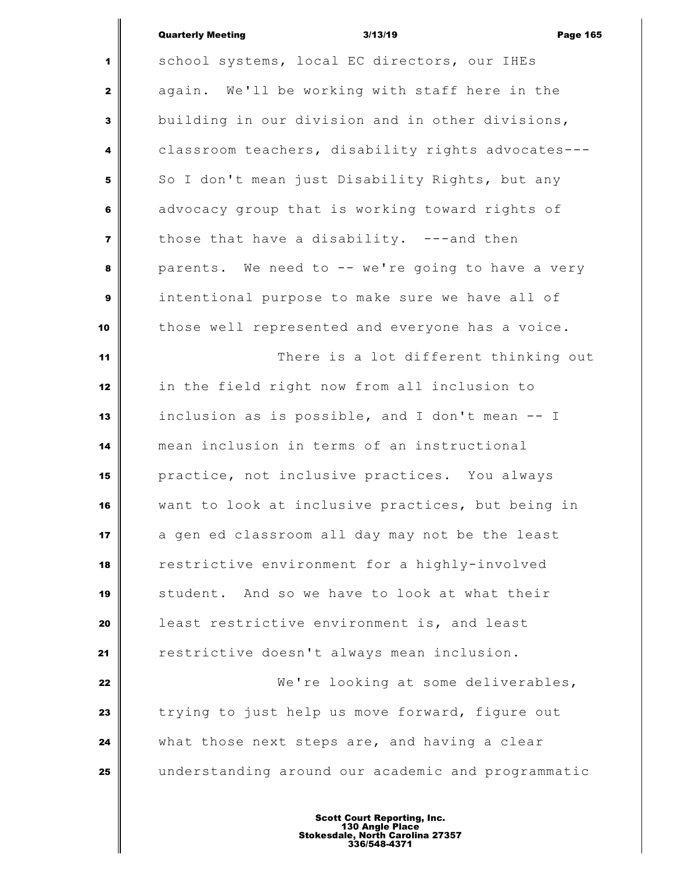# Quarterly Meeting and the state of 3/13/19 and the control of Page 165

 $\overline{\mathbb{I}}$ 

| $\mathbf{1}$   | school systems, local EC directors, our IHEs       |
|----------------|----------------------------------------------------|
| $\mathbf{2}$   | again. We'll be working with staff here in the     |
| $\mathbf{3}$   | building in our division and in other divisions,   |
| 4              | classroom teachers, disability rights advocates--- |
| 5              | So I don't mean just Disability Rights, but any    |
| 6              | advocacy group that is working toward rights of    |
| $\overline{7}$ | those that have a disability. ---and then          |
| 8              | parents. We need to -- we're going to have a very  |
| 9              | intentional purpose to make sure we have all of    |
| 10             | those well represented and everyone has a voice.   |
| 11             | There is a lot different thinking out              |
| 12             | in the field right now from all inclusion to       |
| 13             | inclusion as is possible, and I don't mean -- I    |
| 14             | mean inclusion in terms of an instructional        |
| 15             | practice, not inclusive practices. You always      |
| 16             | want to look at inclusive practices, but being in  |
| 17             | a gen ed classroom all day may not be the least    |
| 18             | restrictive environment for a highly-involved      |
| 19             | student. And so we have to look at what their      |
| 20             | least restrictive environment is, and least        |
| 21             | restrictive doesn't always mean inclusion.         |
| 22             | We're looking at some deliverables,                |
| 23             | trying to just help us move forward, figure out    |
| 24             | what those next steps are, and having a clear      |
| 25             | understanding around our academic and programmatic |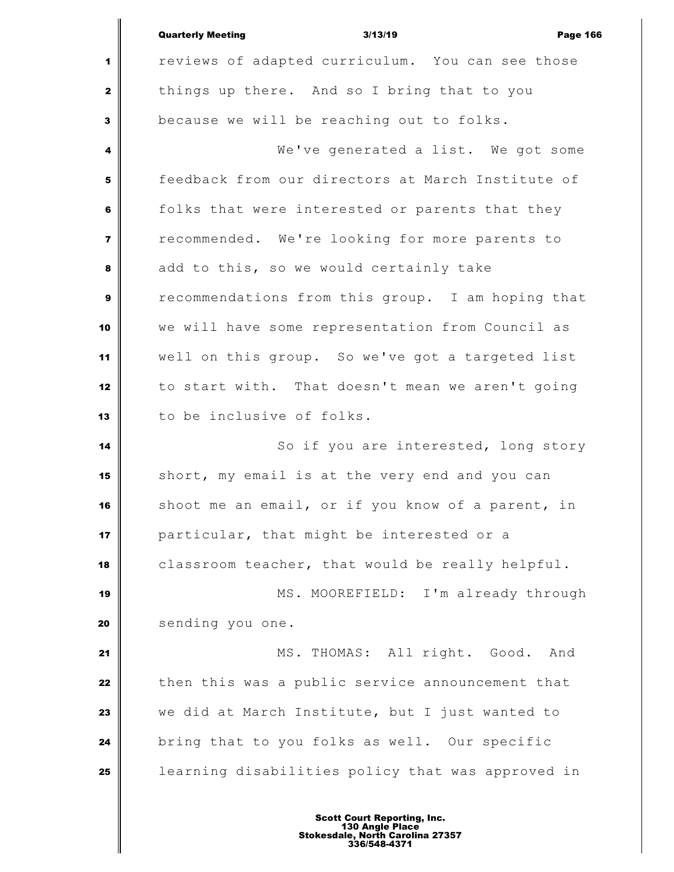|                | <b>Quarterly Meeting</b><br>3/13/19<br><b>Page 166</b> |
|----------------|--------------------------------------------------------|
| 1              | reviews of adapted curriculum. You can see those       |
| $\mathbf{2}$   | things up there. And so I bring that to you            |
| 3              | because we will be reaching out to folks.              |
| 4              | We've generated a list. We got some                    |
| 5              | feedback from our directors at March Institute of      |
| 6              | folks that were interested or parents that they        |
| $\overline{7}$ | recommended. We're looking for more parents to         |
| 8              | add to this, so we would certainly take                |
| 9              | recommendations from this group. I am hoping that      |
| 10             | we will have some representation from Council as       |
| 11             | well on this group. So we've got a targeted list       |
| 12             | to start with. That doesn't mean we aren't going       |
| 13             | to be inclusive of folks.                              |
| 14             | So if you are interested, long story                   |
| 15             | short, my email is at the very end and you can         |
| 16             | shoot me an email, or if you know of a parent, in      |
| 17             | particular, that might be interested or a              |
| 18             | classroom teacher, that would be really helpful.       |
| 19             | MS. MOOREFIELD: I'm already through                    |
| 20             | sending you one.                                       |
| 21             | MS. THOMAS: All right. Good.<br>And                    |
| 22             | then this was a public service announcement that       |
| 23             | we did at March Institute, but I just wanted to        |
| 24             | bring that to you folks as well. Our specific          |
| 25             | learning disabilities policy that was approved in      |
|                |                                                        |

∥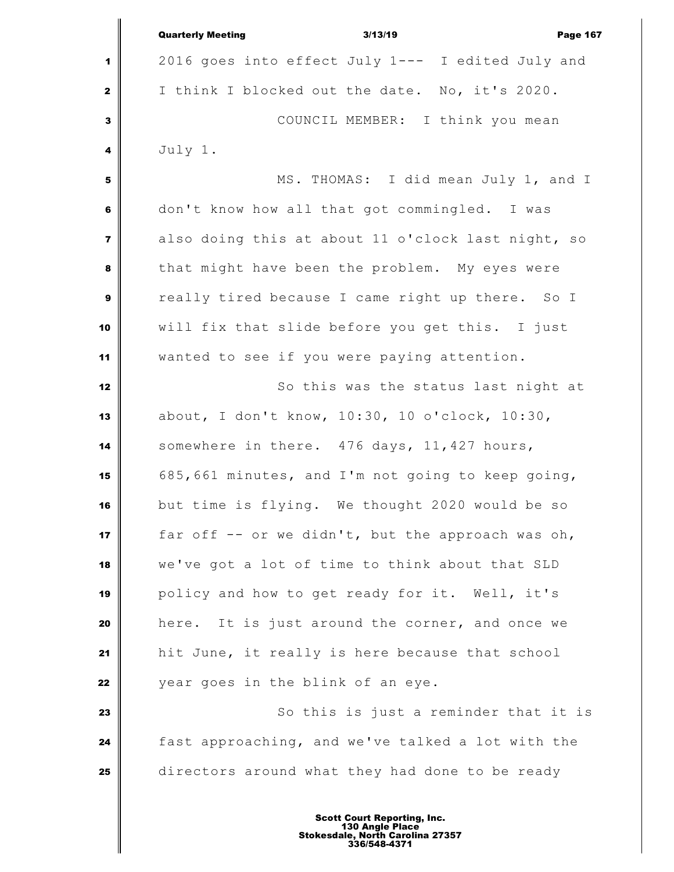|                         | <b>Quarterly Meeting</b><br>3/13/19<br><b>Page 167</b> |
|-------------------------|--------------------------------------------------------|
| 1                       | 2016 goes into effect July 1--- I edited July and      |
| $\mathbf{2}$            | I think I blocked out the date. No, it's 2020.         |
| 3                       | COUNCIL MEMBER: I think you mean                       |
| 4                       | July 1.                                                |
| 5                       | MS. THOMAS: I did mean July 1, and I                   |
| 6                       | don't know how all that got commingled. I was          |
| $\overline{\mathbf{z}}$ | also doing this at about 11 o'clock last night, so     |
| 8                       | that might have been the problem. My eyes were         |
| $\boldsymbol{9}$        | really tired because I came right up there. So I       |
| 10                      | will fix that slide before you get this. I just        |
| 11                      | wanted to see if you were paying attention.            |
| 12                      | So this was the status last night at                   |
| 13                      | about, I don't know, 10:30, 10 o'clock, 10:30,         |
| 14                      | somewhere in there. 476 days, 11,427 hours,            |
| 15                      | 685,661 minutes, and I'm not going to keep going,      |
| 16                      | but time is flying. We thought 2020 would be so        |
| 17                      | far off -- or we didn't, but the approach was oh,      |
| 18                      | we've got a lot of time to think about that SLD        |
| 19                      | policy and how to get ready for it. Well, it's         |
| 20                      | It is just around the corner, and once we<br>here.     |
| 21                      | hit June, it really is here because that school        |
| 22                      | year goes in the blink of an eye.                      |
| 23                      | So this is just a reminder that it is                  |
| 24                      | fast approaching, and we've talked a lot with the      |
| 25                      | directors around what they had done to be ready        |
|                         |                                                        |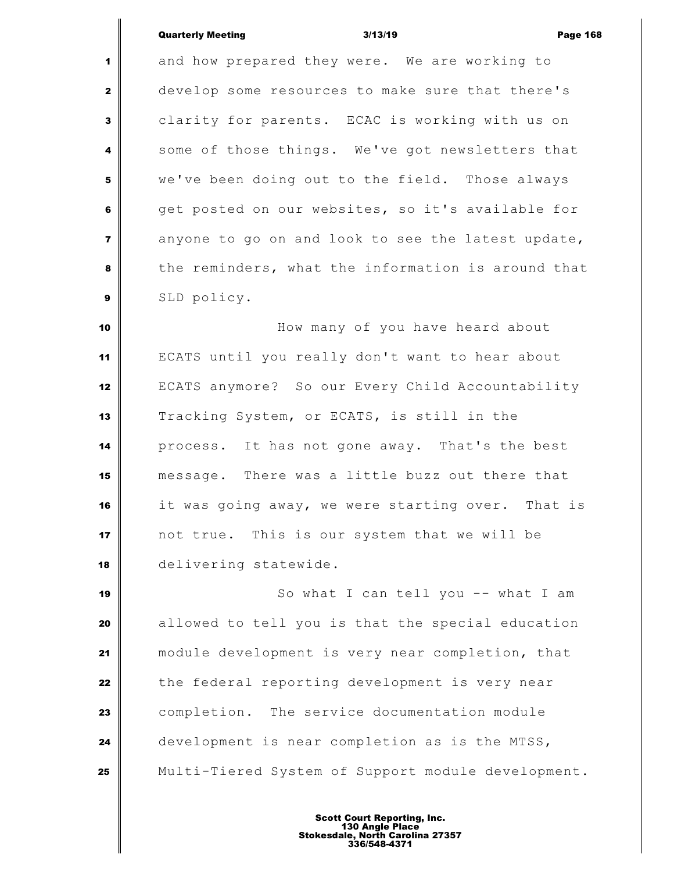#### Quarterly Meeting 3/13/19 Page 168

 and how prepared they were. We are working to develop some resources to make sure that there's clarity for parents. ECAC is working with us on some of those things. We've got newsletters that we've been doing out to the field. Those always get posted on our websites, so it's available for anyone to go on and look to see the latest update, the reminders, what the information is around that SLD policy.

 **How many of you have heard about**  ECATS until you really don't want to hear about ECATS anymore? So our Every Child Accountability Tracking System, or ECATS, is still in the process. It has not gone away. That's the best message. There was a little buzz out there that it was going away, we were starting over. That is not true. This is our system that we will be delivering statewide.

 So what I can tell you -- what I am allowed to tell you is that the special education module development is very near completion, that the federal reporting development is very near completion. The service documentation module development is near completion as is the MTSS, Multi-Tiered System of Support module development.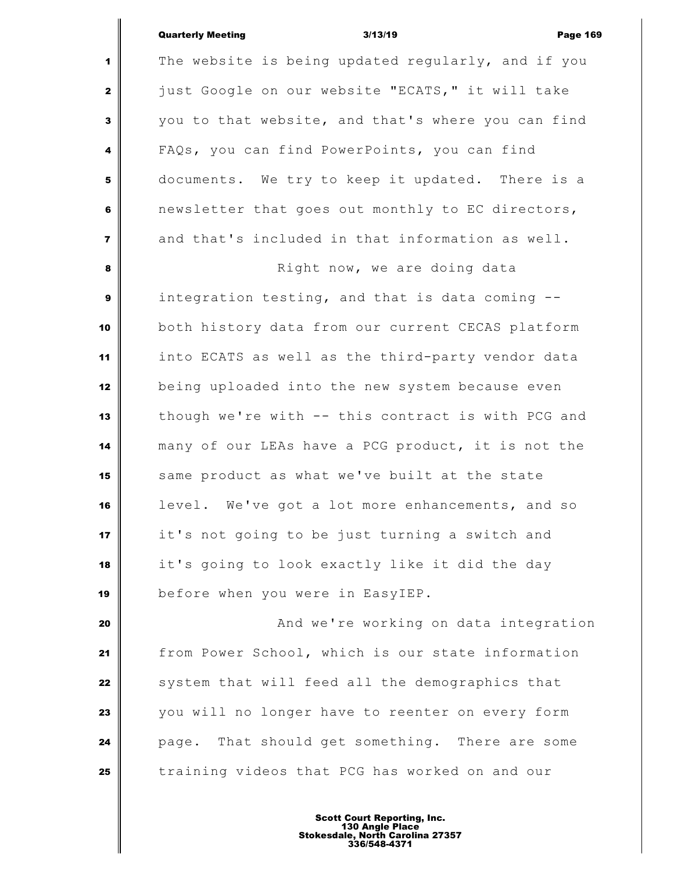### Quarterly Meeting 3/13/19 Page 169

 The website is being updated regularly, and if you just Google on our website "ECATS," it will take you to that website, and that's where you can find FAQs, you can find PowerPoints, you can find documents. We try to keep it updated. There is a newsletter that goes out monthly to EC directors, and that's included in that information as well. **8 Right now, we are doing data**  integration testing, and that is data coming -- both history data from our current CECAS platform into ECATS as well as the third-party vendor data being uploaded into the new system because even though we're with -- this contract is with PCG and many of our LEAs have a PCG product, it is not the 15 | same product as what we've built at the state level. We've got a lot more enhancements, and so it's not going to be just turning a switch and it's going to look exactly like it did the day before when you were in EasyIEP. **And we're working on data integration** 

 from Power School, which is our state information system that will feed all the demographics that you will no longer have to reenter on every form page. That should get something. There are some training videos that PCG has worked on and our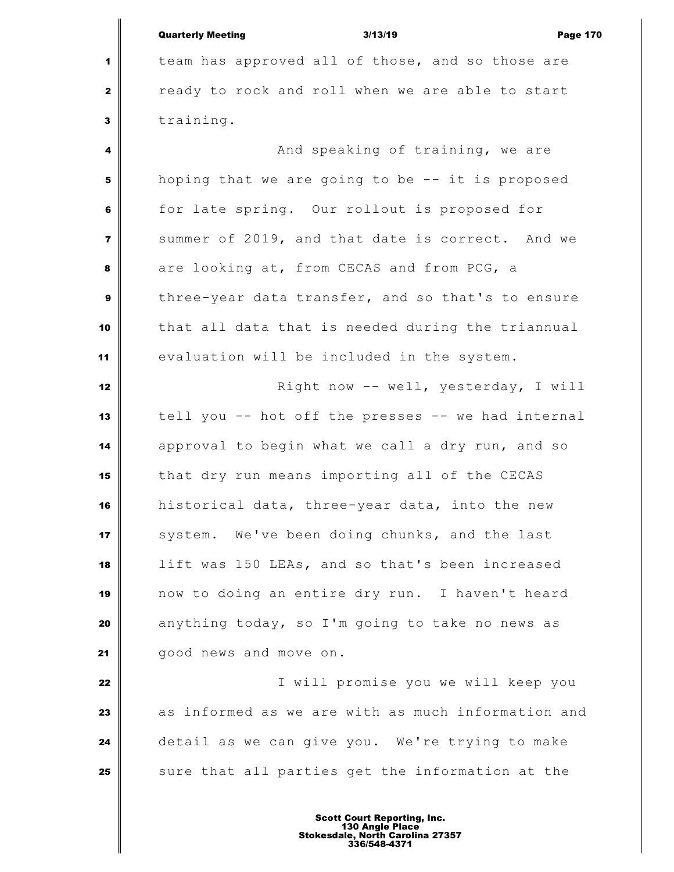|                         | <b>Quarterly Meeting</b> | 3/13/19                                           | <b>Page 170</b> |
|-------------------------|--------------------------|---------------------------------------------------|-----------------|
| $\blacktriangleleft$    |                          | team has approved all of those, and so those are  |                 |
| $\mathbf{2}$            |                          | ready to rock and roll when we are able to start  |                 |
| 3                       | training.                |                                                   |                 |
| $\overline{\mathbf{4}}$ |                          | And speaking of training, we are                  |                 |
| 5                       |                          | hoping that we are going to be -- it is proposed  |                 |
| 6                       |                          | for late spring. Our rollout is proposed for      |                 |
| $\overline{7}$          |                          | summer of 2019, and that date is correct. And we  |                 |
| 8                       |                          | are looking at, from CECAS and from PCG, a        |                 |
| $\mathbf{9}$            |                          | three-year data transfer, and so that's to ensure |                 |
| 10                      |                          | that all data that is needed during the triannual |                 |
| 11                      |                          | evaluation will be included in the system.        |                 |
| 12                      |                          | Right now -- well, yesterday, I will              |                 |

 tell you -- hot off the presses -- we had internal approval to begin what we call a dry run, and so that dry run means importing all of the CECAS historical data, three-year data, into the new 17 system. We've been doing chunks, and the last lift was 150 LEAs, and so that's been increased now to doing an entire dry run. I haven't heard anything today, so I'm going to take no news as good news and move on.

 I will promise you we will keep you as informed as we are with as much information and detail as we can give you. We're trying to make sure that all parties get the information at the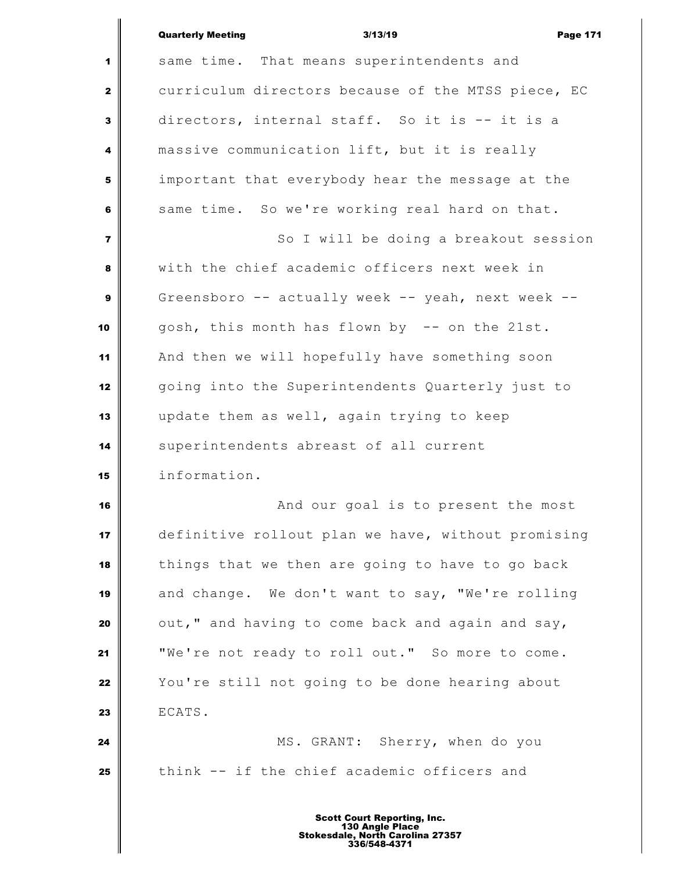|                         | <b>Quarterly Meeting</b><br>3/13/19<br><b>Page 171</b> |
|-------------------------|--------------------------------------------------------|
| 1                       | same time. That means superintendents and              |
| $\mathbf{2}$            | curriculum directors because of the MTSS piece, EC     |
| $\mathbf{3}$            | directors, internal staff. So it is -- it is a         |
| 4                       | massive communication lift, but it is really           |
| 5                       | important that everybody hear the message at the       |
| 6                       | same time. So we're working real hard on that.         |
| $\overline{\mathbf{z}}$ | So I will be doing a breakout session                  |
| 8                       | with the chief academic officers next week in          |
| $\boldsymbol{9}$        | Greensboro -- actually week -- yeah, next week --      |
| 10                      | gosh, this month has flown by -- on the 21st.          |
| 11                      | And then we will hopefully have something soon         |
| 12                      | going into the Superintendents Quarterly just to       |
| 13                      | update them as well, again trying to keep              |
| 14                      | superintendents abreast of all current                 |
| 15                      | information.                                           |
| 16                      | And our goal is to present the most                    |
| 17                      | definitive rollout plan we have, without promising     |
| 18                      | things that we then are going to have to go back       |
| 19                      | and change. We don't want to say, "We're rolling       |
| 20                      | out," and having to come back and again and say,       |
| 21                      | "We're not ready to roll out." So more to come.        |
| 22                      | You're still not going to be done hearing about        |
| 23                      | ECATS.                                                 |
| 24                      | MS. GRANT: Sherry, when do you                         |
| 25                      | think -- if the chief academic officers and            |
|                         |                                                        |

Ш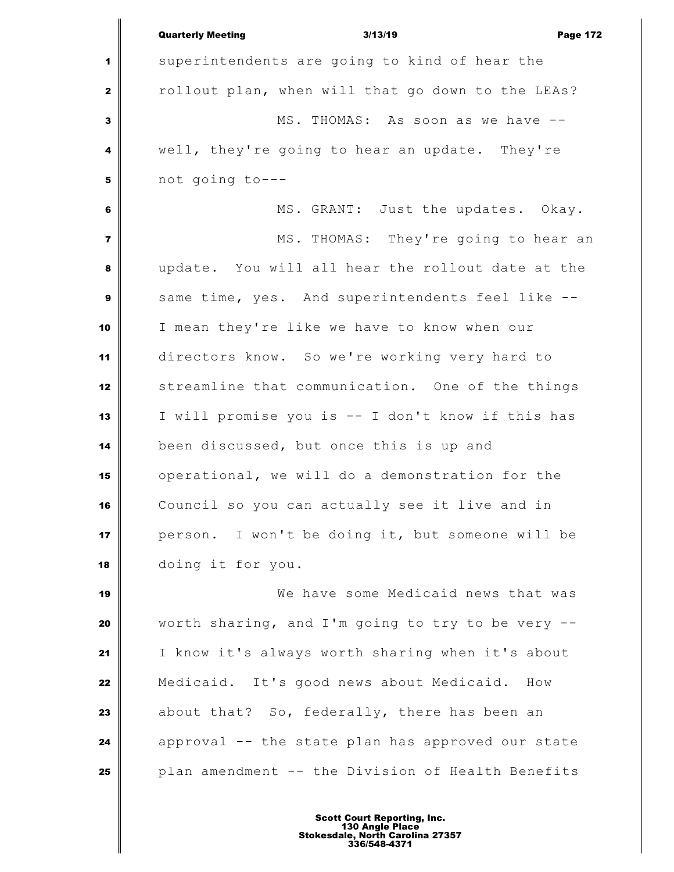|                         | <b>Quarterly Meeting</b><br>3/13/19<br><b>Page 172</b> |
|-------------------------|--------------------------------------------------------|
| 1                       | superintendents are going to kind of hear the          |
| $\mathbf{2}$            | rollout plan, when will that go down to the LEAs?      |
| $\overline{\mathbf{3}}$ | MS. THOMAS: As soon as we have --                      |
| 4                       | well, they're going to hear an update. They're         |
| 5                       | not going to---                                        |
| $\bf 6$                 | MS. GRANT: Just the updates. Okay.                     |
| $\overline{\mathbf{z}}$ | MS. THOMAS: They're going to hear an                   |
| 8                       | update. You will all hear the rollout date at the      |
| $\boldsymbol{9}$        | same time, yes. And superintendents feel like --       |
| 10                      | I mean they're like we have to know when our           |
| 11                      | directors know. So we're working very hard to          |
| 12                      | streamline that communication. One of the things       |
| 13                      | I will promise you is -- I don't know if this has      |
| 14                      | been discussed, but once this is up and                |
| 15                      | operational, we will do a demonstration for the        |
| 16                      | Council so you can actually see it live and in         |
| 17                      | person. I won't be doing it, but someone will be       |
| 18                      | doing it for you.                                      |
| 19                      | We have some Medicaid news that was                    |
| 20                      | worth sharing, and I'm going to try to be very --      |
| 21                      | I know it's always worth sharing when it's about       |
| 22                      | Medicaid. It's good news about Medicaid.<br>How        |
| 23                      | about that? So, federally, there has been an           |
| 24                      | approval -- the state plan has approved our state      |
| 25                      | plan amendment -- the Division of Health Benefits      |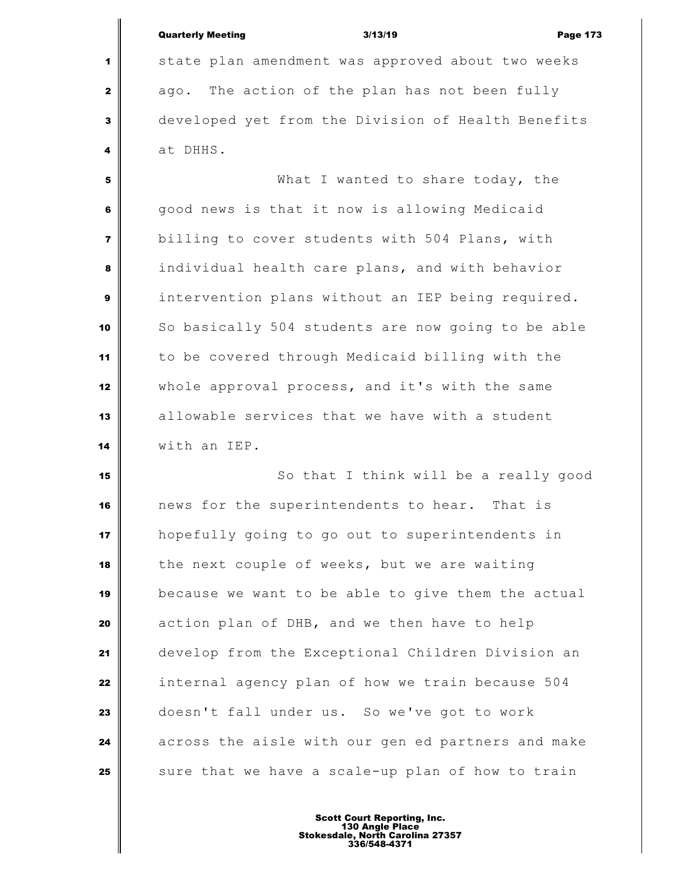|                         | <b>Quarterly Meeting</b><br>3/13/19                | <b>Page 173</b> |
|-------------------------|----------------------------------------------------|-----------------|
| 1                       | state plan amendment was approved about two weeks  |                 |
| $\mathbf{2}$            | ago. The action of the plan has not been fully     |                 |
| 3                       | developed yet from the Division of Health Benefits |                 |
| 4                       | at DHHS.                                           |                 |
| 5                       | What I wanted to share today, the                  |                 |
| 6                       | good news is that it now is allowing Medicaid      |                 |
| $\overline{\mathbf{z}}$ | billing to cover students with 504 Plans, with     |                 |
| 8                       | individual health care plans, and with behavior    |                 |
| 9                       | intervention plans without an IEP being required.  |                 |
| 10                      | So basically 504 students are now going to be able |                 |
| 11                      | to be covered through Medicaid billing with the    |                 |
| 12                      | whole approval process, and it's with the same     |                 |
| 13                      | allowable services that we have with a student     |                 |
| 14                      | with an IEP.                                       |                 |
| 15                      | So that I think will be a really good              |                 |
| 16                      | news for the superintendents to hear. That is      |                 |
|                         |                                                    |                 |

 $\mathbf{u}$ 

 news for the superintendents to hear. That is hopefully going to go out to superintendents in the next couple of weeks, but we are waiting because we want to be able to give them the actual action plan of DHB, and we then have to help develop from the Exceptional Children Division an internal agency plan of how we train because 504 doesn't fall under us. So we've got to work across the aisle with our gen ed partners and make sure that we have a scale-up plan of how to train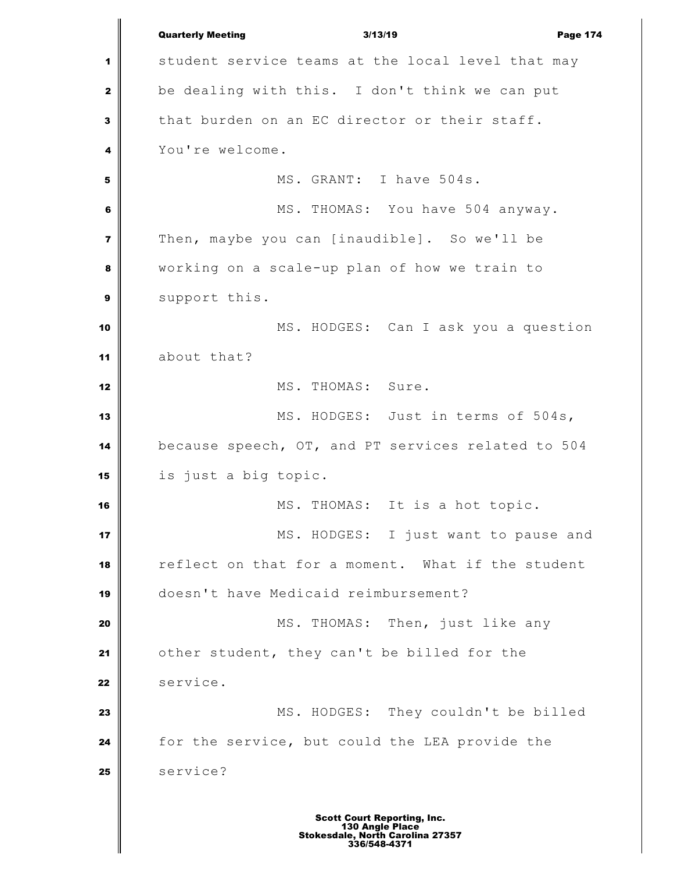Quarterly Meeting 3/13/19 Page 174 student service teams at the local level that may be dealing with this. I don't think we can put that burden on an EC director or their staff. You're welcome. MS. GRANT: I have 504s. MS. THOMAS: You have 504 anyway. Then, maybe you can [inaudible]. So we'll be working on a scale-up plan of how we train to support this. MS. HODGES: Can I ask you a question about that? MS. THOMAS: Sure. MS. HODGES: Just in terms of 504s, because speech, OT, and PT services related to 504 is just a big topic. **MS.** THOMAS: It is a hot topic. MS. HODGES: I just want to pause and reflect on that for a moment. What if the student doesn't have Medicaid reimbursement? MS. THOMAS: Then, just like any other student, they can't be billed for the **Service.**  MS. HODGES: They couldn't be billed for the service, but could the LEA provide the 25 service?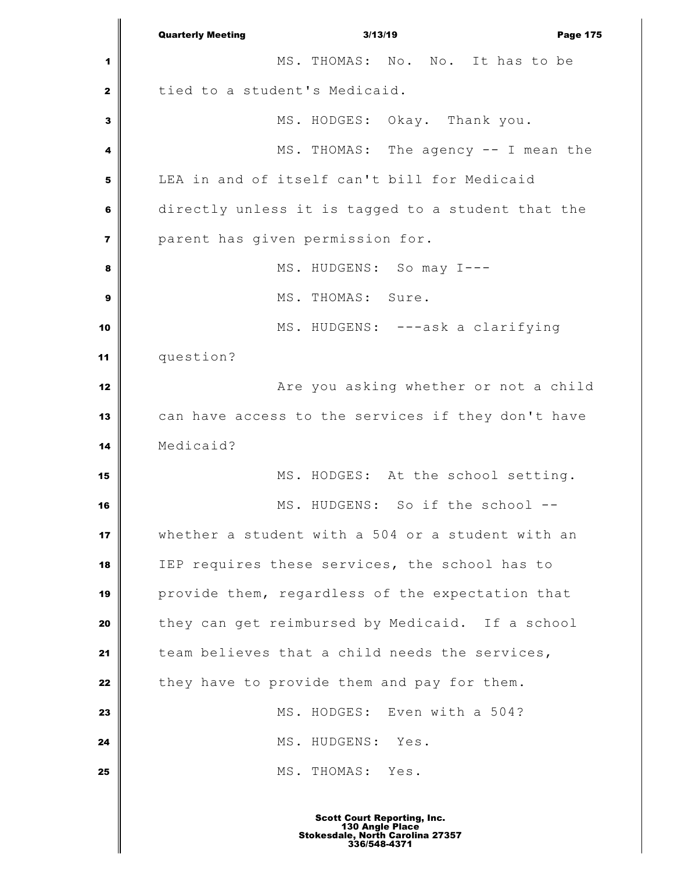Quarterly Meeting 3/13/19 Page 175 MS. THOMAS: No. No. It has to be tied to a student's Medicaid. MS. HODGES: Okay. Thank you. MS. THOMAS: The agency -- I mean the LEA in and of itself can't bill for Medicaid directly unless it is tagged to a student that the parent has given permission for. MS. HUDGENS: So may I--- **I** MS. THOMAS: Sure. MS. HUDGENS: ---ask a clarifying question? **Axe you asking whether or not a child**  can have access to the services if they don't have Medicaid? 15 || MS. HODGES: At the school setting. MS. HUDGENS: So if the school -- whether a student with a 504 or a student with an IEP requires these services, the school has to provide them, regardless of the expectation that they can get reimbursed by Medicaid. If a school team believes that a child needs the services, they have to provide them and pay for them. MS. HODGES: Even with a 504? MS. HUDGENS: Yes. MS. THOMAS: Yes.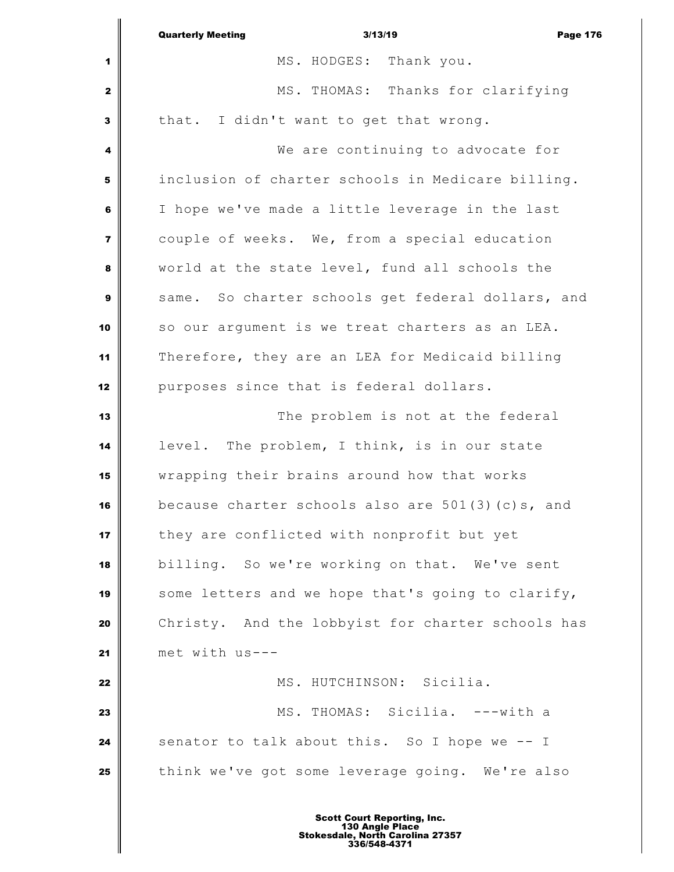|                         | <b>Quarterly Meeting</b><br>3/13/19<br><b>Page 176</b> |
|-------------------------|--------------------------------------------------------|
| 1                       | MS. HODGES: Thank you.                                 |
| $\mathbf{z}$            | MS. THOMAS: Thanks for clarifying                      |
| 3                       | that. I didn't want to get that wrong.                 |
| 4                       | We are continuing to advocate for                      |
| 5                       | inclusion of charter schools in Medicare billing.      |
| 6                       | I hope we've made a little leverage in the last        |
| $\overline{\mathbf{z}}$ | couple of weeks. We, from a special education          |
| 8                       | world at the state level, fund all schools the         |
| 9                       | same. So charter schools get federal dollars, and      |
| 10                      | so our argument is we treat charters as an LEA.        |
| 11                      | Therefore, they are an LEA for Medicaid billing        |
| 12                      | purposes since that is federal dollars.                |
| 13                      | The problem is not at the federal                      |
| 14                      | level. The problem, I think, is in our state           |
| 15                      | wrapping their brains around how that works            |
| 16                      | because charter schools also are $501(3)(c)s$ , and    |
| 17                      | they are conflicted with nonprofit but yet             |
| 18                      | billing. So we're working on that. We've sent          |
| 19                      | some letters and we hope that's going to clarify,      |
| 20                      | Christy. And the lobbyist for charter schools has      |
| 21                      | met with us---                                         |
| 22                      | MS. HUTCHINSON: Sicilia.                               |
| 23                      | MS. THOMAS: Sicilia. ---with a                         |
| 24                      | senator to talk about this. So I hope we -- I          |
| 25                      | think we've got some leverage going. We're also        |
|                         |                                                        |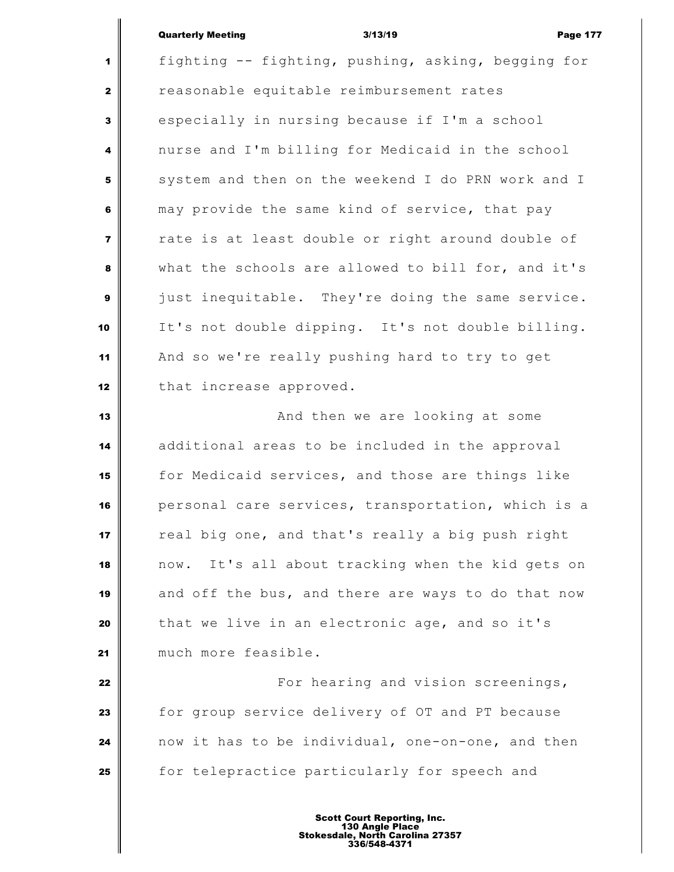#### Quarterly Meeting 3/13/19 Page 177

 fighting -- fighting, pushing, asking, begging for reasonable equitable reimbursement rates especially in nursing because if I'm a school nurse and I'm billing for Medicaid in the school system and then on the weekend I do PRN work and I may provide the same kind of service, that pay rate is at least double or right around double of what the schools are allowed to bill for, and it's just inequitable. They're doing the same service. It's not double dipping. It's not double billing. And so we're really pushing hard to try to get that increase approved. **And then we are looking at some** additional areas to be included in the approval

 for Medicaid services, and those are things like personal care services, transportation, which is a real big one, and that's really a big push right now. It's all about tracking when the kid gets on and off the bus, and there are ways to do that now that we live in an electronic age, and so it's much more feasible.

 **For hearing and vision screenings,**  for group service delivery of OT and PT because now it has to be individual, one-on-one, and then for telepractice particularly for speech and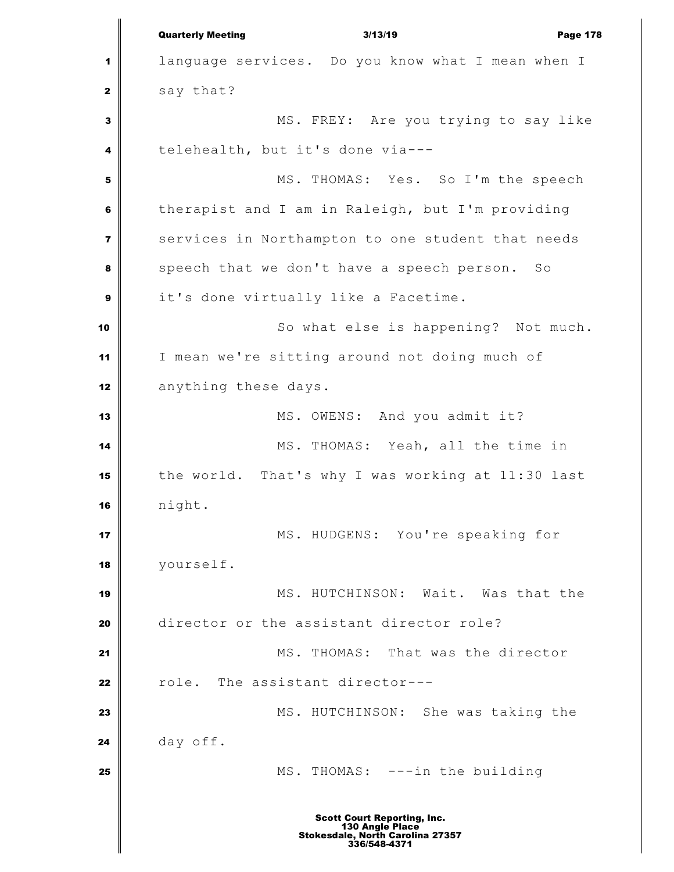Quarterly Meeting 3/13/19 Page 178 language services. Do you know what I mean when I  $\parallel$  say that? MS. FREY: Are you trying to say like telehealth, but it's done via--- MS. THOMAS: Yes. So I'm the speech therapist and I am in Raleigh, but I'm providing services in Northampton to one student that needs speech that we don't have a speech person. So it's done virtually like a Facetime. So what else is happening? Not much. I mean we're sitting around not doing much of anything these days. MS. OWENS: And you admit it? MS. THOMAS: Yeah, all the time in the world. That's why I was working at 11:30 last night. MS. HUDGENS: You're speaking for yourself. MS. HUTCHINSON: Wait. Was that the director or the assistant director role? MS. THOMAS: That was the director role. The assistant director--- MS. HUTCHINSON: She was taking the day off.  $\parallel$  MS. THOMAS: ---in the building Scott Court Reporting, Inc. 130 Angle Place Stokesdale, North Carolina 27357 336/548-4371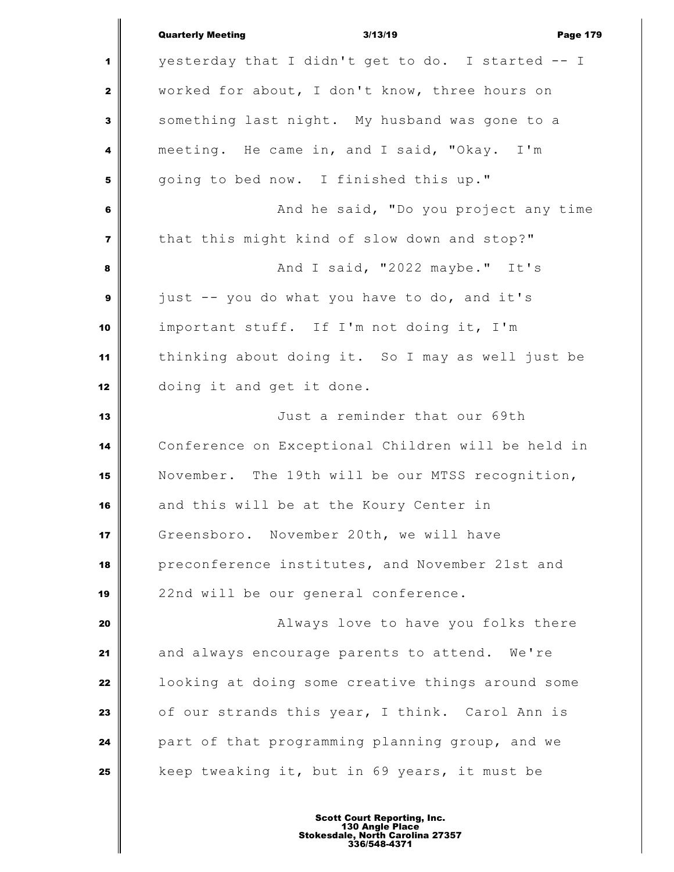|                         | <b>Quarterly Meeting</b><br>3/13/19<br><b>Page 179</b> |
|-------------------------|--------------------------------------------------------|
| 1                       | yesterday that I didn't get to do. I started -- I      |
| $\mathbf{z}$            | worked for about, I don't know, three hours on         |
| 3                       | something last night. My husband was gone to a         |
| 4                       | meeting. He came in, and I said, "Okay. I'm            |
| 5                       | going to bed now. I finished this up."                 |
| 6                       | And he said, "Do you project any time                  |
| $\overline{\mathbf{z}}$ | that this might kind of slow down and stop?"           |
| 8                       | And I said, "2022 maybe." It's                         |
| $\boldsymbol{9}$        | just -- you do what you have to do, and it's           |
| 10                      | important stuff. If I'm not doing it, I'm              |
| 11                      | thinking about doing it. So I may as well just be      |
| 12                      | doing it and get it done.                              |
| 13                      | Just a reminder that our 69th                          |
| 14                      | Conference on Exceptional Children will be held in     |
| 15                      | November. The 19th will be our MTSS recognition,       |
| 16                      | and this will be at the Koury Center in                |
| 17                      | Greensboro. November 20th, we will have                |
| 18                      | preconference institutes, and November 21st and        |
| 19                      | 22nd will be our general conference.                   |
| 20                      | Always love to have you folks there                    |
| 21                      | and always encourage parents to attend. We're          |
| 22                      | looking at doing some creative things around some      |
| 23                      | of our strands this year, I think. Carol Ann is        |
| 24                      | part of that programming planning group, and we        |
| 25                      | keep tweaking it, but in 69 years, it must be          |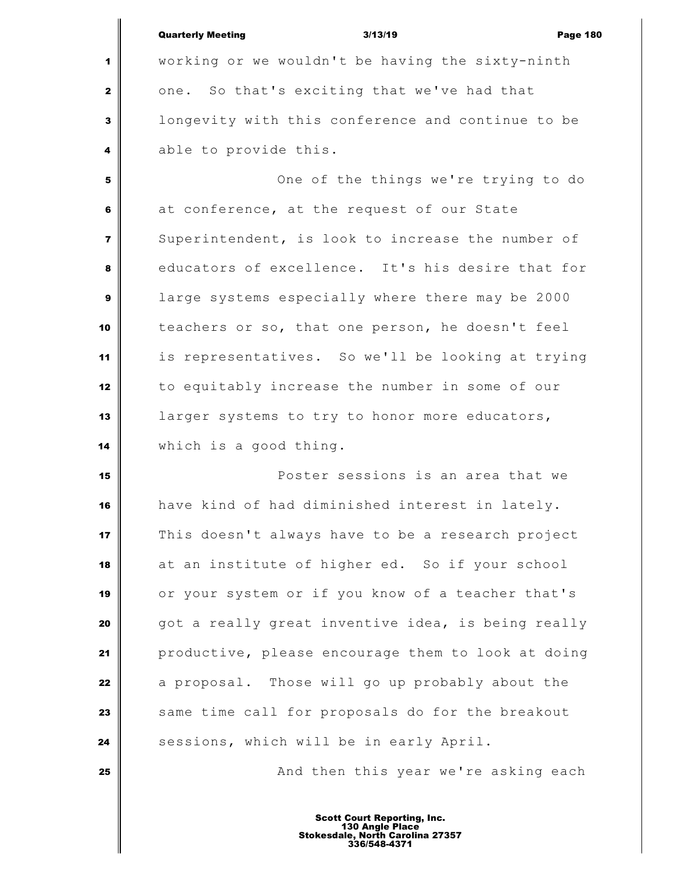|                         | <b>Quarterly Meeting</b><br><b>Page 180</b><br>3/13/19 |
|-------------------------|--------------------------------------------------------|
| 1                       | working or we wouldn't be having the sixty-ninth       |
| $\mathbf{2}$            | one. So that's exciting that we've had that            |
| 3                       | longevity with this conference and continue to be      |
| 4                       | able to provide this.                                  |
| 5                       | One of the things we're trying to do                   |
| 6                       | at conference, at the request of our State             |
| $\overline{\mathbf{z}}$ | Superintendent, is look to increase the number of      |
| 8                       | educators of excellence. It's his desire that for      |
| $\boldsymbol{9}$        | large systems especially where there may be 2000       |
| 10                      | teachers or so, that one person, he doesn't feel       |
| 11                      | is representatives. So we'll be looking at trying      |
| 12                      | to equitably increase the number in some of our        |
| 13                      | larger systems to try to honor more educators,         |
| 14                      | which is a good thing.                                 |
| 15                      | Poster sessions is an area that we                     |
| 16                      | have kind of had diminished interest in lately.        |
| 17                      | This doesn't always have to be a research project      |
| 18                      | at an institute of higher ed. So if your school        |
| 19                      | or your system or if you know of a teacher that's      |
| 20                      | got a really great inventive idea, is being really     |
| 21                      | productive, please encourage them to look at doing     |
| 22                      | a proposal. Those will go up probably about the        |
| 23                      | same time call for proposals do for the breakout       |
| 24                      | sessions, which will be in early April.                |
| 25                      | And then this year we're asking each                   |
|                         |                                                        |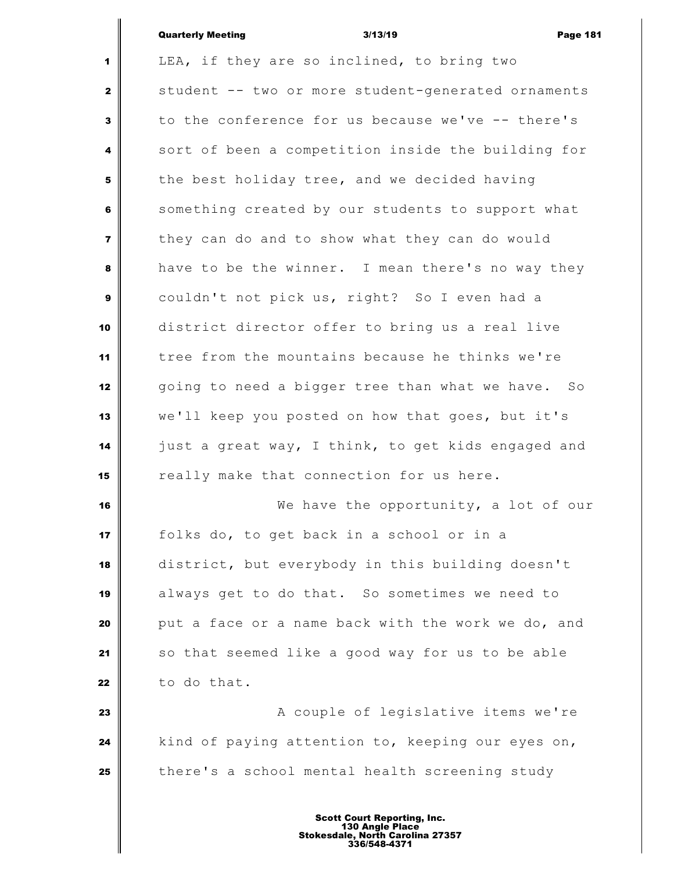## Quarterly Meeting 3/13/19 Page 181

 LEA, if they are so inclined, to bring two student -- two or more student-generated ornaments to the conference for us because we've -- there's sort of been a competition inside the building for the best holiday tree, and we decided having Something created by our students to support what they can do and to show what they can do would have to be the winner. I mean there's no way they couldn't not pick us, right? So I even had a district director offer to bring us a real live tree from the mountains because he thinks we're going to need a bigger tree than what we have. So we'll keep you posted on how that goes, but it's just a great way, I think, to get kids engaged and really make that connection for us here. We have the opportunity, a lot of our folks do, to get back in a school or in a district, but everybody in this building doesn't always get to do that. So sometimes we need to put a face or a name back with the work we do, and so that seemed like a good way for us to be able to do that. **A** couple of legislative items we're kind of paying attention to, keeping our eyes on, there's a school mental health screening study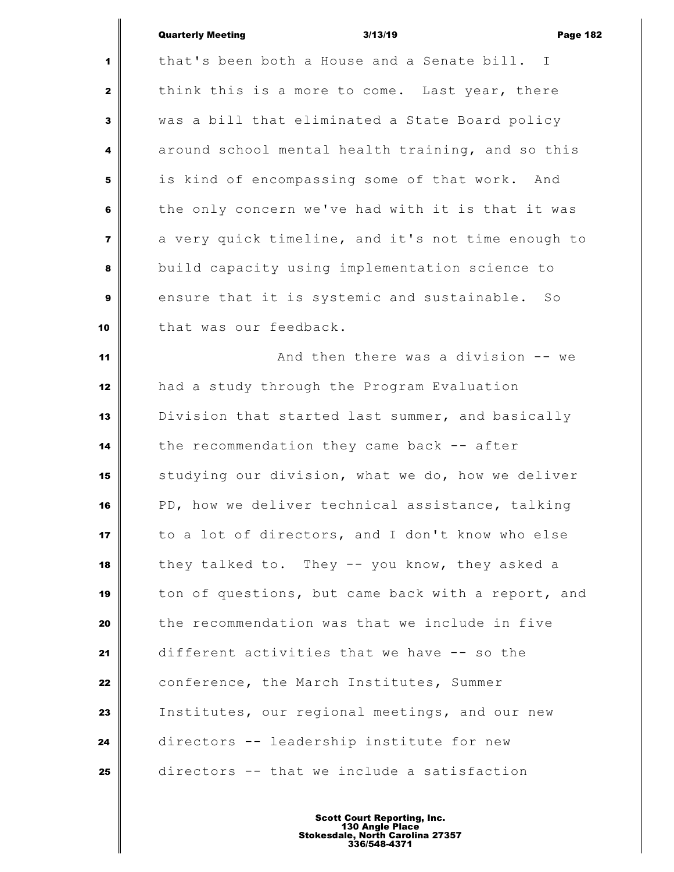| <b>Quarterly Meeting</b> |  |
|--------------------------|--|

|                         | <b>Quarterly Meeting</b><br>3/13/19<br><b>Page 182</b>        |
|-------------------------|---------------------------------------------------------------|
| 1                       | that's been both a House and a Senate bill. I                 |
| $\mathbf{2}$            | think this is a more to come. Last year, there                |
| 3                       | was a bill that eliminated a State Board policy               |
| 4                       | around school mental health training, and so this             |
| 5                       | is kind of encompassing some of that work. And                |
| 6                       | the only concern we've had with it is that it was             |
| $\overline{\mathbf{z}}$ | a very quick timeline, and it's not time enough to            |
| 8                       | build capacity using implementation science to                |
| 9                       | ensure that it is systemic and sustainable.<br>$S_{\bigcirc}$ |
| 10                      | that was our feedback.                                        |
| 11                      | And then there was a division -- we                           |
| 12                      | had a study through the Program Evaluation                    |
| 13                      | Division that started last summer, and basically              |
| 14                      | the recommendation they came back -- after                    |
| 15                      | studying our division, what we do, how we deliver             |
| 16                      | PD, how we deliver technical assistance, talking              |
| 17                      | to a lot of directors, and I don't know who else              |
| 18                      | they talked to. They -- you know, they asked a                |
| 19                      | ton of questions, but came back with a report, and            |
| 20                      | the recommendation was that we include in five                |
| 21                      | different activities that we have -- so the                   |
| 22                      | conference, the March Institutes, Summer                      |
| 23                      | Institutes, our regional meetings, and our new                |
| 24                      | directors -- leadership institute for new                     |
| 25                      | directors -- that we include a satisfaction                   |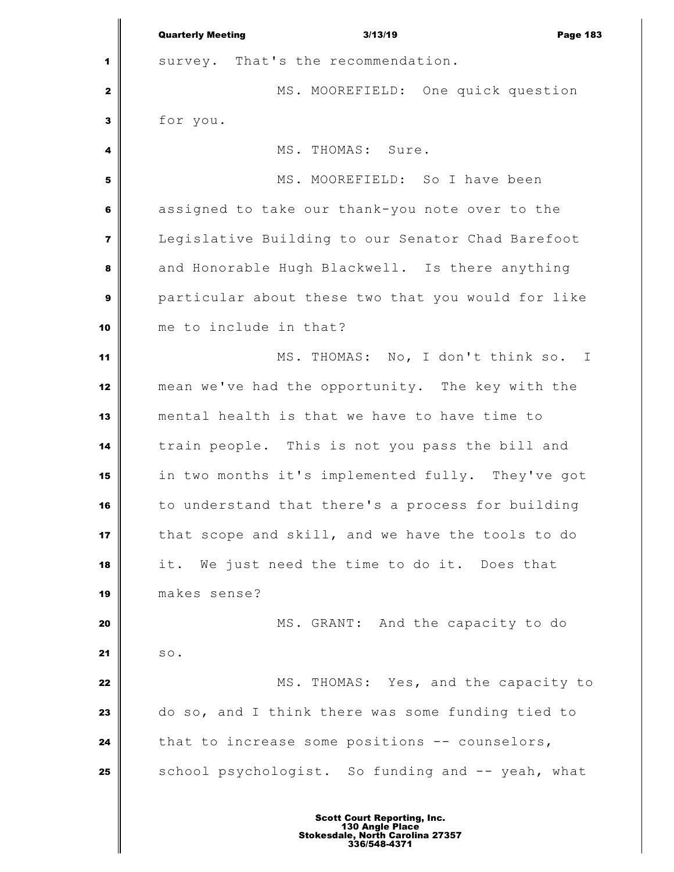Quarterly Meeting 3/13/19 Page 183 survey. That's the recommendation. MS. MOOREFIELD: One quick question for you. MS. THOMAS: Sure. MS. MOOREFIELD: So I have been assigned to take our thank-you note over to the Legislative Building to our Senator Chad Barefoot and Honorable Hugh Blackwell. Is there anything particular about these two that you would for like me to include in that? MS. THOMAS: No, I don't think so. I mean we've had the opportunity. The key with the mental health is that we have to have time to train people. This is not you pass the bill and in two months it's implemented fully. They've got to understand that there's a process for building that scope and skill, and we have the tools to do it. We just need the time to do it. Does that makes sense? MS. GRANT: And the capacity to do so. MS. THOMAS: Yes, and the capacity to do so, and I think there was some funding tied to that to increase some positions -- counselors, School psychologist. So funding and -- yeah, what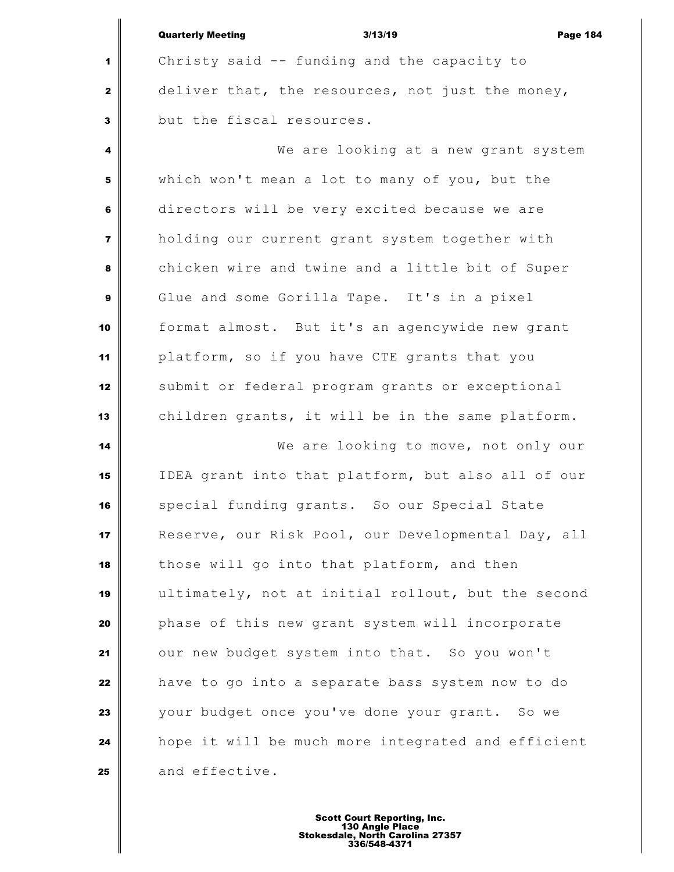| <b>Quarterly Meeting</b> | 3/13/19 | <b>Page 184</b> |
|--------------------------|---------|-----------------|

 Christy said -- funding and the capacity to deliver that, the resources, not just the money, but the fiscal resources.

 We are looking at a new grant system which won't mean a lot to many of you, but the directors will be very excited because we are holding our current grant system together with chicken wire and twine and a little bit of Super Glue and some Gorilla Tape. It's in a pixel format almost. But it's an agencywide new grant platform, so if you have CTE grants that you submit or federal program grants or exceptional children grants, it will be in the same platform.

 We are looking to move, not only our IDEA grant into that platform, but also all of our special funding grants. So our Special State Reserve, our Risk Pool, our Developmental Day, all those will go into that platform, and then ultimately, not at initial rollout, but the second phase of this new grant system will incorporate our new budget system into that. So you won't have to go into a separate bass system now to do your budget once you've done your grant. So we hope it will be much more integrated and efficient and effective.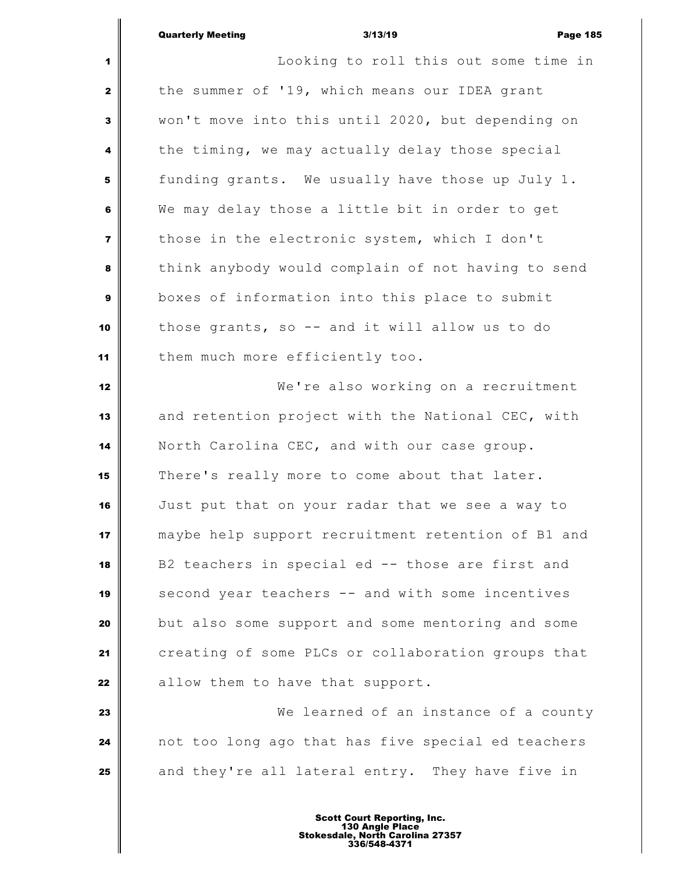Looking to roll this out some time in the summer of '19, which means our IDEA grant won't move into this until 2020, but depending on the timing, we may actually delay those special funding grants. We usually have those up July 1. We may delay those a little bit in order to get those in the electronic system, which I don't think anybody would complain of not having to send boxes of information into this place to submit those grants, so -- and it will allow us to do 11 | them much more efficiently too. We're also working on a recruitment and retention project with the National CEC, with North Carolina CEC, and with our case group. There's really more to come about that later. Just put that on your radar that we see a way to maybe help support recruitment retention of B1 and B2 teachers in special ed -- those are first and second year teachers -- and with some incentives but also some support and some mentoring and some creating of some PLCs or collaboration groups that allow them to have that support. We learned of an instance of a county not too long ago that has five special ed teachers | and they're all lateral entry. They have five in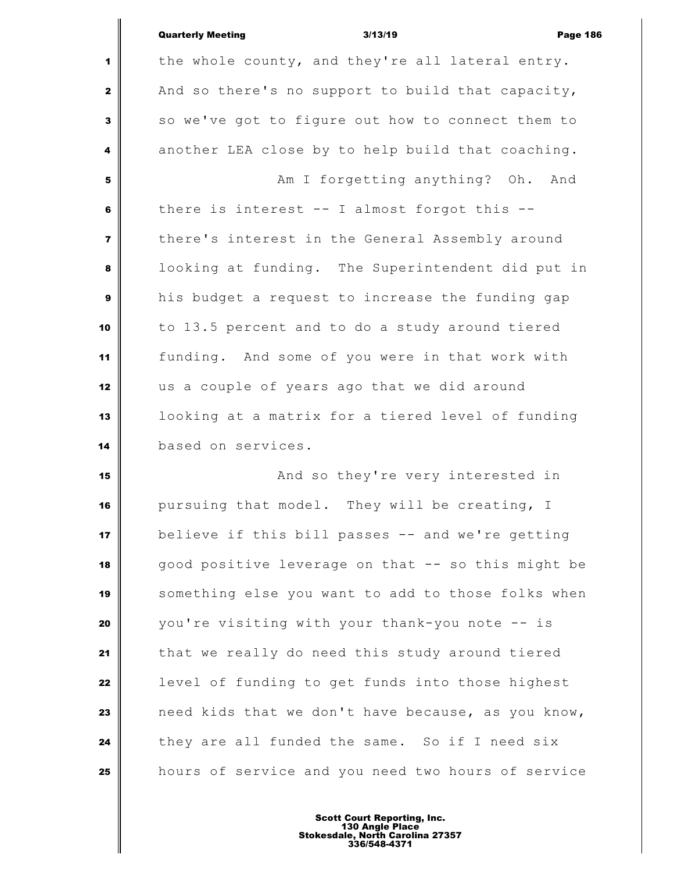|                         | <b>Quarterly Meeting</b><br>3/13/19<br><b>Page 186</b> |
|-------------------------|--------------------------------------------------------|
| 1                       | the whole county, and they're all lateral entry.       |
| $\mathbf{2}$            | And so there's no support to build that capacity,      |
| 3                       | so we've got to figure out how to connect them to      |
| 4                       | another LEA close by to help build that coaching.      |
| 5                       | Am I forgetting anything? Oh. And                      |
| 6                       | there is interest $--$ I almost forgot this $--$       |
| $\overline{\mathbf{z}}$ | there's interest in the General Assembly around        |
| 8                       | looking at funding. The Superintendent did put in      |
| 9                       | his budget a request to increase the funding gap       |
| 10                      | to 13.5 percent and to do a study around tiered        |
| 11                      | funding. And some of you were in that work with        |
| 12                      | us a couple of years ago that we did around            |
| 13                      | looking at a matrix for a tiered level of funding      |
| 14                      | based on services.                                     |
| 15                      | And so they're very interested in                      |
| 16                      | pursuing that model. They will be creating, I          |
| 17                      | believe if this bill passes -- and we're getting       |
| 18                      | good positive leverage on that -- so this might be     |
| 19                      | something else you want to add to those folks when     |
| 20                      | you're visiting with your thank-you note -- is         |
| 21                      | that we really do need this study around tiered        |
| 22                      | level of funding to get funds into those highest       |
| 23                      | need kids that we don't have because, as you know,     |
|                         |                                                        |

 they are all funded the same. So if I need six hours of service and you need two hours of service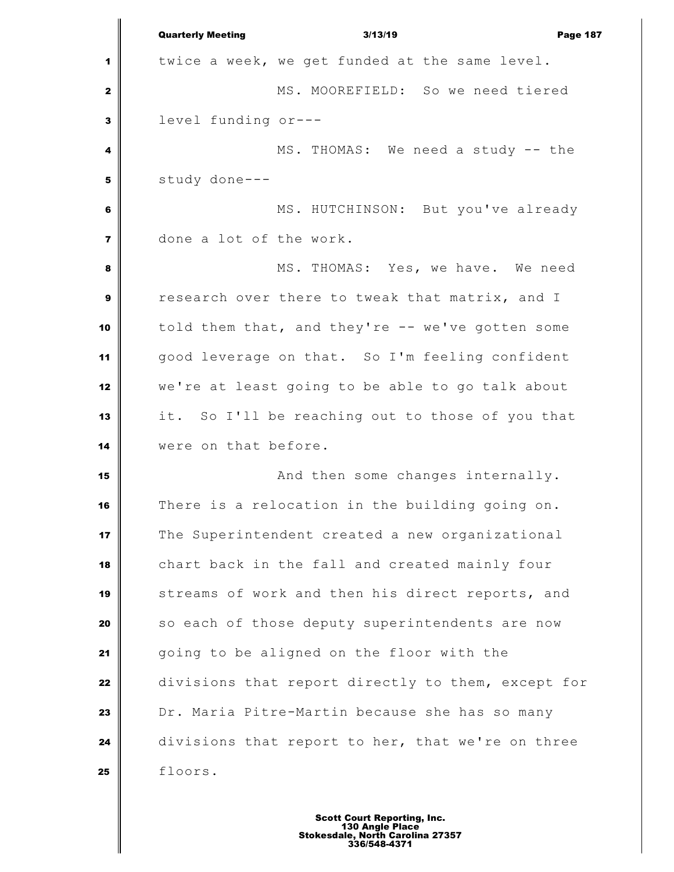Quarterly Meeting 3/13/19 Page 187 twice a week, we get funded at the same level. MS. MOOREFIELD: So we need tiered level funding or--- MS. THOMAS: We need a study -- the study done--- MS. HUTCHINSON: But you've already done a lot of the work. MS. THOMAS: Yes, we have. We need research over there to tweak that matrix, and I told them that, and they're -- we've gotten some good leverage on that. So I'm feeling confident we're at least going to be able to go talk about it. So I'll be reaching out to those of you that were on that before. **And then some changes internally.**  There is a relocation in the building going on. The Superintendent created a new organizational chart back in the fall and created mainly four streams of work and then his direct reports, and so each of those deputy superintendents are now going to be aligned on the floor with the divisions that report directly to them, except for Dr. Maria Pitre-Martin because she has so many divisions that report to her, that we're on three 25 floors.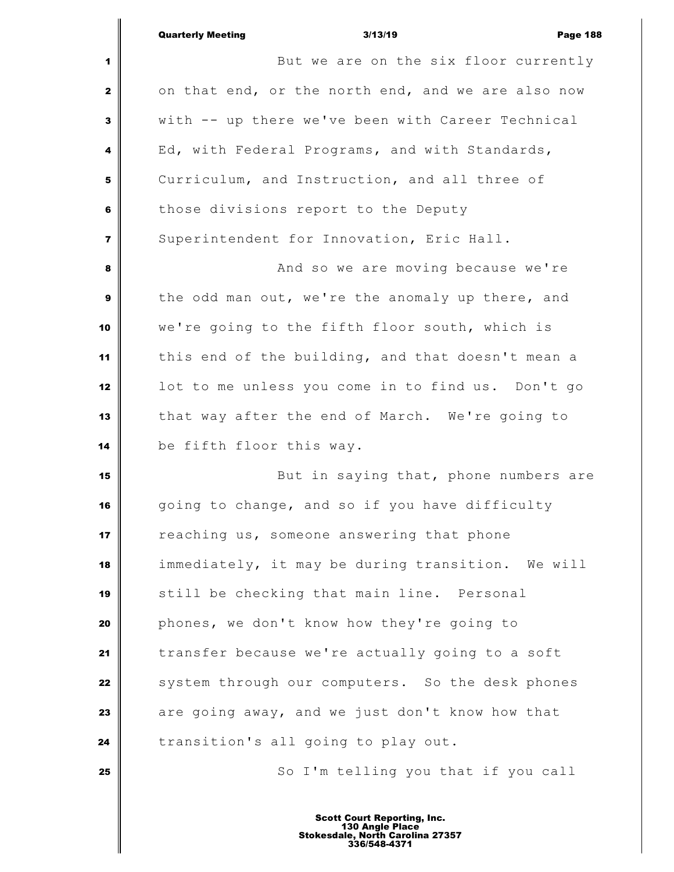|                         | <b>Quarterly Meeting</b><br>3/13/19<br><b>Page 188</b> |
|-------------------------|--------------------------------------------------------|
| 1                       | But we are on the six floor currently                  |
| $\mathbf{2}$            | on that end, or the north end, and we are also now     |
| 3                       | with -- up there we've been with Career Technical      |
| 4                       | Ed, with Federal Programs, and with Standards,         |
| 5                       | Curriculum, and Instruction, and all three of          |
| 6                       | those divisions report to the Deputy                   |
| $\overline{\mathbf{z}}$ | Superintendent for Innovation, Eric Hall.              |
| 8                       | And so we are moving because we're                     |
| 9                       | the odd man out, we're the anomaly up there, and       |
| 10                      | we're going to the fifth floor south, which is         |
| 11                      | this end of the building, and that doesn't mean a      |
| 12                      | lot to me unless you come in to find us. Don't go      |
| 13                      | that way after the end of March. We're going to        |
| 14                      | be fifth floor this way.                               |
| 15                      | But in saying that, phone numbers are                  |
| 16                      | going to change, and so if you have difficulty         |
| 17                      | reaching us, someone answering that phone              |
| 18                      | immediately, it may be during transition. We will      |
| 19                      | still be checking that main line. Personal             |
| 20                      | phones, we don't know how they're going to             |
| 21                      | transfer because we're actually going to a soft        |
| 22                      | system through our computers. So the desk phones       |
| 23                      | are going away, and we just don't know how that        |
| 24                      | transition's all going to play out.                    |
| 25                      | So I'm telling you that if you call                    |
|                         |                                                        |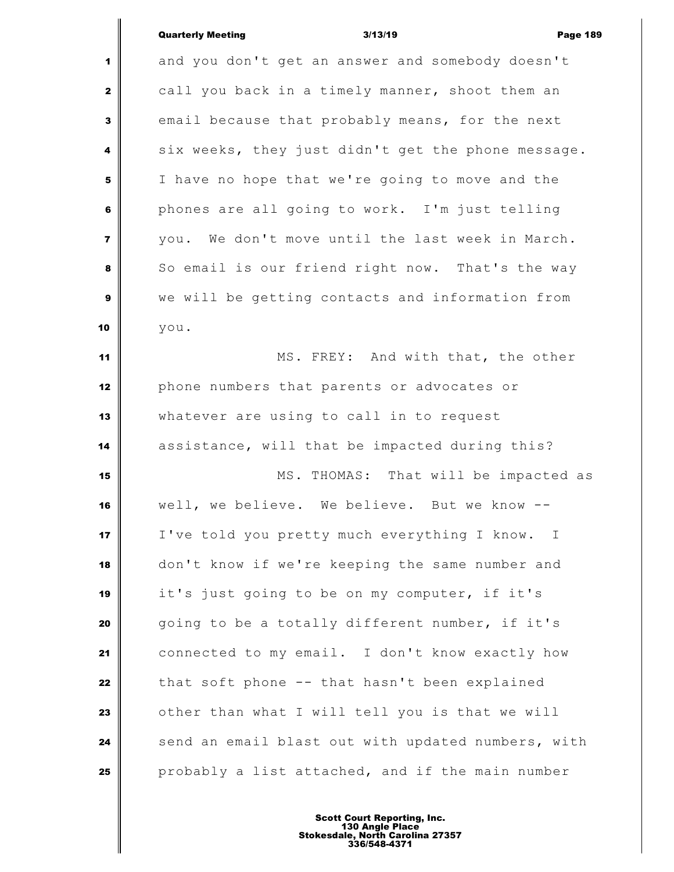| <b>Quarterly Meeting</b> |  |
|--------------------------|--|
|                          |  |

|                         | <b>Quarterly Meeting</b> | 3/13/19                                            | <b>Page 189</b> |
|-------------------------|--------------------------|----------------------------------------------------|-----------------|
| 1                       |                          | and you don't get an answer and somebody doesn't   |                 |
| $\mathbf{z}$            |                          | call you back in a timely manner, shoot them an    |                 |
| 3                       |                          | email because that probably means, for the next    |                 |
| 4                       |                          | six weeks, they just didn't get the phone message. |                 |
| 5                       |                          | I have no hope that we're going to move and the    |                 |
| 6                       |                          | phones are all going to work. I'm just telling     |                 |
| $\overline{\mathbf{z}}$ |                          | you. We don't move until the last week in March.   |                 |
| 8                       |                          | So email is our friend right now. That's the way   |                 |
| 9                       |                          | we will be getting contacts and information from   |                 |
| 10                      | you.                     |                                                    |                 |
| 11                      |                          | MS. FREY: And with that, the other                 |                 |
| 12                      |                          | phone numbers that parents or advocates or         |                 |
| 13                      |                          | whatever are using to call in to request           |                 |
| 14                      |                          | assistance, will that be impacted during this?     |                 |
| 15                      |                          | MS. THOMAS: That will be impacted as               |                 |
| 16                      |                          | well, we believe. We believe. But we know          |                 |
| 17                      |                          | I've told you pretty much everything I know. I     |                 |
| 18                      |                          | don't know if we're keeping the same number and    |                 |
| 19                      |                          | it's just going to be on my computer, if it's      |                 |
| 20                      |                          | going to be a totally different number, if it's    |                 |
| 21                      |                          | connected to my email. I don't know exactly how    |                 |
| 22                      |                          | that soft phone -- that hasn't been explained      |                 |
| 23                      |                          | other than what I will tell you is that we will    |                 |
| 24                      |                          | send an email blast out with updated numbers, with |                 |
| 25                      |                          | probably a list attached, and if the main number   |                 |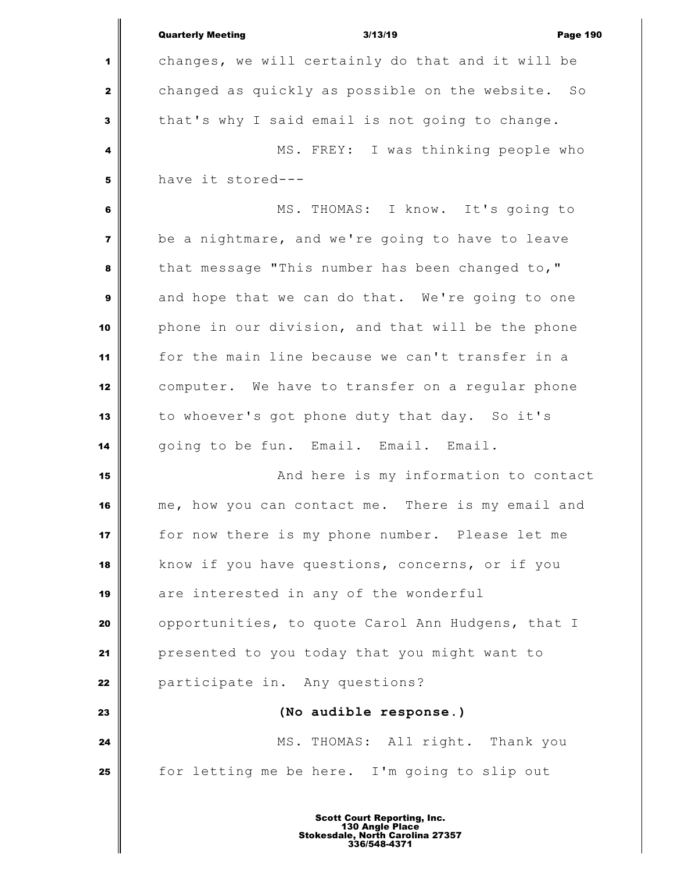|                         | <b>Quarterly Meeting</b><br>3/13/19<br><b>Page 190</b> |
|-------------------------|--------------------------------------------------------|
| 1                       | changes, we will certainly do that and it will be      |
| 2                       | changed as quickly as possible on the website. So      |
| $\mathbf{3}$            | that's why I said email is not going to change.        |
| 4                       | MS. FREY: I was thinking people who                    |
| 5                       | have it stored---                                      |
| 6                       | MS. THOMAS: I know. It's going to                      |
| $\overline{\mathbf{z}}$ | be a nightmare, and we're going to have to leave       |
| 8                       | that message "This number has been changed to,"        |
| 9                       | and hope that we can do that. We're going to one       |
| 10                      | phone in our division, and that will be the phone      |
| 11                      | for the main line because we can't transfer in a       |
| 12                      | computer. We have to transfer on a regular phone       |
| 13                      | to whoever's got phone duty that day. So it's          |
| 14                      | going to be fun. Email. Email. Email.                  |
| 15                      | And here is my information to contact                  |
| 16                      | me, how you can contact me. There is my email and      |
| 17                      | for now there is my phone number. Please let me        |
| 18                      | know if you have questions, concerns, or if you        |
| 19                      | are interested in any of the wonderful                 |
| 20                      | opportunities, to quote Carol Ann Hudgens, that I      |
| 21                      | presented to you today that you might want to          |
| 22                      | participate in. Any questions?                         |
| 23                      | (No audible response.)                                 |
| 24                      | MS. THOMAS: All right. Thank you                       |
| 25                      | for letting me be here. I'm going to slip out          |
|                         |                                                        |

Ш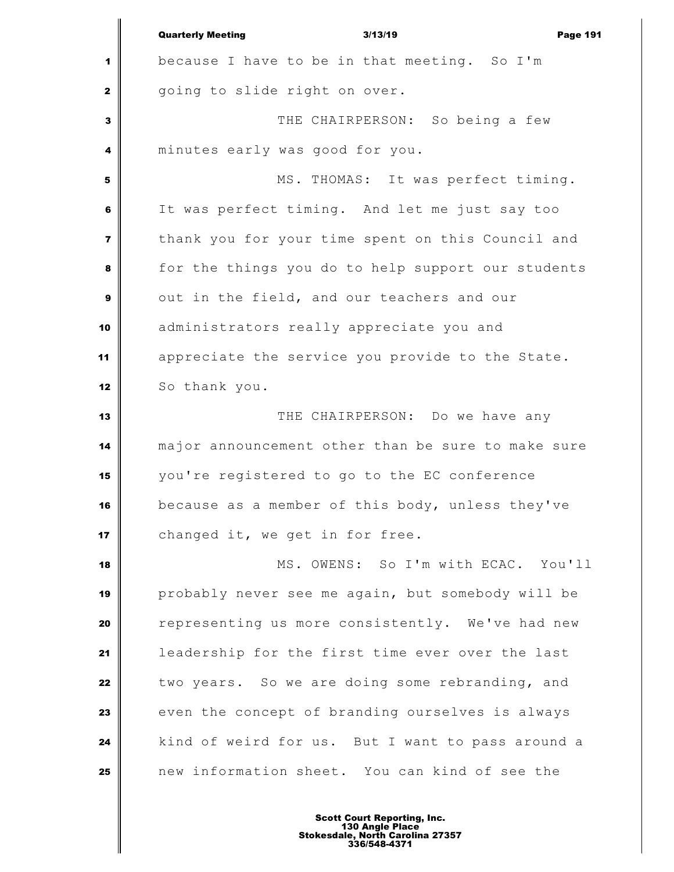|                         | <b>Quarterly Meeting</b><br>3/13/19<br><b>Page 191</b> |
|-------------------------|--------------------------------------------------------|
| 1                       | because I have to be in that meeting. So I'm           |
| $\mathbf{2}$            | going to slide right on over.                          |
| 3                       | THE CHAIRPERSON: So being a few                        |
| 4                       | minutes early was good for you.                        |
| 5                       | MS. THOMAS: It was perfect timing.                     |
| 6                       | It was perfect timing. And let me just say too         |
| $\overline{\mathbf{z}}$ | thank you for your time spent on this Council and      |
| 8                       | for the things you do to help support our students     |
| 9                       | out in the field, and our teachers and our             |
| 10                      | administrators really appreciate you and               |
| 11                      | appreciate the service you provide to the State.       |
| 12                      | So thank you.                                          |
| 13                      | THE CHAIRPERSON: Do we have any                        |
| 14                      | major announcement other than be sure to make sure     |
| 15                      | you're registered to go to the EC conference           |
| 16                      | because as a member of this body, unless they've       |
| 17                      | changed it, we get in for free.                        |
| 18                      | MS. OWENS: So I'm with ECAC. You'll                    |
| 19                      | probably never see me again, but somebody will be      |
| 20                      | representing us more consistently. We've had new       |
| 21                      | leadership for the first time ever over the last       |
| 22                      | two years. So we are doing some rebranding, and        |
| 23                      | even the concept of branding ourselves is always       |
| 24                      | kind of weird for us. But I want to pass around a      |
| 25                      | new information sheet. You can kind of see the         |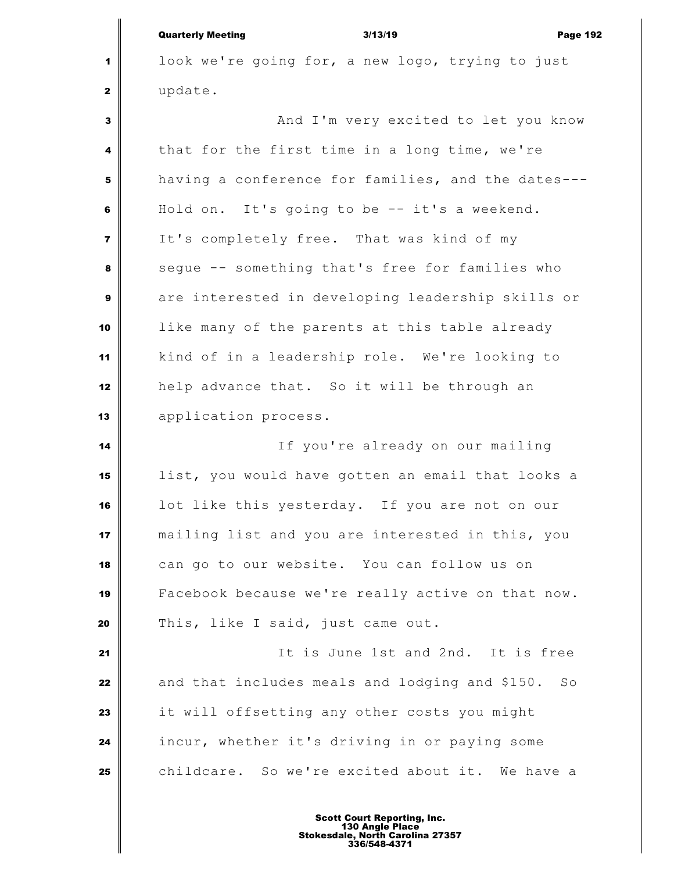Quarterly Meeting 3/13/19 Page 192 look we're going for, a new logo, trying to just update. And I'm very excited to let you know that for the first time in a long time, we're having a conference for families, and the dates--- Hold on. It's going to be -- it's a weekend. It's completely free. That was kind of my seque -- something that's free for families who are interested in developing leadership skills or like many of the parents at this table already kind of in a leadership role. We're looking to help advance that. So it will be through an application process. If you're already on our mailing list, you would have gotten an email that looks a lot like this yesterday. If you are not on our mailing list and you are interested in this, you can go to our website. You can follow us on Facebook because we're really active on that now. This, like I said, just came out. It is June 1st and 2nd. It is free and that includes meals and lodging and \$150. So it will offsetting any other costs you might incur, whether it's driving in or paying some childcare. So we're excited about it. We have a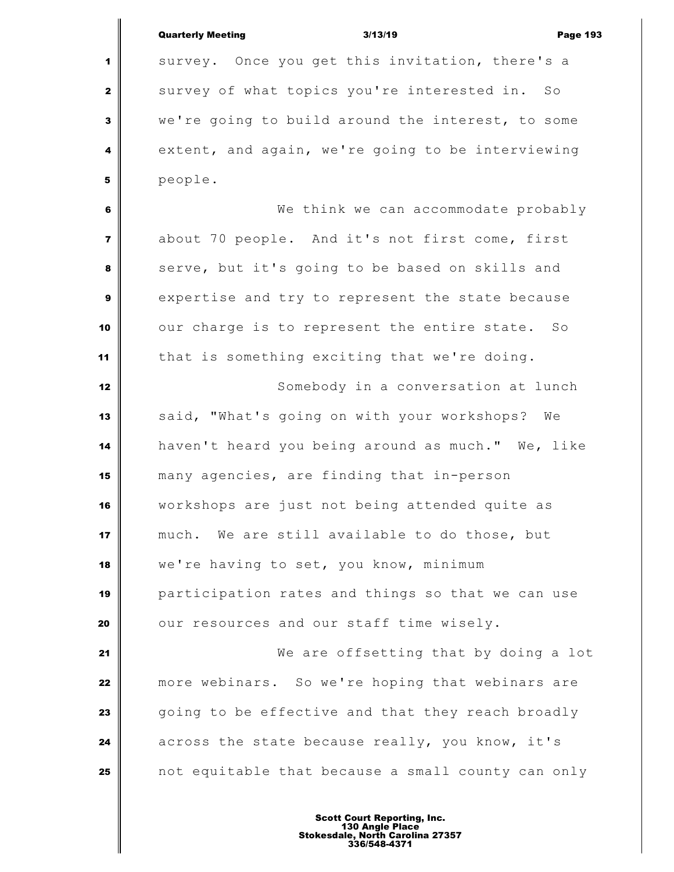|                | <b>Quarterly Meeting</b> | 3/13/19                                            | <b>Page 193</b> |
|----------------|--------------------------|----------------------------------------------------|-----------------|
| 1              |                          | survey. Once you get this invitation, there's a    |                 |
| $\mathbf{2}$   |                          | survey of what topics you're interested in. So     |                 |
| 3              |                          | we're going to build around the interest, to some  |                 |
| 4              |                          | extent, and again, we're going to be interviewing  |                 |
| 5              | people.                  |                                                    |                 |
| 6              |                          | We think we can accommodate probably               |                 |
| $\overline{7}$ |                          | about 70 people. And it's not first come, first    |                 |
| 8              |                          | serve, but it's going to be based on skills and    |                 |
| 9              |                          | expertise and try to represent the state because   |                 |
| 10             |                          | our charge is to represent the entire state. So    |                 |
| 11             |                          | that is something exciting that we're doing.       |                 |
| 12             |                          | Somebody in a conversation at lunch                |                 |
| 13             |                          | said, "What's going on with your workshops? We     |                 |
| 14             |                          | haven't heard you being around as much." We, like  |                 |
| 15             |                          | many agencies, are finding that in-person          |                 |
| 16             |                          | workshops are just not being attended quite as     |                 |
| 17             |                          | much. We are still available to do those, but      |                 |
| 18             |                          | we're having to set, you know, minimum             |                 |
| 19             |                          | participation rates and things so that we can use  |                 |
| 20             |                          | our resources and our staff time wisely.           |                 |
| 21             |                          | We are offsetting that by doing a lot              |                 |
| 22             |                          | more webinars. So we're hoping that webinars are   |                 |
| 23             |                          | going to be effective and that they reach broadly  |                 |
| 24             |                          | across the state because really, you know, it's    |                 |
| 25             |                          | not equitable that because a small county can only |                 |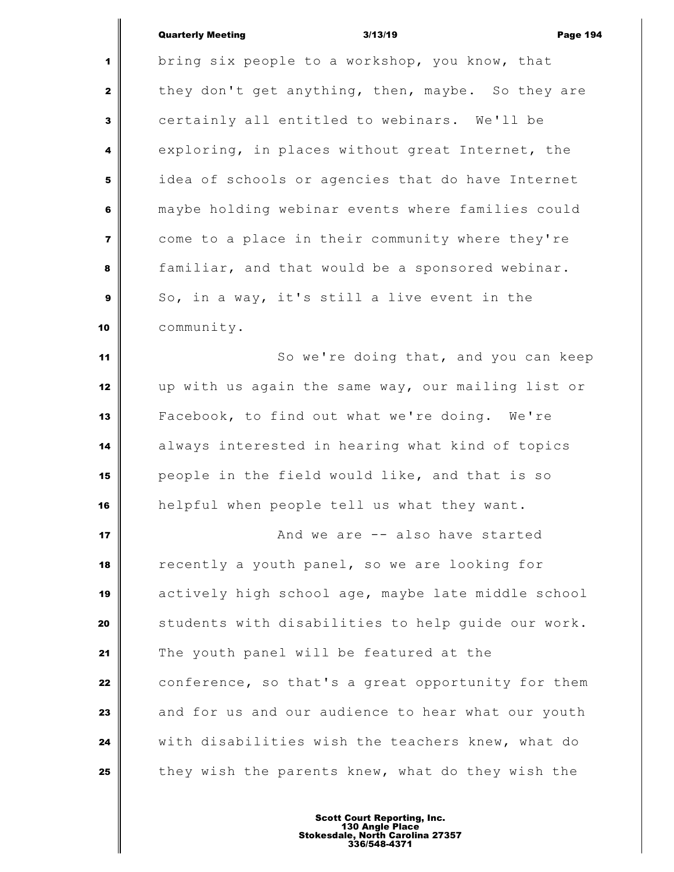## Quarterly Meeting **Contract Contract Contract Contract Contract Contract Contract Contract Contract Contract Contract Contract Contract Contract Contract Contract Contract Contract Contract Contract Contract Contract Contr**

 $\parallel$ 

| $\mathbf{1}$            | bring six people to a workshop, you know, that     |
|-------------------------|----------------------------------------------------|
| $\mathbf{2}$            | they don't get anything, then, maybe. So they are  |
| $\mathbf{3}$            | certainly all entitled to webinars. We'll be       |
| 4                       | exploring, in places without great Internet, the   |
| $\overline{\mathbf{5}}$ | idea of schools or agencies that do have Internet  |
| 6                       | maybe holding webinar events where families could  |
| $\overline{7}$          | come to a place in their community where they're   |
| 8                       | familiar, and that would be a sponsored webinar.   |
| $\boldsymbol{9}$        | So, in a way, it's still a live event in the       |
| 10                      | community.                                         |
| 11                      | So we're doing that, and you can keep              |
| 12                      | up with us again the same way, our mailing list or |
| 13                      | Facebook, to find out what we're doing. We're      |
| 14                      | always interested in hearing what kind of topics   |
| 15                      | people in the field would like, and that is so     |
| 16                      | helpful when people tell us what they want.        |
| 17                      | And we are -- also have started                    |
| 18                      | recently a youth panel, so we are looking for      |
| 19                      | actively high school age, maybe late middle school |
| 20                      | students with disabilities to help guide our work. |
| 21                      | The youth panel will be featured at the            |
| 22                      | conference, so that's a great opportunity for them |
| 23                      | and for us and our audience to hear what our youth |
| 24                      | with disabilities wish the teachers knew, what do  |
| 25                      | they wish the parents knew, what do they wish the  |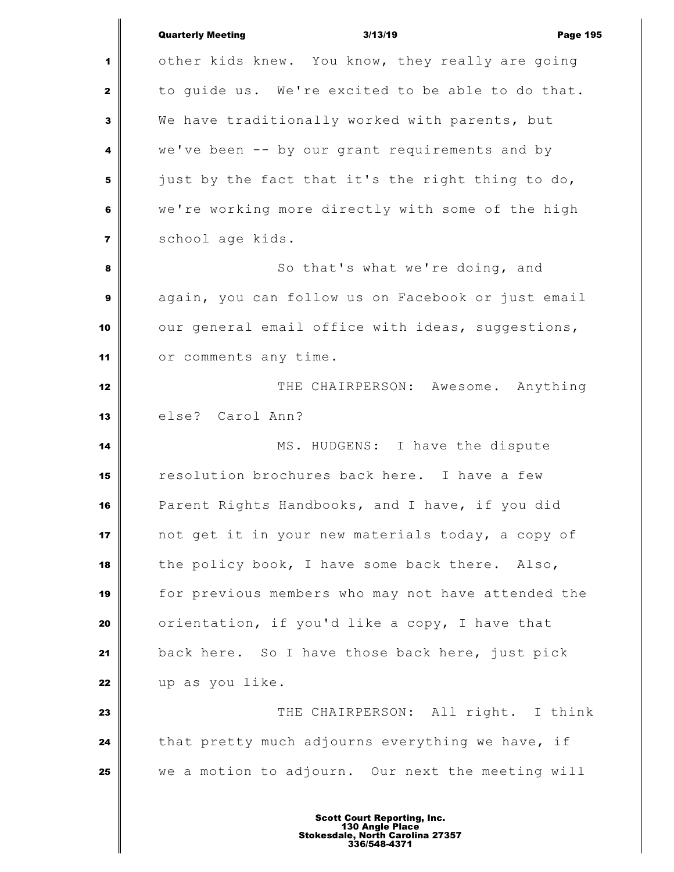|                | <b>Quarterly Meeting</b><br>3/13/19<br><b>Page 195</b> |
|----------------|--------------------------------------------------------|
| 1              | other kids knew. You know, they really are going       |
| $\mathbf{z}$   | to guide us. We're excited to be able to do that.      |
| 3              | We have traditionally worked with parents, but         |
| 4              | we've been -- by our grant requirements and by         |
| 5              | just by the fact that it's the right thing to do,      |
| 6              | we're working more directly with some of the high      |
| $\overline{7}$ | school age kids.                                       |
| 8              | So that's what we're doing, and                        |
| $\mathbf{9}$   | again, you can follow us on Facebook or just email     |
| 10             | our general email office with ideas, suggestions,      |
| 11             | or comments any time.                                  |
| 12             | THE CHAIRPERSON: Awesome. Anything                     |
| 13             | else? Carol Ann?                                       |
| 14             | MS. HUDGENS: I have the dispute                        |
| 15             | resolution brochures back here. I have a few           |
| 16             | Parent Rights Handbooks, and I have, if you did        |
| 17             | not get it in your new materials today, a copy of      |
| 18             | the policy book, I have some back there. Also,         |
| 19             | for previous members who may not have attended the     |
| 20             | orientation, if you'd like a copy, I have that         |
| 21             | back here. So I have those back here, just pick        |
| 22             | up as you like.                                        |
| 23             | THE CHAIRPERSON: All right. I think                    |
| 24             | that pretty much adjourns everything we have, if       |
| 25             | we a motion to adjourn. Our next the meeting will      |
|                |                                                        |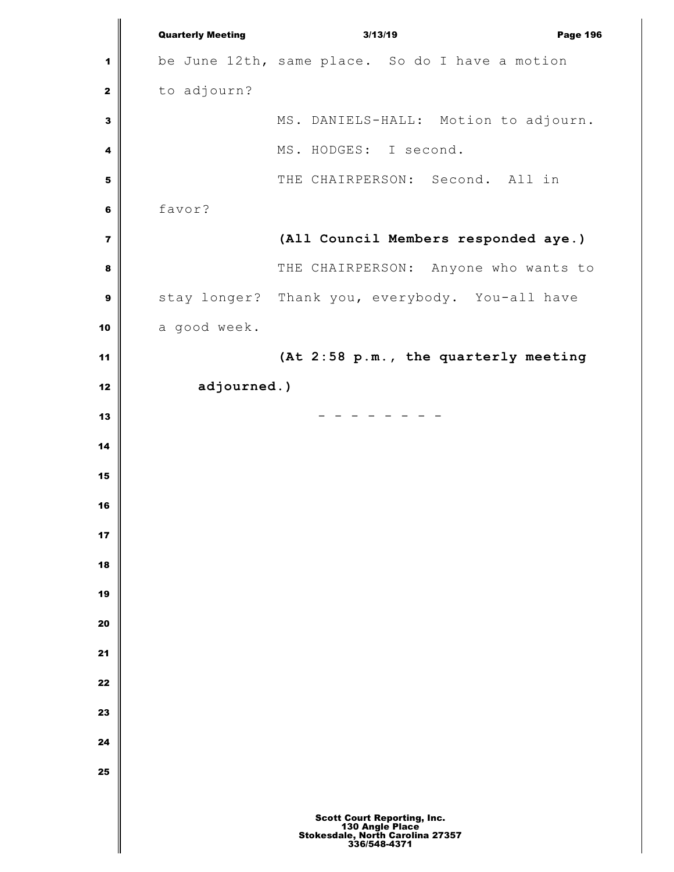Quarterly Meeting 3/13/19 Page 196 be June 12th, same place. So do I have a motion to adjourn? MS. DANIELS-HALL: Motion to adjourn. MS. HODGES: I second. THE CHAIRPERSON: Second. All in favor? **(All Council Members responded aye.)** THE CHAIRPERSON: Anyone who wants to stay longer? Thank you, everybody. You-all have a good week. **(At 2:58 p.m., the quarterly meeting adjourned.)**  $\parallel$  Scott Court Reporting, Inc. 130 Angle Place Stokesdale, North Carolina 27357 336/548-4371